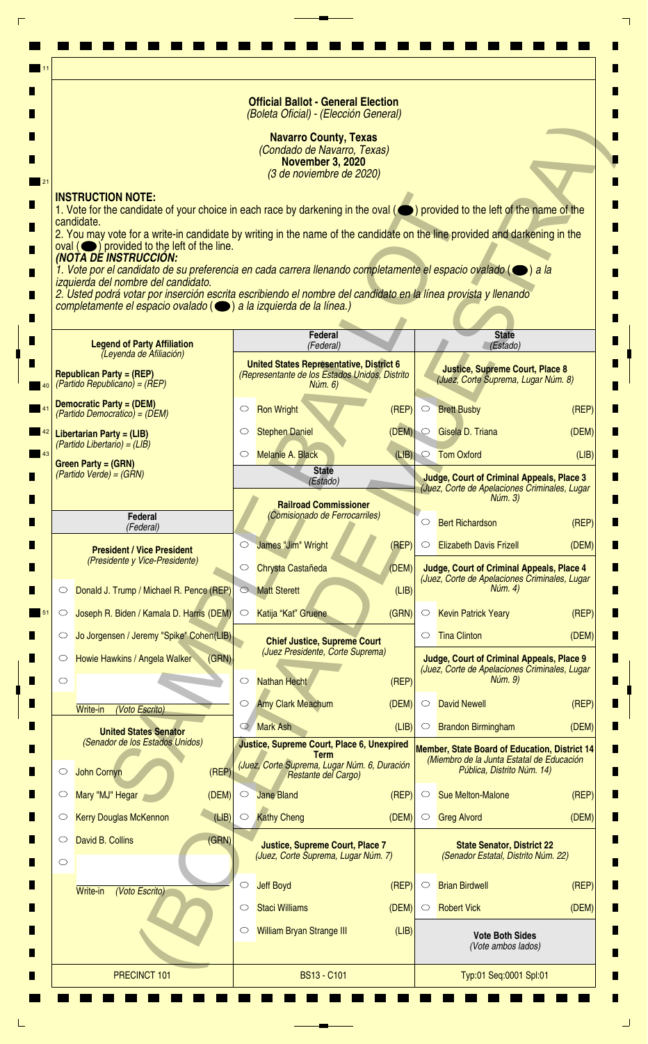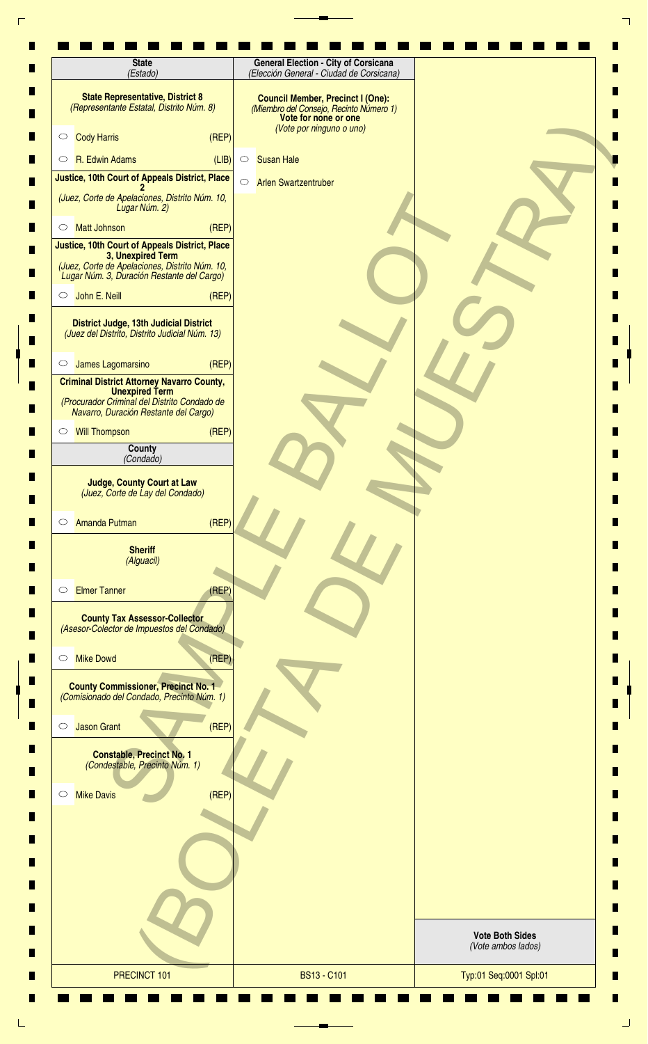| <b>State</b><br>(Estado)                                                                                                                                            | <b>General Election - City of Corsicana</b><br>(Elección General - Ciudad de Corsicana)                                                 |                                              |
|---------------------------------------------------------------------------------------------------------------------------------------------------------------------|-----------------------------------------------------------------------------------------------------------------------------------------|----------------------------------------------|
| <b>State Representative, District 8</b><br>(Representante Estatal, Distrito Núm. 8)                                                                                 | <b>Council Member, Precinct I (One):</b><br>(Miembro del Consejo, Recinto Número 1)<br>Vote for none or one<br>(Vote por ninguno o uno) |                                              |
| (REF)<br><b>Cody Harris</b><br>$\circ$                                                                                                                              |                                                                                                                                         |                                              |
| R. Edwin Adams<br>(LIB)<br>$\circ$                                                                                                                                  | <b>Susan Hale</b><br>$\circ$                                                                                                            |                                              |
| Justice, 10th Court of Appeals District, Place                                                                                                                      | $\circ$<br><b>Arlen Swartzentruber</b>                                                                                                  |                                              |
| (Juez, Corte de Apelaciones, Distrito Núm. 10,<br>Lugar Núm. 2)                                                                                                     |                                                                                                                                         |                                              |
| (REP)<br><b>Matt Johnson</b><br>$\circ$                                                                                                                             |                                                                                                                                         |                                              |
| Justice, 10th Court of Appeals District, Place<br>3, Unexpired Term<br>(Juez, Corte de Apelaciones, Distrito Núm. 10,<br>Lugar Núm. 3, Duración Restante del Cargo) |                                                                                                                                         |                                              |
| John E. Neill<br>(REF)<br>$\circ$                                                                                                                                   |                                                                                                                                         |                                              |
| District Judge, 13th Judicial District<br>(Juez del Distrito, Distrito Judicial Núm. 13)                                                                            |                                                                                                                                         |                                              |
| (REF)<br>James Lagomarsino<br>$\circ$                                                                                                                               |                                                                                                                                         |                                              |
| <b>Criminal District Attorney Navarro County,</b><br><b>Unexpired Term</b><br>(Procurador Criminal del Distrito Condado de<br>Navarro, Duración Restante del Cargo) |                                                                                                                                         |                                              |
| (REP)<br><b>Will Thompson</b><br>$\circ$                                                                                                                            |                                                                                                                                         |                                              |
| County<br>(Condado)                                                                                                                                                 |                                                                                                                                         |                                              |
| <b>Judge, County Court at Law</b><br>(Juez, Corte de Lay del Condado)                                                                                               |                                                                                                                                         |                                              |
| (REF)<br>Amanda Putman<br>$\circ$                                                                                                                                   |                                                                                                                                         |                                              |
| <b>Sheriff</b><br>(Alguacil)                                                                                                                                        |                                                                                                                                         |                                              |
| <b>Elmer Tanner</b><br>(REF)<br>$\circ$                                                                                                                             |                                                                                                                                         |                                              |
| <b>County Tax Assessor-Collector</b><br>(Asesor-Colector de Impuestos del Condado)                                                                                  |                                                                                                                                         |                                              |
| (REP)<br><b>Mike Dowd</b><br>$\circ$                                                                                                                                |                                                                                                                                         |                                              |
| <b>County Commissioner, Precinct No. 1</b><br>(Comisionado del Condado, Precinto Núm. 1)                                                                            |                                                                                                                                         |                                              |
| (REF)<br><b>Jason Grant</b><br>$\circ$                                                                                                                              |                                                                                                                                         |                                              |
| <b>Constable, Precinct No. 1</b><br>(Condestable, Precinto Núm. 1)                                                                                                  |                                                                                                                                         |                                              |
| (REP)<br><b>Mike Davis</b><br>$\circ$                                                                                                                               |                                                                                                                                         |                                              |
|                                                                                                                                                                     |                                                                                                                                         |                                              |
|                                                                                                                                                                     |                                                                                                                                         |                                              |
|                                                                                                                                                                     |                                                                                                                                         |                                              |
|                                                                                                                                                                     |                                                                                                                                         |                                              |
|                                                                                                                                                                     |                                                                                                                                         | <b>Vote Both Sides</b><br>(Vote ambos lados) |
| PRECINCT 101                                                                                                                                                        | <b>BS13 - C101</b>                                                                                                                      | Typ:01 Seq:0001 Spl:01                       |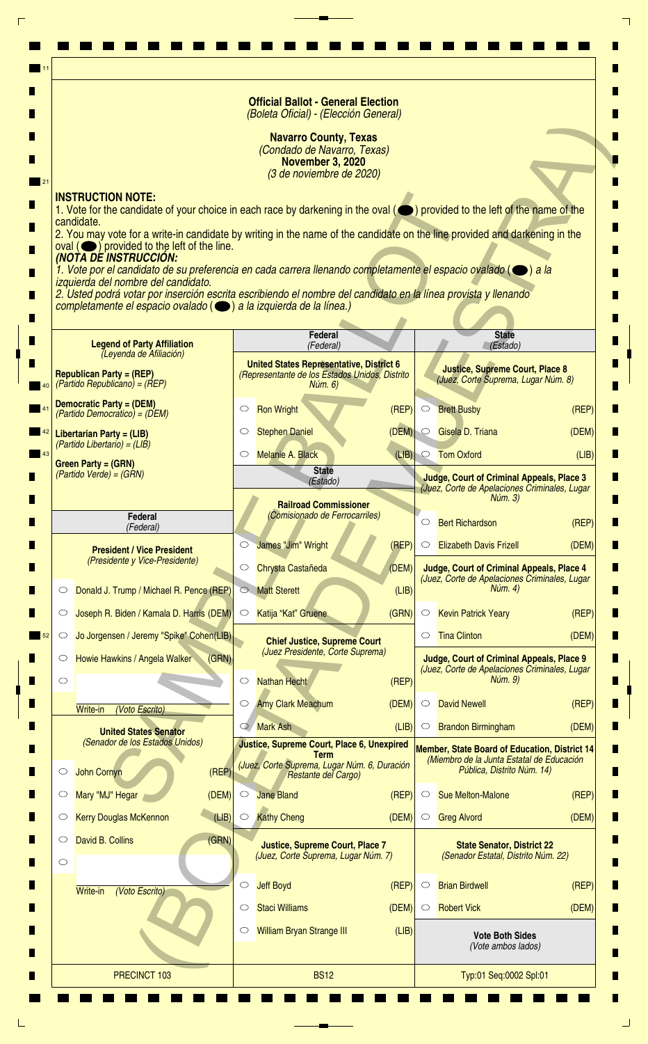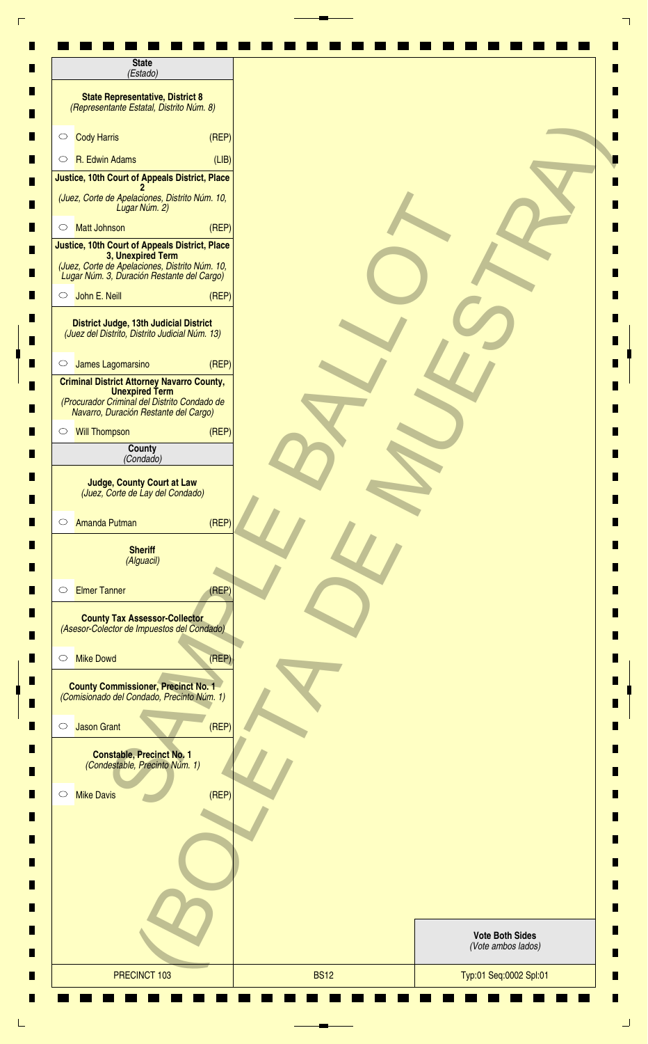| <b>State</b><br>(Estado)                                                                                                                                            |       |                                              |  |
|---------------------------------------------------------------------------------------------------------------------------------------------------------------------|-------|----------------------------------------------|--|
| <b>State Representative, District 8</b><br>(Representante Estatal, Distrito Núm. 8)                                                                                 |       |                                              |  |
| <b>Cody Harris</b><br>$\circ$                                                                                                                                       | (REF) |                                              |  |
| R. Edwin Adams<br>$\circ$                                                                                                                                           | (LIB) |                                              |  |
| Justice, 10th Court of Appeals District, Place                                                                                                                      |       |                                              |  |
| (Juez, Corte de Apelaciones, Distrito Núm. 10,<br>Lugar Núm. 2)                                                                                                     |       |                                              |  |
| <b>Matt Johnson</b><br>$\circ$                                                                                                                                      | (REF) |                                              |  |
| Justice, 10th Court of Appeals District, Place<br>3, Unexpired Term<br>(Juez, Corte de Apelaciones, Distrito Núm. 10,<br>Lugar Núm. 3, Duración Restante del Cargo) |       |                                              |  |
| John E. Neill<br>$\circ$                                                                                                                                            | (REF) |                                              |  |
| <b>District Judge, 13th Judicial District</b><br>(Juez del Distrito, Distrito Judicial Núm. 13)                                                                     |       |                                              |  |
| James Lagomarsino<br>$\circ$                                                                                                                                        | (REF) |                                              |  |
| <b>Criminal District Attorney Navarro County,</b><br><b>Unexpired Term</b><br>(Procurador Criminal del Distrito Condado de<br>Navarro, Duración Restante del Cargo) |       |                                              |  |
| <b>Will Thompson</b><br>$\circ$                                                                                                                                     | (REF) |                                              |  |
| County<br>(Condado)                                                                                                                                                 |       |                                              |  |
| <b>Judge, County Court at Law</b><br>(Juez, Corte de Lay del Condado)                                                                                               |       |                                              |  |
| <b>Amanda Putman</b><br>$\circ$                                                                                                                                     | (REP) |                                              |  |
| <b>Sheriff</b><br>(Alguacil)                                                                                                                                        |       |                                              |  |
| <b>Elmer Tanner</b><br>$\circ$                                                                                                                                      | (REP) |                                              |  |
| <b>County Tax Assessor-Collector</b><br>(Asesor-Colector de Impuestos del Condado)                                                                                  |       |                                              |  |
| <b>Mike Dowd</b><br>$\circ$                                                                                                                                         | (REP) |                                              |  |
| <b>County Commissioner, Precinct No. 1</b><br>(Comisionado del Condado, Precinto Núm. 1)                                                                            |       |                                              |  |
| <b>Jason Grant</b><br>$\circlearrowright$                                                                                                                           | (REF) |                                              |  |
| <b>Constable, Precinct No. 1</b><br>(Condestable, Precinto Núm. 1)                                                                                                  |       |                                              |  |
| <b>Mike Davis</b><br>$\circ$                                                                                                                                        | (REF) |                                              |  |
|                                                                                                                                                                     |       |                                              |  |
|                                                                                                                                                                     |       |                                              |  |
|                                                                                                                                                                     |       |                                              |  |
|                                                                                                                                                                     |       | <b>Vote Both Sides</b><br>(Vote ambos lados) |  |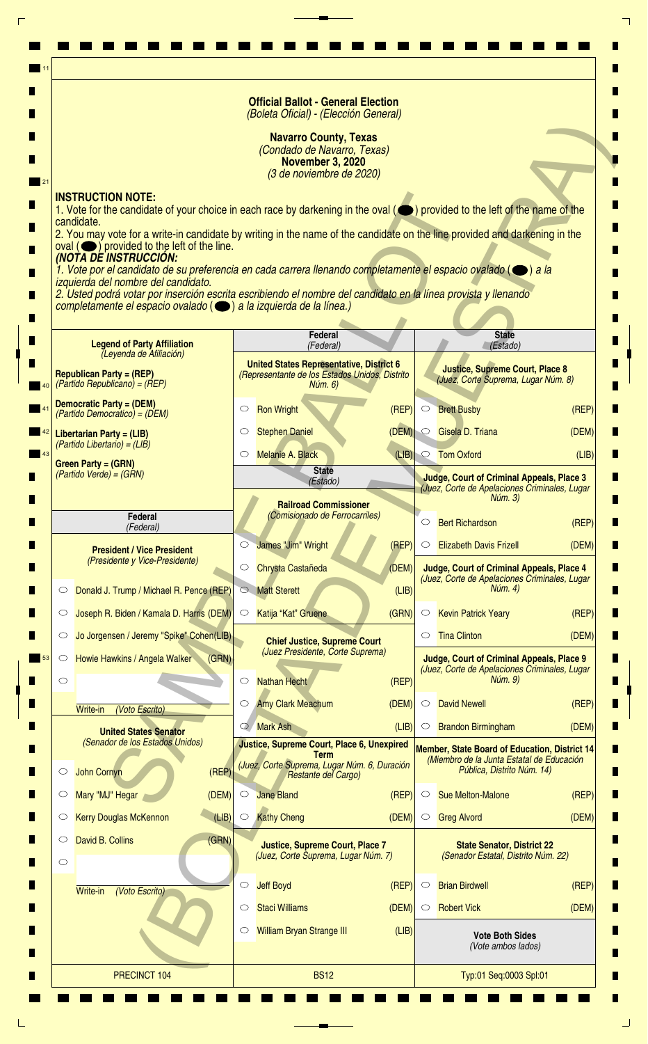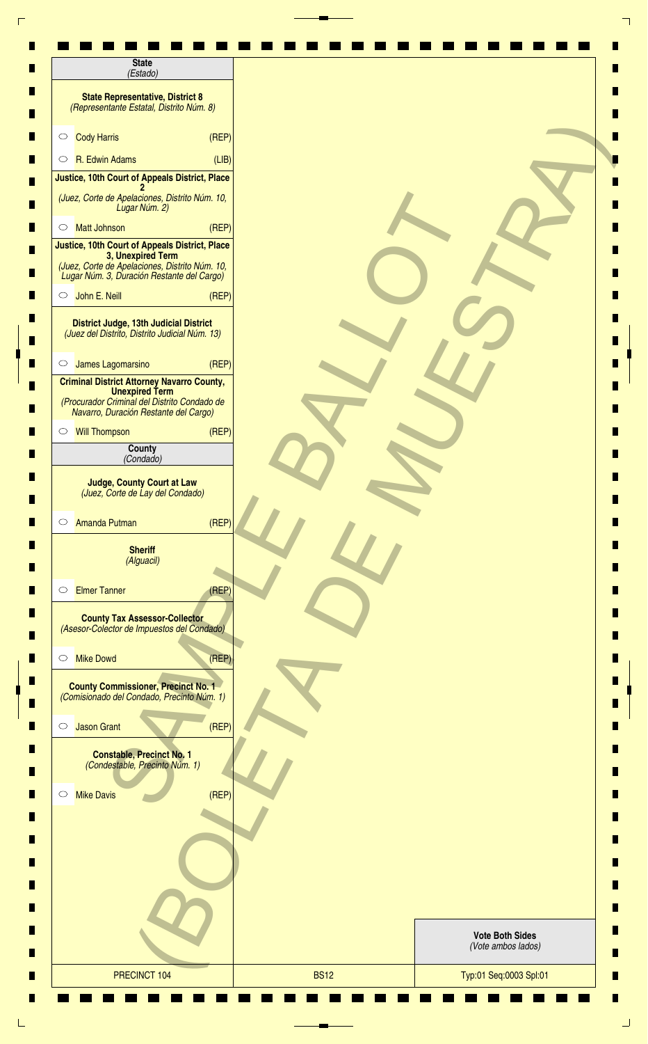| <b>State</b><br>(Estado)                                                                                                                                            |       |                                              |  |
|---------------------------------------------------------------------------------------------------------------------------------------------------------------------|-------|----------------------------------------------|--|
| <b>State Representative, District 8</b><br>(Representante Estatal, Distrito Núm. 8)                                                                                 |       |                                              |  |
| <b>Cody Harris</b><br>$\circ$                                                                                                                                       | (REF) |                                              |  |
| R. Edwin Adams<br>$\circ$                                                                                                                                           | (LIB) |                                              |  |
| Justice, 10th Court of Appeals District, Place                                                                                                                      |       |                                              |  |
| (Juez, Corte de Apelaciones, Distrito Núm. 10,<br>Lugar Núm. 2)                                                                                                     |       |                                              |  |
| <b>Matt Johnson</b><br>$\circ$                                                                                                                                      | (REF) |                                              |  |
| Justice, 10th Court of Appeals District, Place<br>3, Unexpired Term<br>(Juez, Corte de Apelaciones, Distrito Núm. 10,<br>Lugar Núm. 3, Duración Restante del Cargo) |       |                                              |  |
| John E. Neill<br>$\circ$                                                                                                                                            | (REF) |                                              |  |
| <b>District Judge, 13th Judicial District</b><br>(Juez del Distrito, Distrito Judicial Núm. 13)                                                                     |       |                                              |  |
| James Lagomarsino<br>$\circ$                                                                                                                                        | (REF) |                                              |  |
| <b>Criminal District Attorney Navarro County,</b><br><b>Unexpired Term</b><br>(Procurador Criminal del Distrito Condado de<br>Navarro, Duración Restante del Cargo) |       |                                              |  |
| <b>Will Thompson</b><br>$\circ$                                                                                                                                     | (REF) |                                              |  |
| County<br>(Condado)                                                                                                                                                 |       |                                              |  |
| <b>Judge, County Court at Law</b><br>(Juez, Corte de Lay del Condado)                                                                                               |       |                                              |  |
| <b>Amanda Putman</b><br>$\circ$                                                                                                                                     | (REP) |                                              |  |
| <b>Sheriff</b><br>(Alguacil)                                                                                                                                        |       |                                              |  |
| <b>Elmer Tanner</b><br>$\circ$                                                                                                                                      | (REP) |                                              |  |
| <b>County Tax Assessor-Collector</b><br>(Asesor-Colector de Impuestos del Condado)                                                                                  |       |                                              |  |
| <b>Mike Dowd</b><br>$\circ$                                                                                                                                         | (REP) |                                              |  |
| <b>County Commissioner, Precinct No. 1</b><br>(Comisionado del Condado, Precinto Núm. 1)                                                                            |       |                                              |  |
| <b>Jason Grant</b><br>$\circlearrowright$                                                                                                                           | (REF) |                                              |  |
| <b>Constable, Precinct No. 1</b><br>(Condestable, Precinto Núm. 1)                                                                                                  |       |                                              |  |
| <b>Mike Davis</b><br>$\circ$                                                                                                                                        | (REF) |                                              |  |
|                                                                                                                                                                     |       |                                              |  |
|                                                                                                                                                                     |       |                                              |  |
|                                                                                                                                                                     |       |                                              |  |
|                                                                                                                                                                     |       | <b>Vote Both Sides</b><br>(Vote ambos lados) |  |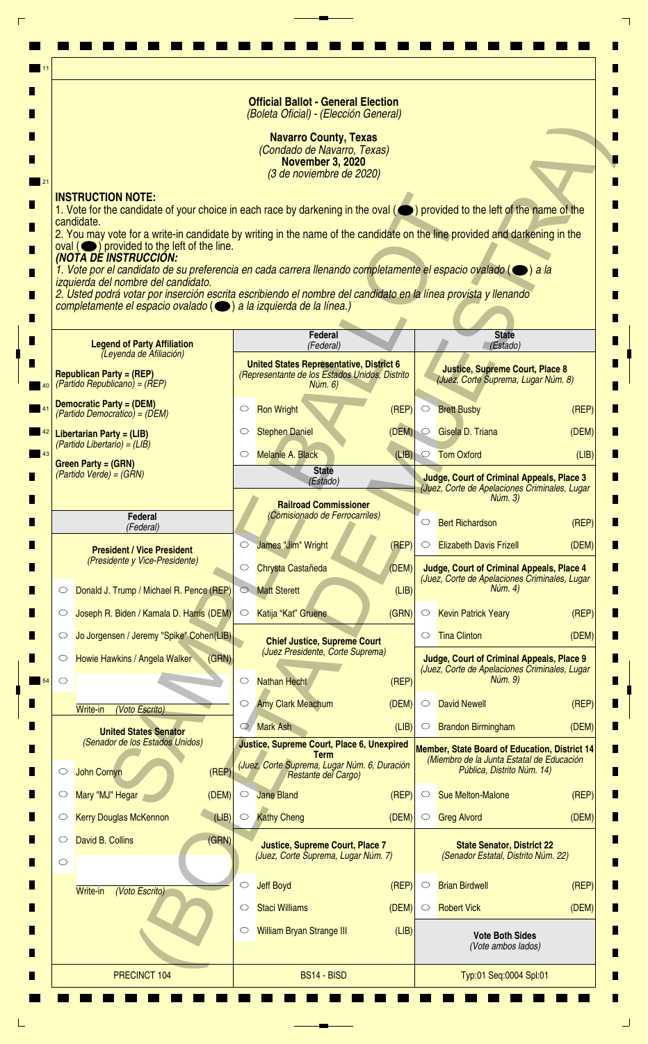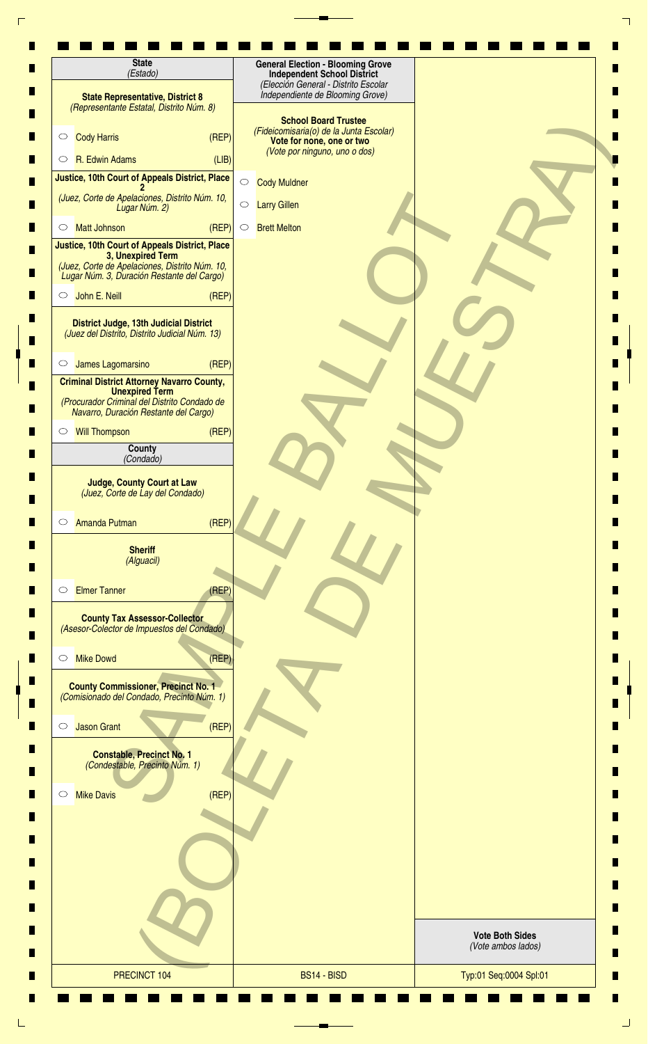| <b>State</b><br>(Estado)                                                                                                                                                   | <b>General Election - Blooming Grove</b><br><b>Independent School District</b>                      |                                              |
|----------------------------------------------------------------------------------------------------------------------------------------------------------------------------|-----------------------------------------------------------------------------------------------------|----------------------------------------------|
| <b>State Representative, District 8</b><br>(Representante Estatal, Distrito Núm. 8)                                                                                        | (Elección General - Distrito Escolar<br>Independiente de Blooming Grove)                            |                                              |
| <b>Cody Harris</b><br>(REF)<br>$\circ$                                                                                                                                     | <b>School Board Trustee</b><br>(Fideicomisaria(o) de la Junta Escolar)<br>Vote for none, one or two |                                              |
| R. Edwin Adams<br>(LIB)<br>$\circ$                                                                                                                                         | (Vote por ninguno, uno o dos)                                                                       |                                              |
| Justice, 10th Court of Appeals District, Place                                                                                                                             | $\circ$<br><b>Cody Muldner</b>                                                                      |                                              |
| (Juez, Corte de Apelaciones, Distrito Núm. 10,<br>Lugar Núm. 2)                                                                                                            | $\bigcirc$<br><b>Larry Gillen</b>                                                                   |                                              |
| (REF)<br><b>Matt Johnson</b><br>$\circ$                                                                                                                                    | <b>Brett Melton</b><br>$\circ$                                                                      |                                              |
| <b>Justice, 10th Court of Appeals District, Place</b><br>3, Unexpired Term<br>(Juez, Corte de Apelaciones, Distrito Núm. 10,<br>Lugar Núm. 3, Duración Restante del Cargo) |                                                                                                     |                                              |
| John E. Neill<br>(REP)<br>$\circ$                                                                                                                                          |                                                                                                     |                                              |
| <b>District Judge, 13th Judicial District</b><br>(Juez del Distrito, Distrito Judicial Núm. 13)                                                                            |                                                                                                     |                                              |
| James Lagomarsino<br>(REF)<br>$\circ$                                                                                                                                      |                                                                                                     |                                              |
| <b>Criminal District Attorney Navarro County,</b><br><b>Unexpired Term</b><br>(Procurador Criminal del Distrito Condado de<br>Navarro, Duración Restante del Cargo)        |                                                                                                     |                                              |
| (REF)<br><b>Will Thompson</b><br>$\circ$                                                                                                                                   |                                                                                                     |                                              |
| County                                                                                                                                                                     |                                                                                                     |                                              |
| (Condado)                                                                                                                                                                  |                                                                                                     |                                              |
| <b>Judge, County Court at Law</b><br>(Juez, Corte de Lay del Condado)                                                                                                      |                                                                                                     |                                              |
| (REP)<br><b>Amanda Putman</b><br>$\circ$<br><b>Sheriff</b>                                                                                                                 |                                                                                                     |                                              |
| (Alguacil)                                                                                                                                                                 |                                                                                                     |                                              |
| <b>Elmer Tanner</b><br>(REP)<br>O                                                                                                                                          |                                                                                                     |                                              |
| <b>County Tax Assessor-Collector</b><br>(Asesor-Colector de Impuestos del Condado)                                                                                         |                                                                                                     |                                              |
| (REP)<br><b>Mike Dowd</b><br>$\circ$                                                                                                                                       |                                                                                                     |                                              |
| <b>County Commissioner, Precinct No. 1</b><br>(Comisionado del Condado, Precinto Núm. 1)                                                                                   |                                                                                                     |                                              |
| (REF)<br><b>Jason Grant</b><br>$\circ$                                                                                                                                     |                                                                                                     |                                              |
| <b>Constable, Precinct No. 1</b><br>(Condestable, Precinto Núm. 1)                                                                                                         |                                                                                                     |                                              |
| (REF)<br><b>Mike Davis</b><br>$\circ$                                                                                                                                      |                                                                                                     |                                              |
|                                                                                                                                                                            |                                                                                                     |                                              |
|                                                                                                                                                                            |                                                                                                     |                                              |
|                                                                                                                                                                            |                                                                                                     |                                              |
|                                                                                                                                                                            |                                                                                                     | <b>Vote Both Sides</b><br>(Vote ambos lados) |
| PRECINCT 104                                                                                                                                                               | BS14 - BISD                                                                                         | Typ:01 Seq:0004 Spl:01                       |
|                                                                                                                                                                            |                                                                                                     |                                              |

 $\frac{1}{2}$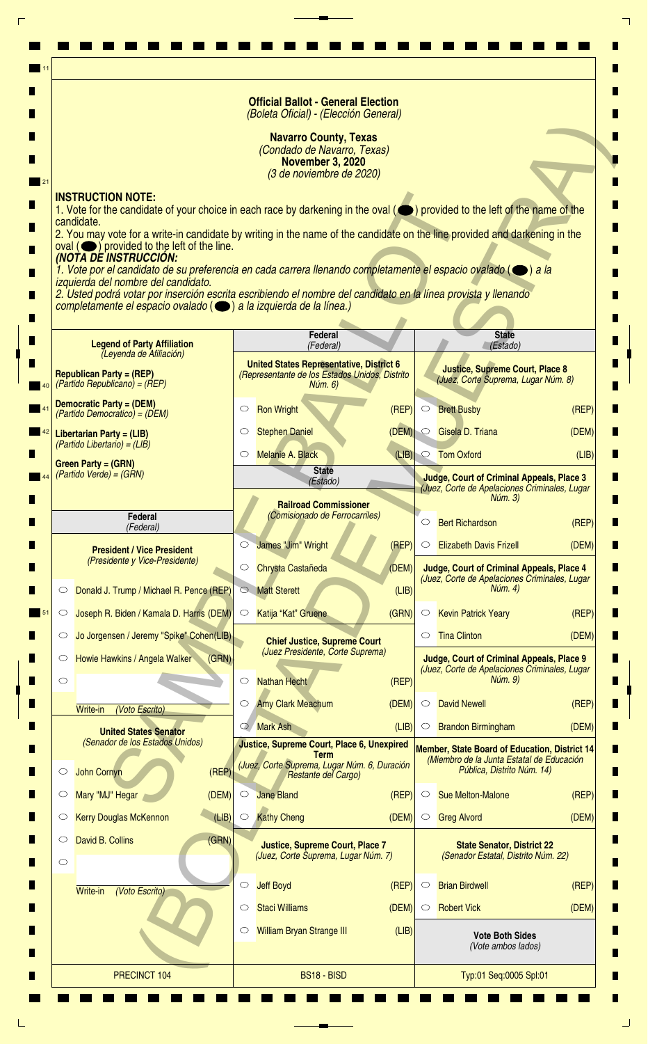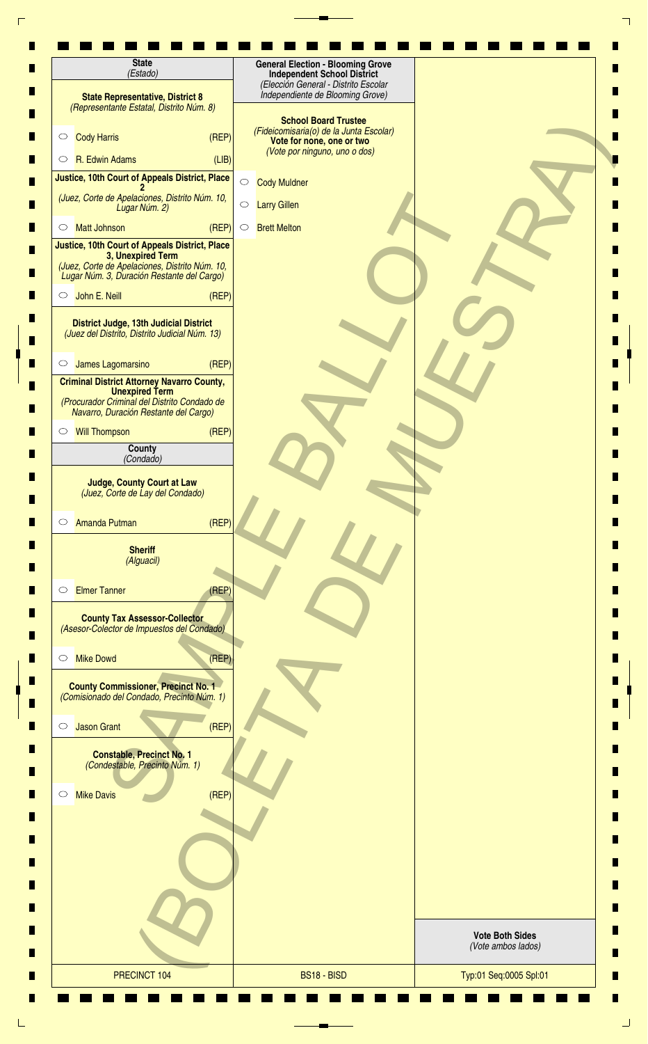| <b>State</b><br>(Estado)                                                                                                                                            | <b>General Election - Blooming Grove</b><br><b>Independent School District</b>                                                       |                                              |
|---------------------------------------------------------------------------------------------------------------------------------------------------------------------|--------------------------------------------------------------------------------------------------------------------------------------|----------------------------------------------|
| <b>State Representative, District 8</b><br>(Representante Estatal, Distrito Núm. 8)                                                                                 | (Elección General - Distrito Escolar<br>Independiente de Blooming Grove)                                                             |                                              |
| <b>Cody Harris</b><br>(REF)<br>$\circ$                                                                                                                              | <b>School Board Trustee</b><br>(Fideicomisaria(o) de la Junta Escolar)<br>Vote for none, one or two<br>(Vote por ninguno, uno o dos) |                                              |
| R. Edwin Adams<br>(LIB)<br>$\circ$                                                                                                                                  |                                                                                                                                      |                                              |
| Justice, 10th Court of Appeals District, Place                                                                                                                      | $\bigcirc$<br><b>Cody Muldner</b>                                                                                                    |                                              |
| (Juez, Corte de Apelaciones, Distrito Núm. 10,<br>Lugar Núm. 2)                                                                                                     | $\bigcirc$<br><b>Larry Gillen</b>                                                                                                    |                                              |
| (REP)<br><b>Matt Johnson</b><br>$\circ$                                                                                                                             | <b>Brett Melton</b><br>$\circ$                                                                                                       |                                              |
| Justice, 10th Court of Appeals District, Place<br>3, Unexpired Term<br>(Juez, Corte de Apelaciones, Distrito Núm. 10,<br>Lugar Núm. 3, Duración Restante del Cargo) |                                                                                                                                      |                                              |
| John E. Neill<br>(REF)<br>$\circ$                                                                                                                                   |                                                                                                                                      |                                              |
| District Judge, 13th Judicial District<br>(Juez del Distrito, Distrito Judicial Núm. 13)                                                                            |                                                                                                                                      |                                              |
| James Lagomarsino<br>(REF)<br>$\circ$                                                                                                                               |                                                                                                                                      |                                              |
| <b>Criminal District Attorney Navarro County,</b><br><b>Unexpired Term</b><br>(Procurador Criminal del Distrito Condado de<br>Navarro, Duración Restante del Cargo) |                                                                                                                                      |                                              |
| (REP)<br><b>Will Thompson</b><br>$\circ$                                                                                                                            |                                                                                                                                      |                                              |
| County                                                                                                                                                              |                                                                                                                                      |                                              |
| (Condado)                                                                                                                                                           |                                                                                                                                      |                                              |
| <b>Judge, County Court at Law</b><br>(Juez, Corte de Lay del Condado)<br>(REP)<br><b>Amanda Putman</b><br>$\circ$                                                   |                                                                                                                                      |                                              |
| <b>Sheriff</b><br>(Alguacil)                                                                                                                                        |                                                                                                                                      |                                              |
| <b>Elmer Tanner</b><br>(REP)<br>$\circ$                                                                                                                             |                                                                                                                                      |                                              |
| <b>County Tax Assessor-Collector</b><br>(Asesor-Colector de Impuestos del Condado)                                                                                  |                                                                                                                                      |                                              |
| (REP)<br><b>Mike Dowd</b><br>$\circ$                                                                                                                                |                                                                                                                                      |                                              |
| <b>County Commissioner, Precinct No. 1</b><br>(Comisionado del Condado, Precinto Núm. 1)                                                                            |                                                                                                                                      |                                              |
| (REF)<br><b>Jason Grant</b><br>$\circ$                                                                                                                              |                                                                                                                                      |                                              |
| <b>Constable, Precinct No. 1</b><br>(Condestable, Precinto Núm. 1)                                                                                                  |                                                                                                                                      |                                              |
| <b>Mike Davis</b><br>(REF)<br>$\circ$                                                                                                                               |                                                                                                                                      |                                              |
|                                                                                                                                                                     |                                                                                                                                      |                                              |
|                                                                                                                                                                     |                                                                                                                                      | <b>Vote Both Sides</b><br>(Vote ambos lados) |
| PRECINCT 104                                                                                                                                                        | BS18 - BISD                                                                                                                          | Typ:01 Seq:0005 Spl:01                       |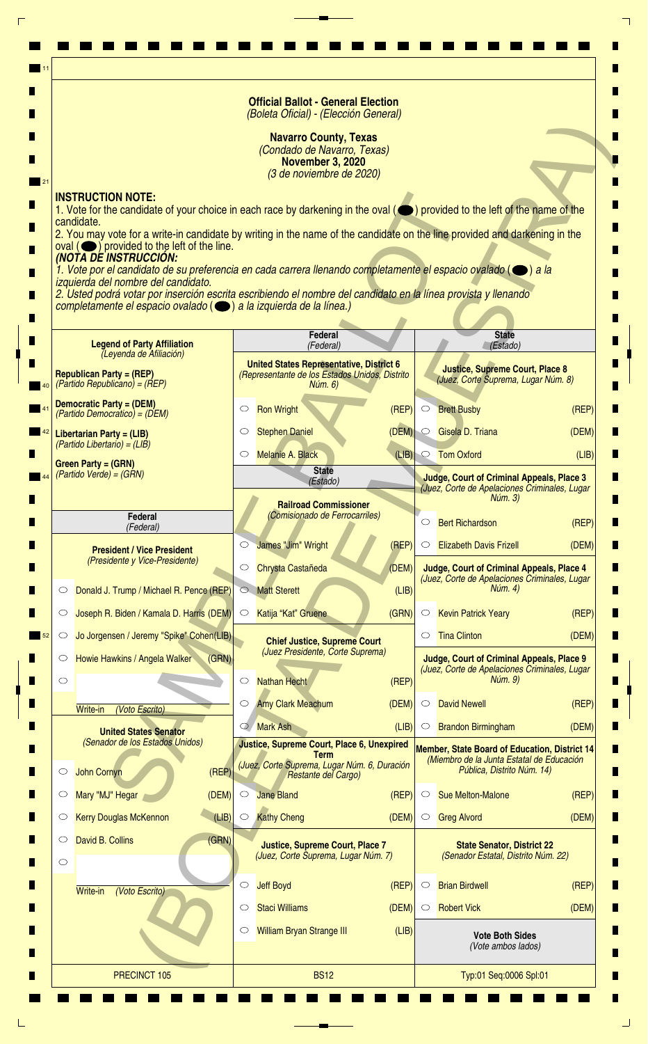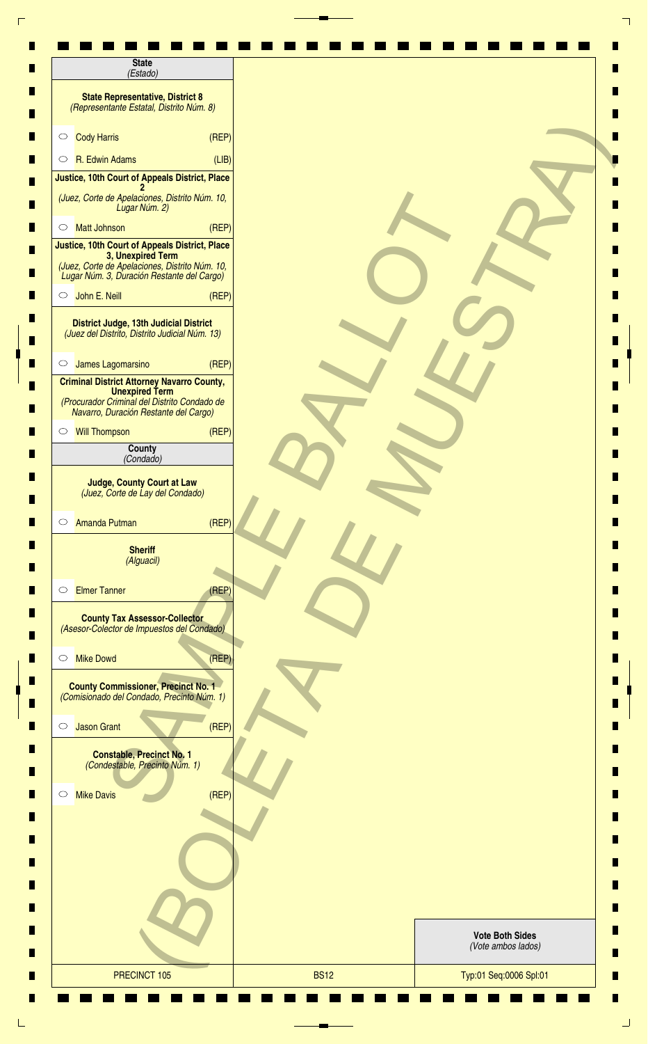| <b>State</b><br>(Estado)                                                                                                                                            |       |                                              |  |
|---------------------------------------------------------------------------------------------------------------------------------------------------------------------|-------|----------------------------------------------|--|
| <b>State Representative, District 8</b><br>(Representante Estatal, Distrito Núm. 8)                                                                                 |       |                                              |  |
| <b>Cody Harris</b><br>$\circ$                                                                                                                                       | (REF) |                                              |  |
| R. Edwin Adams<br>$\circ$                                                                                                                                           | (LIB) |                                              |  |
| Justice, 10th Court of Appeals District, Place                                                                                                                      |       |                                              |  |
| (Juez, Corte de Apelaciones, Distrito Núm. 10,<br>Lugar Núm. 2)                                                                                                     |       |                                              |  |
| <b>Matt Johnson</b><br>$\circ$                                                                                                                                      | (REF) |                                              |  |
| Justice, 10th Court of Appeals District, Place<br>3, Unexpired Term<br>(Juez, Corte de Apelaciones, Distrito Núm. 10,<br>Lugar Núm. 3, Duración Restante del Cargo) |       |                                              |  |
| John E. Neill<br>$\circ$                                                                                                                                            | (REF) |                                              |  |
| <b>District Judge, 13th Judicial District</b><br>(Juez del Distrito, Distrito Judicial Núm. 13)                                                                     |       |                                              |  |
| James Lagomarsino<br>$\circ$                                                                                                                                        | (REF) |                                              |  |
| <b>Criminal District Attorney Navarro County,</b><br><b>Unexpired Term</b><br>(Procurador Criminal del Distrito Condado de<br>Navarro, Duración Restante del Cargo) |       |                                              |  |
| <b>Will Thompson</b><br>$\circ$                                                                                                                                     | (REF) |                                              |  |
| County<br>(Condado)                                                                                                                                                 |       |                                              |  |
| <b>Judge, County Court at Law</b><br>(Juez, Corte de Lay del Condado)                                                                                               |       |                                              |  |
| <b>Amanda Putman</b><br>$\circ$                                                                                                                                     | (REP) |                                              |  |
| <b>Sheriff</b><br>(Alguacil)                                                                                                                                        |       |                                              |  |
| <b>Elmer Tanner</b><br>$\circ$                                                                                                                                      | (REP) |                                              |  |
| <b>County Tax Assessor-Collector</b><br>(Asesor-Colector de Impuestos del Condado)                                                                                  |       |                                              |  |
| <b>Mike Dowd</b><br>$\circ$                                                                                                                                         | (REP) |                                              |  |
| <b>County Commissioner, Precinct No. 1</b><br>(Comisionado del Condado, Precinto Núm. 1)                                                                            |       |                                              |  |
| <b>Jason Grant</b><br>$\circlearrowright$                                                                                                                           | (REF) |                                              |  |
| <b>Constable, Precinct No. 1</b><br>(Condestable, Precinto Núm. 1)                                                                                                  |       |                                              |  |
| <b>Mike Davis</b><br>$\circ$                                                                                                                                        | (REF) |                                              |  |
|                                                                                                                                                                     |       |                                              |  |
|                                                                                                                                                                     |       |                                              |  |
|                                                                                                                                                                     |       |                                              |  |
|                                                                                                                                                                     |       | <b>Vote Both Sides</b><br>(Vote ambos lados) |  |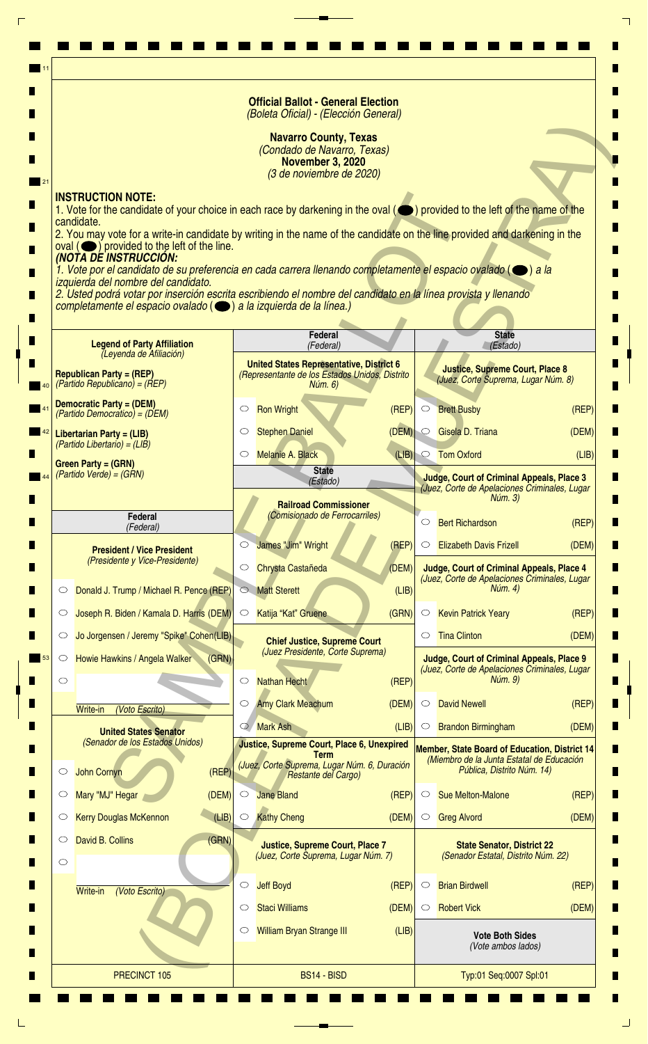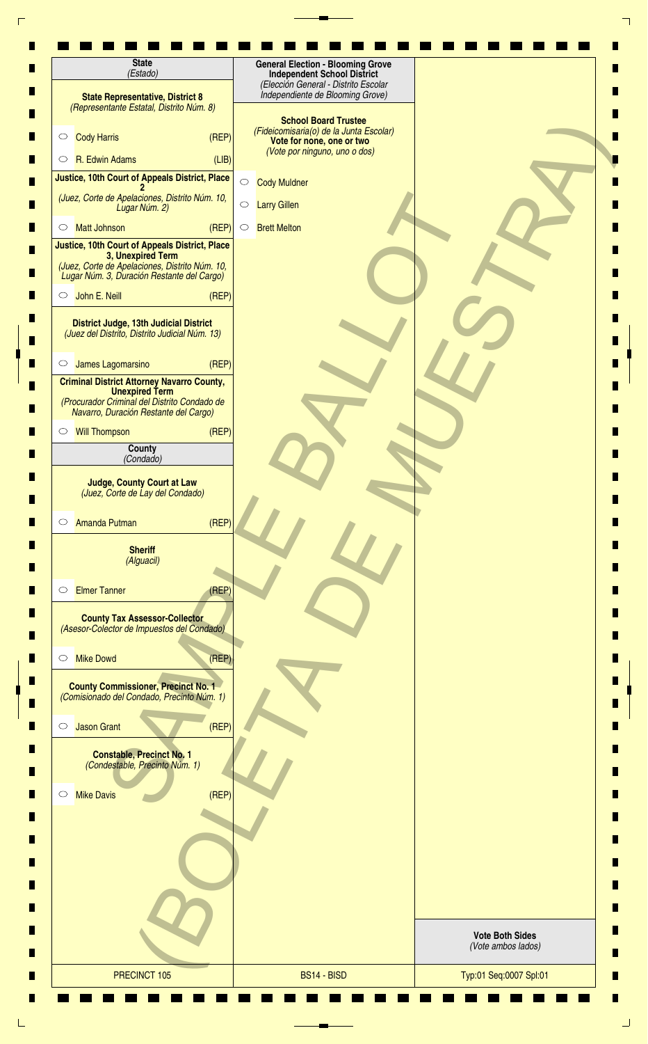| <b>State</b><br>(Estado)                                                                                                                                            | <b>General Election - Blooming Grove</b><br><b>Independent School District</b>                                                       |                                              |
|---------------------------------------------------------------------------------------------------------------------------------------------------------------------|--------------------------------------------------------------------------------------------------------------------------------------|----------------------------------------------|
| <b>State Representative, District 8</b><br>(Representante Estatal, Distrito Núm. 8)                                                                                 | (Elección General - Distrito Escolar<br>Independiente de Blooming Grove)                                                             |                                              |
| <b>Cody Harris</b><br>(REF)<br>$\circ$                                                                                                                              | <b>School Board Trustee</b><br>(Fideicomisaria(o) de la Junta Escolar)<br>Vote for none, one or two<br>(Vote por ninguno, uno o dos) |                                              |
| R. Edwin Adams<br>(LIB)<br>$\circ$                                                                                                                                  |                                                                                                                                      |                                              |
| Justice, 10th Court of Appeals District, Place                                                                                                                      | $\bigcirc$<br><b>Cody Muldner</b>                                                                                                    |                                              |
| (Juez, Corte de Apelaciones, Distrito Núm. 10,<br>Lugar Núm. 2)                                                                                                     | $\bigcirc$<br><b>Larry Gillen</b>                                                                                                    |                                              |
| (REP)<br><b>Matt Johnson</b><br>$\circ$                                                                                                                             | <b>Brett Melton</b><br>$\circ$                                                                                                       |                                              |
| Justice, 10th Court of Appeals District, Place<br>3, Unexpired Term<br>(Juez, Corte de Apelaciones, Distrito Núm. 10,<br>Lugar Núm. 3, Duración Restante del Cargo) |                                                                                                                                      |                                              |
| John E. Neill<br>(REF)<br>$\circ$                                                                                                                                   |                                                                                                                                      |                                              |
| District Judge, 13th Judicial District<br>(Juez del Distrito, Distrito Judicial Núm. 13)                                                                            |                                                                                                                                      |                                              |
| James Lagomarsino<br>(REF)<br>$\circ$                                                                                                                               |                                                                                                                                      |                                              |
| <b>Criminal District Attorney Navarro County,</b><br><b>Unexpired Term</b><br>(Procurador Criminal del Distrito Condado de<br>Navarro, Duración Restante del Cargo) |                                                                                                                                      |                                              |
| (REP)<br><b>Will Thompson</b><br>$\circ$                                                                                                                            |                                                                                                                                      |                                              |
| County                                                                                                                                                              |                                                                                                                                      |                                              |
| (Condado)                                                                                                                                                           |                                                                                                                                      |                                              |
| <b>Judge, County Court at Law</b><br>(Juez, Corte de Lay del Condado)<br>(REP)<br><b>Amanda Putman</b><br>$\circ$                                                   |                                                                                                                                      |                                              |
| <b>Sheriff</b><br>(Alguacil)                                                                                                                                        |                                                                                                                                      |                                              |
| <b>Elmer Tanner</b><br>(REP)<br>$\circ$                                                                                                                             |                                                                                                                                      |                                              |
| <b>County Tax Assessor-Collector</b><br>(Asesor-Colector de Impuestos del Condado)                                                                                  |                                                                                                                                      |                                              |
| (REP)<br><b>Mike Dowd</b><br>$\circ$                                                                                                                                |                                                                                                                                      |                                              |
| <b>County Commissioner, Precinct No. 1</b><br>(Comisionado del Condado, Precinto Núm. 1)                                                                            |                                                                                                                                      |                                              |
| (REF)<br><b>Jason Grant</b><br>$\circ$                                                                                                                              |                                                                                                                                      |                                              |
| <b>Constable, Precinct No. 1</b><br>(Condestable, Precinto Núm. 1)                                                                                                  |                                                                                                                                      |                                              |
| <b>Mike Davis</b><br>(REF)<br>$\circ$                                                                                                                               |                                                                                                                                      |                                              |
|                                                                                                                                                                     |                                                                                                                                      |                                              |
|                                                                                                                                                                     |                                                                                                                                      | <b>Vote Both Sides</b><br>(Vote ambos lados) |
| PRECINCT 105                                                                                                                                                        | BS14 - BISD                                                                                                                          | Typ:01 Seq:0007 Spl:01                       |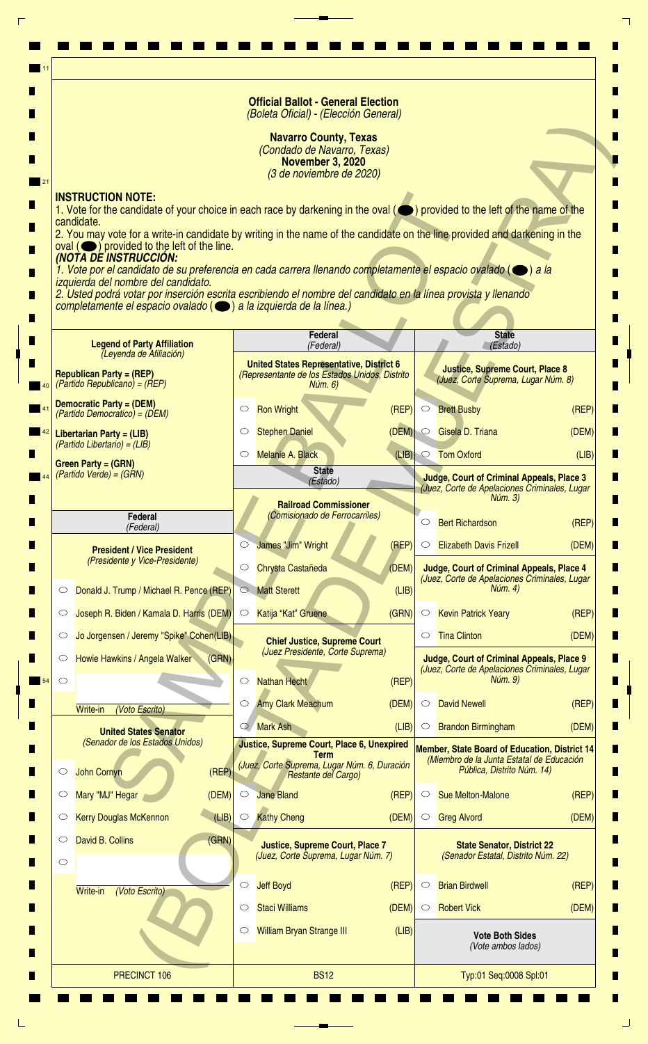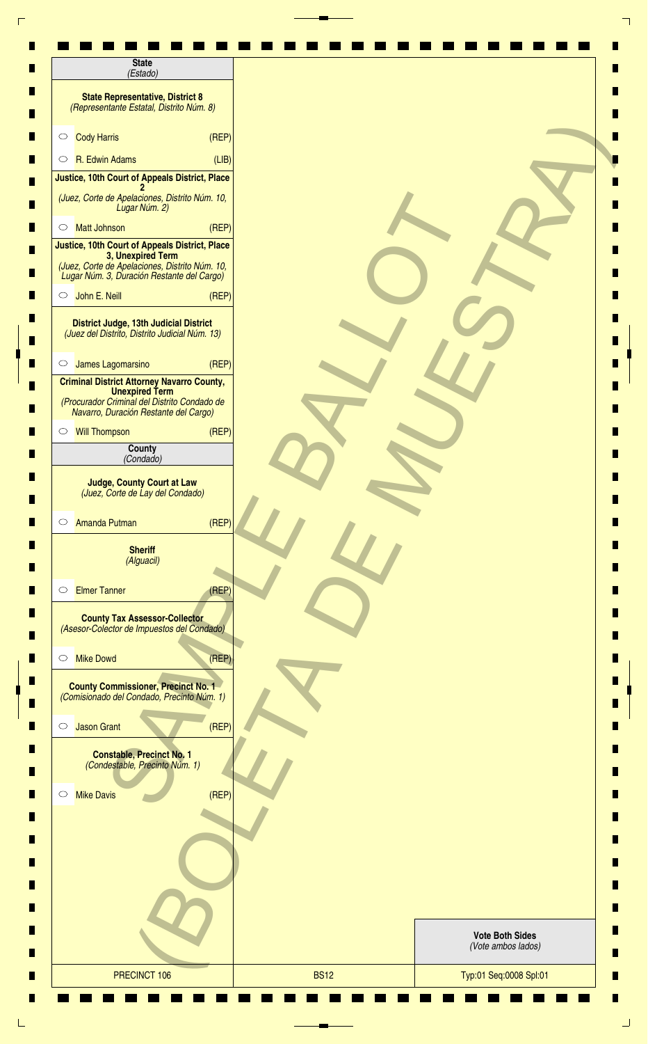| <b>State</b><br>(Estado)                                                                                                                                            |       |                                              |  |
|---------------------------------------------------------------------------------------------------------------------------------------------------------------------|-------|----------------------------------------------|--|
| <b>State Representative, District 8</b><br>(Representante Estatal, Distrito Núm. 8)                                                                                 |       |                                              |  |
| <b>Cody Harris</b><br>$\circ$                                                                                                                                       | (REF) |                                              |  |
| R. Edwin Adams<br>$\circ$                                                                                                                                           | (LIB) |                                              |  |
| Justice, 10th Court of Appeals District, Place                                                                                                                      |       |                                              |  |
| (Juez, Corte de Apelaciones, Distrito Núm. 10,<br>Lugar Núm. 2)                                                                                                     |       |                                              |  |
| <b>Matt Johnson</b><br>$\circ$                                                                                                                                      | (REF) |                                              |  |
| Justice, 10th Court of Appeals District, Place<br>3, Unexpired Term<br>(Juez, Corte de Apelaciones, Distrito Núm. 10,<br>Lugar Núm. 3, Duración Restante del Cargo) |       |                                              |  |
| John E. Neill<br>$\circ$                                                                                                                                            | (REF) |                                              |  |
| <b>District Judge, 13th Judicial District</b><br>(Juez del Distrito, Distrito Judicial Núm. 13)                                                                     |       |                                              |  |
| James Lagomarsino<br>$\circ$                                                                                                                                        | (REF) |                                              |  |
| <b>Criminal District Attorney Navarro County,</b><br><b>Unexpired Term</b><br>(Procurador Criminal del Distrito Condado de<br>Navarro, Duración Restante del Cargo) |       |                                              |  |
| <b>Will Thompson</b><br>$\circ$                                                                                                                                     | (REF) |                                              |  |
| County<br>(Condado)                                                                                                                                                 |       |                                              |  |
| <b>Judge, County Court at Law</b><br>(Juez, Corte de Lay del Condado)                                                                                               |       |                                              |  |
| <b>Amanda Putman</b><br>$\circ$                                                                                                                                     | (REP) |                                              |  |
| <b>Sheriff</b><br>(Alguacil)                                                                                                                                        |       |                                              |  |
| <b>Elmer Tanner</b><br>$\circ$                                                                                                                                      | (REP) |                                              |  |
| <b>County Tax Assessor-Collector</b><br>(Asesor-Colector de Impuestos del Condado)                                                                                  |       |                                              |  |
| <b>Mike Dowd</b><br>$\circ$                                                                                                                                         | (REP) |                                              |  |
| <b>County Commissioner, Precinct No. 1</b><br>(Comisionado del Condado, Precinto Núm. 1)                                                                            |       |                                              |  |
| <b>Jason Grant</b><br>$\circlearrowright$                                                                                                                           | (REF) |                                              |  |
| <b>Constable, Precinct No. 1</b><br>(Condestable, Precinto Núm. 1)                                                                                                  |       |                                              |  |
| <b>Mike Davis</b><br>$\circ$                                                                                                                                        | (REF) |                                              |  |
|                                                                                                                                                                     |       |                                              |  |
|                                                                                                                                                                     |       |                                              |  |
|                                                                                                                                                                     |       |                                              |  |
|                                                                                                                                                                     |       | <b>Vote Both Sides</b><br>(Vote ambos lados) |  |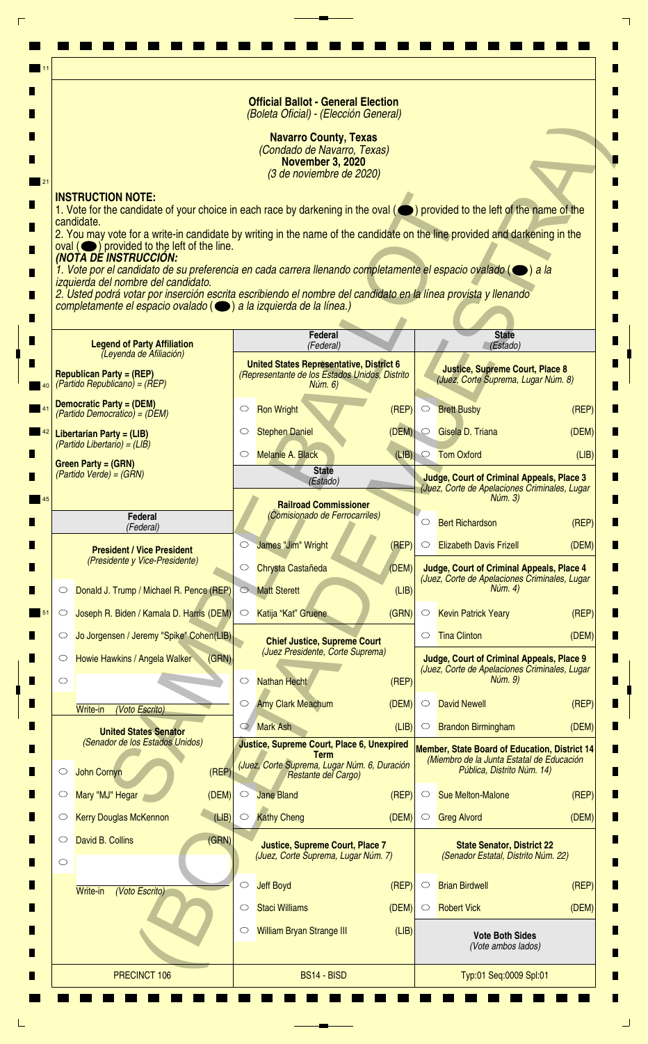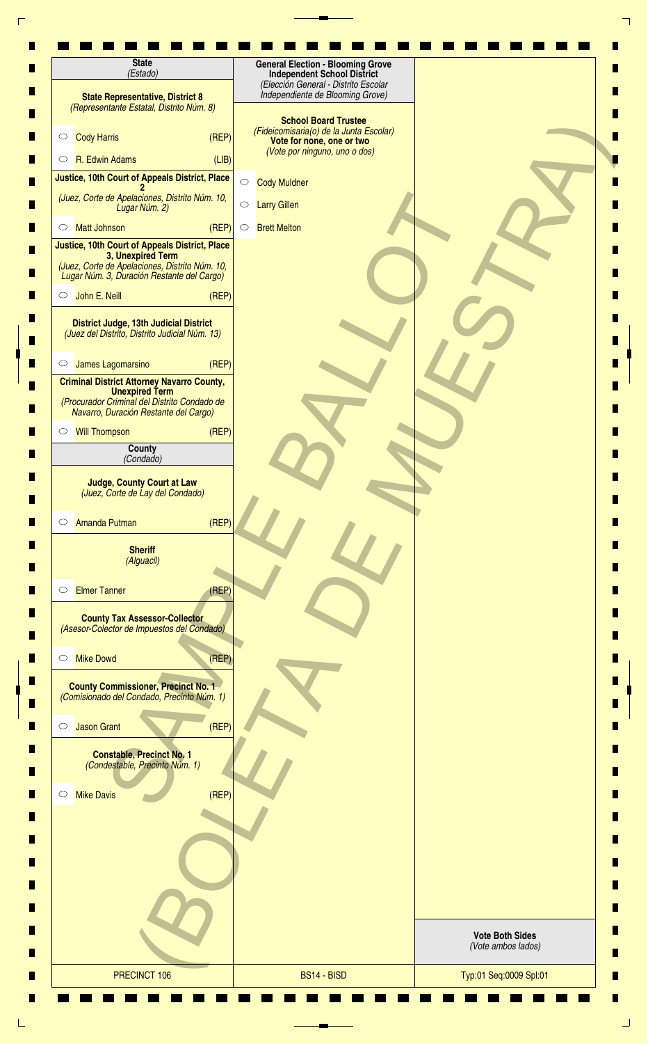| <b>State</b><br>(Estado)                                                                                                                                            | <b>General Election - Blooming Grove</b><br><b>Independent School District</b>                                                       |                                              |
|---------------------------------------------------------------------------------------------------------------------------------------------------------------------|--------------------------------------------------------------------------------------------------------------------------------------|----------------------------------------------|
| <b>State Representative, District 8</b><br>(Representante Estatal, Distrito Núm. 8)                                                                                 | (Elección General - Distrito Escolar<br>Independiente de Blooming Grove)                                                             |                                              |
| <b>Cody Harris</b><br>(REF)<br>$\circ$                                                                                                                              | <b>School Board Trustee</b><br>(Fideicomisaria(o) de la Junta Escolar)<br>Vote for none, one or two<br>(Vote por ninguno, uno o dos) |                                              |
| R. Edwin Adams<br>(LIB)<br>$\circ$                                                                                                                                  |                                                                                                                                      |                                              |
| Justice, 10th Court of Appeals District, Place                                                                                                                      | $\bigcirc$<br><b>Cody Muldner</b>                                                                                                    |                                              |
| (Juez, Corte de Apelaciones, Distrito Núm. 10,<br>Lugar Núm. 2)                                                                                                     | $\bigcirc$<br><b>Larry Gillen</b>                                                                                                    |                                              |
| (REP)<br><b>Matt Johnson</b><br>$\circ$                                                                                                                             | <b>Brett Melton</b><br>$\circ$                                                                                                       |                                              |
| Justice, 10th Court of Appeals District, Place<br>3, Unexpired Term<br>(Juez, Corte de Apelaciones, Distrito Núm. 10,<br>Lugar Núm. 3, Duración Restante del Cargo) |                                                                                                                                      |                                              |
| John E. Neill<br>(REF)<br>$\circ$                                                                                                                                   |                                                                                                                                      |                                              |
| District Judge, 13th Judicial District<br>(Juez del Distrito, Distrito Judicial Núm. 13)                                                                            |                                                                                                                                      |                                              |
| James Lagomarsino<br>(REF)<br>$\circ$                                                                                                                               |                                                                                                                                      |                                              |
| <b>Criminal District Attorney Navarro County,</b><br><b>Unexpired Term</b><br>(Procurador Criminal del Distrito Condado de<br>Navarro, Duración Restante del Cargo) |                                                                                                                                      |                                              |
| (REP)<br><b>Will Thompson</b><br>$\circ$                                                                                                                            |                                                                                                                                      |                                              |
| County                                                                                                                                                              |                                                                                                                                      |                                              |
| (Condado)                                                                                                                                                           |                                                                                                                                      |                                              |
| <b>Judge, County Court at Law</b><br>(Juez, Corte de Lay del Condado)<br><b>Amanda Putman</b>                                                                       |                                                                                                                                      |                                              |
| (REP)<br>$\circ$<br><b>Sheriff</b><br>(Alguacil)                                                                                                                    |                                                                                                                                      |                                              |
| <b>Elmer Tanner</b><br>(REP)<br>$\circ$                                                                                                                             |                                                                                                                                      |                                              |
| <b>County Tax Assessor-Collector</b><br>(Asesor-Colector de Impuestos del Condado)                                                                                  |                                                                                                                                      |                                              |
| (REP)<br><b>Mike Dowd</b><br>$\circ$                                                                                                                                |                                                                                                                                      |                                              |
| <b>County Commissioner, Precinct No. 1</b><br>(Comisionado del Condado, Precinto Núm. 1)                                                                            |                                                                                                                                      |                                              |
| (REF)<br><b>Jason Grant</b><br>$\circ$                                                                                                                              |                                                                                                                                      |                                              |
| <b>Constable, Precinct No. 1</b><br>(Condestable, Precinto Núm. 1)                                                                                                  |                                                                                                                                      |                                              |
| <b>Mike Davis</b><br>(REF)<br>$\circ$                                                                                                                               |                                                                                                                                      |                                              |
|                                                                                                                                                                     |                                                                                                                                      |                                              |
|                                                                                                                                                                     |                                                                                                                                      | <b>Vote Both Sides</b><br>(Vote ambos lados) |
| PRECINCT 106                                                                                                                                                        | BS14 - BISD                                                                                                                          | Typ:01 Seq:0009 Spl:01                       |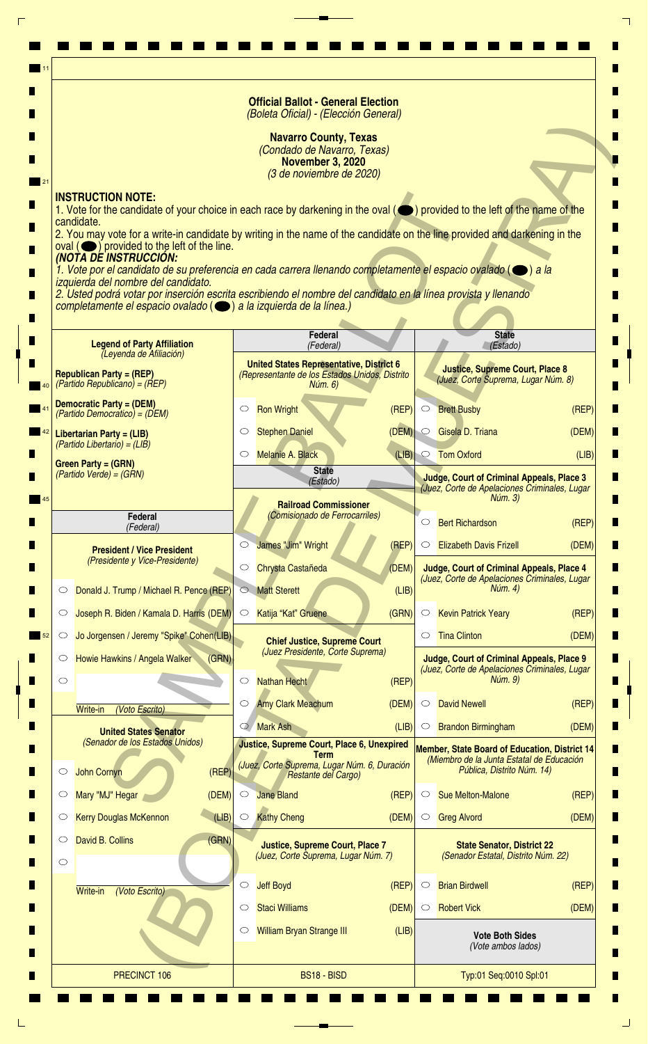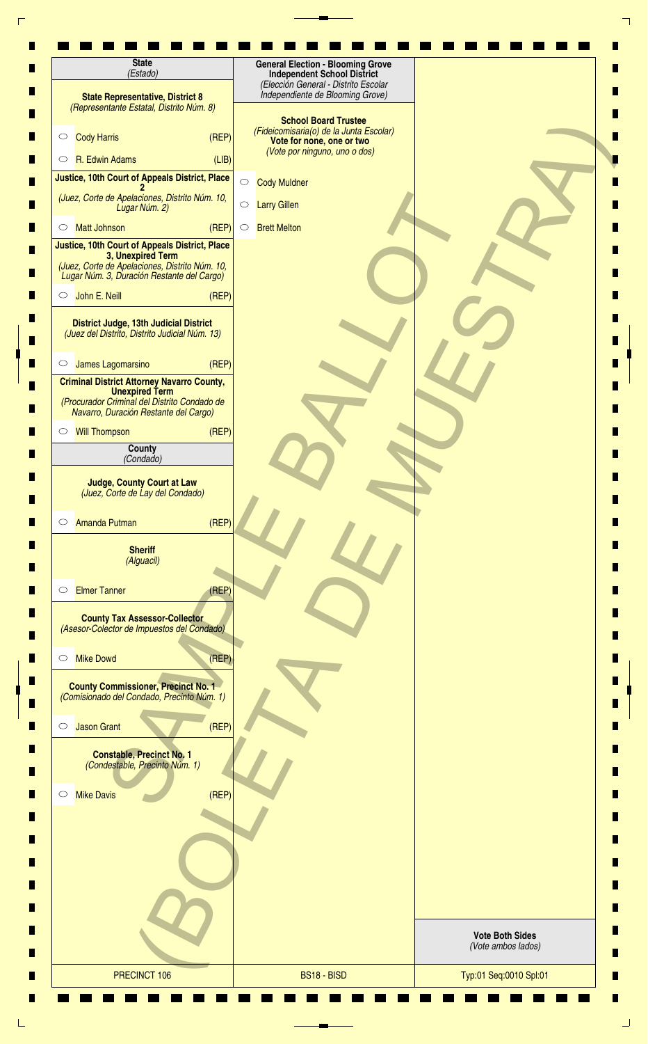| <b>State</b><br>(Estado)                                                                                                                                            | <b>General Election - Blooming Grove</b><br><b>Independent School District</b>                                                       |                                              |
|---------------------------------------------------------------------------------------------------------------------------------------------------------------------|--------------------------------------------------------------------------------------------------------------------------------------|----------------------------------------------|
| <b>State Representative, District 8</b><br>(Representante Estatal, Distrito Núm. 8)                                                                                 | (Elección General - Distrito Escolar<br>Independiente de Blooming Grove)                                                             |                                              |
| <b>Cody Harris</b><br>(REF)<br>$\circ$                                                                                                                              | <b>School Board Trustee</b><br>(Fideicomisaria(o) de la Junta Escolar)<br>Vote for none, one or two<br>(Vote por ninguno, uno o dos) |                                              |
| R. Edwin Adams<br>(LIB)<br>$\circ$                                                                                                                                  |                                                                                                                                      |                                              |
| Justice, 10th Court of Appeals District, Place                                                                                                                      | $\bigcirc$<br><b>Cody Muldner</b>                                                                                                    |                                              |
| (Juez, Corte de Apelaciones, Distrito Núm. 10,<br>Lugar Núm. 2)                                                                                                     | $\bigcirc$<br><b>Larry Gillen</b>                                                                                                    |                                              |
| (REP)<br><b>Matt Johnson</b><br>$\circ$                                                                                                                             | <b>Brett Melton</b><br>$\circ$                                                                                                       |                                              |
| Justice, 10th Court of Appeals District, Place<br>3, Unexpired Term<br>(Juez, Corte de Apelaciones, Distrito Núm. 10,<br>Lugar Núm. 3, Duración Restante del Cargo) |                                                                                                                                      |                                              |
| John E. Neill<br>(REF)<br>$\circ$                                                                                                                                   |                                                                                                                                      |                                              |
| District Judge, 13th Judicial District<br>(Juez del Distrito, Distrito Judicial Núm. 13)                                                                            |                                                                                                                                      |                                              |
| James Lagomarsino<br>(REF)<br>$\circ$                                                                                                                               |                                                                                                                                      |                                              |
| <b>Criminal District Attorney Navarro County,</b><br><b>Unexpired Term</b><br>(Procurador Criminal del Distrito Condado de<br>Navarro, Duración Restante del Cargo) |                                                                                                                                      |                                              |
| (REP)<br><b>Will Thompson</b><br>$\circ$                                                                                                                            |                                                                                                                                      |                                              |
| County                                                                                                                                                              |                                                                                                                                      |                                              |
| (Condado)                                                                                                                                                           |                                                                                                                                      |                                              |
| <b>Judge, County Court at Law</b><br>(Juez, Corte de Lay del Condado)<br>(REP)<br><b>Amanda Putman</b><br>$\circ$                                                   |                                                                                                                                      |                                              |
| <b>Sheriff</b><br>(Alguacil)                                                                                                                                        |                                                                                                                                      |                                              |
| <b>Elmer Tanner</b><br>(REP)<br>$\circ$                                                                                                                             |                                                                                                                                      |                                              |
| <b>County Tax Assessor-Collector</b><br>(Asesor-Colector de Impuestos del Condado)                                                                                  |                                                                                                                                      |                                              |
| (REP)<br><b>Mike Dowd</b><br>$\circ$                                                                                                                                |                                                                                                                                      |                                              |
| <b>County Commissioner, Precinct No. 1</b><br>(Comisionado del Condado, Precinto Núm. 1)                                                                            |                                                                                                                                      |                                              |
| (REF)<br><b>Jason Grant</b><br>$\circ$                                                                                                                              |                                                                                                                                      |                                              |
| <b>Constable, Precinct No. 1</b><br>(Condestable, Precinto Núm. 1)                                                                                                  |                                                                                                                                      |                                              |
| <b>Mike Davis</b><br>(REF)<br>$\circ$                                                                                                                               |                                                                                                                                      |                                              |
|                                                                                                                                                                     |                                                                                                                                      |                                              |
|                                                                                                                                                                     |                                                                                                                                      | <b>Vote Both Sides</b><br>(Vote ambos lados) |
| PRECINCT 106                                                                                                                                                        | BS18 - BISD                                                                                                                          | Typ:01 Seq:0010 Spl:01                       |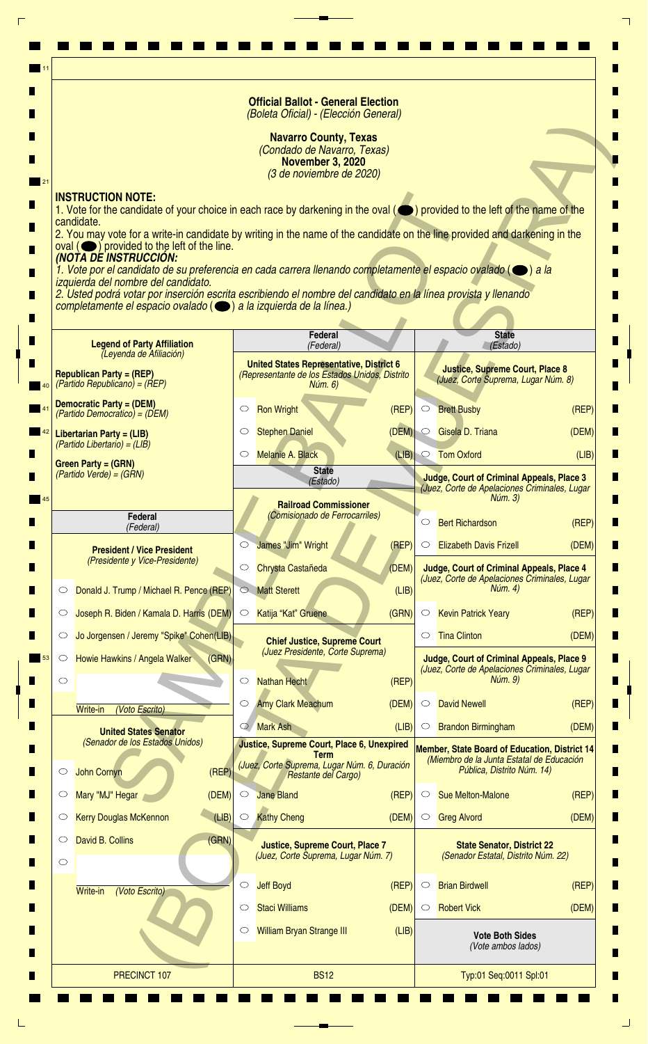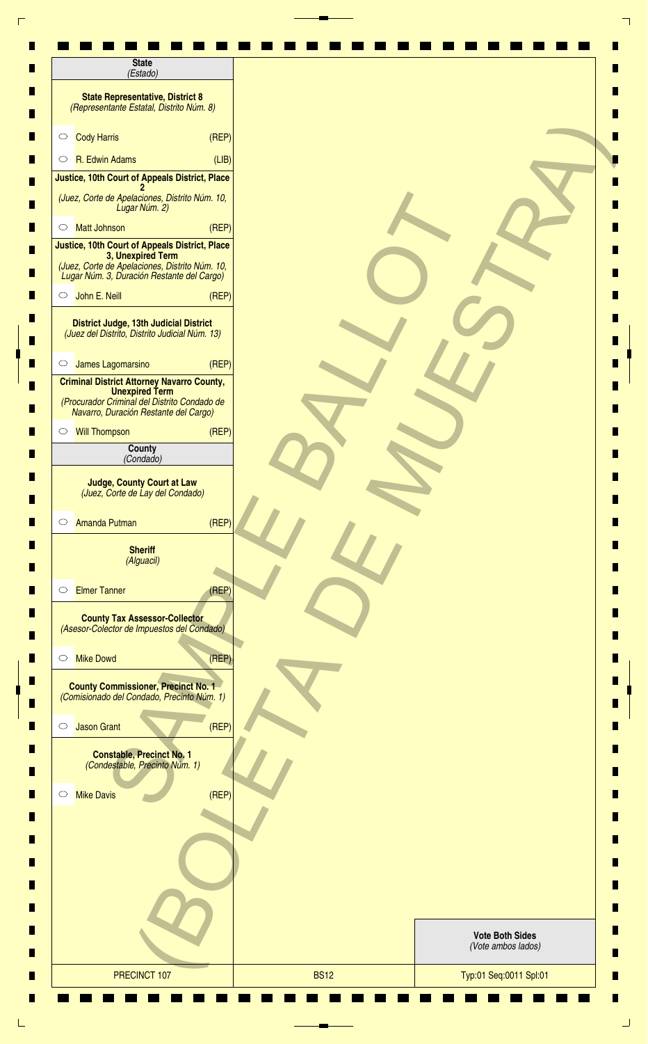| <b>State</b><br>(Estado)                                                                                                                                            |       |                                              |
|---------------------------------------------------------------------------------------------------------------------------------------------------------------------|-------|----------------------------------------------|
| <b>State Representative, District 8</b><br>(Representante Estatal, Distrito Núm. 8)                                                                                 |       |                                              |
| <b>Cody Harris</b><br>$\circ$                                                                                                                                       | (REF) |                                              |
| R. Edwin Adams<br>$\circ$                                                                                                                                           | (LIB) |                                              |
| Justice, 10th Court of Appeals District, Place                                                                                                                      |       |                                              |
| (Juez, Corte de Apelaciones, Distrito Núm. 10,<br>Lugar Núm. 2)                                                                                                     |       |                                              |
| <b>Matt Johnson</b><br>$\circ$                                                                                                                                      | (REF) |                                              |
| Justice, 10th Court of Appeals District, Place<br>3, Unexpired Term<br>(Juez, Corte de Apelaciones, Distrito Núm. 10,<br>Lugar Núm. 3, Duración Restante del Cargo) |       |                                              |
| John E. Neill<br>$\circ$                                                                                                                                            | (REP) |                                              |
| District Judge, 13th Judicial District<br>(Juez del Distrito, Distrito Judicial Núm. 13)                                                                            |       |                                              |
| James Lagomarsino<br>$\circ$                                                                                                                                        | (REP) |                                              |
| <b>Criminal District Attorney Navarro County,</b><br><b>Unexpired Term</b><br>(Procurador Criminal del Distrito Condado de<br>Navarro, Duración Restante del Cargo) |       |                                              |
| ○ Will Thompson                                                                                                                                                     | (REF) |                                              |
| County<br>(Condado)                                                                                                                                                 |       |                                              |
| <b>Judge, County Court at Law</b><br>(Juez, Corte de Lay del Condado)<br><b>Amanda Putman</b><br>$\circ$                                                            | (REF) |                                              |
|                                                                                                                                                                     |       |                                              |
| <b>Sheriff</b><br>(Alguacil)                                                                                                                                        |       |                                              |
| <b>Elmer Tanner</b><br>$\circ$                                                                                                                                      | (REP) |                                              |
| <b>County Tax Assessor-Collector</b><br>(Asesor-Colector de Impuestos del Condado)                                                                                  |       |                                              |
| <b>Mike Dowd</b><br>$\circ$                                                                                                                                         | (REF) |                                              |
| <b>County Commissioner, Precinct No. 1</b><br>(Comisionado del Condado, Precinto Núm. 1)                                                                            |       |                                              |
| <b>Jason Grant</b><br>$\circ$                                                                                                                                       | (REF) |                                              |
| <b>Constable, Precinct No. 1</b><br>(Condestable, Precinto Núm. 1)                                                                                                  |       |                                              |
| <b>Mike Davis</b><br>$\circ$                                                                                                                                        | (REF) |                                              |
|                                                                                                                                                                     |       |                                              |
|                                                                                                                                                                     |       |                                              |
|                                                                                                                                                                     |       |                                              |
|                                                                                                                                                                     |       | <b>Vote Both Sides</b><br>(Vote ambos lados) |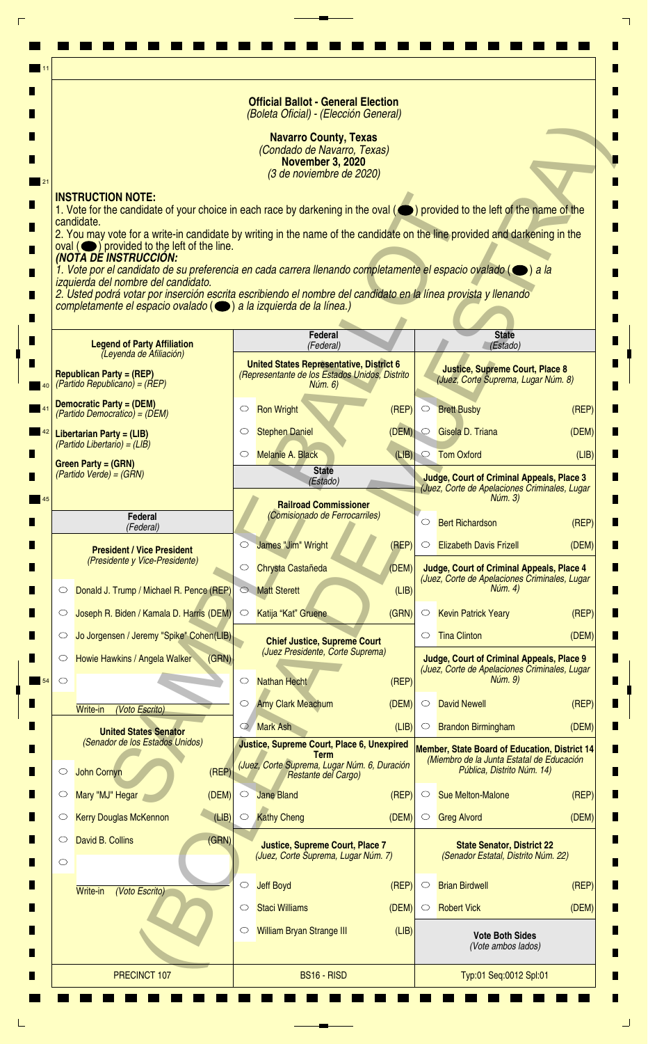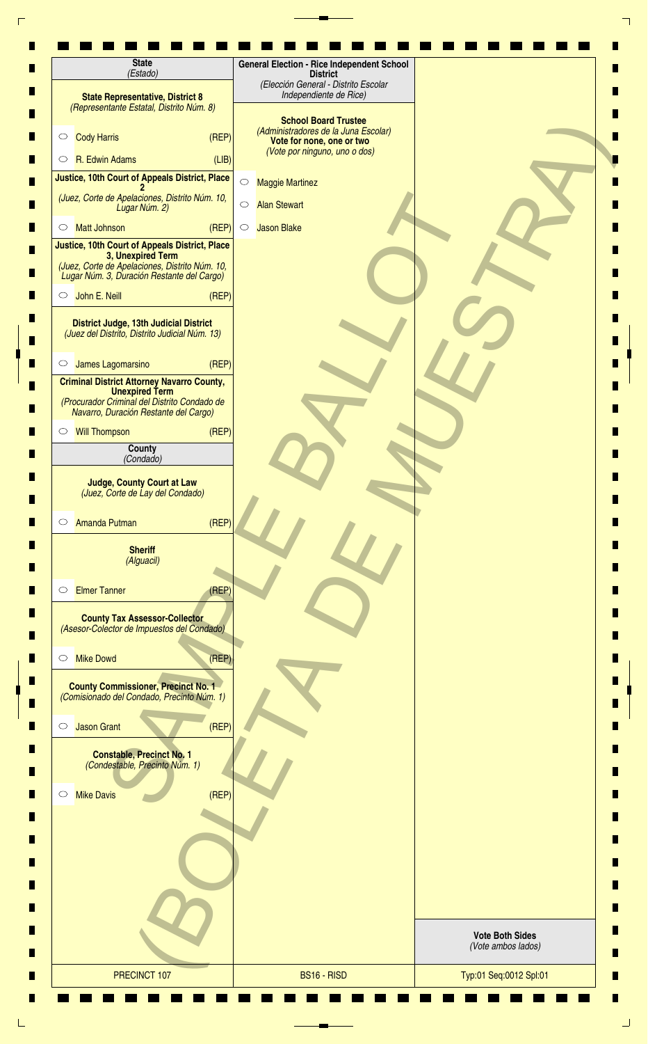| (Elección General - Distrito Escolar<br>Independiente de Rice)<br><b>State Representative, District 8</b><br>(Representante Estatal, Distrito Núm. 8)<br><b>School Board Trustee</b><br>(Administradores de la Juna Escolar)<br><b>Cody Harris</b><br>(REF)<br>$\circ$<br>Vote for none, one or two<br>(Vote por ninguno, uno o dos)<br>R. Edwin Adams<br>(LIB)<br>$\circ$<br>Justice, 10th Court of Appeals District, Place<br>$\circ$<br><b>Maggie Martinez</b><br>(Juez, Corte de Apelaciones, Distrito Núm. 10,<br>$\bigcirc$<br><b>Alan Stewart</b><br>Lugar Núm. 2)<br>(REF)<br><b>Matt Johnson</b><br><b>Jason Blake</b><br>$\circ$<br>$\circ$<br>Justice, 10th Court of Appeals District, Place<br>3, Unexpired Term<br>(Juez, Corte de Apelaciones, Distrito Núm. 10,<br>Lugar Núm. 3, Duración Restante del Cargo)<br>O John E. Neill<br>(REF)<br><b>District Judge, 13th Judicial District</b><br>(Juez del Distrito, Distrito Judicial Núm. 13)<br>(REF)<br>James Lagomarsino<br>$\circ$<br><b>Criminal District Attorney Navarro County,</b><br><b>Unexpired Term</b><br>(Procurador Criminal del Distrito Condado de<br>Navarro, Duración Restante del Cargo) |                                              |
|-----------------------------------------------------------------------------------------------------------------------------------------------------------------------------------------------------------------------------------------------------------------------------------------------------------------------------------------------------------------------------------------------------------------------------------------------------------------------------------------------------------------------------------------------------------------------------------------------------------------------------------------------------------------------------------------------------------------------------------------------------------------------------------------------------------------------------------------------------------------------------------------------------------------------------------------------------------------------------------------------------------------------------------------------------------------------------------------------------------------------------------------------------------------------------|----------------------------------------------|
|                                                                                                                                                                                                                                                                                                                                                                                                                                                                                                                                                                                                                                                                                                                                                                                                                                                                                                                                                                                                                                                                                                                                                                             |                                              |
|                                                                                                                                                                                                                                                                                                                                                                                                                                                                                                                                                                                                                                                                                                                                                                                                                                                                                                                                                                                                                                                                                                                                                                             |                                              |
|                                                                                                                                                                                                                                                                                                                                                                                                                                                                                                                                                                                                                                                                                                                                                                                                                                                                                                                                                                                                                                                                                                                                                                             |                                              |
|                                                                                                                                                                                                                                                                                                                                                                                                                                                                                                                                                                                                                                                                                                                                                                                                                                                                                                                                                                                                                                                                                                                                                                             |                                              |
|                                                                                                                                                                                                                                                                                                                                                                                                                                                                                                                                                                                                                                                                                                                                                                                                                                                                                                                                                                                                                                                                                                                                                                             |                                              |
|                                                                                                                                                                                                                                                                                                                                                                                                                                                                                                                                                                                                                                                                                                                                                                                                                                                                                                                                                                                                                                                                                                                                                                             |                                              |
|                                                                                                                                                                                                                                                                                                                                                                                                                                                                                                                                                                                                                                                                                                                                                                                                                                                                                                                                                                                                                                                                                                                                                                             |                                              |
|                                                                                                                                                                                                                                                                                                                                                                                                                                                                                                                                                                                                                                                                                                                                                                                                                                                                                                                                                                                                                                                                                                                                                                             |                                              |
|                                                                                                                                                                                                                                                                                                                                                                                                                                                                                                                                                                                                                                                                                                                                                                                                                                                                                                                                                                                                                                                                                                                                                                             |                                              |
|                                                                                                                                                                                                                                                                                                                                                                                                                                                                                                                                                                                                                                                                                                                                                                                                                                                                                                                                                                                                                                                                                                                                                                             |                                              |
|                                                                                                                                                                                                                                                                                                                                                                                                                                                                                                                                                                                                                                                                                                                                                                                                                                                                                                                                                                                                                                                                                                                                                                             |                                              |
| <b>Will Thompson</b><br>(REF)<br>$\circ$                                                                                                                                                                                                                                                                                                                                                                                                                                                                                                                                                                                                                                                                                                                                                                                                                                                                                                                                                                                                                                                                                                                                    |                                              |
| County<br>(Condado)                                                                                                                                                                                                                                                                                                                                                                                                                                                                                                                                                                                                                                                                                                                                                                                                                                                                                                                                                                                                                                                                                                                                                         |                                              |
| <b>Judge, County Court at Law</b><br>(Juez, Corte de Lay del Condado)                                                                                                                                                                                                                                                                                                                                                                                                                                                                                                                                                                                                                                                                                                                                                                                                                                                                                                                                                                                                                                                                                                       |                                              |
| (REP)<br><b>Amanda Putman</b><br>$\circ$<br><b>Sheriff</b><br>(Alguacil)                                                                                                                                                                                                                                                                                                                                                                                                                                                                                                                                                                                                                                                                                                                                                                                                                                                                                                                                                                                                                                                                                                    |                                              |
| <b>Elmer Tanner</b><br>(REF)<br>$\circ$                                                                                                                                                                                                                                                                                                                                                                                                                                                                                                                                                                                                                                                                                                                                                                                                                                                                                                                                                                                                                                                                                                                                     |                                              |
| <b>County Tax Assessor-Collector</b><br>(Asesor-Colector de Impuestos del Condado)                                                                                                                                                                                                                                                                                                                                                                                                                                                                                                                                                                                                                                                                                                                                                                                                                                                                                                                                                                                                                                                                                          |                                              |
| <b>Mike Dowd</b><br>(REP)<br>$\circ$                                                                                                                                                                                                                                                                                                                                                                                                                                                                                                                                                                                                                                                                                                                                                                                                                                                                                                                                                                                                                                                                                                                                        |                                              |
| <b>County Commissioner, Precinct No. 1</b><br>(Comisionado del Condado, Precinto Núm. 1)                                                                                                                                                                                                                                                                                                                                                                                                                                                                                                                                                                                                                                                                                                                                                                                                                                                                                                                                                                                                                                                                                    |                                              |
| (REP)<br><b>Jason Grant</b><br>$\circ$                                                                                                                                                                                                                                                                                                                                                                                                                                                                                                                                                                                                                                                                                                                                                                                                                                                                                                                                                                                                                                                                                                                                      |                                              |
| <b>Constable, Precinct No. 1</b><br>(Condestable, Precinto Núm. 1)<br>(REF)<br><b>Mike Davis</b><br>$\circ$                                                                                                                                                                                                                                                                                                                                                                                                                                                                                                                                                                                                                                                                                                                                                                                                                                                                                                                                                                                                                                                                 |                                              |
|                                                                                                                                                                                                                                                                                                                                                                                                                                                                                                                                                                                                                                                                                                                                                                                                                                                                                                                                                                                                                                                                                                                                                                             |                                              |
|                                                                                                                                                                                                                                                                                                                                                                                                                                                                                                                                                                                                                                                                                                                                                                                                                                                                                                                                                                                                                                                                                                                                                                             | <b>Vote Both Sides</b><br>(Vote ambos lados) |
| PRECINCT 107<br>BS16 - RISD                                                                                                                                                                                                                                                                                                                                                                                                                                                                                                                                                                                                                                                                                                                                                                                                                                                                                                                                                                                                                                                                                                                                                 | Typ:01 Seq:0012 Spl:01                       |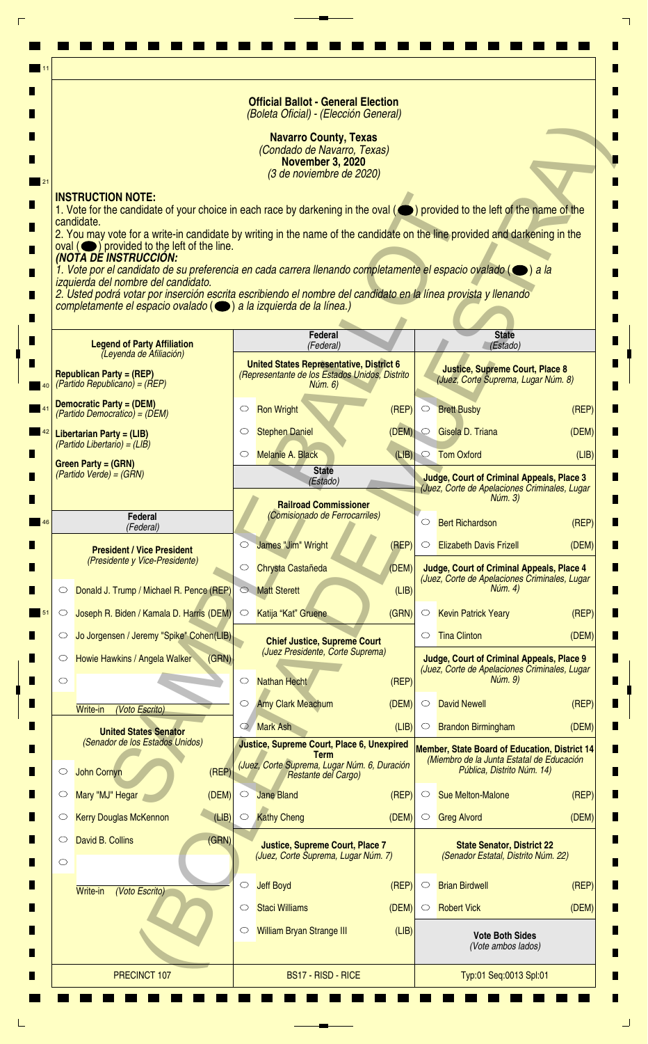|    |                                                                                                                                                                                                                    | <b>Official Ballot - General Election</b><br>(Boleta Oficial) - (Elección General)                                 |                |                    |                                                                                                              |       |
|----|--------------------------------------------------------------------------------------------------------------------------------------------------------------------------------------------------------------------|--------------------------------------------------------------------------------------------------------------------|----------------|--------------------|--------------------------------------------------------------------------------------------------------------|-------|
|    |                                                                                                                                                                                                                    | <b>Navarro County, Texas</b><br>(Condado de Navarro, Texas)<br><b>November 3, 2020</b><br>(3 de noviembre de 2020) |                |                    |                                                                                                              |       |
|    | <b>INSTRUCTION NOTE:</b>                                                                                                                                                                                           |                                                                                                                    |                |                    |                                                                                                              |       |
|    | 1. Vote for the candidate of your choice in each race by darkening in the oval (O) provided to the left of the name of the<br>candidate.                                                                           |                                                                                                                    |                |                    |                                                                                                              |       |
|    | 2. You may vote for a write-in candidate by writing in the name of the candidate on the line provided and darkening in the<br>$\alpha$ oval $(\bullet)$ provided to the left of the line.<br>(NOTA DE INSTRUCCIÓN: |                                                                                                                    |                |                    |                                                                                                              |       |
|    | 1. Vote por el candidato de su preferencia en cada carrera llenando completamente el espacio ovalado ( $\bigcirc$ ) a la<br>izquierda del nombre del candidato.                                                    |                                                                                                                    |                |                    |                                                                                                              |       |
|    | 2. Usted podrá votar por inserción escrita escribiendo el nombre del candidato en la línea provista y llenando<br>completamente el espacio ovalado (e) a la izquierda de la línea.)                                |                                                                                                                    |                |                    |                                                                                                              |       |
|    |                                                                                                                                                                                                                    |                                                                                                                    |                |                    |                                                                                                              |       |
|    | <b>Legend of Party Affiliation</b><br>(Leyenda de Afiliación)                                                                                                                                                      | Federal<br>(Federal)                                                                                               |                |                    | <b>State</b><br>(Estado)                                                                                     |       |
|    | <b>Republican Party = (REP)</b>                                                                                                                                                                                    | <b>United States Representative, District 6</b><br>(Representante de los Estados Unidos, Distrito                  |                |                    | <b>Justice, Supreme Court, Place 8</b><br>(Juez, Corte Suprema, Lugar Núm. 8)                                |       |
|    | $(Partido Republicano) = (REP)$<br><b>Democratic Party = (DEM)</b>                                                                                                                                                 | Núm. 6)                                                                                                            |                |                    |                                                                                                              |       |
|    | (Partido Democratico) = (DEM)                                                                                                                                                                                      | <b>Ron Wright</b><br>$\circ$                                                                                       | (REF)          | $\circ$            | <b>Brett Busby</b>                                                                                           | (REF) |
|    | Libertarian Party = (LIB)<br>$(Partido Libertario) = (LIB)$                                                                                                                                                        | <b>Stephen Daniel</b><br>$\circ$<br><b>Melanie A. Black</b>                                                        | (DEM)<br>(LIB) | $\circ$<br>$\circ$ | Gisela D. Triana<br><b>Tom Oxford</b>                                                                        | (DEM) |
|    | <b>Green Party = (GRN)</b><br>(Partido Verde) = (GRN)                                                                                                                                                              | <b>State</b>                                                                                                       |                |                    | <b>Judge, Court of Criminal Appeals, Place 3</b>                                                             | (LIB) |
|    |                                                                                                                                                                                                                    | (Estado)<br><b>Railroad Commissioner</b>                                                                           |                |                    | (Juez, Corte de Apelaciones Criminales, Lugar<br>Núm. 3)                                                     |       |
| 46 | <b>Federal</b><br>(Federal)                                                                                                                                                                                        | (Comisionado de Ferrocarriles)                                                                                     |                | $\circ$            | <b>Bert Richardson</b>                                                                                       | (REP) |
|    | <b>President / Vice President</b>                                                                                                                                                                                  | James "Jim" Wright<br>$\circlearrowright$                                                                          | (REP)          | $\circ$            | <b>Elizabeth Davis Frizell</b>                                                                               | (DEM) |
|    | (Presidente y Vice-Presidente)                                                                                                                                                                                     | Chrysta Castañeda<br>O                                                                                             | (DEM)          |                    | Judge, Court of Criminal Appeals, Place 4<br>(Juez, Corte de Apelaciones Criminales, Lugar                   |       |
|    | Donald J. Trump / Michael R. Pence (REP)<br>$\circ$                                                                                                                                                                | <b>Matt Sterett</b><br>$\circ$                                                                                     | (LIB)          |                    | Núm. 4)                                                                                                      |       |
|    | Joseph R. Biden / Kamala D. Harris (DEM)<br>$\circ$                                                                                                                                                                | Katija "Kat" Gruene<br>$\circ$                                                                                     | (GRN)          | $\circ$            | <b>Kevin Patrick Yeary</b>                                                                                   | (REP) |
|    | Jo Jorgensen / Jeremy "Spike" Cohen(LIB)<br>$\circ$                                                                                                                                                                | <b>Chief Justice, Supreme Court</b><br>(Juez Presidente, Corte Suprema)                                            |                | $\circ$            | <b>Tina Clinton</b>                                                                                          | (DEM) |
|    | (GRN)<br>Howie Hawkins / Angela Walker<br>O<br>$\circ$                                                                                                                                                             | <b>Nathan Hecht</b><br>$\circlearrowright$                                                                         | (REP)          |                    | <b>Judge, Court of Criminal Appeals, Place 9</b><br>(Juez, Corte de Apelaciones Criminales, Lugar<br>Núm. 9) |       |
|    | (Voto Escrito)<br>Write-in                                                                                                                                                                                         | <b>Amy Clark Meachum</b><br>$\circ$                                                                                | (DEM)          | $\circ$            | <b>David Newell</b>                                                                                          | (REF) |
|    | <b>United States Senator</b>                                                                                                                                                                                       | <b>Mark Ash</b><br>$\circ$                                                                                         | (LIB)          | $\circ$            | <b>Brandon Birmingham</b>                                                                                    | (DEM) |
|    | (Senador de los Estados Unidos)                                                                                                                                                                                    | Justice, Supreme Court, Place 6, Unexpired<br><b>Term</b>                                                          |                |                    | <b>Member, State Board of Education, District 14</b><br>(Miembro de la Junta Estatal de Educación            |       |
|    | (REF)<br><b>John Cornyn</b><br>$\circ$                                                                                                                                                                             | (Juez, Corte Suprema, Lugar Núm. 6, Duración<br>Restante del Cargo)                                                |                |                    | Pública, Distrito Núm. 14)                                                                                   |       |
|    | Mary "MJ" Hegar<br>(DEM)<br>O                                                                                                                                                                                      | <b>Jane Bland</b><br>$\circlearrowright$                                                                           | (REP)          | $\circ$            | <b>Sue Melton-Malone</b>                                                                                     | (REP) |
|    | (LIB)<br><b>Kerry Douglas McKennon</b><br>$\circ$                                                                                                                                                                  | <b>Kathy Cheng</b><br>$\circ$                                                                                      | (DEM)          | $\circ$            | <b>Greg Alvord</b>                                                                                           | (DEM) |
|    | (GRN)<br>David B. Collins<br>O<br>$\circ$                                                                                                                                                                          | <b>Justice, Supreme Court, Place 7</b><br>(Juez, Corte Suprema, Lugar Núm. 7)                                      |                |                    | <b>State Senator, District 22</b><br>(Senador Estatal, Distrito Núm. 22)                                     |       |
|    | (Voto Escrito)<br>Write-in                                                                                                                                                                                         | <b>Jeff Boyd</b><br>O                                                                                              | (REP)          | $\circ$            | <b>Brian Birdwell</b>                                                                                        | (REP) |
|    |                                                                                                                                                                                                                    | <b>Staci Williams</b><br>O                                                                                         | (DEM)          | $\circ$            | <b>Robert Vick</b>                                                                                           | (DEM) |
|    |                                                                                                                                                                                                                    | William Bryan Strange III<br>$\circ$                                                                               | (LIB)          |                    | <b>Vote Both Sides</b><br>(Vote ambos lados)                                                                 |       |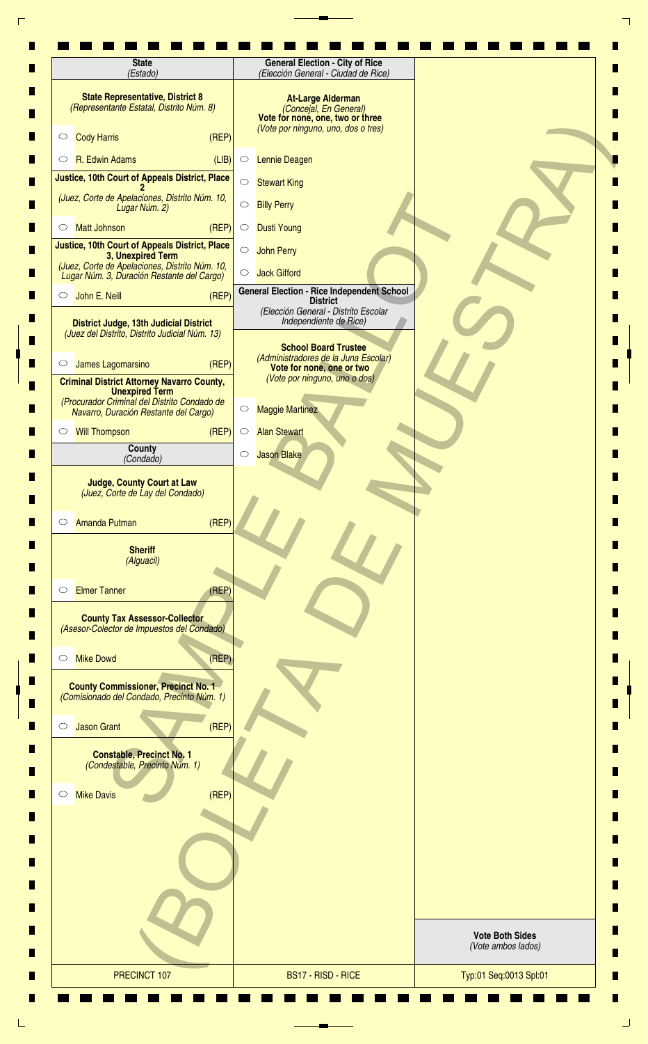| (Estado)                                                                                                       | (Elección General - Ciudad de Rice)                                                                                           |
|----------------------------------------------------------------------------------------------------------------|-------------------------------------------------------------------------------------------------------------------------------|
| <b>State Representative, District 8</b><br>(Representante Estatal, Distrito Núm. 8)                            | <b>At-Large Alderman</b><br>(Concejal, En General)<br>Vote for none, one, two or three<br>(Vote por ninguno, uno, dos o tres) |
| (REF)<br><b>Cody Harris</b><br>$\circ$                                                                         |                                                                                                                               |
| R. Edwin Adams<br>(LIB)<br>$\circ$                                                                             | Lennie Deagen<br>$\circ$                                                                                                      |
| Justice, 10th Court of Appeals District, Place                                                                 | $\bigcirc$<br><b>Stewart King</b>                                                                                             |
| (Juez, Corte de Apelaciones, Distrito Núm. 10,<br>Lugar Núm. 2)                                                | $\bigcirc$<br><b>Billy Perry</b>                                                                                              |
| (REF)<br><b>Matt Johnson</b><br>$\circ$                                                                        | <b>Dusti Young</b><br>$\circ$                                                                                                 |
| Justice, 10th Court of Appeals District, Place<br>3, Unexpired Term                                            | $\bigcirc$<br><b>John Perry</b>                                                                                               |
| (Juez, Corte de Apelaciones, Distrito Núm. 10,<br>Lugar Núm. 3, Duración Restante del Cargo)                   | <b>Jack Gifford</b><br>$\circ$                                                                                                |
| John E. Neill<br>(REF)<br>$\circ$                                                                              | <b>General Election - Rice Independent School</b><br><b>District</b>                                                          |
| <b>District Judge, 13th Judicial District</b><br>(Juez del Distrito, Distrito Judicial Núm. 13)                | (Elección General - Distrito Escolar<br>Independiente de Rice)                                                                |
| (REP)<br>James Lagomarsino<br>$\circ$                                                                          | <b>School Board Trustee</b><br>(Administradores de la Juna Escolar)                                                           |
| <b>Criminal District Attorney Navarro County,</b>                                                              | Vote for none, one or two<br>(Vote por ninguno, uno o dos)                                                                    |
| <b>Unexpired Term</b><br>(Procurador Criminal del Distrito Condado de<br>Navarro, Duración Restante del Cargo) | <b>Maggie Martinez</b><br>$\circ$                                                                                             |
| <b>Will Thompson</b><br>(REF)<br>$\circ$                                                                       | <b>Alan Stewart</b><br>$\circ$                                                                                                |
| County<br>(Condado)                                                                                            | Jason Blake<br>$\circ$                                                                                                        |
| <b>Judge, County Court at Law</b><br>(Juez, Corte de Lay del Condado)                                          |                                                                                                                               |
| (REF)<br><b>Amanda Putman</b><br>$\circ$                                                                       |                                                                                                                               |
| <b>Sheriff</b><br>(Alguacil)                                                                                   |                                                                                                                               |
| <b>Elmer Tanner</b><br>(REF)<br>$\circ$                                                                        |                                                                                                                               |
| <b>County Tax Assessor-Collector</b><br>(Asesor-Colector de Impuestos del Condado)                             |                                                                                                                               |
| (REF)<br><b>Mike Dowd</b><br>$\circ$                                                                           |                                                                                                                               |
| <b>County Commissioner, Precinct No. 1</b><br>(Comisionado del Condado, Precinto Núm. 1)                       |                                                                                                                               |
| (REF)<br><b>Jason Grant</b><br>$\circ$                                                                         |                                                                                                                               |
| <b>Constable, Precinct No. 1</b><br>(Condestable, Precinto Núm. 1)                                             |                                                                                                                               |
| (REF)<br><b>Mike Davis</b><br>$\circ$                                                                          |                                                                                                                               |
|                                                                                                                |                                                                                                                               |
|                                                                                                                |                                                                                                                               |
|                                                                                                                |                                                                                                                               |
|                                                                                                                | <b>Vote Both Sides</b><br>(Vote ambos lados)                                                                                  |
|                                                                                                                | BS17 - RISD - RICE                                                                                                            |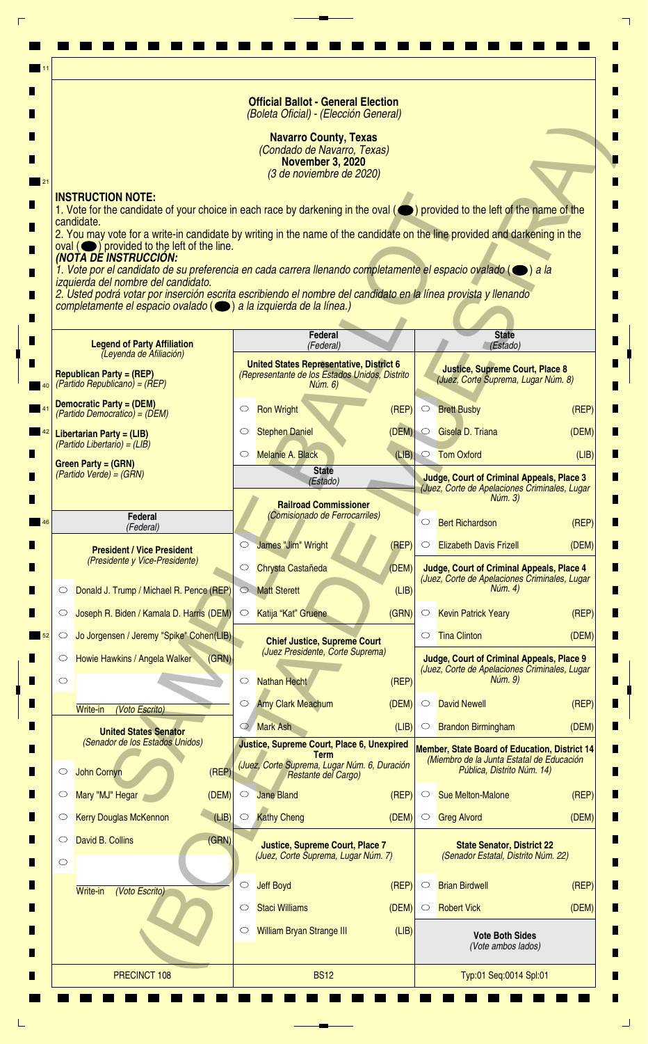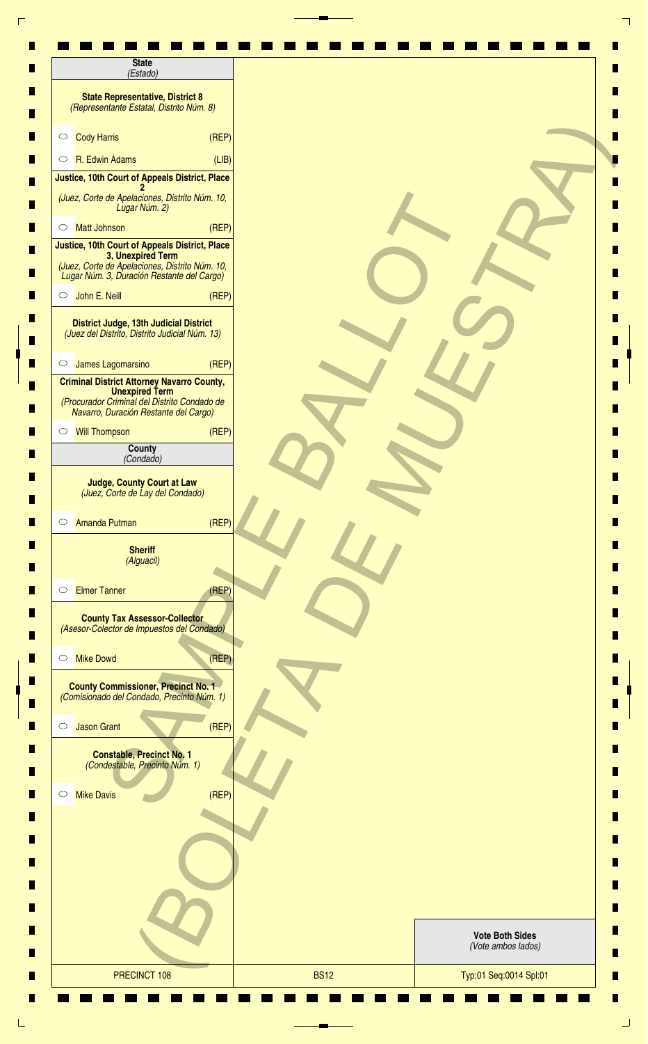| <b>State</b><br>(Estado)                                                                                                                                            |       |  |                                              |
|---------------------------------------------------------------------------------------------------------------------------------------------------------------------|-------|--|----------------------------------------------|
| <b>State Representative, District 8</b><br>(Representante Estatal, Distrito Núm. 8)                                                                                 |       |  |                                              |
| <b>Cody Harris</b><br>$\circ$                                                                                                                                       | (REF) |  |                                              |
| R. Edwin Adams<br>$\circ$                                                                                                                                           | (LIB) |  |                                              |
| Justice, 10th Court of Appeals District, Place                                                                                                                      |       |  |                                              |
| (Juez, Corte de Apelaciones, Distrito Núm. 10,<br>Lugar Núm. 2)                                                                                                     |       |  |                                              |
| <b>Matt Johnson</b><br>$\circ$                                                                                                                                      | (REF) |  |                                              |
| Justice, 10th Court of Appeals District, Place<br>3, Unexpired Term<br>(Juez, Corte de Apelaciones, Distrito Núm. 10,<br>Lugar Núm. 3, Duración Restante del Cargo) |       |  |                                              |
| John E. Neill<br>$\circ$                                                                                                                                            | (REF) |  |                                              |
| <b>District Judge, 13th Judicial District</b><br>(Juez del Distrito, Distrito Judicial Núm. 13)                                                                     |       |  |                                              |
| James Lagomarsino<br>$\circ$                                                                                                                                        | (REF) |  |                                              |
| <b>Criminal District Attorney Navarro County,</b><br><b>Unexpired Term</b><br>(Procurador Criminal del Distrito Condado de<br>Navarro, Duración Restante del Cargo) |       |  |                                              |
| <b>Will Thompson</b><br>$\circ$                                                                                                                                     | (REF) |  |                                              |
| County<br>(Condado)                                                                                                                                                 |       |  |                                              |
| <b>Judge, County Court at Law</b><br>(Juez, Corte de Lay del Condado)<br><b>Amanda Putman</b><br>$\circ$                                                            | (REP) |  |                                              |
| <b>Sheriff</b><br>(Alguacil)                                                                                                                                        |       |  |                                              |
| <b>Elmer Tanner</b><br>$\circ$<br><b>County Tax Assessor-Collector</b><br>(Asesor-Colector de Impuestos del Condado)                                                | (REP) |  |                                              |
| <b>Mike Dowd</b><br>$\circ$                                                                                                                                         | (REP) |  |                                              |
| <b>County Commissioner, Precinct No. 1</b><br>(Comisionado del Condado, Precinto Núm. 1)                                                                            |       |  |                                              |
| <b>Jason Grant</b><br>$\circlearrowright$                                                                                                                           | (REF) |  |                                              |
| <b>Constable, Precinct No. 1</b><br>(Condestable, Precinto Núm. 1)                                                                                                  |       |  |                                              |
| <b>Mike Davis</b><br>$\circ$                                                                                                                                        | (REF) |  |                                              |
|                                                                                                                                                                     |       |  |                                              |
|                                                                                                                                                                     |       |  |                                              |
|                                                                                                                                                                     |       |  |                                              |
|                                                                                                                                                                     |       |  | <b>Vote Both Sides</b><br>(Vote ambos lados) |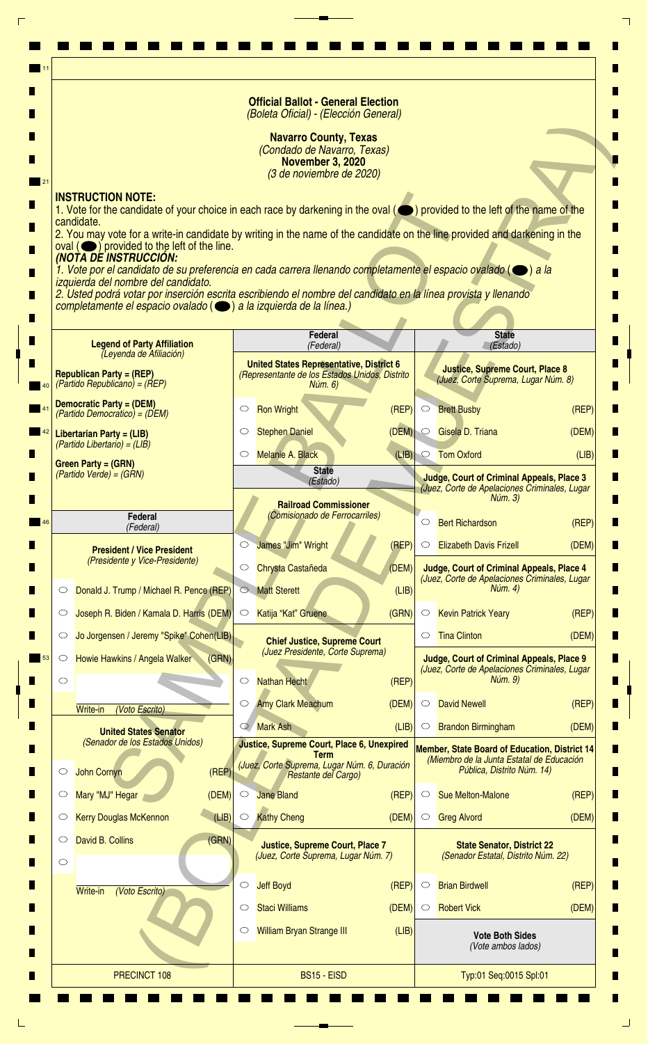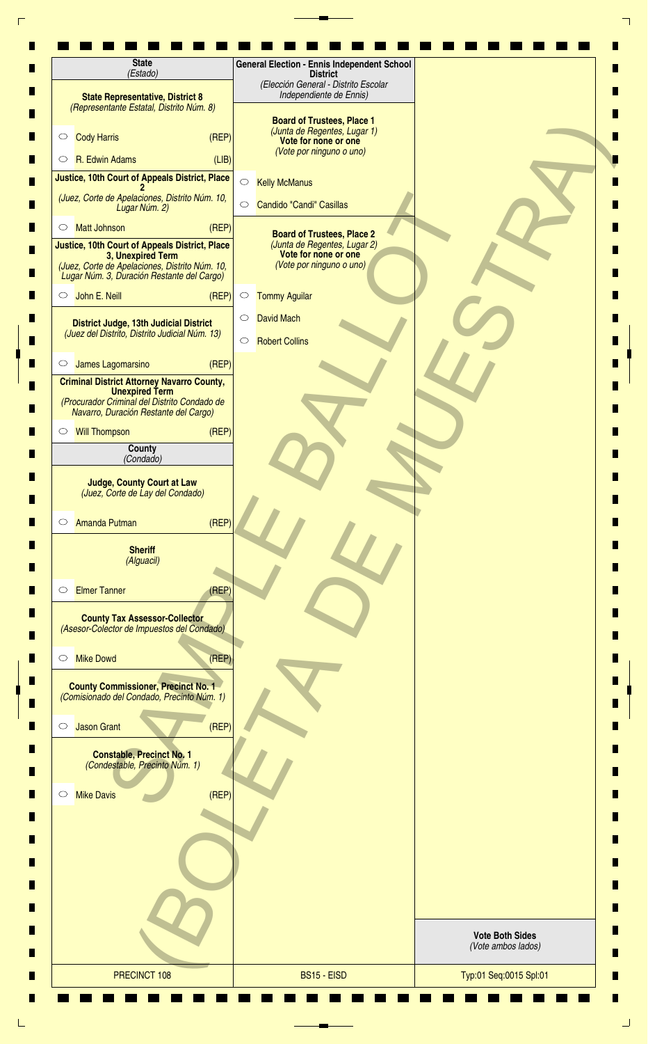| <b>State</b><br>(Estado)                                                                                                                                            | <b>General Election - Ennis Independent School</b><br><b>District</b><br>(Elección General - Distrito Escolar |                                              |
|---------------------------------------------------------------------------------------------------------------------------------------------------------------------|---------------------------------------------------------------------------------------------------------------|----------------------------------------------|
| <b>State Representative, District 8</b><br>(Representante Estatal, Distrito Núm. 8)                                                                                 | Independiente de Ennis)                                                                                       |                                              |
| <b>Cody Harris</b><br>(REP)<br>$\circ$                                                                                                                              | <b>Board of Trustees, Place 1</b><br>(Junta de Regentes, Lugar 1)<br>Vote for none or one                     |                                              |
| R. Edwin Adams<br>(LIB)<br>$\circ$                                                                                                                                  | (Vote por ninguno o uno)                                                                                      |                                              |
| Justice, 10th Court of Appeals District, Place                                                                                                                      | $\bigcirc$<br><b>Kelly McManus</b>                                                                            |                                              |
| (Juez, Corte de Apelaciones, Distrito Núm. 10,<br>Lugar Núm. 2)                                                                                                     | Candido "Candi" Casillas<br>$\bigcirc$                                                                        |                                              |
| <b>Matt Johnson</b><br>(REF)<br>$\circ$                                                                                                                             | <b>Board of Trustees, Place 2</b>                                                                             |                                              |
| Justice, 10th Court of Appeals District, Place<br>3, Unexpired Term<br>(Juez, Corte de Apelaciones, Distrito Núm. 10,<br>Lugar Núm. 3, Duración Restante del Cargo) | (Junta de Regentes, Lugar 2)<br>Vote for none or one<br>(Vote por ninguno o uno)                              |                                              |
| $\circ$ John E. Neill<br>(REP)                                                                                                                                      | <b>Tommy Aguilar</b><br>$\circ$                                                                               |                                              |
| <b>District Judge, 13th Judicial District</b><br>(Juez del Distrito, Distrito Judicial Núm. 13)                                                                     | <b>David Mach</b><br>$\circ$<br><b>Robert Collins</b><br>$\circ$                                              |                                              |
| James Lagomarsino<br>(REP)<br>$\circ$                                                                                                                               |                                                                                                               |                                              |
| <b>Criminal District Attorney Navarro County,</b><br><b>Unexpired Term</b><br>(Procurador Criminal del Distrito Condado de<br>Navarro, Duración Restante del Cargo) |                                                                                                               |                                              |
| <b>Will Thompson</b><br>(REF)<br>$\circ$                                                                                                                            |                                                                                                               |                                              |
| County<br>(Condado)                                                                                                                                                 |                                                                                                               |                                              |
| (Juez, Corte de Lay del Condado)<br>(REF)<br><b>Amanda Putman</b><br>$\circ$<br><b>Sheriff</b><br>(Alguacil)                                                        |                                                                                                               |                                              |
| <b>Elmer Tanner</b><br>(REP)<br>$\circ$                                                                                                                             |                                                                                                               |                                              |
| <b>County Tax Assessor-Collector</b><br>(Asesor-Colector de Impuestos del Condado)                                                                                  |                                                                                                               |                                              |
| <b>Mike Dowd</b><br>(REP)<br>$\circ$                                                                                                                                |                                                                                                               |                                              |
| <b>County Commissioner, Precinct No. 1</b><br>(Comisionado del Condado, Precinto Núm. 1)                                                                            |                                                                                                               |                                              |
| (REF)<br><b>Jason Grant</b><br>$\circ$                                                                                                                              |                                                                                                               |                                              |
| <b>Constable, Precinct No. 1</b><br>(Condestable, Precinto Núm. 1)                                                                                                  |                                                                                                               |                                              |
| (REF)<br><b>Mike Davis</b><br>$\circ$                                                                                                                               |                                                                                                               |                                              |
|                                                                                                                                                                     |                                                                                                               |                                              |
|                                                                                                                                                                     |                                                                                                               | <b>Vote Both Sides</b><br>(Vote ambos lados) |
|                                                                                                                                                                     |                                                                                                               |                                              |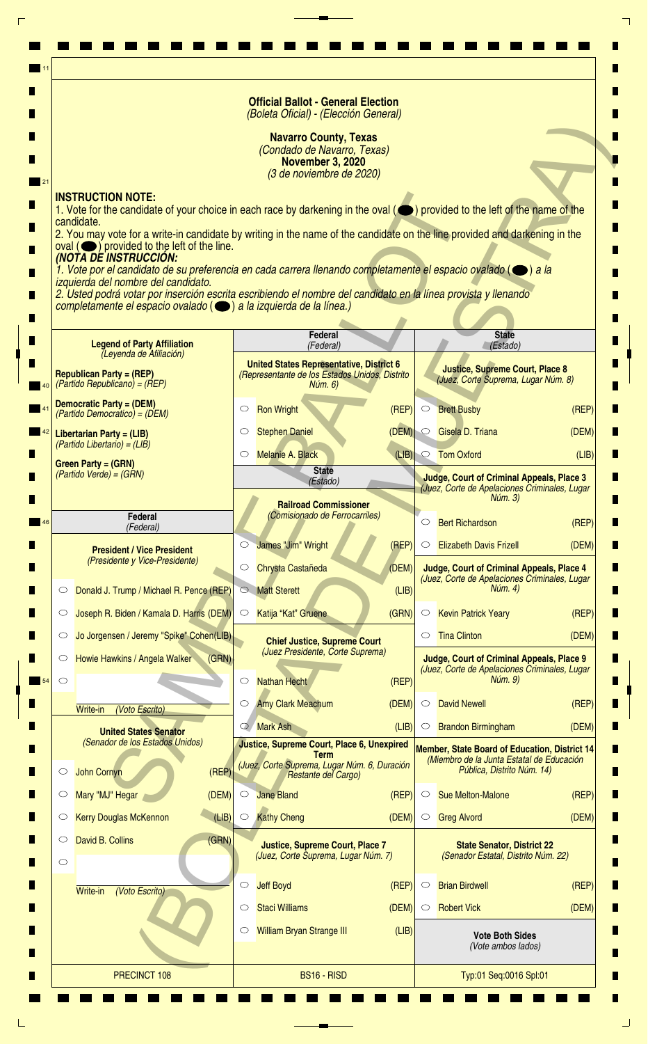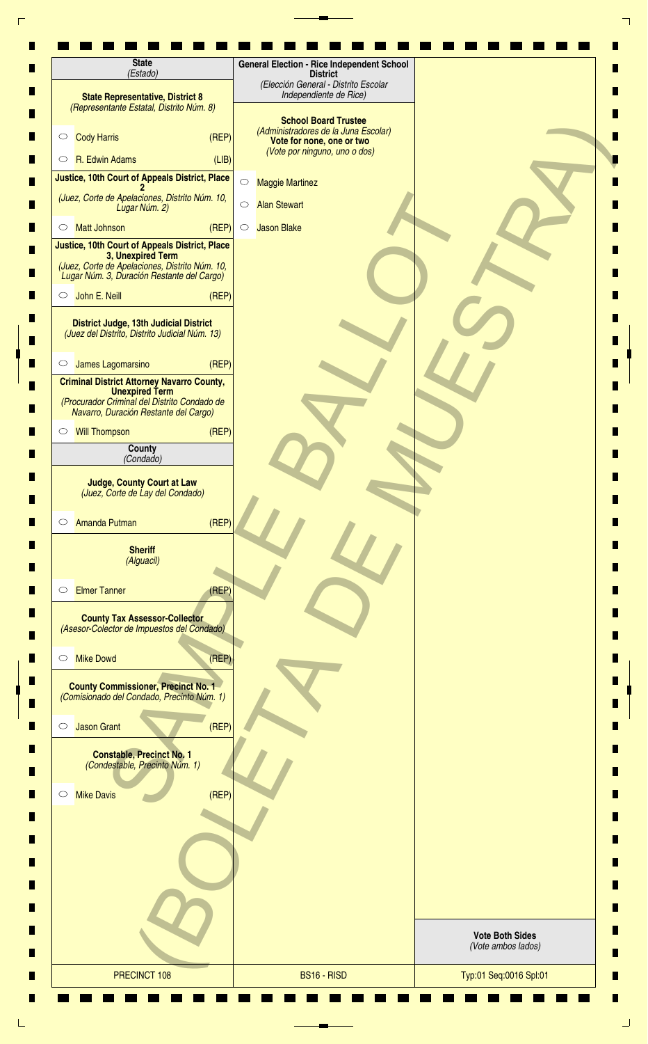| <b>State</b><br>(Estado)                                                                                                                                                                              | <b>General Election - Rice Independent School</b><br><b>District</b>                             |                                              |
|-------------------------------------------------------------------------------------------------------------------------------------------------------------------------------------------------------|--------------------------------------------------------------------------------------------------|----------------------------------------------|
| <b>State Representative, District 8</b><br>(Representante Estatal, Distrito Núm. 8)                                                                                                                   | (Elección General - Distrito Escolar<br>Independiente de Rice)                                   |                                              |
| <b>Cody Harris</b><br>(REF)<br>$\circ$                                                                                                                                                                | <b>School Board Trustee</b><br>(Administradores de la Juna Escolar)<br>Vote for none, one or two |                                              |
| R. Edwin Adams<br>(LIB)<br>$\circ$                                                                                                                                                                    | (Vote por ninguno, uno o dos)                                                                    |                                              |
| <b>Justice, 10th Court of Appeals District, Place</b>                                                                                                                                                 | $\bigcirc$<br><b>Maggie Martinez</b>                                                             |                                              |
| (Juez, Corte de Apelaciones, Distrito Núm. 10,<br>Lugar Núm. 2)                                                                                                                                       | $\bigcirc$<br><b>Alan Stewart</b>                                                                |                                              |
| (REF)<br><b>Matt Johnson</b><br>$\circ$                                                                                                                                                               | <b>Jason Blake</b><br>$\circ$                                                                    |                                              |
| Justice, 10th Court of Appeals District, Place<br>3, Unexpired Term<br>(Juez, Corte de Apelaciones, Distrito Núm. 10,<br>Lugar Núm. 3, Duración Restante del Cargo)<br>$\circ$ John E. Neill<br>(REF) |                                                                                                  |                                              |
| District Judge, 13th Judicial District<br>(Juez del Distrito, Distrito Judicial Núm. 13)                                                                                                              |                                                                                                  |                                              |
| (REF)<br>James Lagomarsino<br>$\circ$                                                                                                                                                                 |                                                                                                  |                                              |
| <b>Criminal District Attorney Navarro County,</b>                                                                                                                                                     |                                                                                                  |                                              |
| <b>Unexpired Term</b><br>(Procurador Criminal del Distrito Condado de<br>Navarro, Duración Restante del Cargo)                                                                                        |                                                                                                  |                                              |
| <b>Will Thompson</b><br>(REP)<br>$\circ$                                                                                                                                                              |                                                                                                  |                                              |
| County<br>(Condado)                                                                                                                                                                                   |                                                                                                  |                                              |
| <b>Judge, County Court at Law</b><br>(Juez, Corte de Lay del Condado)<br>(REF)<br><b>Amanda Putman</b><br>$\circ$                                                                                     |                                                                                                  |                                              |
| <b>Sheriff</b><br>(Alguacil)                                                                                                                                                                          |                                                                                                  |                                              |
| <b>Elmer Tanner</b><br>(REF)<br>$\circ$<br><b>County Tax Assessor-Collector</b>                                                                                                                       |                                                                                                  |                                              |
| (Asesor-Colector de Impuestos del Condado)<br><b>Mike Dowd</b><br>(REP)<br>$\circ$                                                                                                                    |                                                                                                  |                                              |
| <b>County Commissioner, Precinct No. 1</b><br>(Comisionado del Condado, Precinto Núm. 1)                                                                                                              |                                                                                                  |                                              |
| (REF)<br><b>Jason Grant</b><br>$\circ$                                                                                                                                                                |                                                                                                  |                                              |
| <b>Constable, Precinct No. 1</b><br>(Condestable, Precinto Núm. 1)<br>(REF)<br><b>Mike Davis</b><br>$\circ$                                                                                           |                                                                                                  |                                              |
|                                                                                                                                                                                                       |                                                                                                  |                                              |
|                                                                                                                                                                                                       |                                                                                                  | <b>Vote Both Sides</b><br>(Vote ambos lados) |
| PRECINCT 108                                                                                                                                                                                          | BS16 - RISD                                                                                      | Typ:01 Seq:0016 Spl:01                       |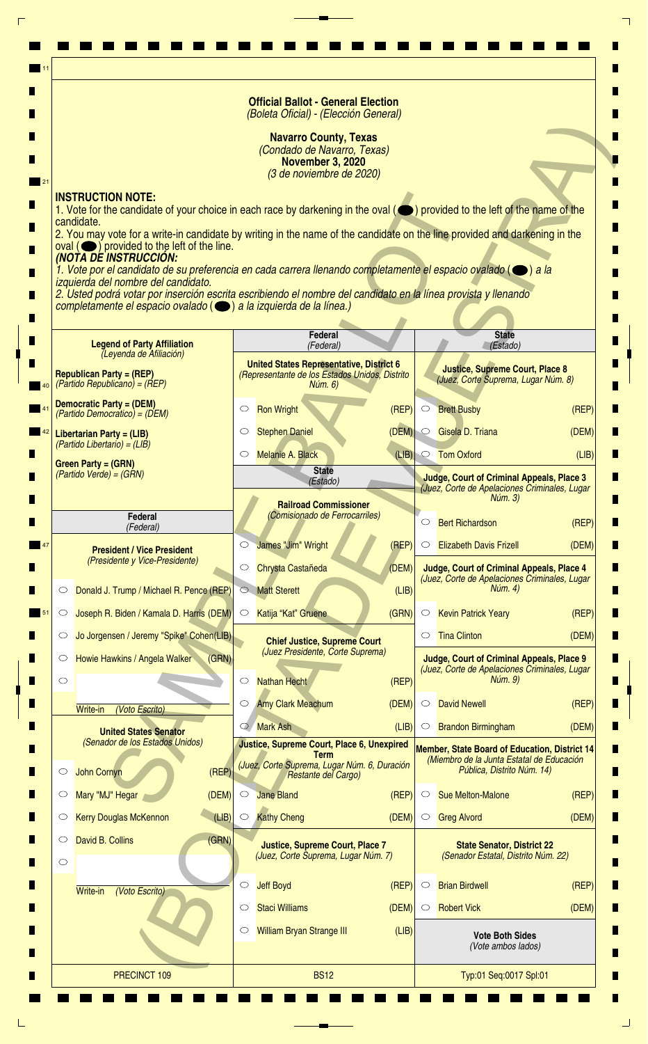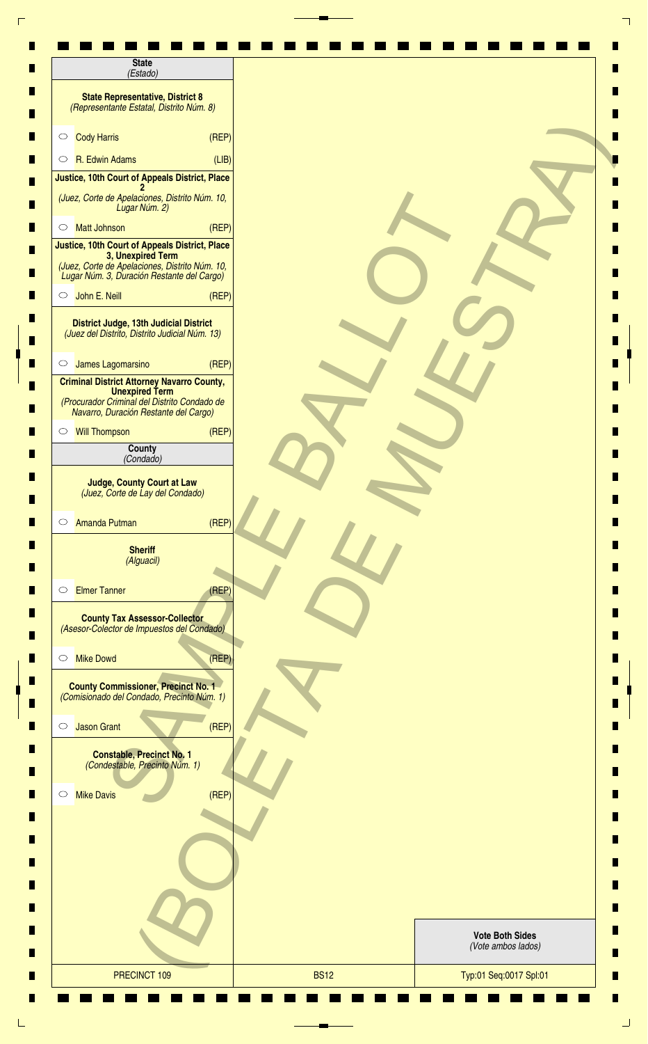| <b>State</b><br>(Estado)                                                                                                                                            |       |  |                                              |
|---------------------------------------------------------------------------------------------------------------------------------------------------------------------|-------|--|----------------------------------------------|
| <b>State Representative, District 8</b><br>(Representante Estatal, Distrito Núm. 8)                                                                                 |       |  |                                              |
| <b>Cody Harris</b><br>$\circ$                                                                                                                                       | (REF) |  |                                              |
| R. Edwin Adams<br>$\circ$                                                                                                                                           | (LIB) |  |                                              |
| Justice, 10th Court of Appeals District, Place                                                                                                                      |       |  |                                              |
| (Juez, Corte de Apelaciones, Distrito Núm. 10,<br>Lugar Núm. 2)                                                                                                     |       |  |                                              |
| <b>Matt Johnson</b><br>$\circ$                                                                                                                                      | (REF) |  |                                              |
| Justice, 10th Court of Appeals District, Place<br>3, Unexpired Term<br>(Juez, Corte de Apelaciones, Distrito Núm. 10,<br>Lugar Núm. 3, Duración Restante del Cargo) |       |  |                                              |
| John E. Neill<br>$\circ$                                                                                                                                            | (REF) |  |                                              |
| <b>District Judge, 13th Judicial District</b><br>(Juez del Distrito, Distrito Judicial Núm. 13)                                                                     |       |  |                                              |
| James Lagomarsino<br>$\circ$                                                                                                                                        | (REF) |  |                                              |
| <b>Criminal District Attorney Navarro County,</b><br><b>Unexpired Term</b><br>(Procurador Criminal del Distrito Condado de<br>Navarro, Duración Restante del Cargo) |       |  |                                              |
| <b>Will Thompson</b><br>$\circ$                                                                                                                                     | (REF) |  |                                              |
| County<br>(Condado)                                                                                                                                                 |       |  |                                              |
| <b>Judge, County Court at Law</b><br>(Juez, Corte de Lay del Condado)                                                                                               |       |  |                                              |
| <b>Amanda Putman</b><br>$\circ$                                                                                                                                     | (REP) |  |                                              |
| <b>Sheriff</b><br>(Alguacil)                                                                                                                                        |       |  |                                              |
| <b>Elmer Tanner</b><br>$\circ$                                                                                                                                      | (REP) |  |                                              |
| <b>County Tax Assessor-Collector</b><br>(Asesor-Colector de Impuestos del Condado)                                                                                  |       |  |                                              |
| <b>Mike Dowd</b><br>$\circ$                                                                                                                                         | (REP) |  |                                              |
| <b>County Commissioner, Precinct No. 1</b><br>(Comisionado del Condado, Precinto Núm. 1)                                                                            |       |  |                                              |
| <b>Jason Grant</b><br>$\circlearrowright$                                                                                                                           | (REF) |  |                                              |
| <b>Constable, Precinct No. 1</b><br>(Condestable, Precinto Núm. 1)                                                                                                  |       |  |                                              |
| <b>Mike Davis</b><br>$\circ$                                                                                                                                        | (REF) |  |                                              |
|                                                                                                                                                                     |       |  |                                              |
|                                                                                                                                                                     |       |  |                                              |
|                                                                                                                                                                     |       |  |                                              |
|                                                                                                                                                                     |       |  | <b>Vote Both Sides</b><br>(Vote ambos lados) |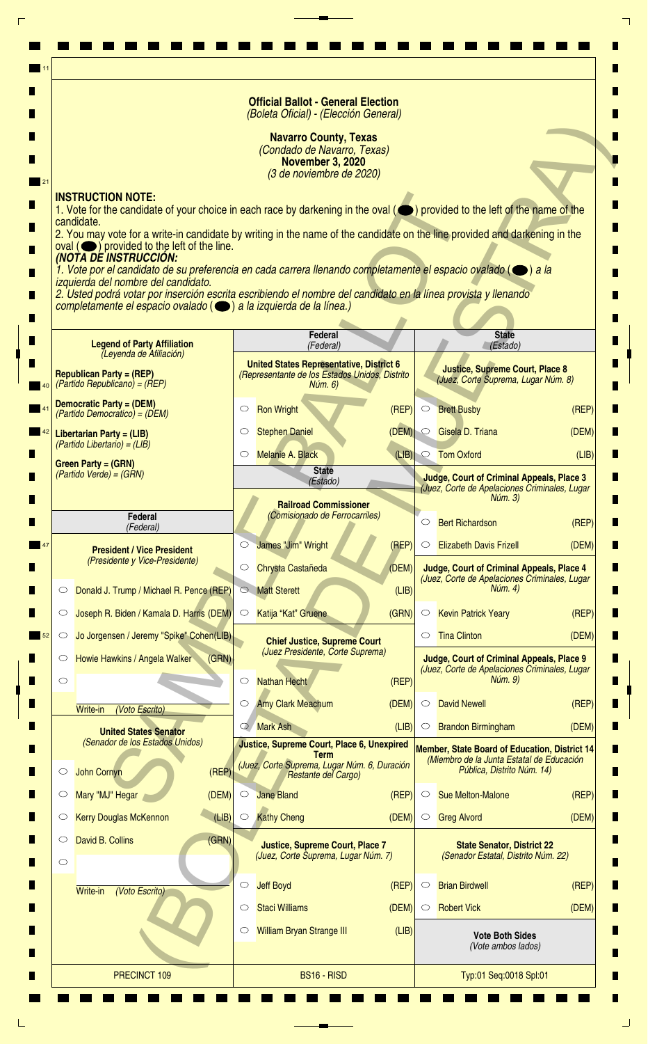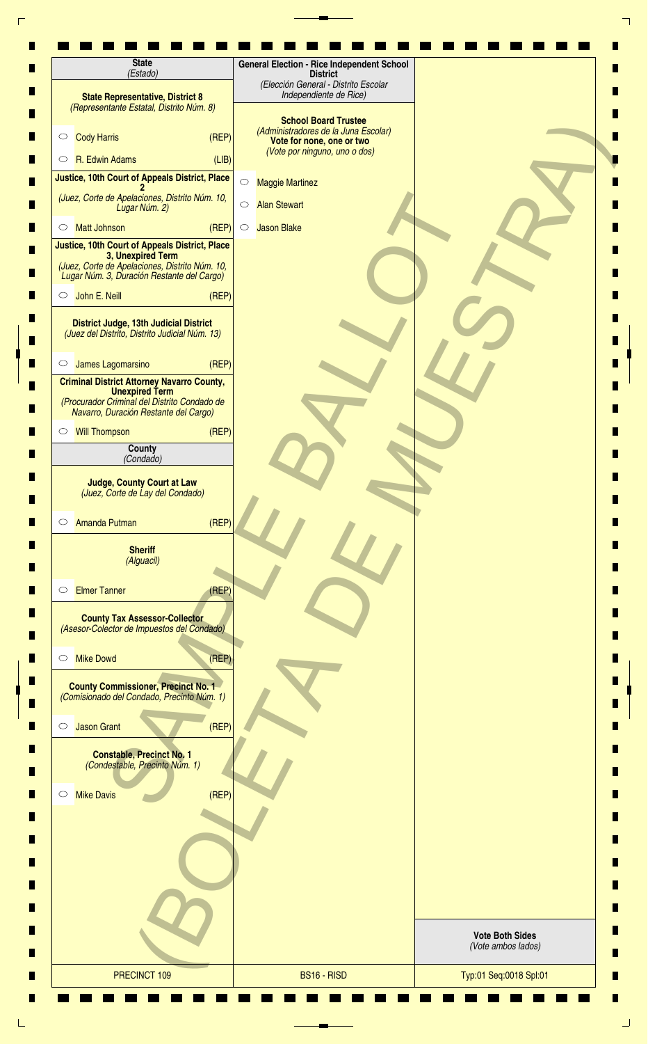| <b>State Representative, District 8</b><br>(Representante Estatal, Distrito Núm. 8)<br><b>Cody Harris</b><br>(REF)<br>$\circ$<br>R. Edwin Adams<br>(LIB)<br>$\circ$<br>Justice, 10th Court of Appeals District, Place<br>$\circ$<br>(Juez, Corte de Apelaciones, Distrito Núm. 10,<br>$\bigcirc$<br>Lugar Núm. 2)<br>(REF)<br><b>Matt Johnson</b><br>$\circ$<br>$\circ$<br>Justice, 10th Court of Appeals District, Place<br>3, Unexpired Term | (Elección General - Distrito Escolar<br>Independiente de Rice)<br><b>School Board Trustee</b><br>(Administradores de la Juna Escolar)<br>Vote for none, one or two<br>(Vote por ninguno, uno o dos)<br><b>Maggie Martinez</b><br><b>Alan Stewart</b><br><b>Jason Blake</b> |                                              |
|------------------------------------------------------------------------------------------------------------------------------------------------------------------------------------------------------------------------------------------------------------------------------------------------------------------------------------------------------------------------------------------------------------------------------------------------|----------------------------------------------------------------------------------------------------------------------------------------------------------------------------------------------------------------------------------------------------------------------------|----------------------------------------------|
|                                                                                                                                                                                                                                                                                                                                                                                                                                                |                                                                                                                                                                                                                                                                            |                                              |
|                                                                                                                                                                                                                                                                                                                                                                                                                                                |                                                                                                                                                                                                                                                                            |                                              |
|                                                                                                                                                                                                                                                                                                                                                                                                                                                |                                                                                                                                                                                                                                                                            |                                              |
|                                                                                                                                                                                                                                                                                                                                                                                                                                                |                                                                                                                                                                                                                                                                            |                                              |
|                                                                                                                                                                                                                                                                                                                                                                                                                                                |                                                                                                                                                                                                                                                                            |                                              |
|                                                                                                                                                                                                                                                                                                                                                                                                                                                |                                                                                                                                                                                                                                                                            |                                              |
| (Juez, Corte de Apelaciones, Distrito Núm. 10,<br>Lugar Núm. 3, Duración Restante del Cargo)                                                                                                                                                                                                                                                                                                                                                   |                                                                                                                                                                                                                                                                            |                                              |
| O John E. Neill<br>(REF)<br><b>District Judge, 13th Judicial District</b>                                                                                                                                                                                                                                                                                                                                                                      |                                                                                                                                                                                                                                                                            |                                              |
| (Juez del Distrito, Distrito Judicial Núm. 13)<br>(REF)<br>James Lagomarsino<br>$\circ$                                                                                                                                                                                                                                                                                                                                                        |                                                                                                                                                                                                                                                                            |                                              |
| <b>Criminal District Attorney Navarro County,</b>                                                                                                                                                                                                                                                                                                                                                                                              |                                                                                                                                                                                                                                                                            |                                              |
| <b>Unexpired Term</b><br>(Procurador Criminal del Distrito Condado de<br>Navarro, Duración Restante del Cargo)                                                                                                                                                                                                                                                                                                                                 |                                                                                                                                                                                                                                                                            |                                              |
| <b>Will Thompson</b><br>(REF)<br>$\circ$                                                                                                                                                                                                                                                                                                                                                                                                       |                                                                                                                                                                                                                                                                            |                                              |
| County<br>(Condado)                                                                                                                                                                                                                                                                                                                                                                                                                            |                                                                                                                                                                                                                                                                            |                                              |
| <b>Judge, County Court at Law</b><br>(Juez, Corte de Lay del Condado)<br>(REP)<br><b>Amanda Putman</b><br>$\circ$                                                                                                                                                                                                                                                                                                                              |                                                                                                                                                                                                                                                                            |                                              |
| <b>Sheriff</b><br>(Alguacil)                                                                                                                                                                                                                                                                                                                                                                                                                   |                                                                                                                                                                                                                                                                            |                                              |
| <b>Elmer Tanner</b><br>(REF)<br>$\circ$                                                                                                                                                                                                                                                                                                                                                                                                        |                                                                                                                                                                                                                                                                            |                                              |
| <b>County Tax Assessor-Collector</b><br>(Asesor-Colector de Impuestos del Condado)                                                                                                                                                                                                                                                                                                                                                             |                                                                                                                                                                                                                                                                            |                                              |
| <b>Mike Dowd</b><br>(REP)<br>$\circ$                                                                                                                                                                                                                                                                                                                                                                                                           |                                                                                                                                                                                                                                                                            |                                              |
| <b>County Commissioner, Precinct No. 1</b><br>(Comisionado del Condado, Precinto Núm. 1)                                                                                                                                                                                                                                                                                                                                                       |                                                                                                                                                                                                                                                                            |                                              |
| (REP)<br><b>Jason Grant</b><br>$\circ$                                                                                                                                                                                                                                                                                                                                                                                                         |                                                                                                                                                                                                                                                                            |                                              |
| <b>Constable, Precinct No. 1</b><br>(Condestable, Precinto Núm. 1)<br>(REF)<br><b>Mike Davis</b><br>$\circ$                                                                                                                                                                                                                                                                                                                                    |                                                                                                                                                                                                                                                                            |                                              |
|                                                                                                                                                                                                                                                                                                                                                                                                                                                |                                                                                                                                                                                                                                                                            |                                              |
|                                                                                                                                                                                                                                                                                                                                                                                                                                                |                                                                                                                                                                                                                                                                            | <b>Vote Both Sides</b><br>(Vote ambos lados) |
| PRECINCT 109                                                                                                                                                                                                                                                                                                                                                                                                                                   | BS16 - RISD                                                                                                                                                                                                                                                                | Typ:01 Seq:0018 Spl:01                       |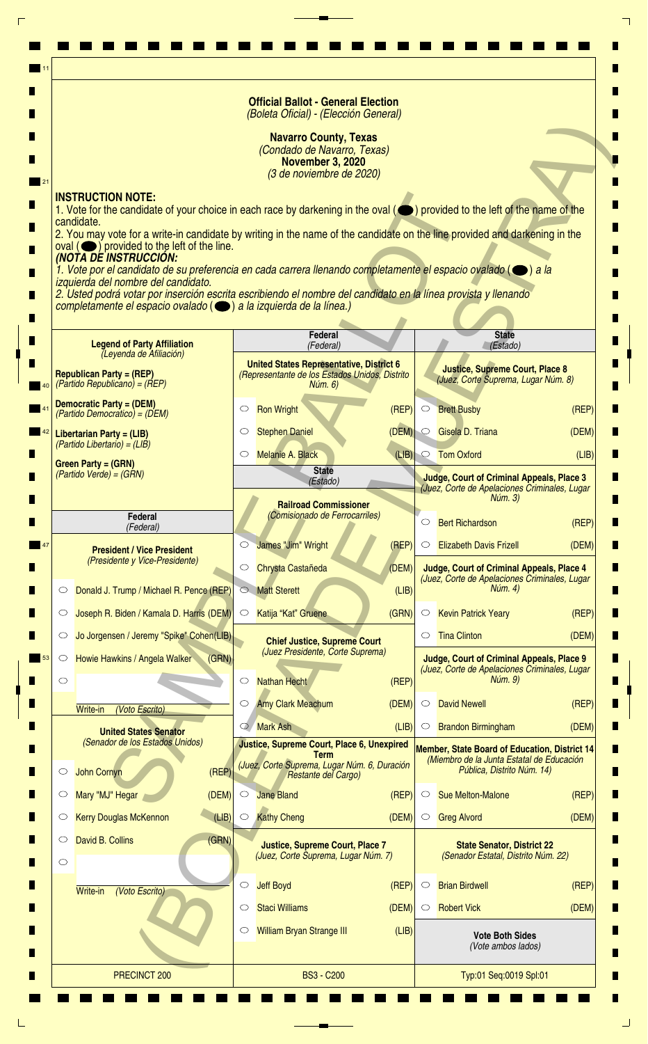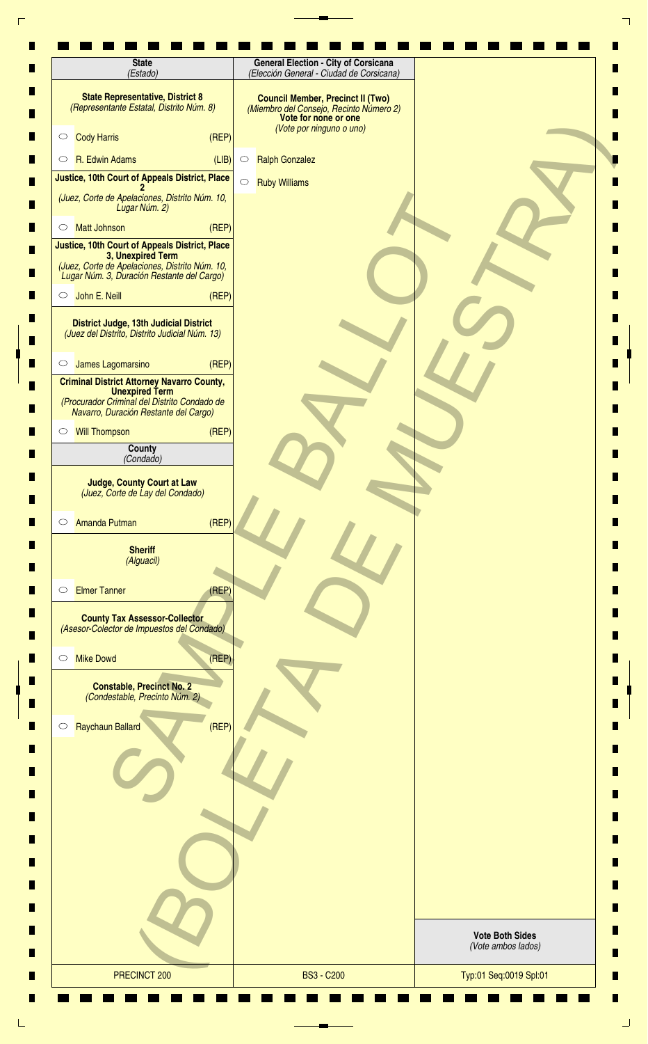| (Estado)                                                                                                          |                  | (Elección General - Ciudad de Corsicana)                                                                    |                        |
|-------------------------------------------------------------------------------------------------------------------|------------------|-------------------------------------------------------------------------------------------------------------|------------------------|
| <b>State Representative, District 8</b><br>(Representante Estatal, Distrito Núm. 8)                               |                  | <b>Council Member, Precinct II (Two)</b><br>(Miembro del Consejo, Recinto Número 2)<br>Vote for none or one |                        |
| <b>Cody Harris</b><br>$\circ$                                                                                     | (REF)            | (Vote por ninguno o uno)                                                                                    |                        |
| R. Edwin Adams<br>$\circ$                                                                                         | (LIB)<br>$\circ$ | <b>Ralph Gonzalez</b>                                                                                       |                        |
| Justice, 10th Court of Appeals District, Place                                                                    | $\circ$          | <b>Ruby Williams</b>                                                                                        |                        |
| (Juez, Corte de Apelaciones, Distrito Núm. 10,<br>Lugar Núm. 2)                                                   |                  |                                                                                                             |                        |
| <b>Matt Johnson</b><br>$\circ$<br><b>Justice, 10th Court of Appeals District, Place</b>                           | (REF)            |                                                                                                             |                        |
| 3, Unexpired Term<br>(Juez, Corte de Apelaciones, Distrito Núm. 10,<br>Lugar Núm. 3, Duración Restante del Cargo) |                  |                                                                                                             |                        |
| John E. Neill<br>$\circ$                                                                                          | (REF)            |                                                                                                             |                        |
| District Judge, 13th Judicial District<br>(Juez del Distrito, Distrito Judicial Núm. 13)                          |                  |                                                                                                             |                        |
| James Lagomarsino<br>$\circ$                                                                                      | (REP)            |                                                                                                             |                        |
| <b>Criminal District Attorney Navarro County,</b><br><b>Unexpired Term</b>                                        |                  |                                                                                                             |                        |
| (Procurador Criminal del Distrito Condado de<br>Navarro, Duración Restante del Cargo)                             |                  |                                                                                                             |                        |
| <b>Will Thompson</b><br>$\circ$                                                                                   | (REP)            |                                                                                                             |                        |
| <b>County</b><br>(Condado)                                                                                        |                  |                                                                                                             |                        |
| <b>Judge, County Court at Law</b><br>(Juez, Corte de Lay del Condado)                                             |                  |                                                                                                             |                        |
| Amanda Putman<br>$\circ$                                                                                          | (REF)            |                                                                                                             |                        |
| <b>Sheriff</b><br>(Alguacil)                                                                                      |                  |                                                                                                             |                        |
| <b>Elmer Tanner</b><br>$\circ$                                                                                    | (REF)            |                                                                                                             |                        |
| <b>County Tax Assessor-Collector</b><br>(Asesor-Colector de Impuestos del Condado)                                |                  |                                                                                                             |                        |
| <b>Mike Dowd</b><br>$\circ$                                                                                       | (REF)            |                                                                                                             |                        |
| <b>Constable, Precinct No. 2</b><br>(Condestable, Precinto Núm. 2)                                                |                  |                                                                                                             |                        |
| Raychaun Ballard<br>$\circ$                                                                                       | (REP)            |                                                                                                             |                        |
|                                                                                                                   |                  |                                                                                                             |                        |
|                                                                                                                   |                  |                                                                                                             |                        |
|                                                                                                                   |                  |                                                                                                             |                        |
|                                                                                                                   |                  |                                                                                                             | <b>Vote Both Sides</b> |
|                                                                                                                   |                  |                                                                                                             | (Vote ambos lados)     |
| PRECINCT 200                                                                                                      |                  | <b>BS3 - C200</b>                                                                                           | Typ:01 Seq:0019 Spl:01 |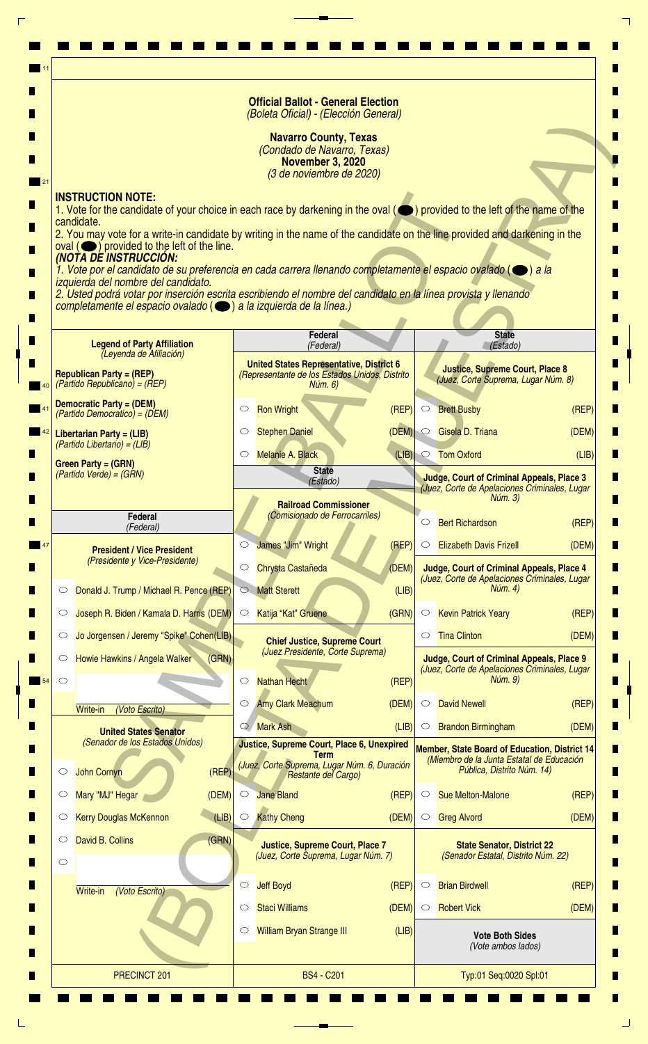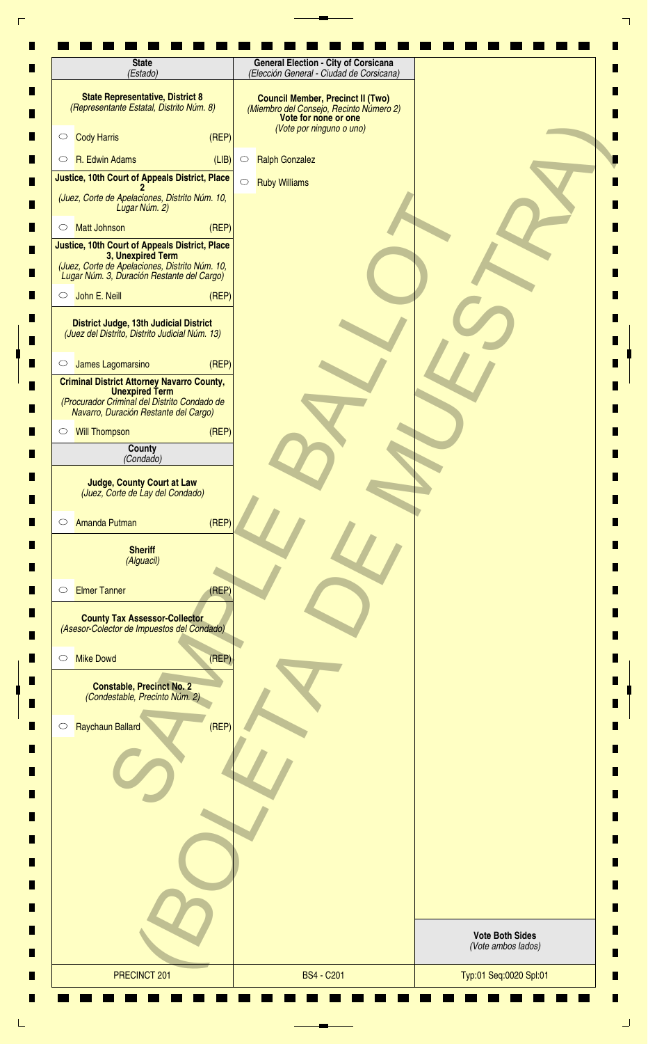| <b>State</b><br>(Estado)                                                                                          | <b>General Election - City of Corsicana</b><br>(Elección General - Ciudad de Corsicana)                                                 |                                              |
|-------------------------------------------------------------------------------------------------------------------|-----------------------------------------------------------------------------------------------------------------------------------------|----------------------------------------------|
| <b>State Representative, District 8</b><br>(Representante Estatal, Distrito Núm. 8)                               | <b>Council Member, Precinct II (Two)</b><br>(Miembro del Consejo, Recinto Número 2)<br>Vote for none or one<br>(Vote por ninguno o uno) |                                              |
| (REF)<br><b>Cody Harris</b><br>$\circ$                                                                            |                                                                                                                                         |                                              |
| R. Edwin Adams<br>(LIB)<br>$\circ$                                                                                | <b>Ralph Gonzalez</b><br>$\circ$                                                                                                        |                                              |
| Justice, 10th Court of Appeals District, Place                                                                    | $\circ$<br><b>Ruby Williams</b>                                                                                                         |                                              |
| (Juez, Corte de Apelaciones, Distrito Núm. 10,<br>Lugar Núm. 2)                                                   |                                                                                                                                         |                                              |
| (REP)<br><b>Matt Johnson</b><br>$\circ$<br><b>Justice, 10th Court of Appeals District, Place</b>                  |                                                                                                                                         |                                              |
| 3, Unexpired Term<br>(Juez, Corte de Apelaciones, Distrito Núm. 10,<br>Lugar Núm. 3, Duración Restante del Cargo) |                                                                                                                                         |                                              |
| John E. Neill<br>(REF)<br>$\circ$                                                                                 |                                                                                                                                         |                                              |
| District Judge, 13th Judicial District<br>(Juez del Distrito, Distrito Judicial Núm. 13)                          |                                                                                                                                         |                                              |
| James Lagomarsino<br>(REP)<br>$\circ$                                                                             |                                                                                                                                         |                                              |
| <b>Criminal District Attorney Navarro County,</b><br><b>Unexpired Term</b>                                        |                                                                                                                                         |                                              |
| (Procurador Criminal del Distrito Condado de<br>Navarro, Duración Restante del Cargo)                             |                                                                                                                                         |                                              |
| (REP)<br><b>Will Thompson</b><br>$\circ$                                                                          |                                                                                                                                         |                                              |
| County<br>(Condado)                                                                                               |                                                                                                                                         |                                              |
| <b>Judge, County Court at Law</b><br>(Juez, Corte de Lay del Condado)                                             |                                                                                                                                         |                                              |
| (REF)<br>Amanda Putman<br>$\circ$                                                                                 |                                                                                                                                         |                                              |
| <b>Sheriff</b><br>(Alguacil)                                                                                      |                                                                                                                                         |                                              |
| <b>Elmer Tanner</b><br>(REP)<br>$\circ$                                                                           |                                                                                                                                         |                                              |
| <b>County Tax Assessor-Collector</b><br>(Asesor-Colector de Impuestos del Condado)                                |                                                                                                                                         |                                              |
| (REP)<br><b>Mike Dowd</b><br>$\circ$                                                                              |                                                                                                                                         |                                              |
| <b>Constable, Precinct No. 2</b><br>(Condestable, Precinto Núm. 2)                                                |                                                                                                                                         |                                              |
| (REF)<br>Raychaun Ballard<br>$\circ$                                                                              |                                                                                                                                         |                                              |
|                                                                                                                   |                                                                                                                                         |                                              |
|                                                                                                                   |                                                                                                                                         |                                              |
|                                                                                                                   |                                                                                                                                         |                                              |
|                                                                                                                   |                                                                                                                                         |                                              |
|                                                                                                                   |                                                                                                                                         | <b>Vote Both Sides</b><br>(Vote ambos lados) |
| PRECINCT 201                                                                                                      | <b>BS4 - C201</b>                                                                                                                       | Typ:01 Seq:0020 Spl:01                       |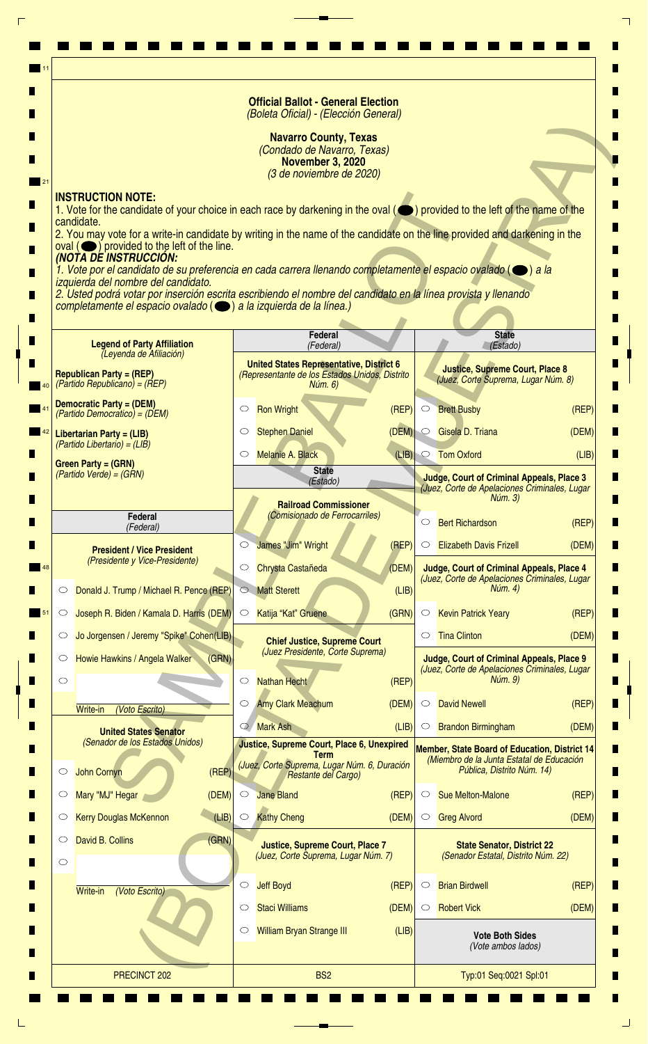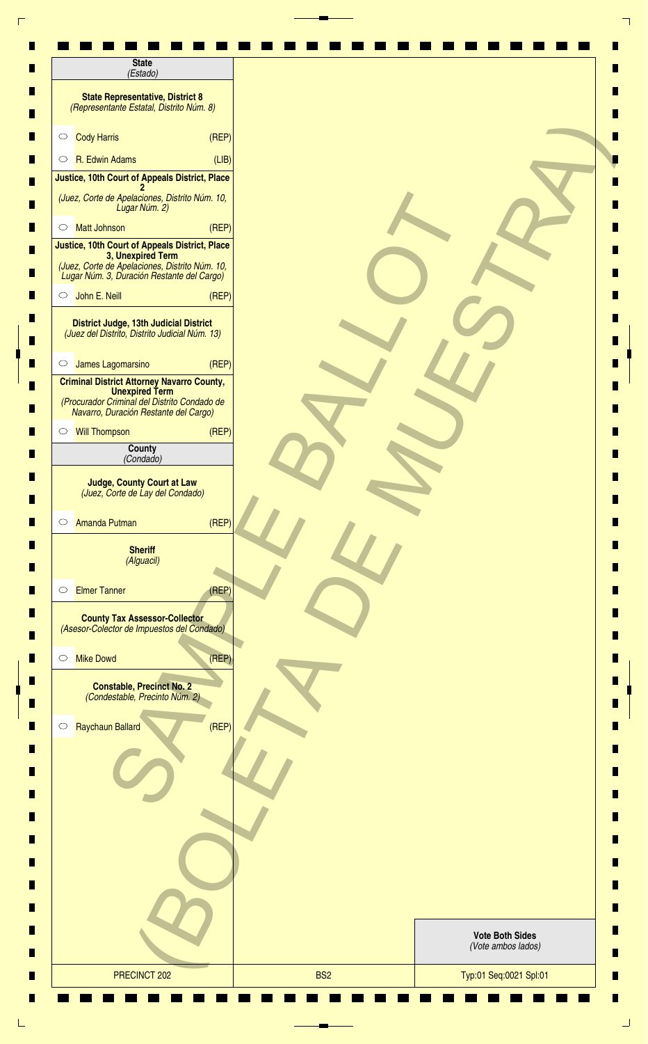| <b>State</b><br>(Estado)                                                                                                                                            |                                              |
|---------------------------------------------------------------------------------------------------------------------------------------------------------------------|----------------------------------------------|
| <b>State Representative, District 8</b><br>(Representante Estatal, Distrito Núm. 8)                                                                                 |                                              |
| <b>Cody Harris</b><br>(REF)<br>$\circ$                                                                                                                              |                                              |
| R. Edwin Adams<br>(LIB)<br>$\circ$                                                                                                                                  |                                              |
| Justice, 10th Court of Appeals District, Place                                                                                                                      |                                              |
| (Juez, Corte de Apelaciones, Distrito Núm. 10,<br>Lugar Núm. 2)                                                                                                     |                                              |
| <b>Matt Johnson</b><br>(REP)<br>$\circ$                                                                                                                             |                                              |
| Justice, 10th Court of Appeals District, Place<br>3, Unexpired Term<br>(Juez, Corte de Apelaciones, Distrito Núm. 10,<br>Lugar Núm. 3, Duración Restante del Cargo) |                                              |
| John E. Neill<br>(REF)<br>$\circ$                                                                                                                                   |                                              |
| District Judge, 13th Judicial District<br>(Juez del Distrito, Distrito Judicial Núm. 13)                                                                            |                                              |
| James Lagomarsino<br>(REP)<br>$\circ$                                                                                                                               |                                              |
| <b>Criminal District Attorney Navarro County,</b><br><b>Unexpired Term</b><br>(Procurador Criminal del Distrito Condado de<br>Navarro, Duración Restante del Cargo) |                                              |
| (REF)<br><b>Will Thompson</b><br>$\circ$                                                                                                                            |                                              |
| County<br>(Condado)                                                                                                                                                 |                                              |
| <b>Judge, County Court at Law</b><br>(Juez, Corte de Lay del Condado)<br>(REF)<br>Amanda Putman<br>$\circ$                                                          |                                              |
| <b>Sheriff</b><br>(Alguacil)                                                                                                                                        |                                              |
| <b>Elmer Tanner</b><br>(REF)<br>$\circ$                                                                                                                             |                                              |
| <b>County Tax Assessor-Collector</b><br>(Asesor-Colector de Impuestos del Condado)                                                                                  |                                              |
| <b>Mike Dowd</b><br>(REP)<br>$\circ$                                                                                                                                |                                              |
| <b>Constable, Precinct No. 2</b><br>(Condestable, Precinto Núm. 2)                                                                                                  |                                              |
| Raychaun Ballard<br>(REF)<br>$\circ$                                                                                                                                |                                              |
|                                                                                                                                                                     |                                              |
|                                                                                                                                                                     |                                              |
|                                                                                                                                                                     |                                              |
|                                                                                                                                                                     | <b>Vote Both Sides</b><br>(Vote ambos lados) |
|                                                                                                                                                                     |                                              |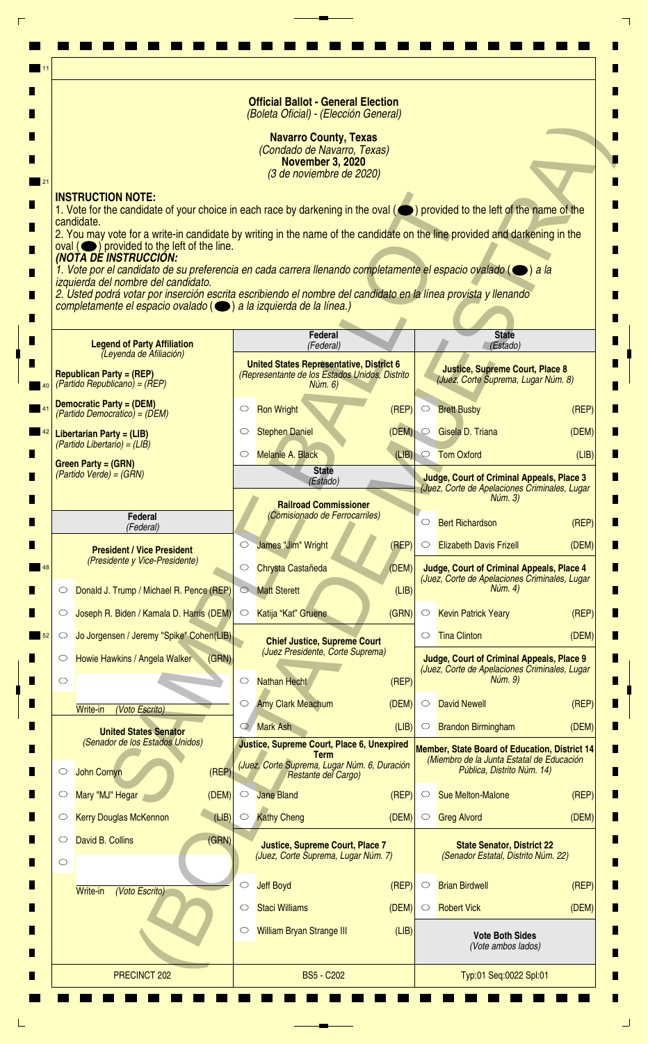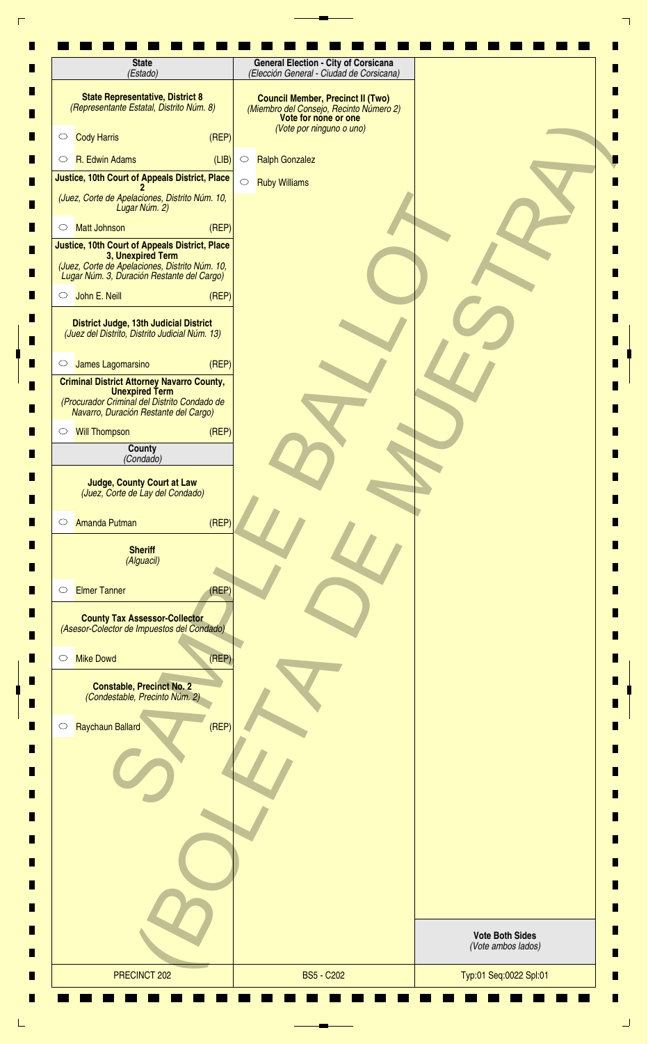| (Estado)                                                                                                          | (Elección General - Ciudad de Corsicana)                                                                                                |                                              |
|-------------------------------------------------------------------------------------------------------------------|-----------------------------------------------------------------------------------------------------------------------------------------|----------------------------------------------|
| <b>State Representative, District 8</b><br>(Representante Estatal, Distrito Núm. 8)                               | <b>Council Member, Precinct II (Two)</b><br>(Miembro del Consejo, Recinto Número 2)<br>Vote for none or one<br>(Vote por ninguno o uno) |                                              |
| <b>Cody Harris</b><br>$\circ$                                                                                     | (REF)                                                                                                                                   |                                              |
| R. Edwin Adams<br>$\circ$                                                                                         | (LIB)<br><b>Ralph Gonzalez</b><br>$\circ$                                                                                               |                                              |
| Justice, 10th Court of Appeals District, Place                                                                    | $\circ$<br><b>Ruby Williams</b>                                                                                                         |                                              |
| (Juez, Corte de Apelaciones, Distrito Núm. 10,<br>Lugar Núm. 2)                                                   |                                                                                                                                         |                                              |
| <b>Matt Johnson</b><br>$\circ$<br>Justice, 10th Court of Appeals District, Place                                  | (REP)                                                                                                                                   |                                              |
| 3, Unexpired Term<br>(Juez, Corte de Apelaciones, Distrito Núm. 10,<br>Lugar Núm. 3, Duración Restante del Cargo) |                                                                                                                                         |                                              |
| John E. Neill<br>$\circ$                                                                                          | (REF)                                                                                                                                   |                                              |
| District Judge, 13th Judicial District<br>(Juez del Distrito, Distrito Judicial Núm. 13)                          |                                                                                                                                         |                                              |
| James Lagomarsino<br>$\circ$                                                                                      | (REP)                                                                                                                                   |                                              |
| <b>Criminal District Attorney Navarro County,</b><br><b>Unexpired Term</b>                                        |                                                                                                                                         |                                              |
| (Procurador Criminal del Distrito Condado de<br>Navarro, Duración Restante del Cargo)                             |                                                                                                                                         |                                              |
| <b>Will Thompson</b><br>$\circ$                                                                                   | (REP)                                                                                                                                   |                                              |
| County<br>(Condado)                                                                                               |                                                                                                                                         |                                              |
| <b>Judge, County Court at Law</b><br>(Juez, Corte de Lay del Condado)                                             |                                                                                                                                         |                                              |
| Amanda Putman<br>$\circ$                                                                                          | (REF)                                                                                                                                   |                                              |
| <b>Sheriff</b><br>(Alguacil)                                                                                      |                                                                                                                                         |                                              |
| <b>Elmer Tanner</b><br>$\circ$                                                                                    | (REF)                                                                                                                                   |                                              |
| <b>County Tax Assessor-Collector</b><br>(Asesor-Colector de Impuestos del Condado)                                |                                                                                                                                         |                                              |
| <b>Mike Dowd</b><br>$\circ$                                                                                       | (REF)                                                                                                                                   |                                              |
| <b>Constable, Precinct No. 2</b><br>(Condestable, Precinto Núm. 2)                                                |                                                                                                                                         |                                              |
| Raychaun Ballard<br>$\circ$                                                                                       | (REF)                                                                                                                                   |                                              |
|                                                                                                                   |                                                                                                                                         |                                              |
|                                                                                                                   |                                                                                                                                         |                                              |
|                                                                                                                   |                                                                                                                                         |                                              |
|                                                                                                                   |                                                                                                                                         |                                              |
|                                                                                                                   |                                                                                                                                         | <b>Vote Both Sides</b><br>(Vote ambos lados) |
| PRECINCT 202                                                                                                      | <b>BS5 - C202</b>                                                                                                                       | Typ:01 Seq:0022 Spl:01                       |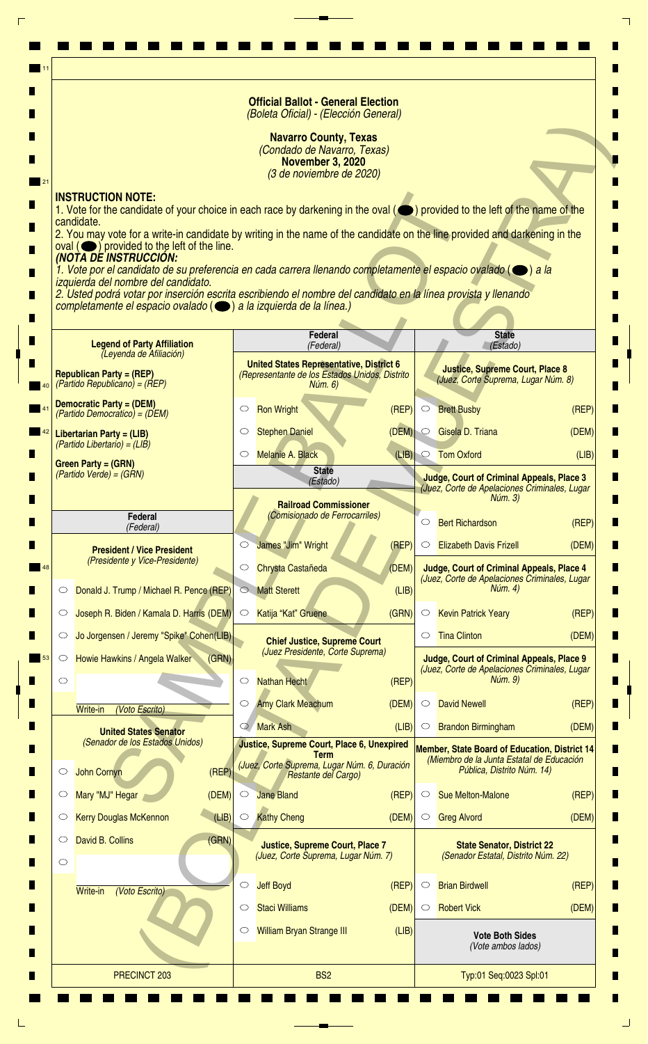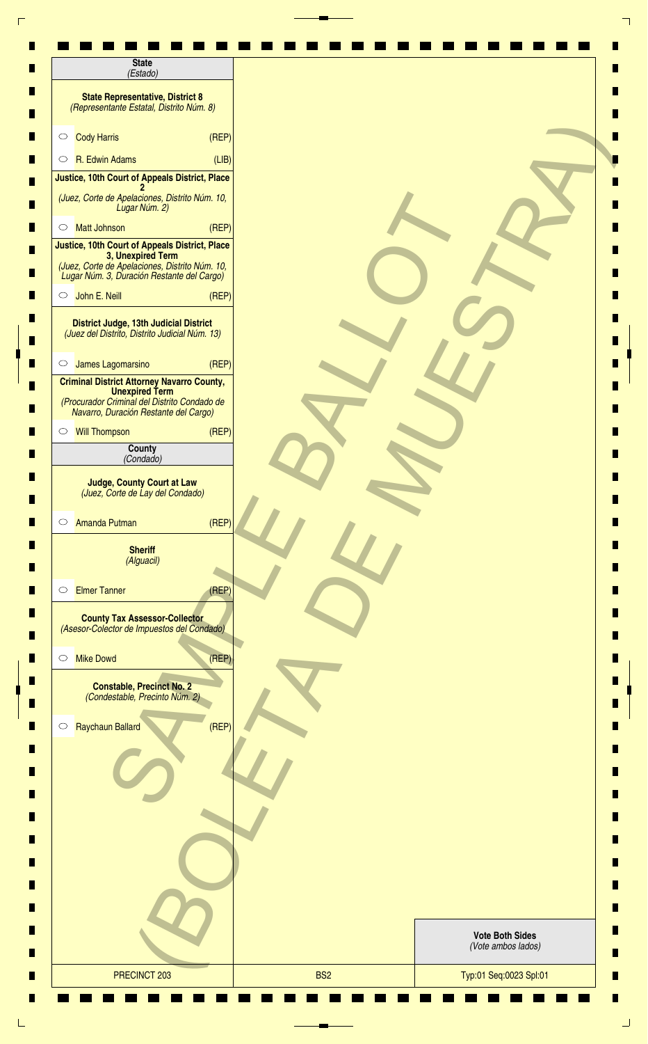| <b>State</b><br>(Estado)                                                                                                                                            |                                              |
|---------------------------------------------------------------------------------------------------------------------------------------------------------------------|----------------------------------------------|
| <b>State Representative, District 8</b><br>(Representante Estatal, Distrito Núm. 8)                                                                                 |                                              |
| <b>Cody Harris</b><br>(REF)<br>$\circ$                                                                                                                              |                                              |
| R. Edwin Adams<br>(LIB)<br>$\circ$                                                                                                                                  |                                              |
| Justice, 10th Court of Appeals District, Place                                                                                                                      |                                              |
| (Juez, Corte de Apelaciones, Distrito Núm. 10,<br>Lugar Núm. 2)                                                                                                     |                                              |
| <b>Matt Johnson</b><br>(REP)<br>$\circ$                                                                                                                             |                                              |
| Justice, 10th Court of Appeals District, Place<br>3, Unexpired Term<br>(Juez, Corte de Apelaciones, Distrito Núm. 10,<br>Lugar Núm. 3, Duración Restante del Cargo) |                                              |
| John E. Neill<br>(REF)<br>$\circ$                                                                                                                                   |                                              |
| District Judge, 13th Judicial District<br>(Juez del Distrito, Distrito Judicial Núm. 13)                                                                            |                                              |
| James Lagomarsino<br>(REP)<br>$\circ$                                                                                                                               |                                              |
| <b>Criminal District Attorney Navarro County,</b><br><b>Unexpired Term</b><br>(Procurador Criminal del Distrito Condado de<br>Navarro, Duración Restante del Cargo) |                                              |
| (REF)<br><b>Will Thompson</b><br>$\circ$                                                                                                                            |                                              |
| County<br>(Condado)                                                                                                                                                 |                                              |
| <b>Judge, County Court at Law</b><br>(Juez, Corte de Lay del Condado)<br>(REF)<br>Amanda Putman<br>$\circ$                                                          |                                              |
| <b>Sheriff</b><br>(Alguacil)                                                                                                                                        |                                              |
| <b>Elmer Tanner</b><br>(REF)<br>$\circ$                                                                                                                             |                                              |
| <b>County Tax Assessor-Collector</b><br>(Asesor-Colector de Impuestos del Condado)                                                                                  |                                              |
| <b>Mike Dowd</b><br>(REP)<br>$\circ$                                                                                                                                |                                              |
| <b>Constable, Precinct No. 2</b><br>(Condestable, Precinto Núm. 2)                                                                                                  |                                              |
| Raychaun Ballard<br>(REF)<br>$\circ$                                                                                                                                |                                              |
|                                                                                                                                                                     |                                              |
|                                                                                                                                                                     |                                              |
|                                                                                                                                                                     |                                              |
|                                                                                                                                                                     | <b>Vote Both Sides</b><br>(Vote ambos lados) |
|                                                                                                                                                                     |                                              |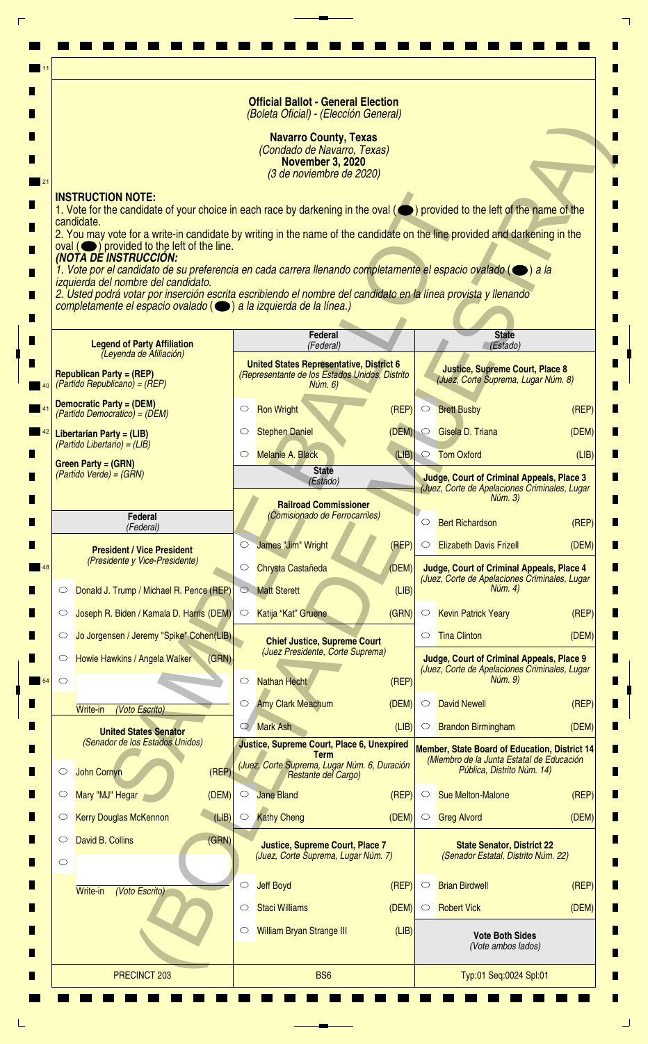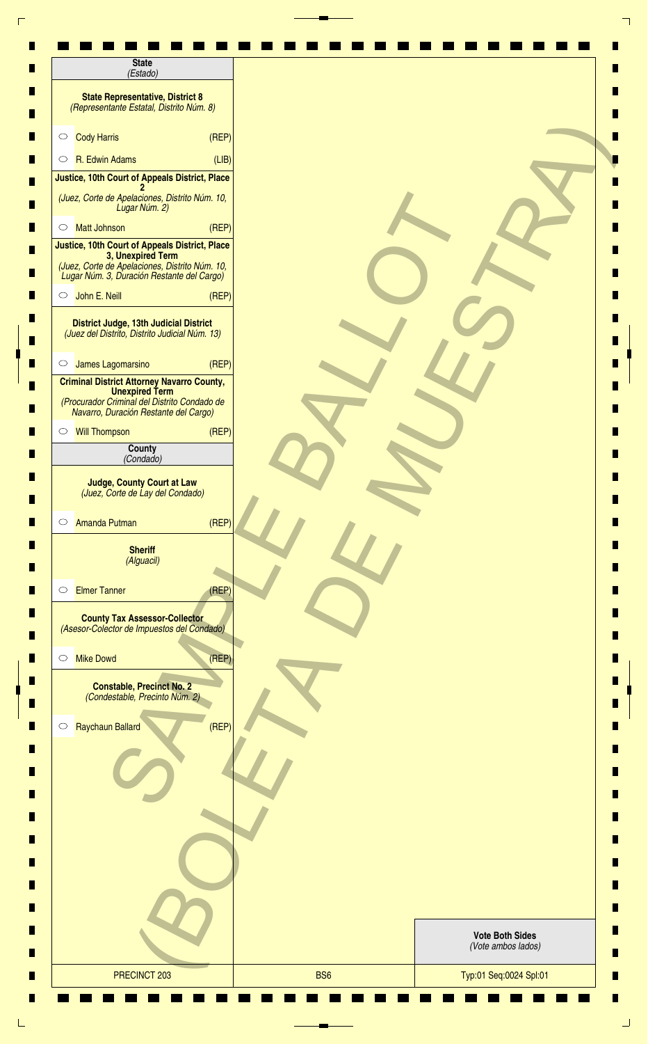| <b>State</b><br>(Estado)                                                                                                                                            |                                              |
|---------------------------------------------------------------------------------------------------------------------------------------------------------------------|----------------------------------------------|
| <b>State Representative, District 8</b><br>(Representante Estatal, Distrito Núm. 8)                                                                                 |                                              |
| <b>Cody Harris</b><br>(REF)<br>$\circ$                                                                                                                              |                                              |
| R. Edwin Adams<br>(LIB)<br>$\circ$                                                                                                                                  |                                              |
| Justice, 10th Court of Appeals District, Place                                                                                                                      |                                              |
| (Juez, Corte de Apelaciones, Distrito Núm. 10,<br>Lugar Núm. 2)                                                                                                     |                                              |
| <b>Matt Johnson</b><br>(REP)<br>$\circ$                                                                                                                             |                                              |
| Justice, 10th Court of Appeals District, Place<br>3, Unexpired Term<br>(Juez, Corte de Apelaciones, Distrito Núm. 10,<br>Lugar Núm. 3, Duración Restante del Cargo) |                                              |
| John E. Neill<br>(REF)<br>$\circ$                                                                                                                                   |                                              |
| District Judge, 13th Judicial District<br>(Juez del Distrito, Distrito Judicial Núm. 13)                                                                            |                                              |
| James Lagomarsino<br>(REP)<br>$\circ$                                                                                                                               |                                              |
| <b>Criminal District Attorney Navarro County,</b><br><b>Unexpired Term</b><br>(Procurador Criminal del Distrito Condado de<br>Navarro, Duración Restante del Cargo) |                                              |
| (REF)<br><b>Will Thompson</b><br>$\circ$                                                                                                                            |                                              |
| County<br>(Condado)                                                                                                                                                 |                                              |
| <b>Judge, County Court at Law</b><br>(Juez, Corte de Lay del Condado)<br>(REF)<br>Amanda Putman<br>$\circ$                                                          |                                              |
| <b>Sheriff</b><br>(Alguacil)                                                                                                                                        |                                              |
| <b>Elmer Tanner</b><br>(REF)<br>$\circ$                                                                                                                             |                                              |
| <b>County Tax Assessor-Collector</b><br>(Asesor-Colector de Impuestos del Condado)                                                                                  |                                              |
| <b>Mike Dowd</b><br>(REP)<br>$\circ$                                                                                                                                |                                              |
| <b>Constable, Precinct No. 2</b><br>(Condestable, Precinto Núm. 2)                                                                                                  |                                              |
| Raychaun Ballard<br>(REF)<br>$\circ$                                                                                                                                |                                              |
|                                                                                                                                                                     |                                              |
|                                                                                                                                                                     |                                              |
|                                                                                                                                                                     |                                              |
|                                                                                                                                                                     | <b>Vote Both Sides</b><br>(Vote ambos lados) |
|                                                                                                                                                                     |                                              |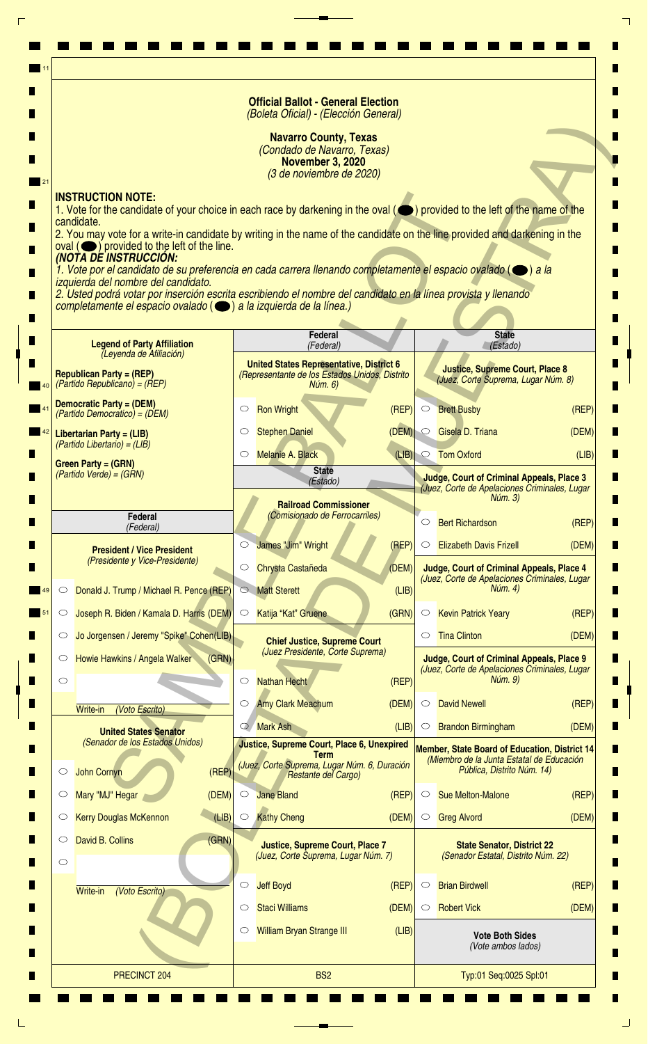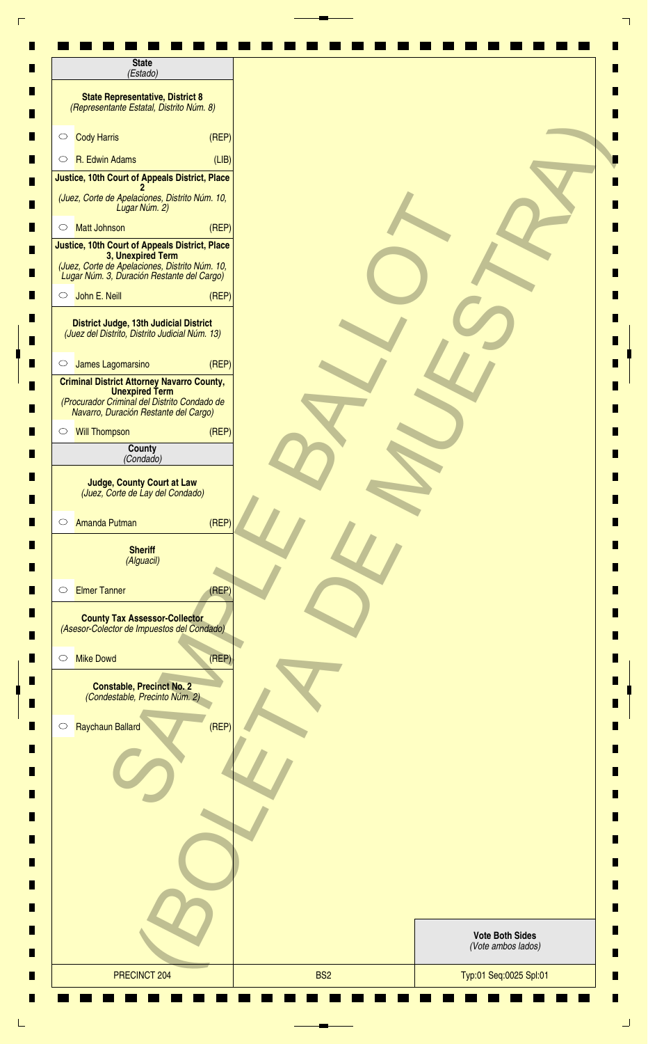| <b>State</b><br>(Estado)                                                                                                                                            |                                              |
|---------------------------------------------------------------------------------------------------------------------------------------------------------------------|----------------------------------------------|
| <b>State Representative, District 8</b><br>(Representante Estatal, Distrito Núm. 8)                                                                                 |                                              |
| <b>Cody Harris</b><br>(REF)<br>$\circ$                                                                                                                              |                                              |
| R. Edwin Adams<br>(LIB)<br>$\circ$                                                                                                                                  |                                              |
| Justice, 10th Court of Appeals District, Place                                                                                                                      |                                              |
| (Juez, Corte de Apelaciones, Distrito Núm. 10,<br>Lugar Núm. 2)                                                                                                     |                                              |
| <b>Matt Johnson</b><br>(REP)<br>$\circ$                                                                                                                             |                                              |
| Justice, 10th Court of Appeals District, Place<br>3, Unexpired Term<br>(Juez, Corte de Apelaciones, Distrito Núm. 10,<br>Lugar Núm. 3, Duración Restante del Cargo) |                                              |
| John E. Neill<br>(REF)<br>$\circ$                                                                                                                                   |                                              |
| District Judge, 13th Judicial District<br>(Juez del Distrito, Distrito Judicial Núm. 13)                                                                            |                                              |
| James Lagomarsino<br>(REP)<br>$\circ$                                                                                                                               |                                              |
| <b>Criminal District Attorney Navarro County,</b><br><b>Unexpired Term</b><br>(Procurador Criminal del Distrito Condado de<br>Navarro, Duración Restante del Cargo) |                                              |
| (REF)<br><b>Will Thompson</b><br>$\circ$                                                                                                                            |                                              |
| County<br>(Condado)                                                                                                                                                 |                                              |
| <b>Judge, County Court at Law</b><br>(Juez, Corte de Lay del Condado)<br>(REF)<br>Amanda Putman<br>$\circ$                                                          |                                              |
| <b>Sheriff</b><br>(Alguacil)                                                                                                                                        |                                              |
| <b>Elmer Tanner</b><br>(REF)<br>$\circ$                                                                                                                             |                                              |
| <b>County Tax Assessor-Collector</b><br>(Asesor-Colector de Impuestos del Condado)                                                                                  |                                              |
| <b>Mike Dowd</b><br>(REP)<br>$\circ$                                                                                                                                |                                              |
| <b>Constable, Precinct No. 2</b><br>(Condestable, Precinto Núm. 2)                                                                                                  |                                              |
| Raychaun Ballard<br>(REF)<br>$\circ$                                                                                                                                |                                              |
|                                                                                                                                                                     |                                              |
|                                                                                                                                                                     |                                              |
|                                                                                                                                                                     |                                              |
|                                                                                                                                                                     | <b>Vote Both Sides</b><br>(Vote ambos lados) |
|                                                                                                                                                                     |                                              |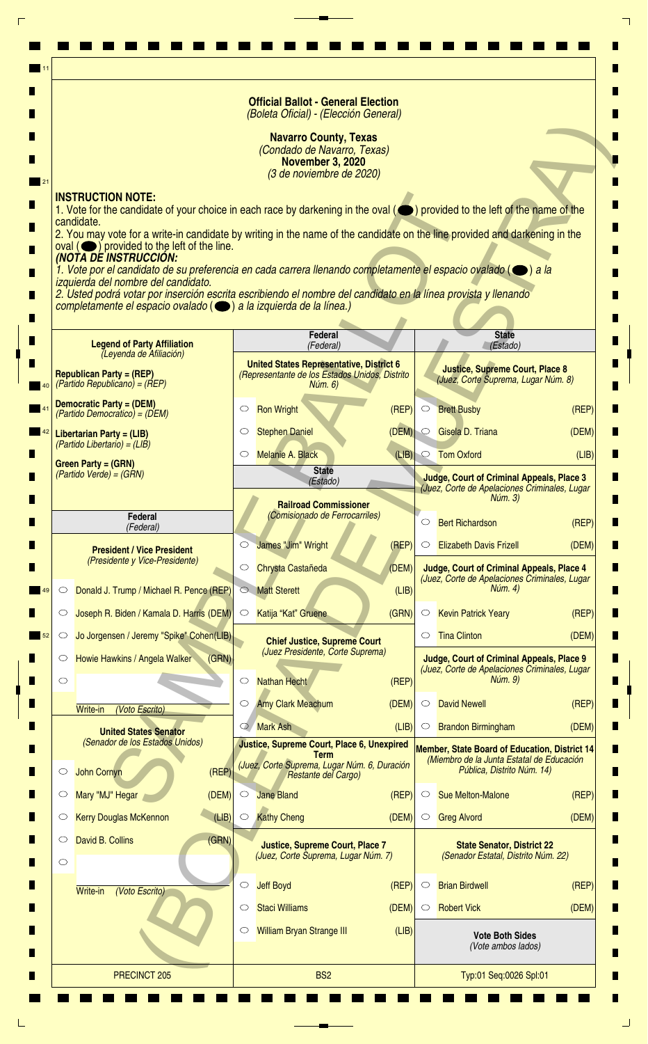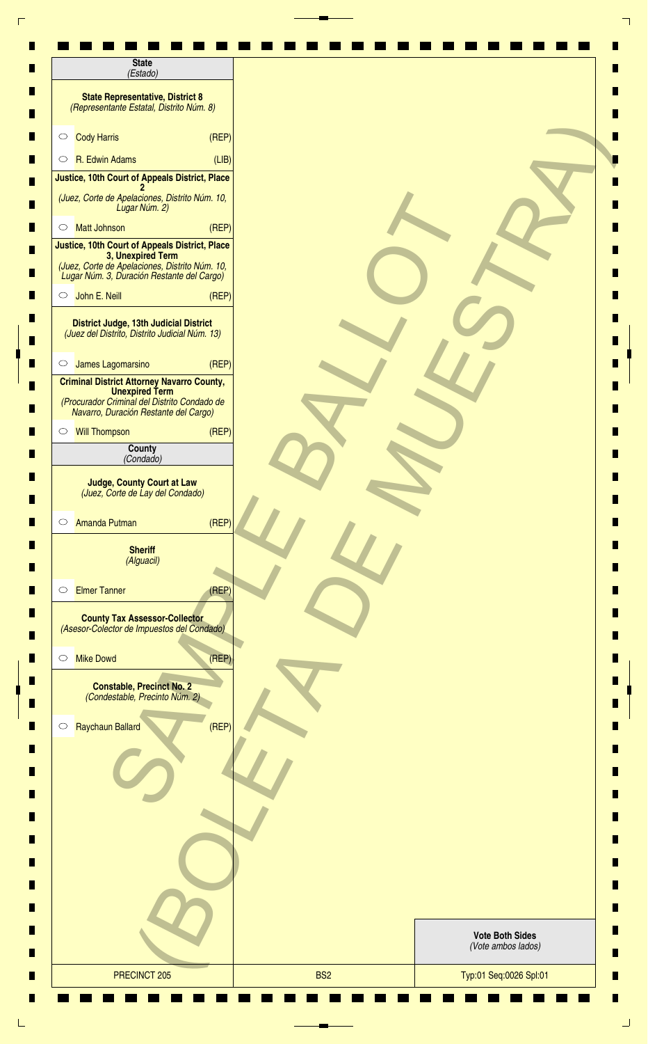| <b>State</b><br>(Estado)                                                                                                                                            |                        |
|---------------------------------------------------------------------------------------------------------------------------------------------------------------------|------------------------|
| <b>State Representative, District 8</b><br>(Representante Estatal, Distrito Núm. 8)                                                                                 |                        |
| <b>Cody Harris</b><br>(REF)<br>$\circ$                                                                                                                              |                        |
| R. Edwin Adams<br>(LIB)<br>$\circ$                                                                                                                                  |                        |
| Justice, 10th Court of Appeals District, Place                                                                                                                      |                        |
| (Juez, Corte de Apelaciones, Distrito Núm. 10,<br>Lugar Núm. 2)                                                                                                     |                        |
| <b>Matt Johnson</b><br>(REP)<br>$\circ$                                                                                                                             |                        |
| Justice, 10th Court of Appeals District, Place<br>3, Unexpired Term<br>(Juez, Corte de Apelaciones, Distrito Núm. 10,<br>Lugar Núm. 3, Duración Restante del Cargo) |                        |
| John E. Neill<br>(REF)<br>$\circ$                                                                                                                                   |                        |
| District Judge, 13th Judicial District<br>(Juez del Distrito, Distrito Judicial Núm. 13)                                                                            |                        |
| James Lagomarsino<br>(REP)<br>$\circ$                                                                                                                               |                        |
| <b>Criminal District Attorney Navarro County,</b><br><b>Unexpired Term</b><br>(Procurador Criminal del Distrito Condado de<br>Navarro, Duración Restante del Cargo) |                        |
| (REF)<br><b>Will Thompson</b><br>$\circ$                                                                                                                            |                        |
| County<br>(Condado)                                                                                                                                                 |                        |
| <b>Judge, County Court at Law</b><br>(Juez, Corte de Lay del Condado)<br>(REF)<br>Amanda Putman<br>$\circ$                                                          |                        |
| <b>Sheriff</b><br>(Alguacil)                                                                                                                                        |                        |
| <b>Elmer Tanner</b><br>(REF)<br>$\circ$                                                                                                                             |                        |
| <b>County Tax Assessor-Collector</b><br>(Asesor-Colector de Impuestos del Condado)                                                                                  |                        |
| <b>Mike Dowd</b><br>(REP)<br>$\circ$                                                                                                                                |                        |
| <b>Constable, Precinct No. 2</b><br>(Condestable, Precinto Núm. 2)                                                                                                  |                        |
| Raychaun Ballard<br>(REF)<br>$\circ$                                                                                                                                |                        |
|                                                                                                                                                                     |                        |
|                                                                                                                                                                     |                        |
|                                                                                                                                                                     |                        |
|                                                                                                                                                                     | <b>Vote Both Sides</b> |
|                                                                                                                                                                     | (Vote ambos lados)     |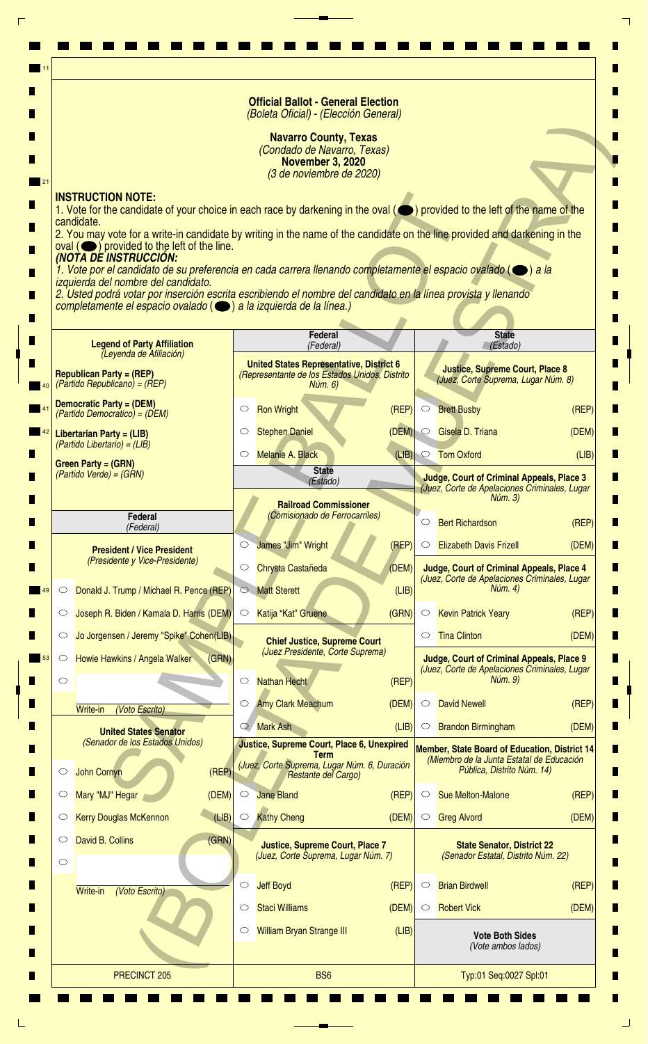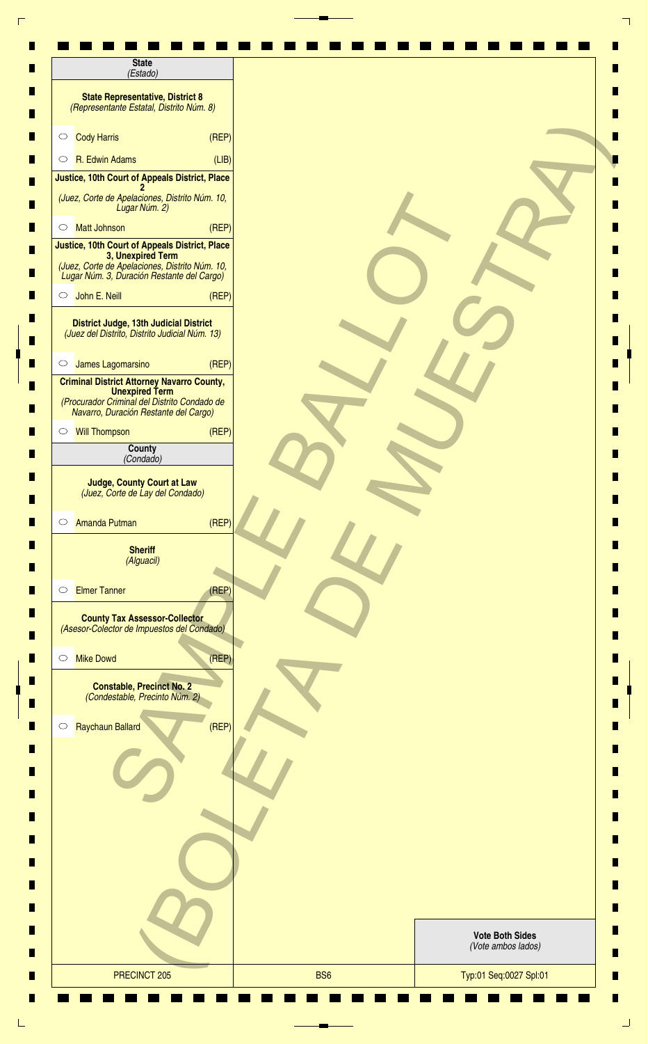| <b>State</b><br>(Estado)                                                                                                                                            |                                              |
|---------------------------------------------------------------------------------------------------------------------------------------------------------------------|----------------------------------------------|
| <b>State Representative, District 8</b><br>(Representante Estatal, Distrito Núm. 8)                                                                                 |                                              |
| <b>Cody Harris</b><br>(REF)<br>$\circ$                                                                                                                              |                                              |
| R. Edwin Adams<br>(LIB)<br>$\circ$                                                                                                                                  |                                              |
| Justice, 10th Court of Appeals District, Place                                                                                                                      |                                              |
| (Juez, Corte de Apelaciones, Distrito Núm. 10,<br>Lugar Núm. 2)                                                                                                     |                                              |
| <b>Matt Johnson</b><br>(REP)<br>$\circ$                                                                                                                             |                                              |
| Justice, 10th Court of Appeals District, Place<br>3, Unexpired Term<br>(Juez, Corte de Apelaciones, Distrito Núm. 10,<br>Lugar Núm. 3, Duración Restante del Cargo) |                                              |
| John E. Neill<br>(REF)<br>$\circ$                                                                                                                                   |                                              |
| District Judge, 13th Judicial District<br>(Juez del Distrito, Distrito Judicial Núm. 13)                                                                            |                                              |
| James Lagomarsino<br>(REP)<br>$\circ$                                                                                                                               |                                              |
| <b>Criminal District Attorney Navarro County,</b><br><b>Unexpired Term</b><br>(Procurador Criminal del Distrito Condado de<br>Navarro, Duración Restante del Cargo) |                                              |
| (REF)<br><b>Will Thompson</b><br>$\circ$                                                                                                                            |                                              |
| County<br>(Condado)                                                                                                                                                 |                                              |
| <b>Judge, County Court at Law</b><br>(Juez, Corte de Lay del Condado)<br>(REF)<br>Amanda Putman<br>$\circ$                                                          |                                              |
| <b>Sheriff</b><br>(Alguacil)                                                                                                                                        |                                              |
| <b>Elmer Tanner</b><br>(REF)<br>$\circ$                                                                                                                             |                                              |
| <b>County Tax Assessor-Collector</b><br>(Asesor-Colector de Impuestos del Condado)                                                                                  |                                              |
| <b>Mike Dowd</b><br>(REP)<br>$\circ$                                                                                                                                |                                              |
| <b>Constable, Precinct No. 2</b><br>(Condestable, Precinto Núm. 2)                                                                                                  |                                              |
| Raychaun Ballard<br>(REF)<br>$\circ$                                                                                                                                |                                              |
|                                                                                                                                                                     |                                              |
|                                                                                                                                                                     |                                              |
|                                                                                                                                                                     |                                              |
|                                                                                                                                                                     | <b>Vote Both Sides</b><br>(Vote ambos lados) |
|                                                                                                                                                                     |                                              |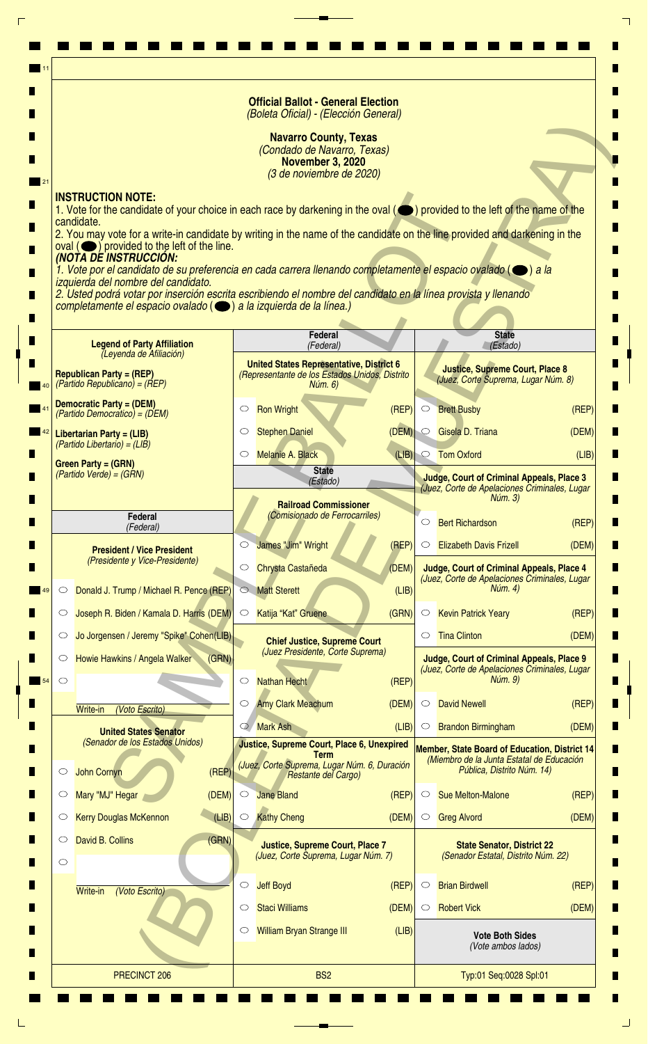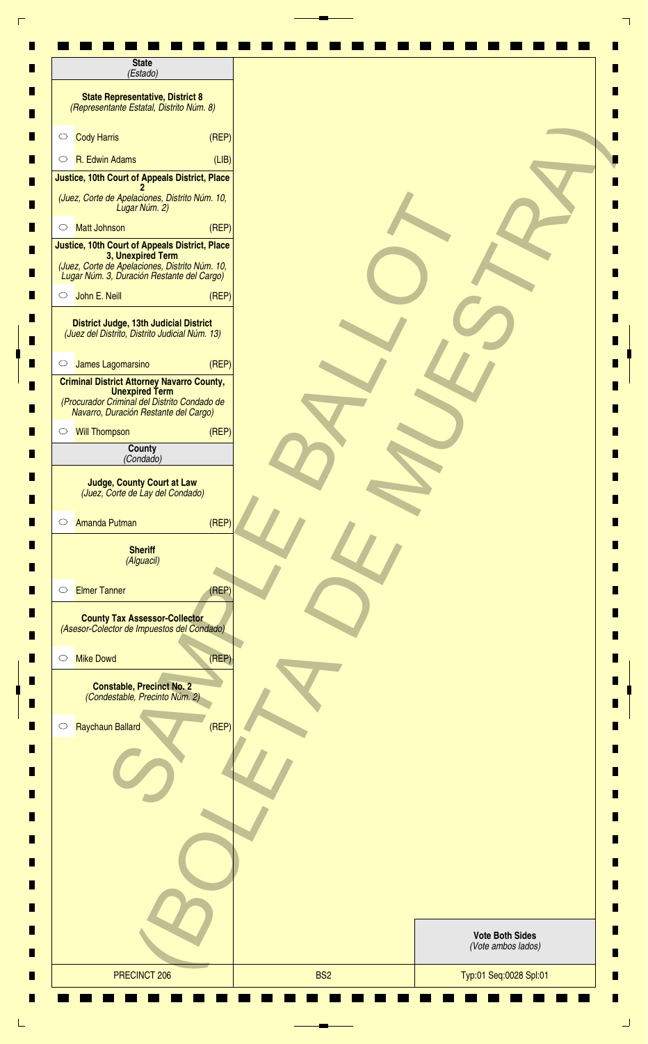| <b>State</b><br>(Estado)                                                                                                                                            |                                              |
|---------------------------------------------------------------------------------------------------------------------------------------------------------------------|----------------------------------------------|
| <b>State Representative, District 8</b><br>(Representante Estatal, Distrito Núm. 8)                                                                                 |                                              |
| <b>Cody Harris</b><br>(REF)<br>$\circ$                                                                                                                              |                                              |
| R. Edwin Adams<br>(LIB)<br>$\circ$                                                                                                                                  |                                              |
| Justice, 10th Court of Appeals District, Place                                                                                                                      |                                              |
| (Juez, Corte de Apelaciones, Distrito Núm. 10,<br>Lugar Núm. 2)                                                                                                     |                                              |
| <b>Matt Johnson</b><br>(REP)<br>$\circ$                                                                                                                             |                                              |
| Justice, 10th Court of Appeals District, Place<br>3, Unexpired Term<br>(Juez, Corte de Apelaciones, Distrito Núm. 10,<br>Lugar Núm. 3, Duración Restante del Cargo) |                                              |
| John E. Neill<br>(REF)<br>$\circ$                                                                                                                                   |                                              |
| District Judge, 13th Judicial District<br>(Juez del Distrito, Distrito Judicial Núm. 13)                                                                            |                                              |
| James Lagomarsino<br>(REP)<br>$\circ$                                                                                                                               |                                              |
| <b>Criminal District Attorney Navarro County,</b><br><b>Unexpired Term</b><br>(Procurador Criminal del Distrito Condado de<br>Navarro, Duración Restante del Cargo) |                                              |
| (REF)<br><b>Will Thompson</b><br>$\circ$                                                                                                                            |                                              |
| County<br>(Condado)                                                                                                                                                 |                                              |
| <b>Judge, County Court at Law</b><br>(Juez, Corte de Lay del Condado)<br>(REF)<br>Amanda Putman<br>$\circ$                                                          |                                              |
| <b>Sheriff</b><br>(Alguacil)                                                                                                                                        |                                              |
| <b>Elmer Tanner</b><br>(REF)<br>$\circ$                                                                                                                             |                                              |
| <b>County Tax Assessor-Collector</b><br>(Asesor-Colector de Impuestos del Condado)                                                                                  |                                              |
| <b>Mike Dowd</b><br>(REP)<br>$\circ$                                                                                                                                |                                              |
| <b>Constable, Precinct No. 2</b><br>(Condestable, Precinto Núm. 2)                                                                                                  |                                              |
| Raychaun Ballard<br>(REF)<br>$\circ$                                                                                                                                |                                              |
|                                                                                                                                                                     |                                              |
|                                                                                                                                                                     |                                              |
|                                                                                                                                                                     |                                              |
|                                                                                                                                                                     | <b>Vote Both Sides</b><br>(Vote ambos lados) |
|                                                                                                                                                                     |                                              |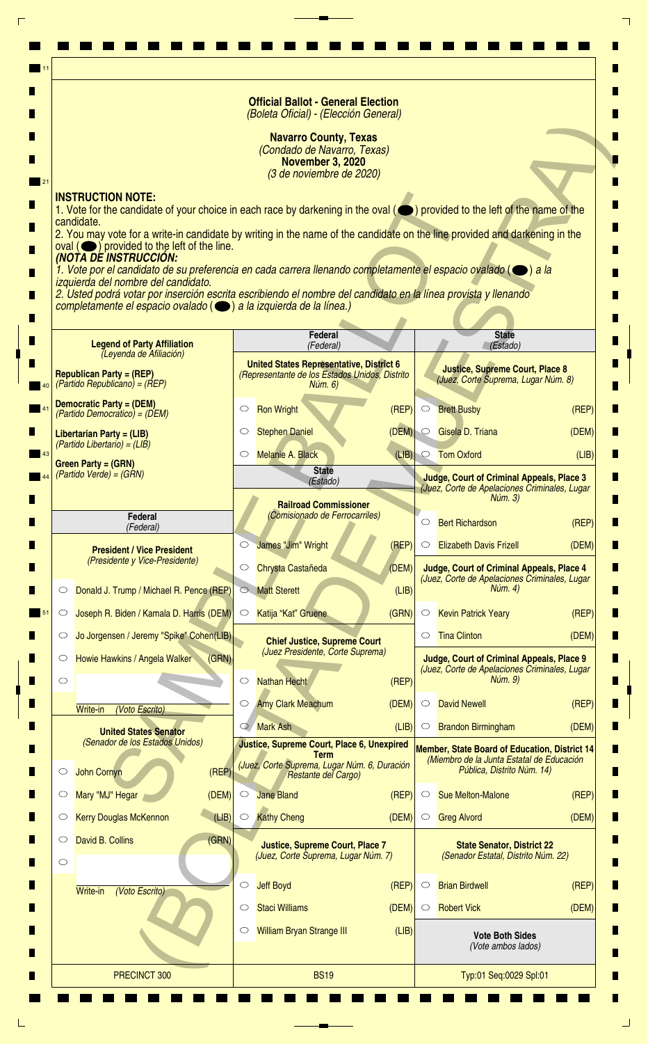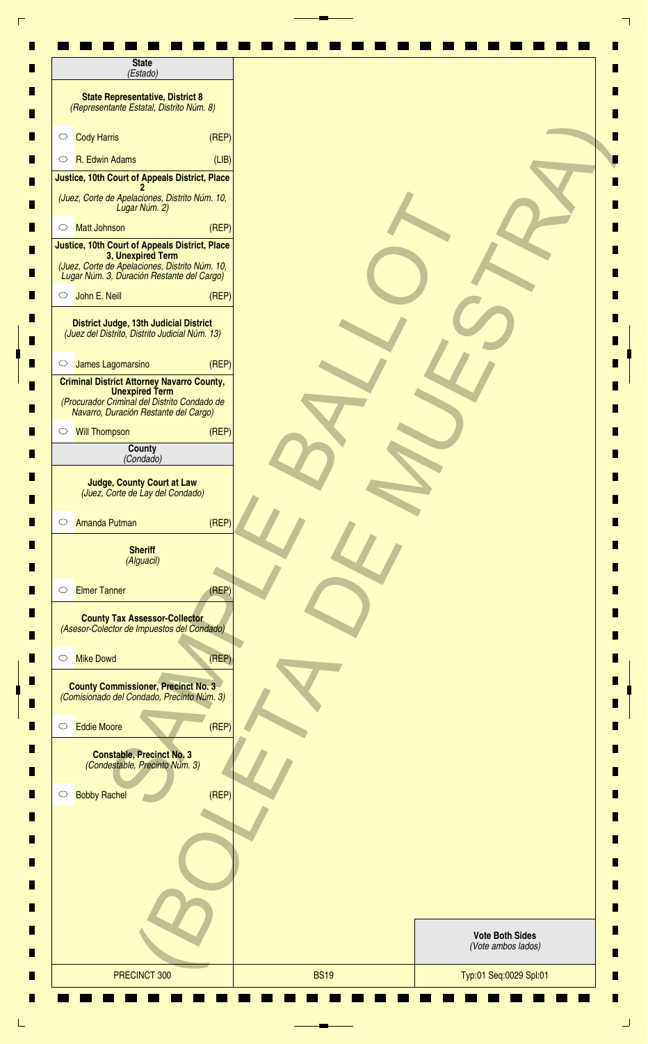| (Estado)                                                                                                                                                            |       |  |                                              |
|---------------------------------------------------------------------------------------------------------------------------------------------------------------------|-------|--|----------------------------------------------|
| <b>State Representative, District 8</b><br>(Representante Estatal, Distrito Núm. 8)                                                                                 |       |  |                                              |
| <b>Cody Harris</b><br>$\circ$                                                                                                                                       | (REF) |  |                                              |
| R. Edwin Adams<br>$\circ$                                                                                                                                           | (LIB) |  |                                              |
| Justice, 10th Court of Appeals District, Place                                                                                                                      |       |  |                                              |
| (Juez, Corte de Apelaciones, Distrito Núm. 10,<br>Lugar Núm. 2)                                                                                                     |       |  |                                              |
| <b>Matt Johnson</b><br>$\circ$                                                                                                                                      | (REF) |  |                                              |
| Justice, 10th Court of Appeals District, Place<br>3, Unexpired Term<br>(Juez, Corte de Apelaciones, Distrito Núm. 10,<br>Lugar Núm. 3, Duración Restante del Cargo) |       |  |                                              |
| John E. Neill<br>$\circ$                                                                                                                                            | (REF) |  |                                              |
| <b>District Judge, 13th Judicial District</b><br>(Juez del Distrito, Distrito Judicial Núm. 13)                                                                     |       |  |                                              |
| James Lagomarsino<br>$\circ$                                                                                                                                        | (REF) |  |                                              |
| <b>Criminal District Attorney Navarro County,</b><br><b>Unexpired Term</b><br>(Procurador Criminal del Distrito Condado de<br>Navarro, Duración Restante del Cargo) |       |  |                                              |
| <b>Will Thompson</b><br>$\circ$                                                                                                                                     | (REF) |  |                                              |
| County<br>(Condado)                                                                                                                                                 |       |  |                                              |
| <b>Judge, County Court at Law</b><br>(Juez, Corte de Lay del Condado)<br><b>Amanda Putman</b><br>$\circ$                                                            | (REF) |  |                                              |
| <b>Sheriff</b><br>(Alguacil)                                                                                                                                        |       |  |                                              |
| <b>Elmer Tanner</b><br>$\circ$                                                                                                                                      | (REP) |  |                                              |
| <b>County Tax Assessor-Collector</b><br>(Asesor-Colector de Impuestos del Condado)                                                                                  |       |  |                                              |
| <b>Mike Dowd</b><br>$\circ$                                                                                                                                         | (REF) |  |                                              |
| <b>County Commissioner, Precinct No. 3</b><br>(Comisionado del Condado, Precinto Núm. 3)                                                                            |       |  |                                              |
| <b>Eddie Moore</b><br>$\circlearrowright$                                                                                                                           | (REP) |  |                                              |
| <b>Constable, Precinct No. 3</b><br>(Condestable, Precinto Núm. 3)                                                                                                  |       |  |                                              |
| <b>Bobby Rachel</b><br>$\circ$                                                                                                                                      | (REF) |  |                                              |
|                                                                                                                                                                     |       |  |                                              |
|                                                                                                                                                                     |       |  |                                              |
|                                                                                                                                                                     |       |  |                                              |
|                                                                                                                                                                     |       |  | <b>Vote Both Sides</b><br>(Vote ambos lados) |
|                                                                                                                                                                     |       |  |                                              |

٦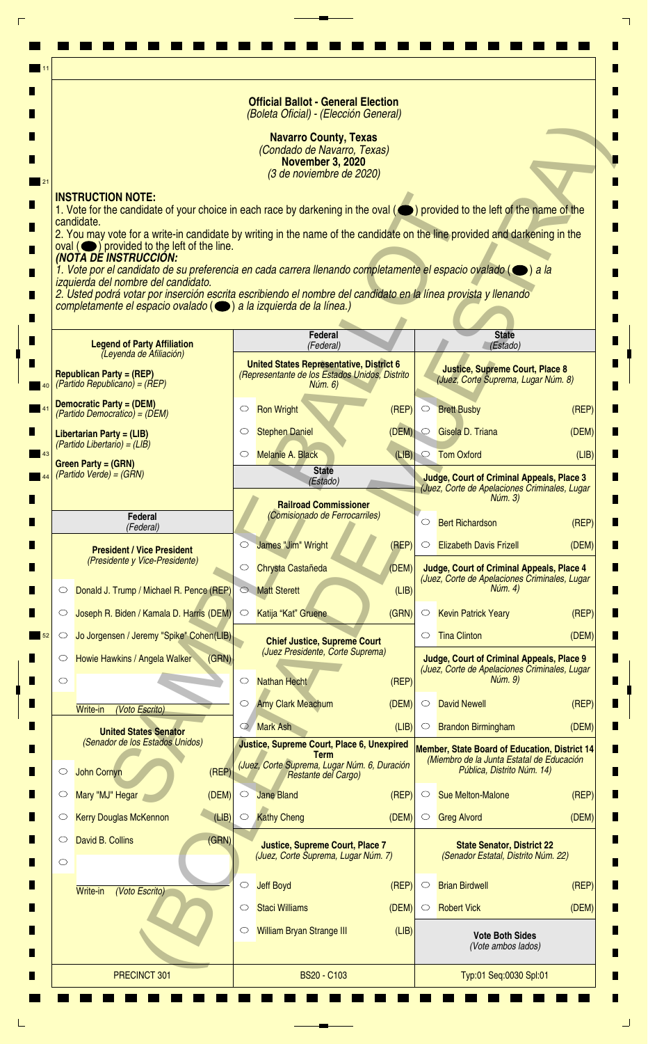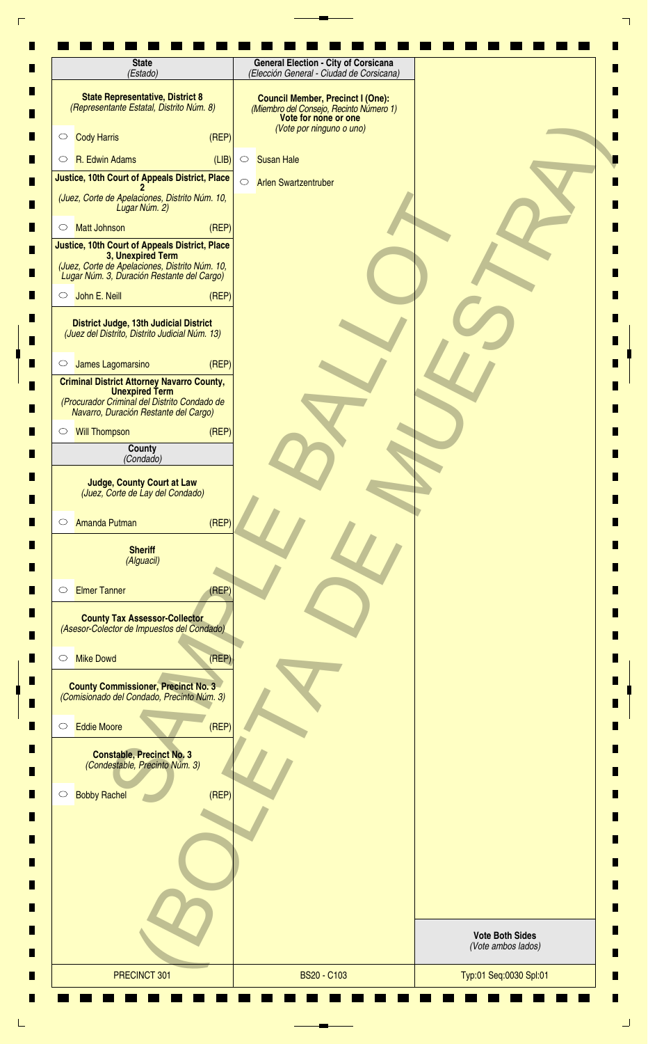| <b>State</b><br>(Estado)                                                                                                   | <b>General Election - City of Corsicana</b><br>(Elección General - Ciudad de Corsicana)                                                 |                                              |
|----------------------------------------------------------------------------------------------------------------------------|-----------------------------------------------------------------------------------------------------------------------------------------|----------------------------------------------|
| <b>State Representative, District 8</b><br>(Representante Estatal, Distrito Núm. 8)                                        | <b>Council Member, Precinct I (One):</b><br>(Miembro del Consejo, Recinto Número 1)<br>Vote for none or one<br>(Vote por ninguno o uno) |                                              |
| (REF)<br><b>Cody Harris</b><br>$\circ$                                                                                     |                                                                                                                                         |                                              |
| R. Edwin Adams<br>(LIB)<br>$\circ$                                                                                         | <b>Susan Hale</b><br>$\circ$                                                                                                            |                                              |
| Justice, 10th Court of Appeals District, Place                                                                             | $\circ$<br><b>Arlen Swartzentruber</b>                                                                                                  |                                              |
| (Juez, Corte de Apelaciones, Distrito Núm. 10,<br>Lugar Núm. 2)                                                            |                                                                                                                                         |                                              |
| (REP)<br><b>Matt Johnson</b><br>$\circ$<br>Justice, 10th Court of Appeals District, Place                                  |                                                                                                                                         |                                              |
| 3, Unexpired Term<br>(Juez, Corte de Apelaciones, Distrito Núm. 10,<br>Lugar Núm. 3, Duración Restante del Cargo)          |                                                                                                                                         |                                              |
| John E. Neill<br>(REF)<br>$\circ$                                                                                          |                                                                                                                                         |                                              |
| District Judge, 13th Judicial District<br>(Juez del Distrito, Distrito Judicial Núm. 13)                                   |                                                                                                                                         |                                              |
| (REF)<br>James Lagomarsino<br>$\circ$                                                                                      |                                                                                                                                         |                                              |
| <b>Criminal District Attorney Navarro County,</b><br><b>Unexpired Term</b><br>(Procurador Criminal del Distrito Condado de |                                                                                                                                         |                                              |
| Navarro, Duración Restante del Cargo)<br>(REP)<br><b>Will Thompson</b><br>$\circ$                                          |                                                                                                                                         |                                              |
| County                                                                                                                     |                                                                                                                                         |                                              |
| (Condado)                                                                                                                  |                                                                                                                                         |                                              |
| <b>Judge, County Court at Law</b><br>(Juez, Corte de Lay del Condado)                                                      |                                                                                                                                         |                                              |
| (REF)<br><b>Amanda Putman</b><br>$\circ$                                                                                   |                                                                                                                                         |                                              |
| <b>Sheriff</b><br>(Alguacil)                                                                                               |                                                                                                                                         |                                              |
| <b>Elmer Tanner</b><br>(REF)<br>$\circ$                                                                                    |                                                                                                                                         |                                              |
| <b>County Tax Assessor-Collector</b><br>(Asesor-Colector de Impuestos del Condado)                                         |                                                                                                                                         |                                              |
| (REF)<br><b>Mike Dowd</b><br>$\circ$                                                                                       |                                                                                                                                         |                                              |
| <b>County Commissioner, Precinct No. 3</b><br>(Comisionado del Condado, Precinto Núm. 3)                                   |                                                                                                                                         |                                              |
| (REF)<br><b>Eddie Moore</b><br>$\circ$                                                                                     |                                                                                                                                         |                                              |
| <b>Constable, Precinct No. 3</b><br>(Condestable, Precinto Núm. 3)                                                         |                                                                                                                                         |                                              |
| (REF)<br><b>Bobby Rachel</b><br>$\circ$                                                                                    |                                                                                                                                         |                                              |
|                                                                                                                            |                                                                                                                                         |                                              |
|                                                                                                                            |                                                                                                                                         |                                              |
|                                                                                                                            |                                                                                                                                         |                                              |
|                                                                                                                            |                                                                                                                                         |                                              |
|                                                                                                                            |                                                                                                                                         | <b>Vote Both Sides</b><br>(Vote ambos lados) |
| PRECINCT 301                                                                                                               | <b>BS20 - C103</b>                                                                                                                      | Typ:01 Seq:0030 Spl:01                       |

 $\Gamma$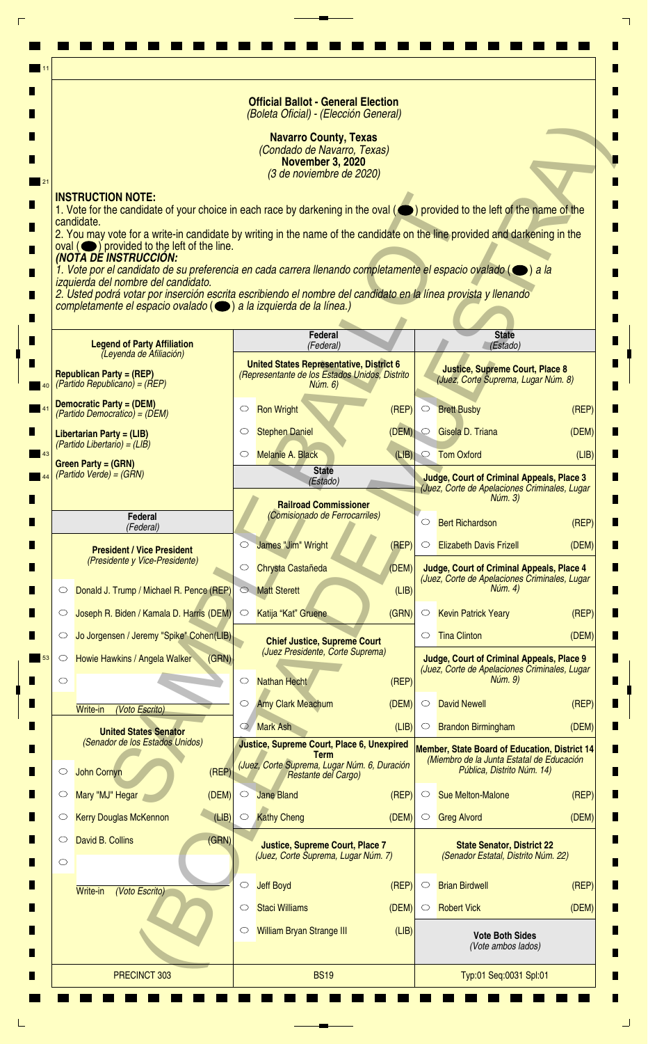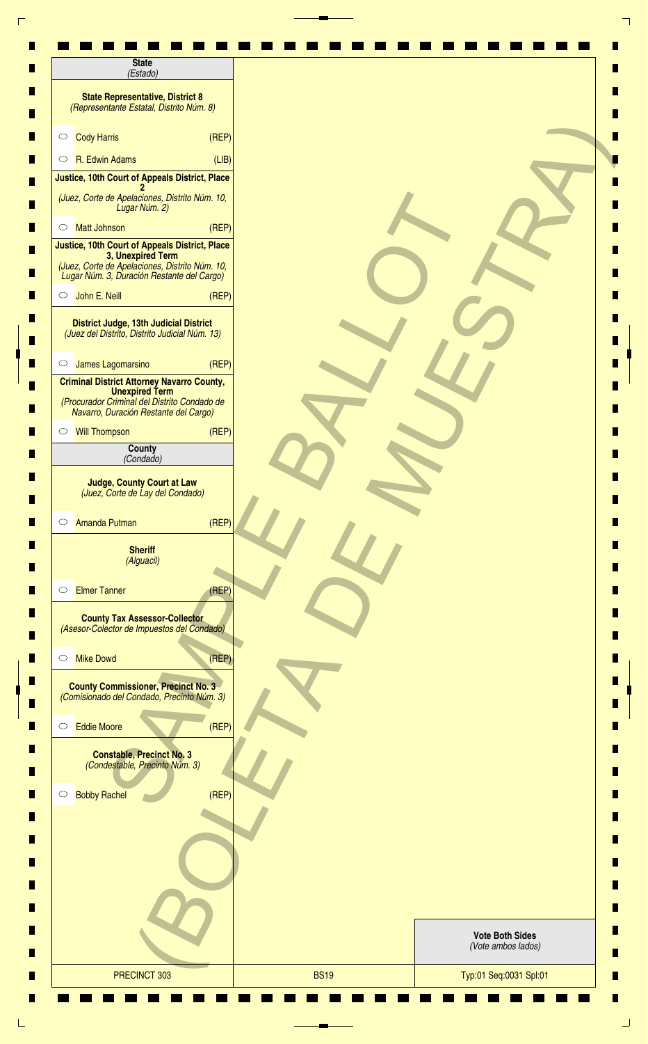| <b>State</b><br>(Estado)                                                                                                                                            |       |                        |  |
|---------------------------------------------------------------------------------------------------------------------------------------------------------------------|-------|------------------------|--|
| <b>State Representative, District 8</b><br>(Representante Estatal, Distrito Núm. 8)                                                                                 |       |                        |  |
| <b>Cody Harris</b><br>$\circ$                                                                                                                                       | (REF) |                        |  |
| R. Edwin Adams<br>$\circ$                                                                                                                                           | (LIB) |                        |  |
| Justice, 10th Court of Appeals District, Place                                                                                                                      |       |                        |  |
| (Juez, Corte de Apelaciones, Distrito Núm. 10,<br>Lugar Núm. 2)                                                                                                     |       |                        |  |
| <b>Matt Johnson</b><br>$\circ$                                                                                                                                      | (REF) |                        |  |
| Justice, 10th Court of Appeals District, Place<br>3, Unexpired Term<br>(Juez, Corte de Apelaciones, Distrito Núm. 10,<br>Lugar Núm. 3, Duración Restante del Cargo) |       |                        |  |
| John E. Neill<br>$\circ$                                                                                                                                            | (REF) |                        |  |
| <b>District Judge, 13th Judicial District</b><br>(Juez del Distrito, Distrito Judicial Núm. 13)                                                                     |       |                        |  |
| James Lagomarsino<br>$\circ$                                                                                                                                        | (REF) |                        |  |
| <b>Criminal District Attorney Navarro County,</b><br><b>Unexpired Term</b><br>(Procurador Criminal del Distrito Condado de<br>Navarro, Duración Restante del Cargo) |       |                        |  |
| <b>Will Thompson</b><br>$\circ$                                                                                                                                     | (REF) |                        |  |
| County<br>(Condado)                                                                                                                                                 |       |                        |  |
| <b>Judge, County Court at Law</b><br>(Juez, Corte de Lay del Condado)                                                                                               |       |                        |  |
| <b>Amanda Putman</b><br>$\circ$                                                                                                                                     | (REF) |                        |  |
| <b>Sheriff</b><br>(Alguacil)                                                                                                                                        |       |                        |  |
| <b>Elmer Tanner</b><br>$\circ$                                                                                                                                      | (REP) |                        |  |
| <b>County Tax Assessor-Collector</b><br>(Asesor-Colector de Impuestos del Condado)                                                                                  |       |                        |  |
| <b>Mike Dowd</b><br>$\circ$                                                                                                                                         | (REF) |                        |  |
| <b>County Commissioner, Precinct No. 3</b><br>(Comisionado del Condado, Precinto Núm. 3)                                                                            |       |                        |  |
| <b>Eddie Moore</b><br>$\circlearrowright$                                                                                                                           | (REP) |                        |  |
| <b>Constable, Precinct No. 3</b><br>(Condestable, Precinto Núm. 3)                                                                                                  |       |                        |  |
| <b>Bobby Rachel</b><br>$\circ$                                                                                                                                      | (REF) |                        |  |
|                                                                                                                                                                     |       |                        |  |
|                                                                                                                                                                     |       |                        |  |
|                                                                                                                                                                     |       |                        |  |
|                                                                                                                                                                     |       | <b>Vote Both Sides</b> |  |
|                                                                                                                                                                     |       | (Vote ambos lados)     |  |

٦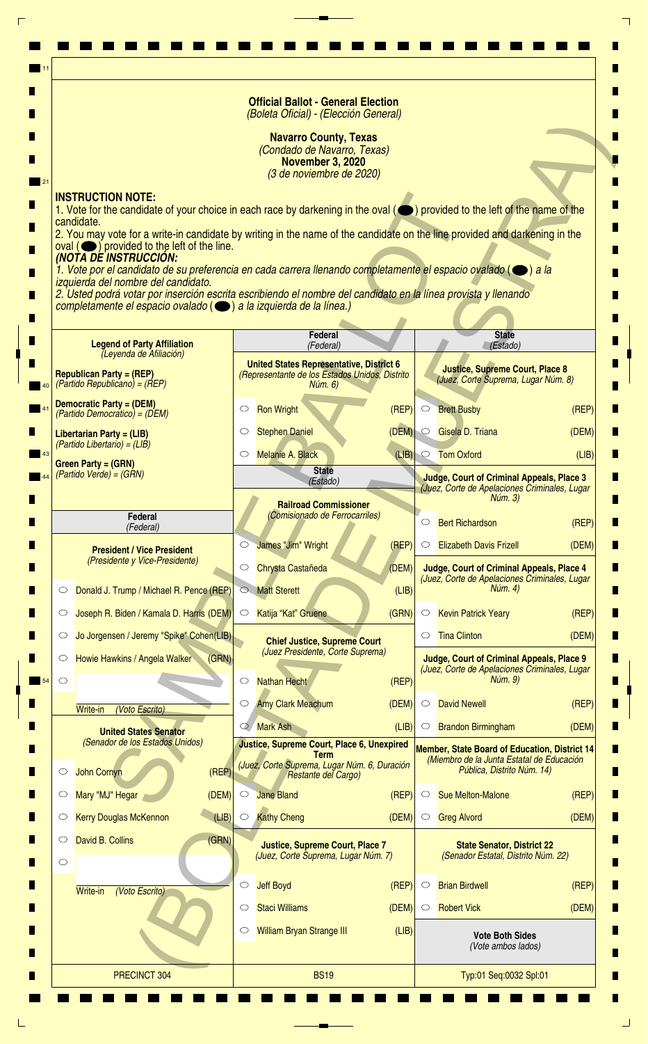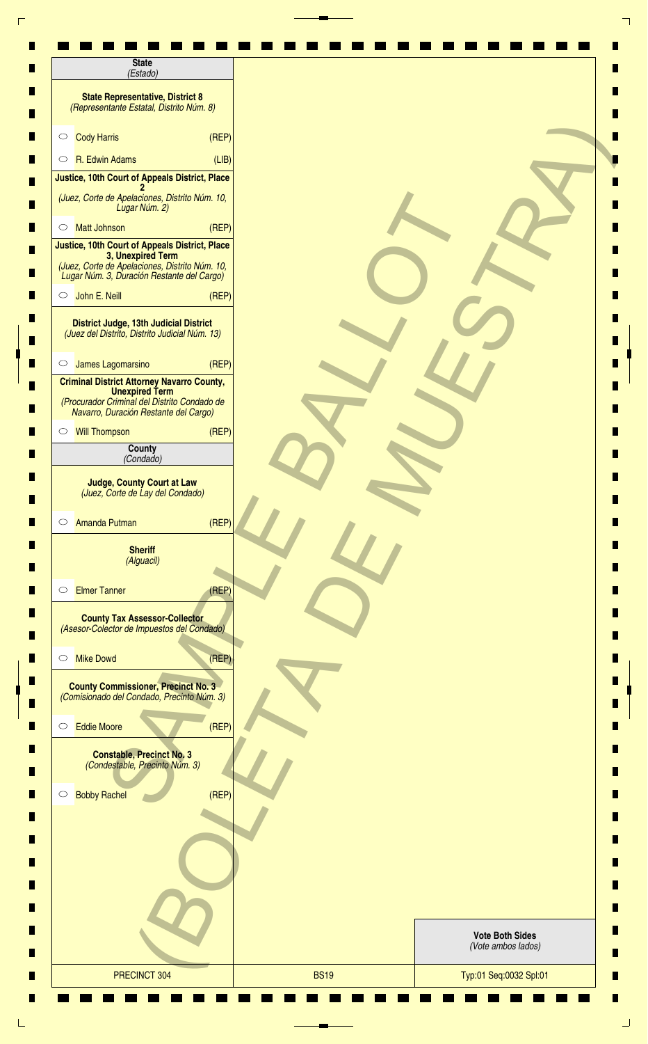| <b>State</b><br>(Estado)                                                                                                                                            |       |  |                                              |
|---------------------------------------------------------------------------------------------------------------------------------------------------------------------|-------|--|----------------------------------------------|
| <b>State Representative, District 8</b><br>(Representante Estatal, Distrito Núm. 8)                                                                                 |       |  |                                              |
| <b>Cody Harris</b><br>$\circ$                                                                                                                                       | (REF) |  |                                              |
| R. Edwin Adams<br>$\circ$                                                                                                                                           | (LIB) |  |                                              |
| Justice, 10th Court of Appeals District, Place                                                                                                                      |       |  |                                              |
| (Juez, Corte de Apelaciones, Distrito Núm. 10,<br>Lugar Núm. 2)                                                                                                     |       |  |                                              |
| <b>Matt Johnson</b><br>$\circ$                                                                                                                                      | (REF) |  |                                              |
| Justice, 10th Court of Appeals District, Place<br>3, Unexpired Term<br>(Juez, Corte de Apelaciones, Distrito Núm. 10,<br>Lugar Núm. 3, Duración Restante del Cargo) |       |  |                                              |
| John E. Neill<br>$\circ$                                                                                                                                            | (REF) |  |                                              |
| <b>District Judge, 13th Judicial District</b><br>(Juez del Distrito, Distrito Judicial Núm. 13)                                                                     |       |  |                                              |
| James Lagomarsino<br>$\circ$                                                                                                                                        | (REF) |  |                                              |
| <b>Criminal District Attorney Navarro County,</b><br><b>Unexpired Term</b><br>(Procurador Criminal del Distrito Condado de<br>Navarro, Duración Restante del Cargo) |       |  |                                              |
| <b>Will Thompson</b><br>$\circ$                                                                                                                                     | (REF) |  |                                              |
| County<br>(Condado)                                                                                                                                                 |       |  |                                              |
| <b>Judge, County Court at Law</b><br>(Juez, Corte de Lay del Condado)<br><b>Amanda Putman</b><br>$\circ$                                                            | (REP) |  |                                              |
| <b>Sheriff</b><br>(Alguacil)                                                                                                                                        |       |  |                                              |
| <b>Elmer Tanner</b><br>$\circ$                                                                                                                                      | (REP) |  |                                              |
| <b>County Tax Assessor-Collector</b><br>(Asesor-Colector de Impuestos del Condado)                                                                                  |       |  |                                              |
| <b>Mike Dowd</b><br>$\circ$                                                                                                                                         | (REF) |  |                                              |
| <b>County Commissioner, Precinct No. 3</b><br>(Comisionado del Condado, Precinto Núm. 3)                                                                            |       |  |                                              |
| <b>Eddie Moore</b><br>$\circ$                                                                                                                                       | (REF) |  |                                              |
| <b>Constable, Precinct No. 3</b><br>(Condestable, Precinto Núm. 3)                                                                                                  |       |  |                                              |
| <b>Bobby Rachel</b><br>$\circ$                                                                                                                                      | (REF) |  |                                              |
|                                                                                                                                                                     |       |  |                                              |
|                                                                                                                                                                     |       |  |                                              |
|                                                                                                                                                                     |       |  |                                              |
|                                                                                                                                                                     |       |  | <b>Vote Both Sides</b><br>(Vote ambos lados) |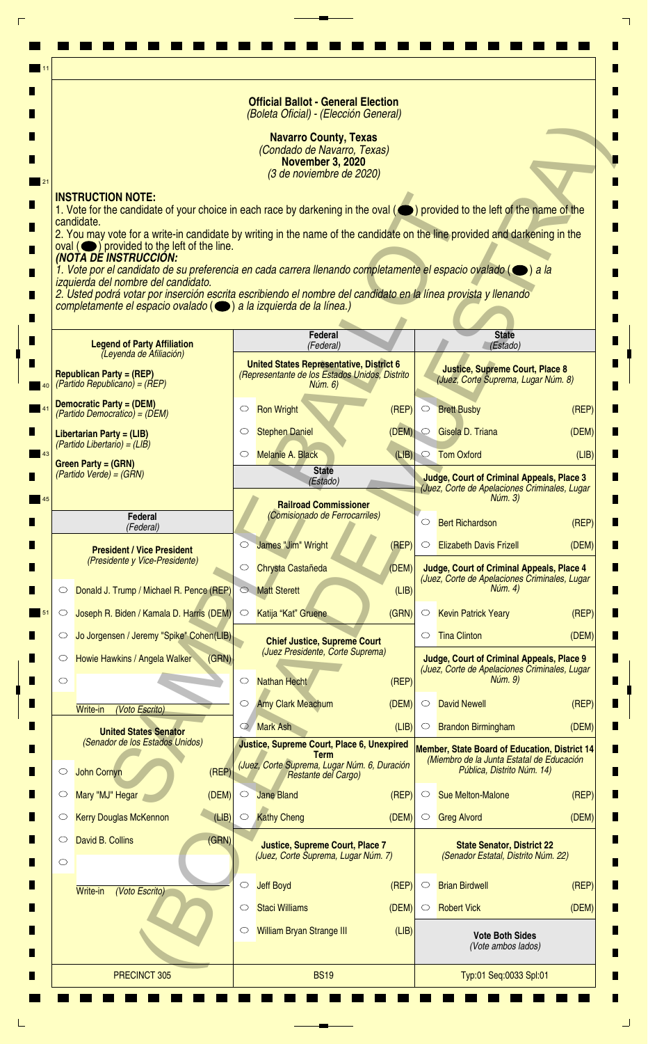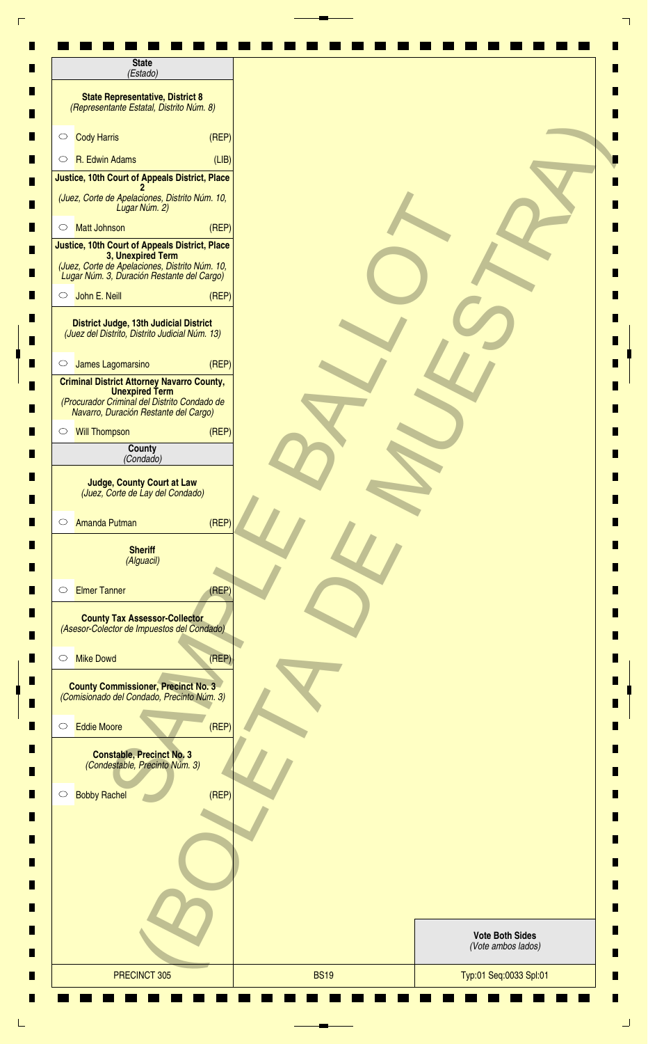| <b>State</b><br>(Estado)                                                                                                                                            |       |                                              |  |
|---------------------------------------------------------------------------------------------------------------------------------------------------------------------|-------|----------------------------------------------|--|
| <b>State Representative, District 8</b><br>(Representante Estatal, Distrito Núm. 8)                                                                                 |       |                                              |  |
| <b>Cody Harris</b><br>$\circ$                                                                                                                                       | (REF) |                                              |  |
| R. Edwin Adams<br>$\circ$                                                                                                                                           | (LIB) |                                              |  |
| Justice, 10th Court of Appeals District, Place                                                                                                                      |       |                                              |  |
| (Juez, Corte de Apelaciones, Distrito Núm. 10,<br>Lugar Núm. 2)                                                                                                     |       |                                              |  |
| <b>Matt Johnson</b><br>$\circ$                                                                                                                                      | (REF) |                                              |  |
| Justice, 10th Court of Appeals District, Place<br>3, Unexpired Term<br>(Juez, Corte de Apelaciones, Distrito Núm. 10,<br>Lugar Núm. 3, Duración Restante del Cargo) |       |                                              |  |
| John E. Neill<br>$\circ$                                                                                                                                            | (REF) |                                              |  |
| <b>District Judge, 13th Judicial District</b><br>(Juez del Distrito, Distrito Judicial Núm. 13)                                                                     |       |                                              |  |
| James Lagomarsino<br>$\circ$                                                                                                                                        | (REF) |                                              |  |
| <b>Criminal District Attorney Navarro County,</b><br><b>Unexpired Term</b><br>(Procurador Criminal del Distrito Condado de<br>Navarro, Duración Restante del Cargo) |       |                                              |  |
| <b>Will Thompson</b><br>$\circ$                                                                                                                                     | (REF) |                                              |  |
| County<br>(Condado)                                                                                                                                                 |       |                                              |  |
| <b>Judge, County Court at Law</b><br>(Juez, Corte de Lay del Condado)                                                                                               |       |                                              |  |
| <b>Amanda Putman</b><br>$\circ$                                                                                                                                     | (REF) |                                              |  |
| <b>Sheriff</b><br>(Alguacil)                                                                                                                                        |       |                                              |  |
| <b>Elmer Tanner</b><br>$\circ$                                                                                                                                      | (REP) |                                              |  |
| <b>County Tax Assessor-Collector</b><br>(Asesor-Colector de Impuestos del Condado)                                                                                  |       |                                              |  |
| <b>Mike Dowd</b><br>$\circ$                                                                                                                                         | (REF) |                                              |  |
| <b>County Commissioner, Precinct No. 3</b><br>(Comisionado del Condado, Precinto Núm. 3)                                                                            |       |                                              |  |
| <b>Eddie Moore</b><br>$\circlearrowright$                                                                                                                           | (REP) |                                              |  |
| <b>Constable, Precinct No. 3</b><br>(Condestable, Precinto Núm. 3)                                                                                                  |       |                                              |  |
| <b>Bobby Rachel</b><br>$\circ$                                                                                                                                      | (REF) |                                              |  |
|                                                                                                                                                                     |       |                                              |  |
|                                                                                                                                                                     |       |                                              |  |
|                                                                                                                                                                     |       |                                              |  |
|                                                                                                                                                                     |       | <b>Vote Both Sides</b><br>(Vote ambos lados) |  |

٦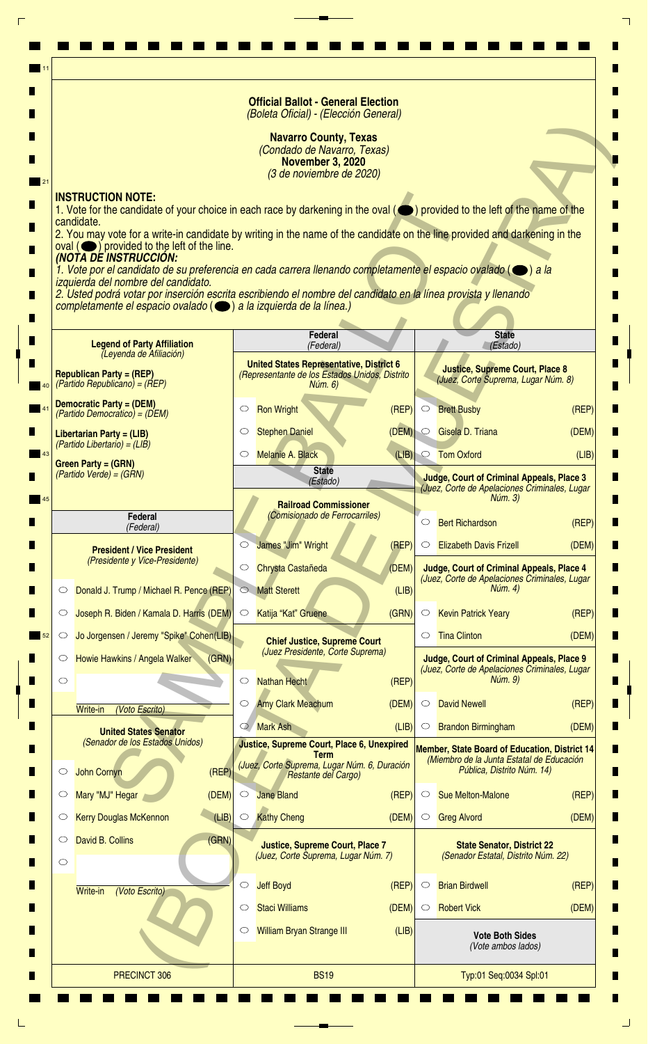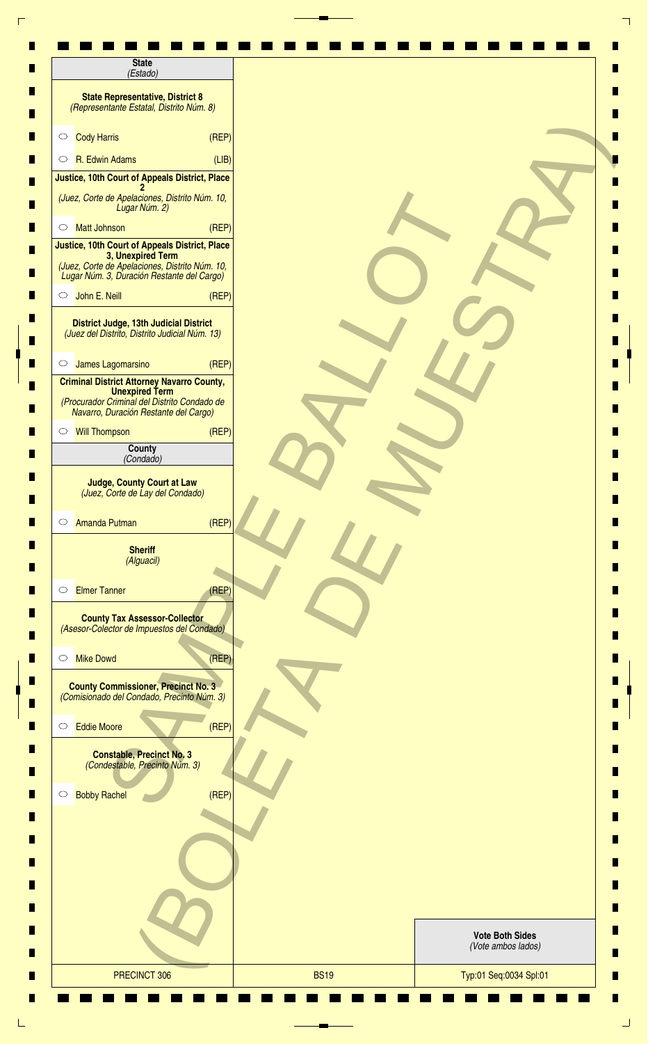| <b>State</b><br>(Estado)                                                                                                                                            |       |                        |  |
|---------------------------------------------------------------------------------------------------------------------------------------------------------------------|-------|------------------------|--|
| <b>State Representative, District 8</b><br>(Representante Estatal, Distrito Núm. 8)                                                                                 |       |                        |  |
| <b>Cody Harris</b><br>$\circ$                                                                                                                                       | (REF) |                        |  |
| R. Edwin Adams<br>$\circ$                                                                                                                                           | (LIB) |                        |  |
| Justice, 10th Court of Appeals District, Place                                                                                                                      |       |                        |  |
| (Juez, Corte de Apelaciones, Distrito Núm. 10,<br>Lugar Núm. 2)                                                                                                     |       |                        |  |
| <b>Matt Johnson</b><br>$\circ$                                                                                                                                      | (REF) |                        |  |
| Justice, 10th Court of Appeals District, Place<br>3, Unexpired Term<br>(Juez, Corte de Apelaciones, Distrito Núm. 10,<br>Lugar Núm. 3, Duración Restante del Cargo) |       |                        |  |
| John E. Neill<br>$\circ$                                                                                                                                            | (REF) |                        |  |
| <b>District Judge, 13th Judicial District</b><br>(Juez del Distrito, Distrito Judicial Núm. 13)                                                                     |       |                        |  |
| James Lagomarsino<br>$\circ$                                                                                                                                        | (REF) |                        |  |
| <b>Criminal District Attorney Navarro County,</b><br><b>Unexpired Term</b><br>(Procurador Criminal del Distrito Condado de<br>Navarro, Duración Restante del Cargo) |       |                        |  |
| <b>Will Thompson</b><br>$\circ$                                                                                                                                     | (REF) |                        |  |
| County<br>(Condado)                                                                                                                                                 |       |                        |  |
| <b>Judge, County Court at Law</b><br>(Juez, Corte de Lay del Condado)<br><b>Amanda Putman</b><br>$\circ$                                                            | (REF) |                        |  |
| <b>Sheriff</b><br>(Alguacil)                                                                                                                                        |       |                        |  |
| <b>Elmer Tanner</b><br>$\circ$                                                                                                                                      | (REP) |                        |  |
| <b>County Tax Assessor-Collector</b><br>(Asesor-Colector de Impuestos del Condado)                                                                                  |       |                        |  |
| <b>Mike Dowd</b><br>$\circ$                                                                                                                                         | (REF) |                        |  |
| <b>County Commissioner, Precinct No. 3</b><br>(Comisionado del Condado, Precinto Núm. 3)                                                                            |       |                        |  |
| <b>Eddie Moore</b><br>$\circlearrowright$                                                                                                                           | (REP) |                        |  |
| <b>Constable, Precinct No. 3</b><br>(Condestable, Precinto Núm. 3)                                                                                                  |       |                        |  |
| <b>Bobby Rachel</b><br>$\circ$                                                                                                                                      | (REF) |                        |  |
|                                                                                                                                                                     |       |                        |  |
|                                                                                                                                                                     |       |                        |  |
|                                                                                                                                                                     |       |                        |  |
|                                                                                                                                                                     |       |                        |  |
|                                                                                                                                                                     |       | <b>Vote Both Sides</b> |  |
|                                                                                                                                                                     |       | (Vote ambos lados)     |  |

٦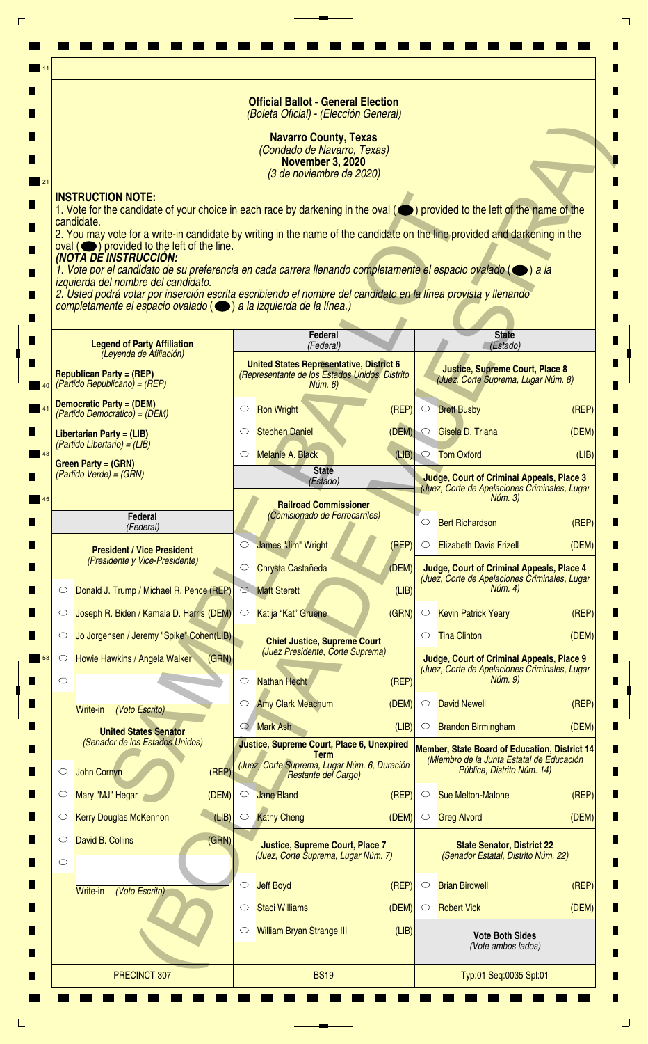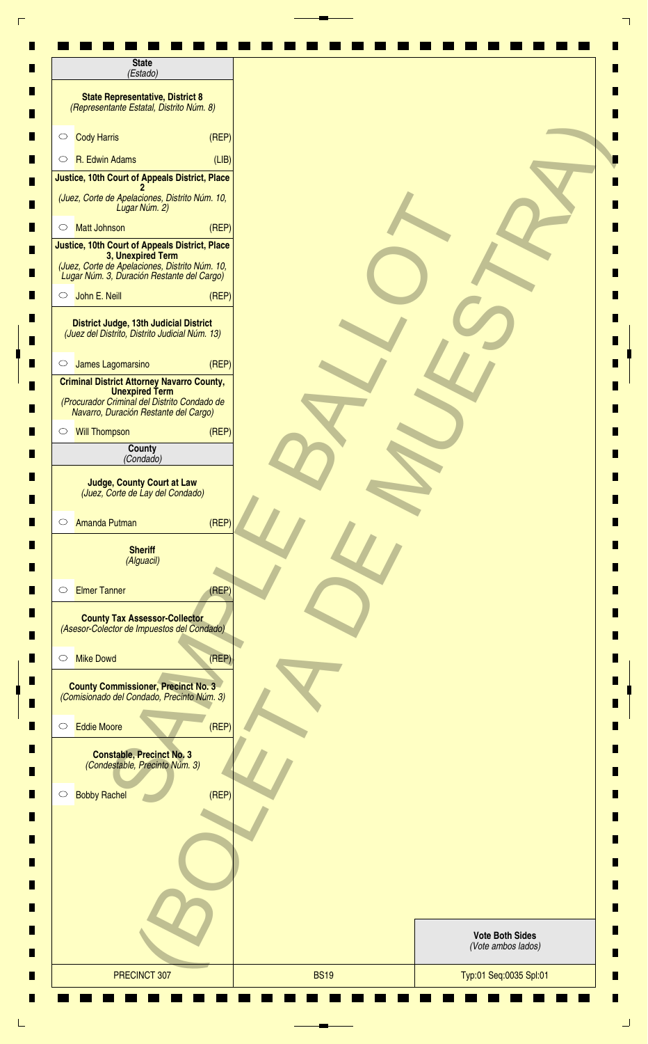| <b>State</b><br>(Estado)                                                                                                                                            |       |  |                                              |
|---------------------------------------------------------------------------------------------------------------------------------------------------------------------|-------|--|----------------------------------------------|
| <b>State Representative, District 8</b><br>(Representante Estatal, Distrito Núm. 8)                                                                                 |       |  |                                              |
| <b>Cody Harris</b><br>$\circ$                                                                                                                                       | (REF) |  |                                              |
| R. Edwin Adams<br>$\circ$                                                                                                                                           | (LIB) |  |                                              |
| Justice, 10th Court of Appeals District, Place                                                                                                                      |       |  |                                              |
| (Juez, Corte de Apelaciones, Distrito Núm. 10,<br>Lugar Núm. 2)                                                                                                     |       |  |                                              |
| <b>Matt Johnson</b><br>$\circ$                                                                                                                                      | (REF) |  |                                              |
| Justice, 10th Court of Appeals District, Place<br>3, Unexpired Term<br>(Juez, Corte de Apelaciones, Distrito Núm. 10,<br>Lugar Núm. 3, Duración Restante del Cargo) |       |  |                                              |
| John E. Neill<br>$\circ$                                                                                                                                            | (REF) |  |                                              |
| <b>District Judge, 13th Judicial District</b><br>(Juez del Distrito, Distrito Judicial Núm. 13)                                                                     |       |  |                                              |
| James Lagomarsino<br>$\circ$                                                                                                                                        | (REF) |  |                                              |
| <b>Criminal District Attorney Navarro County,</b><br><b>Unexpired Term</b><br>(Procurador Criminal del Distrito Condado de<br>Navarro, Duración Restante del Cargo) |       |  |                                              |
| <b>Will Thompson</b><br>$\circ$                                                                                                                                     | (REF) |  |                                              |
| County<br>(Condado)                                                                                                                                                 |       |  |                                              |
| <b>Judge, County Court at Law</b><br>(Juez, Corte de Lay del Condado)<br><b>Amanda Putman</b><br>$\circ$                                                            | (REP) |  |                                              |
| <b>Sheriff</b><br>(Alguacil)                                                                                                                                        |       |  |                                              |
| <b>Elmer Tanner</b><br>$\circ$<br><b>County Tax Assessor-Collector</b><br>(Asesor-Colector de Impuestos del Condado)                                                | (REP) |  |                                              |
| <b>Mike Dowd</b><br>$\circ$                                                                                                                                         | (REF) |  |                                              |
| <b>County Commissioner, Precinct No. 3</b><br>(Comisionado del Condado, Precinto Núm. 3)                                                                            |       |  |                                              |
| <b>Eddie Moore</b><br>$\circ$                                                                                                                                       | (REF) |  |                                              |
| <b>Constable, Precinct No. 3</b><br>(Condestable, Precinto Núm. 3)                                                                                                  |       |  |                                              |
| <b>Bobby Rachel</b><br>$\circ$                                                                                                                                      | (REF) |  |                                              |
|                                                                                                                                                                     |       |  |                                              |
|                                                                                                                                                                     |       |  |                                              |
|                                                                                                                                                                     |       |  |                                              |
|                                                                                                                                                                     |       |  | <b>Vote Both Sides</b><br>(Vote ambos lados) |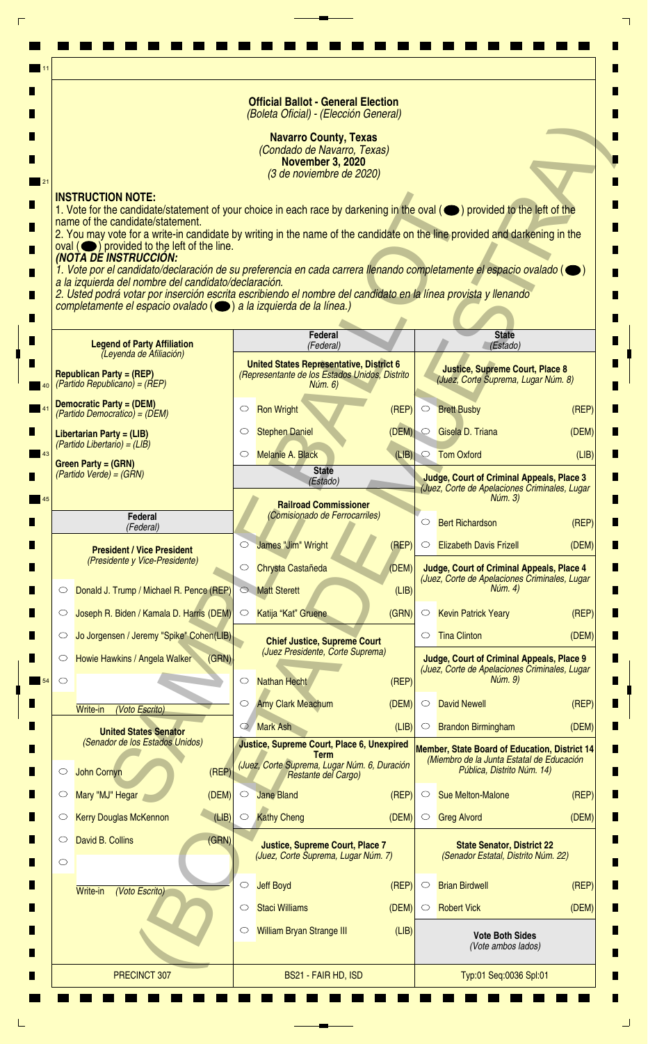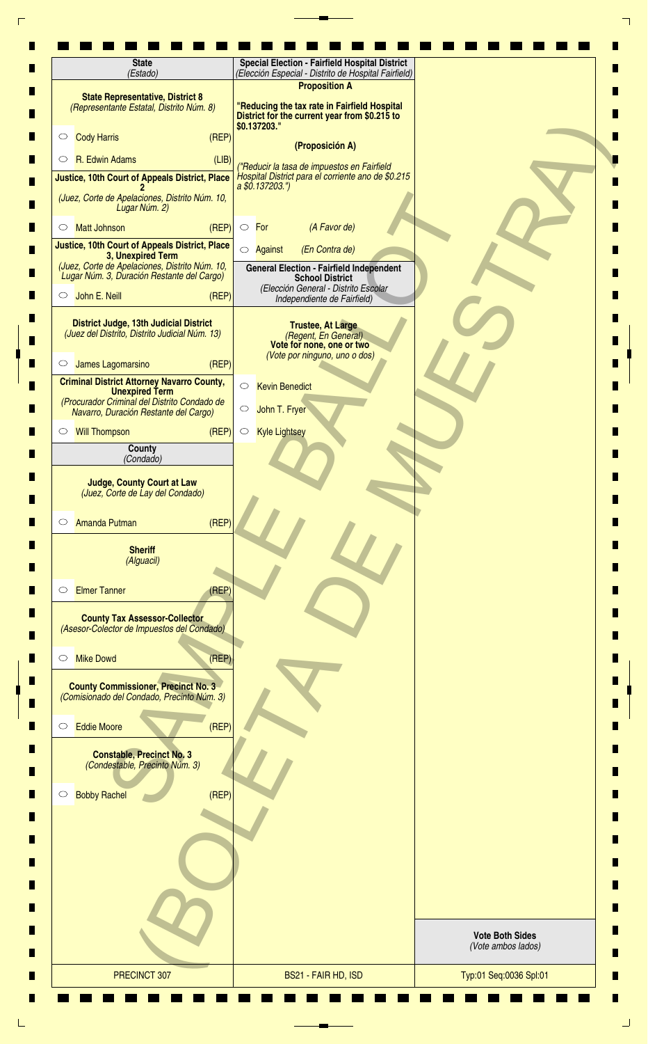| <b>State</b><br>(Estado)                                                                                                                                            | <b>Special Election - Fairfield Hospital District</b><br>(Elección Especial - Distrito de Hospital Fairfield)         |                                              |
|---------------------------------------------------------------------------------------------------------------------------------------------------------------------|-----------------------------------------------------------------------------------------------------------------------|----------------------------------------------|
| <b>State Representative, District 8</b><br>(Representante Estatal, Distrito Núm. 8)                                                                                 | <b>Proposition A</b><br>"Reducing the tax rate in Fairfield Hospital<br>District for the current year from \$0.215 to |                                              |
| (REP)<br><b>Cody Harris</b><br>$\circ$                                                                                                                              | \$0.137203."                                                                                                          |                                              |
| R. Edwin Adams<br>(LIB)<br>$\circ$                                                                                                                                  | (Proposición A)                                                                                                       |                                              |
| Justice, 10th Court of Appeals District, Place                                                                                                                      | ("Reducir la tasa de impuestos en Fairfield<br>Hospital District para el corriente ano de \$0.215<br>a \$0.137203.")  |                                              |
| (Juez, Corte de Apelaciones, Distrito Núm. 10,<br>Lugar Núm. 2)                                                                                                     |                                                                                                                       |                                              |
| (REP)<br><b>Matt Johnson</b><br>O                                                                                                                                   | (A Favor de)<br>$\circ$ For                                                                                           |                                              |
| <b>Justice, 10th Court of Appeals District, Place</b><br>3, Unexpired Term                                                                                          | (En Contra de)<br>◯ Against                                                                                           |                                              |
| (Juez, Corte de Apelaciones, Distrito Núm. 10,<br>Lugar Núm. 3, Duración Restante del Cargo)                                                                        | <b>General Election - Fairfield Independent</b><br><b>School District</b>                                             |                                              |
| John E. Neill<br>(REF)<br>$\circ$                                                                                                                                   | (Elección General - Distrito Escolar<br>Independiente de Fairfield)                                                   |                                              |
| <b>District Judge, 13th Judicial District</b><br>(Juez del Distrito, Distrito Judicial Núm. 13)                                                                     | <b>Trustee, At Large</b><br>(Regent, En General)<br>Vote for none, one or two                                         |                                              |
| James Lagomarsino<br>(REF)<br>$\circ$                                                                                                                               | (Vote por ninguno, uno o dos)                                                                                         |                                              |
| <b>Criminal District Attorney Navarro County,</b><br><b>Unexpired Term</b><br>(Procurador Criminal del Distrito Condado de<br>Navarro, Duración Restante del Cargo) | $\bigcirc$<br><b>Kevin Benedict</b><br>John T. Fryer<br>$\circ$                                                       |                                              |
| <b>Will Thompson</b><br>(REP)<br>$\circ$                                                                                                                            | $\circ$<br><b>Kyle Lightsey</b>                                                                                       |                                              |
| County<br>(Condado)                                                                                                                                                 |                                                                                                                       |                                              |
| <b>Judge, County Court at Law</b><br>(Juez, Corte de Lay del Condado)                                                                                               |                                                                                                                       |                                              |
| (REF)<br><b>Amanda Putman</b><br>$\circ$                                                                                                                            |                                                                                                                       |                                              |
| <b>Sheriff</b><br>(Alguacil)                                                                                                                                        |                                                                                                                       |                                              |
| <b>Elmer Tanner</b><br>(REP)<br>$\circ$                                                                                                                             |                                                                                                                       |                                              |
| <b>County Tax Assessor-Collector</b><br>(Asesor-Colector de Impuestos del Condado)                                                                                  |                                                                                                                       |                                              |
| <b>Mike Dowd</b><br>(REF)<br>$\circlearrowright$                                                                                                                    |                                                                                                                       |                                              |
| <b>County Commissioner, Precinct No. 3</b><br>(Comisionado del Condado, Precinto Núm. 3)                                                                            |                                                                                                                       |                                              |
| (REP)<br><b>Eddie Moore</b><br>$\circ$                                                                                                                              |                                                                                                                       |                                              |
| <b>Constable, Precinct No. 3</b><br>(Condestable, Precinto Núm. 3)                                                                                                  |                                                                                                                       |                                              |
| (REF)<br><b>Bobby Rachel</b><br>$\circ$                                                                                                                             |                                                                                                                       |                                              |
|                                                                                                                                                                     |                                                                                                                       |                                              |
|                                                                                                                                                                     |                                                                                                                       |                                              |
|                                                                                                                                                                     |                                                                                                                       |                                              |
|                                                                                                                                                                     |                                                                                                                       | <b>Vote Both Sides</b><br>(Vote ambos lados) |
|                                                                                                                                                                     | BS21 - FAIR HD, ISD                                                                                                   | Typ:01 Seq:0036 Spl:01                       |

 $\Gamma$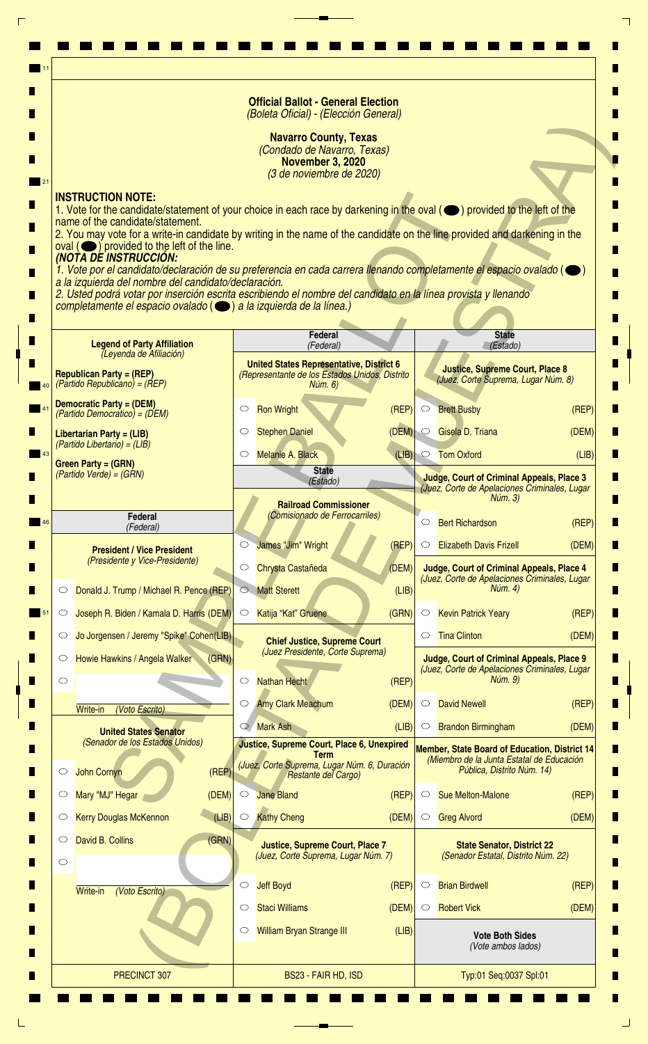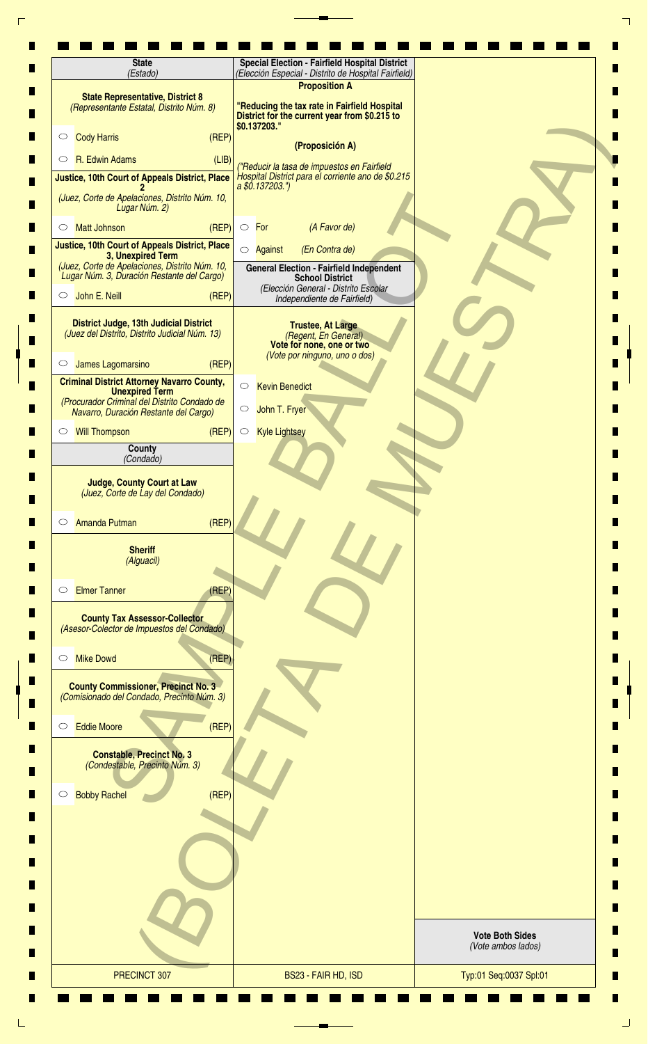| <b>State</b><br>(Estado)                                                                                                                                            | <b>Special Election - Fairfield Hospital District</b><br>(Elección Especial - Distrito de Hospital Fairfield)<br><b>Proposition A</b> |                                              |
|---------------------------------------------------------------------------------------------------------------------------------------------------------------------|---------------------------------------------------------------------------------------------------------------------------------------|----------------------------------------------|
| <b>State Representative, District 8</b><br>(Representante Estatal, Distrito Núm. 8)                                                                                 | "Reducing the tax rate in Fairfield Hospital<br>District for the current year from \$0.215 to                                         |                                              |
| <b>Cody Harris</b><br>(REF)<br>$\circ$                                                                                                                              | \$0.137203."<br>(Proposición A)                                                                                                       |                                              |
| R. Edwin Adams<br>(LIB)<br>$\circ$                                                                                                                                  | ("Reducir la tasa de impuestos en Fairfield                                                                                           |                                              |
| <b>Justice, 10th Court of Appeals District, Place</b>                                                                                                               | Hospital District para el corriente ano de \$0.215<br>a \$0.137203.")                                                                 |                                              |
| (Juez, Corte de Apelaciones, Distrito Núm. 10,<br>Lugar Núm. 2)                                                                                                     |                                                                                                                                       |                                              |
| (REP)<br><b>Matt Johnson</b><br>O                                                                                                                                   | (A Favor de)<br>$\circ$ For                                                                                                           |                                              |
| Justice, 10th Court of Appeals District, Place<br>3, Unexpired Term                                                                                                 | (En Contra de)<br>◯ Against                                                                                                           |                                              |
| (Juez, Corte de Apelaciones, Distrito Núm. 10,<br>Lugar Núm. 3, Duración Restante del Cargo)                                                                        | <b>General Election - Fairfield Independent</b><br><b>School District</b>                                                             |                                              |
| John E. Neill<br>(REF)<br>$\circ$                                                                                                                                   | (Elección General - Distrito Escolar<br>Independiente de Fairfield)                                                                   |                                              |
| <b>District Judge, 13th Judicial District</b><br>(Juez del Distrito, Distrito Judicial Núm. 13)                                                                     | <b>Trustee, At Large</b><br>(Regent, En General)<br>Vote for none, one or two                                                         |                                              |
| James Lagomarsino<br>(REF)<br>$\circ$                                                                                                                               | (Vote por ninguno, uno o dos)                                                                                                         |                                              |
| <b>Criminal District Attorney Navarro County,</b><br><b>Unexpired Term</b><br>(Procurador Criminal del Distrito Condado de<br>Navarro, Duración Restante del Cargo) | $\bigcirc$<br><b>Kevin Benedict</b><br>John T. Fryer<br>$\circ$                                                                       |                                              |
| <b>Will Thompson</b><br>(REF)<br>$\circ$                                                                                                                            | $\circ$<br><b>Kyle Lightsey</b>                                                                                                       |                                              |
| <b>County</b><br>(Condado)                                                                                                                                          |                                                                                                                                       |                                              |
| <b>Judge, County Court at Law</b><br>(Juez, Corte de Lay del Condado)<br>(REF)<br><b>Amanda Putman</b><br>$\circ$                                                   |                                                                                                                                       |                                              |
| <b>Sheriff</b><br>(Alguacil)                                                                                                                                        |                                                                                                                                       |                                              |
| <b>Elmer Tanner</b><br>(REF)<br>$\circ$                                                                                                                             |                                                                                                                                       |                                              |
| <b>County Tax Assessor-Collector</b><br>(Asesor-Colector de Impuestos del Condado)                                                                                  |                                                                                                                                       |                                              |
| <b>Mike Dowd</b><br>(REF)<br>$\circlearrowright$                                                                                                                    |                                                                                                                                       |                                              |
| <b>County Commissioner, Precinct No. 3</b><br>(Comisionado del Condado, Precinto Núm. 3)                                                                            |                                                                                                                                       |                                              |
| (REF)<br><b>Eddie Moore</b><br>$\circ$                                                                                                                              |                                                                                                                                       |                                              |
| <b>Constable, Precinct No. 3</b><br>(Condestable, Precinto Núm. 3)                                                                                                  |                                                                                                                                       |                                              |
| (REP)<br><b>Bobby Rachel</b><br>$\circ$                                                                                                                             |                                                                                                                                       |                                              |
|                                                                                                                                                                     |                                                                                                                                       |                                              |
|                                                                                                                                                                     |                                                                                                                                       | <b>Vote Both Sides</b><br>(Vote ambos lados) |
|                                                                                                                                                                     |                                                                                                                                       |                                              |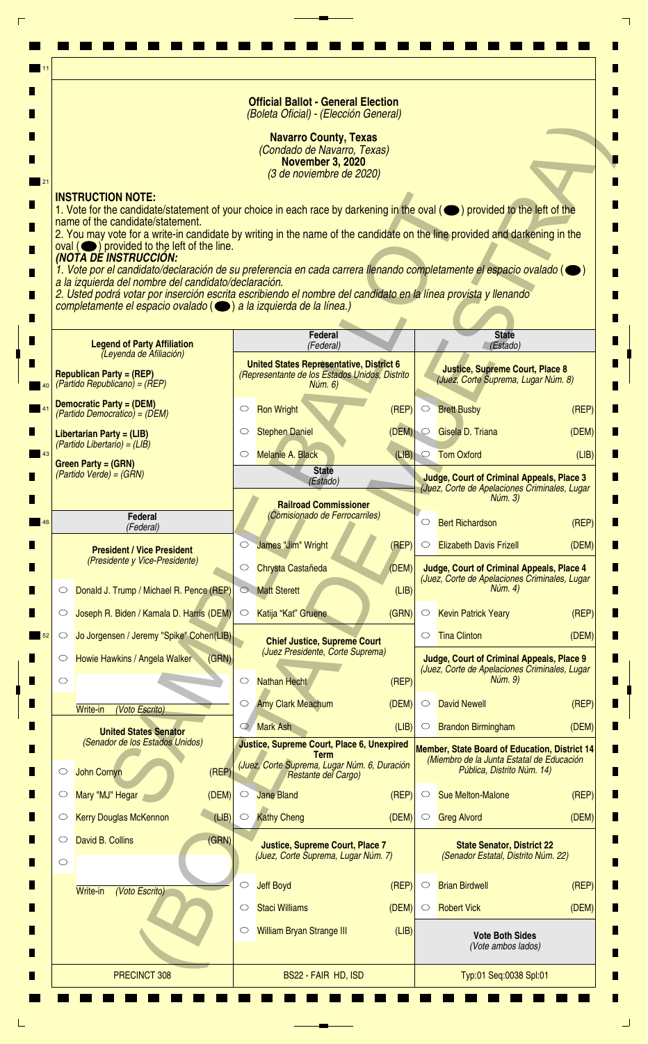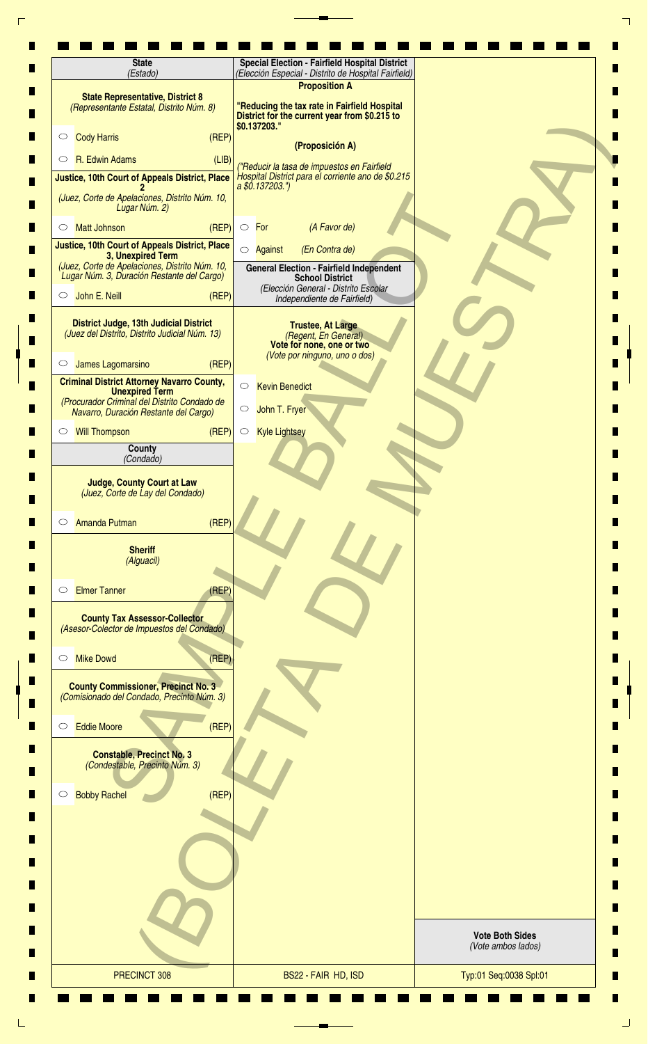| (Estado)                                                                                                                                                            | <b>Special Election - Fairfield Hospital District</b><br>(Elección Especial - Distrito de Hospital Fairfield)         |
|---------------------------------------------------------------------------------------------------------------------------------------------------------------------|-----------------------------------------------------------------------------------------------------------------------|
| <b>State Representative, District 8</b><br>(Representante Estatal, Distrito Núm. 8)                                                                                 | <b>Proposition A</b><br>"Reducing the tax rate in Fairfield Hospital<br>District for the current year from \$0.215 to |
| (REP)<br><b>Cody Harris</b><br>$\circ$                                                                                                                              | \$0.137203."                                                                                                          |
| R. Edwin Adams<br>(LIB)<br>$\circ$                                                                                                                                  | (Proposición A)<br>("Reducir la tasa de impuestos en Fairfield                                                        |
| Justice, 10th Court of Appeals District, Place                                                                                                                      | Hospital District para el corriente ano de \$0.215<br>a \$0.137203.")                                                 |
| (Juez, Corte de Apelaciones, Distrito Núm. 10,<br>Lugar Núm. 2)                                                                                                     |                                                                                                                       |
| (REP)<br><b>Matt Johnson</b><br>O                                                                                                                                   | (A Favor de)<br>$\circ$ For                                                                                           |
| <b>Justice, 10th Court of Appeals District, Place</b><br>3, Unexpired Term                                                                                          | (En Contra de)<br>◯ Against                                                                                           |
| (Juez, Corte de Apelaciones, Distrito Núm. 10,<br>Lugar Núm. 3, Duración Restante del Cargo)                                                                        | <b>General Election - Fairfield Independent</b><br><b>School District</b>                                             |
| John E. Neill<br>(REF)<br>$\circ$                                                                                                                                   | (Elección General - Distrito Escolar<br>Independiente de Fairfield)                                                   |
| <b>District Judge, 13th Judicial District</b><br>(Juez del Distrito, Distrito Judicial Núm. 13)                                                                     | <b>Trustee, At Large</b><br>(Regent, En General)<br>Vote for none, one or two                                         |
| James Lagomarsino<br>(REF)<br>$\circ$                                                                                                                               | (Vote por ninguno, uno o dos)                                                                                         |
| <b>Criminal District Attorney Navarro County,</b><br><b>Unexpired Term</b><br>(Procurador Criminal del Distrito Condado de<br>Navarro, Duración Restante del Cargo) | $\bigcirc$<br><b>Kevin Benedict</b><br>John T. Fryer<br>$\circ$                                                       |
| <b>Will Thompson</b><br>(REP)<br>$\circ$                                                                                                                            | $\circ$<br><b>Kyle Lightsey</b>                                                                                       |
| County<br>(Condado)                                                                                                                                                 |                                                                                                                       |
| <b>Judge, County Court at Law</b><br>(Juez, Corte de Lay del Condado)                                                                                               |                                                                                                                       |
| (REF)<br><b>Amanda Putman</b><br>$\circ$                                                                                                                            |                                                                                                                       |
| <b>Sheriff</b><br>(Alguacil)                                                                                                                                        |                                                                                                                       |
| <b>Elmer Tanner</b><br>(REP)<br>$\circ$                                                                                                                             |                                                                                                                       |
| <b>County Tax Assessor-Collector</b><br>(Asesor-Colector de Impuestos del Condado)                                                                                  |                                                                                                                       |
| <b>Mike Dowd</b><br>(REF)<br>$\circlearrowright$                                                                                                                    |                                                                                                                       |
| <b>County Commissioner, Precinct No. 3</b><br>(Comisionado del Condado, Precinto Núm. 3)                                                                            |                                                                                                                       |
| (REP)<br><b>Eddie Moore</b><br>$\circ$                                                                                                                              |                                                                                                                       |
| <b>Constable, Precinct No. 3</b><br>(Condestable, Precinto Núm. 3)                                                                                                  |                                                                                                                       |
| (REF)<br><b>Bobby Rachel</b><br>$\circ$                                                                                                                             |                                                                                                                       |
|                                                                                                                                                                     |                                                                                                                       |
|                                                                                                                                                                     |                                                                                                                       |
|                                                                                                                                                                     |                                                                                                                       |
|                                                                                                                                                                     | <b>Vote Both Sides</b><br>(Vote ambos lados)                                                                          |
|                                                                                                                                                                     |                                                                                                                       |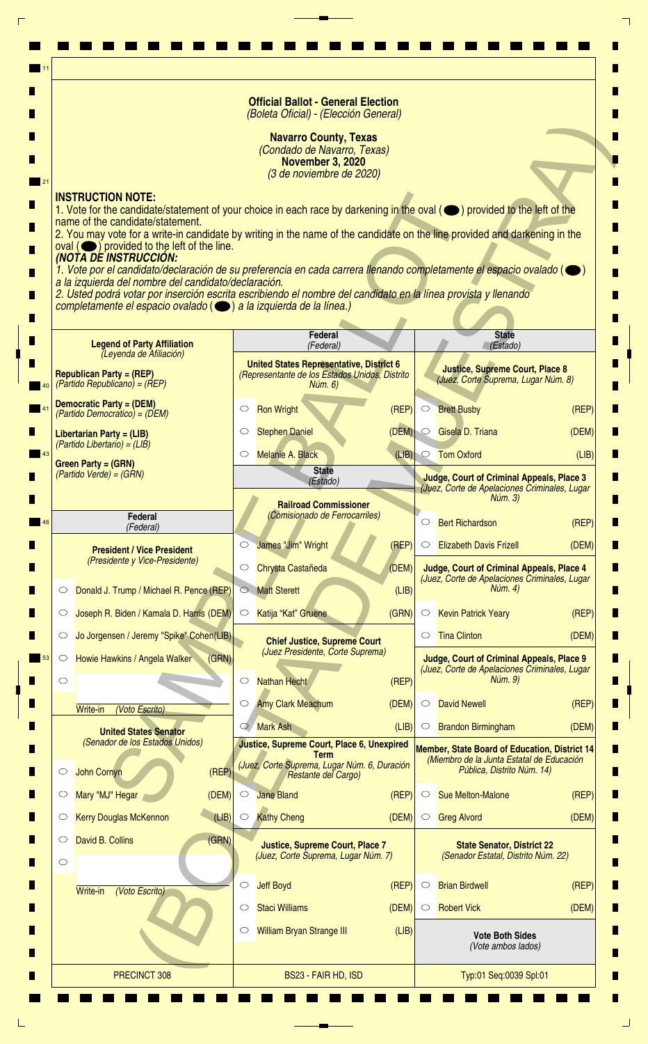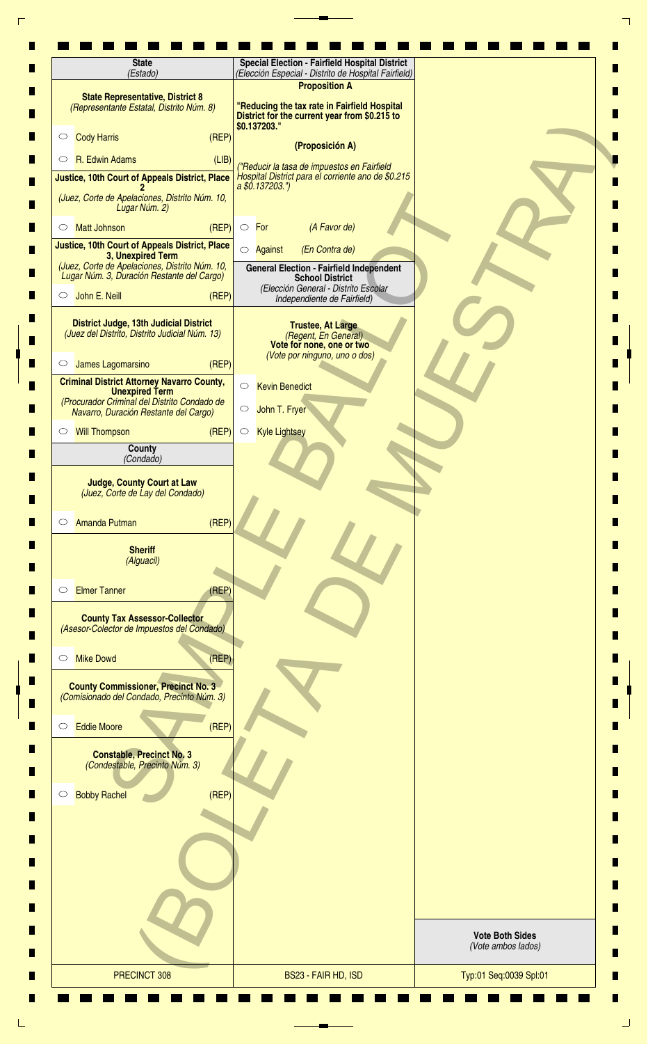| (Estado)                                                                                                                                                            | <b>Special Election - Fairfield Hospital District</b><br>(Elección Especial - Distrito de Hospital Fairfield)         |
|---------------------------------------------------------------------------------------------------------------------------------------------------------------------|-----------------------------------------------------------------------------------------------------------------------|
| <b>State Representative, District 8</b><br>(Representante Estatal, Distrito Núm. 8)                                                                                 | <b>Proposition A</b><br>"Reducing the tax rate in Fairfield Hospital<br>District for the current year from \$0.215 to |
| (REP)<br><b>Cody Harris</b><br>$\circ$                                                                                                                              | \$0.137203."<br>(Proposición A)                                                                                       |
| R. Edwin Adams<br>(LIB)<br>$\circ$                                                                                                                                  | ("Reducir la tasa de impuestos en Fairfield                                                                           |
| Justice, 10th Court of Appeals District, Place                                                                                                                      | Hospital District para el corriente ano de \$0.215<br>a \$0.137203.")                                                 |
| (Juez, Corte de Apelaciones, Distrito Núm. 10,<br>Lugar Núm. 2)                                                                                                     |                                                                                                                       |
| (REP)<br><b>Matt Johnson</b><br>O                                                                                                                                   | (A Favor de)<br>$\circ$ For                                                                                           |
| <b>Justice, 10th Court of Appeals District, Place</b><br>3, Unexpired Term                                                                                          | (En Contra de)<br>◯ Against                                                                                           |
| (Juez, Corte de Apelaciones, Distrito Núm. 10,<br>Lugar Núm. 3, Duración Restante del Cargo)                                                                        | <b>General Election - Fairfield Independent</b><br><b>School District</b>                                             |
| John E. Neill<br>(REF)<br>$\circ$                                                                                                                                   | (Elección General - Distrito Escolar<br>Independiente de Fairfield)                                                   |
| <b>District Judge, 13th Judicial District</b><br>(Juez del Distrito, Distrito Judicial Núm. 13)                                                                     | <b>Trustee, At Large</b><br>(Regent, En General)<br>Vote for none, one or two                                         |
| James Lagomarsino<br>(REF)<br>$\circ$                                                                                                                               | (Vote por ninguno, uno o dos)                                                                                         |
| <b>Criminal District Attorney Navarro County,</b><br><b>Unexpired Term</b><br>(Procurador Criminal del Distrito Condado de<br>Navarro, Duración Restante del Cargo) | $\bigcirc$<br><b>Kevin Benedict</b><br>John T. Fryer<br>$\circ$                                                       |
| <b>Will Thompson</b><br>(REP)<br>$\circ$                                                                                                                            | $\circ$<br><b>Kyle Lightsey</b>                                                                                       |
| County<br>(Condado)                                                                                                                                                 |                                                                                                                       |
| <b>Judge, County Court at Law</b><br>(Juez, Corte de Lay del Condado)                                                                                               |                                                                                                                       |
| (REF)<br><b>Amanda Putman</b><br>$\circ$                                                                                                                            |                                                                                                                       |
| <b>Sheriff</b><br>(Alguacil)                                                                                                                                        |                                                                                                                       |
| <b>Elmer Tanner</b><br>(REP)<br>$\circ$                                                                                                                             |                                                                                                                       |
| <b>County Tax Assessor-Collector</b><br>(Asesor-Colector de Impuestos del Condado)                                                                                  |                                                                                                                       |
| <b>Mike Dowd</b><br>(REF)<br>$\circlearrowright$                                                                                                                    |                                                                                                                       |
| <b>County Commissioner, Precinct No. 3</b><br>(Comisionado del Condado, Precinto Núm. 3)                                                                            |                                                                                                                       |
| (REP)<br><b>Eddie Moore</b><br>$\circ$                                                                                                                              |                                                                                                                       |
| <b>Constable, Precinct No. 3</b><br>(Condestable, Precinto Núm. 3)                                                                                                  |                                                                                                                       |
| (REF)<br><b>Bobby Rachel</b><br>$\circ$                                                                                                                             |                                                                                                                       |
|                                                                                                                                                                     |                                                                                                                       |
|                                                                                                                                                                     |                                                                                                                       |
|                                                                                                                                                                     |                                                                                                                       |
|                                                                                                                                                                     |                                                                                                                       |
|                                                                                                                                                                     | <b>Vote Both Sides</b><br>(Vote ambos lados)                                                                          |
|                                                                                                                                                                     |                                                                                                                       |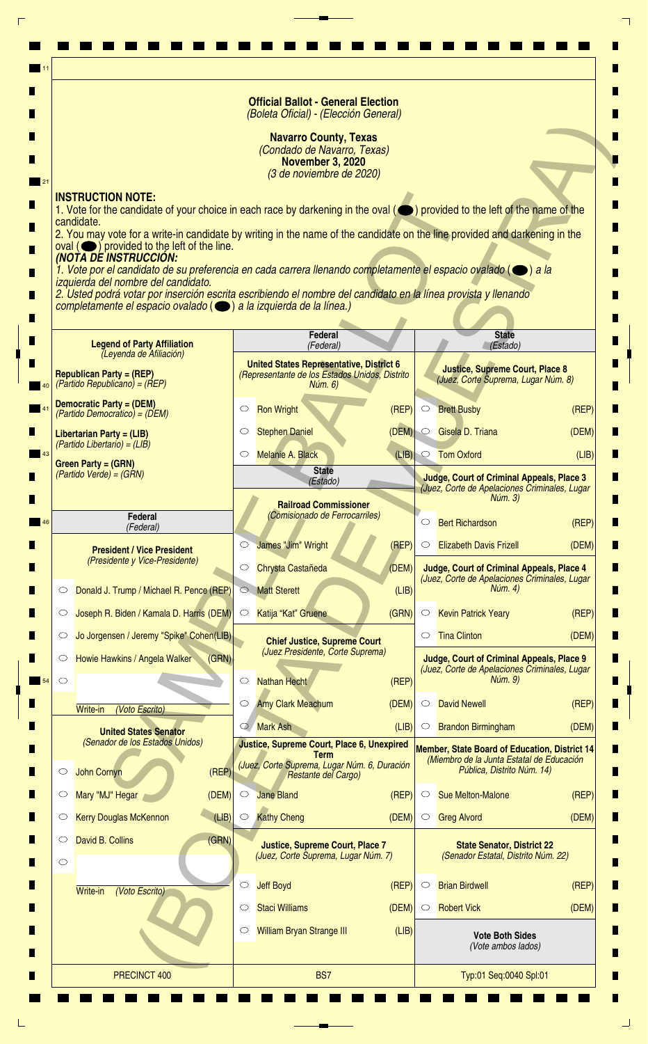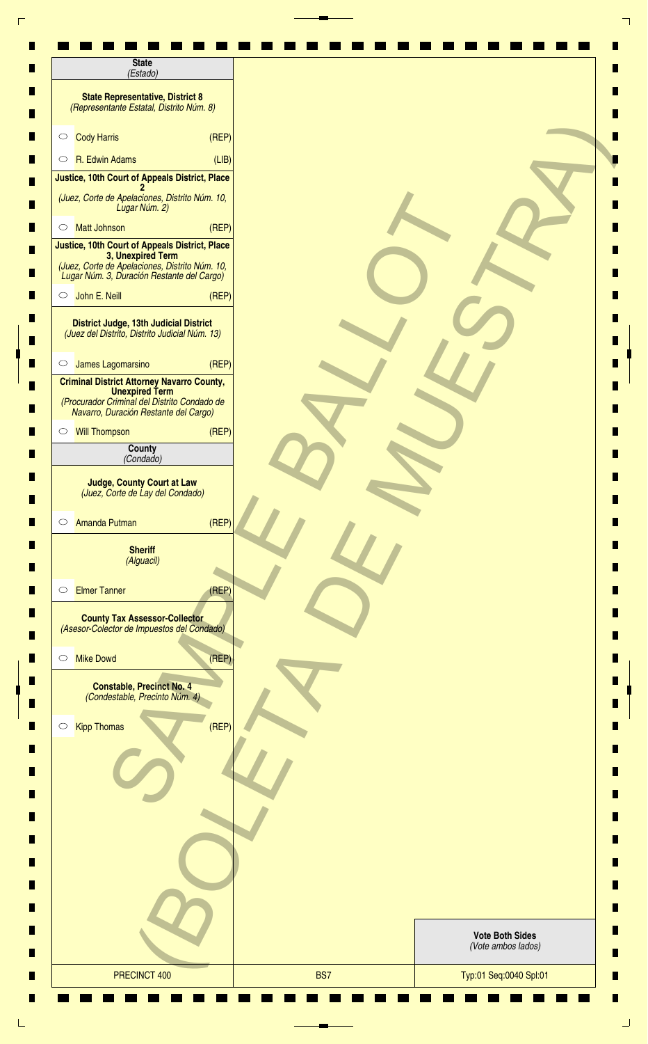| <b>State</b><br>(Estado)                                                                                                                                            |       |                        |
|---------------------------------------------------------------------------------------------------------------------------------------------------------------------|-------|------------------------|
| <b>State Representative, District 8</b><br>(Representante Estatal, Distrito Núm. 8)                                                                                 |       |                        |
| <b>Cody Harris</b><br>(REF)<br>$\circ$                                                                                                                              |       |                        |
| R. Edwin Adams<br>$\circ$                                                                                                                                           | (LIB) |                        |
| Justice, 10th Court of Appeals District, Place                                                                                                                      |       |                        |
| (Juez, Corte de Apelaciones, Distrito Núm. 10,<br>Lugar Núm. 2)                                                                                                     |       |                        |
| <b>Matt Johnson</b><br>$\circ$                                                                                                                                      | (REP) |                        |
| Justice, 10th Court of Appeals District, Place<br>3, Unexpired Term<br>(Juez, Corte de Apelaciones, Distrito Núm. 10,<br>Lugar Núm. 3, Duración Restante del Cargo) |       |                        |
| John E. Neill<br>(REF)<br>$\circ$                                                                                                                                   |       |                        |
| District Judge, 13th Judicial District<br>(Juez del Distrito, Distrito Judicial Núm. 13)                                                                            |       |                        |
| James Lagomarsino<br>$\circ$                                                                                                                                        | (REF) |                        |
| <b>Criminal District Attorney Navarro County,</b><br><b>Unexpired Term</b><br>(Procurador Criminal del Distrito Condado de<br>Navarro, Duración Restante del Cargo) |       |                        |
| <b>Will Thompson</b><br>$\circ$                                                                                                                                     | (REP) |                        |
| County<br>(Condado)                                                                                                                                                 |       |                        |
| (REP)<br>Amanda Putman<br>$\circ$<br><b>Sheriff</b><br>(Alguacil)                                                                                                   |       |                        |
| <b>Elmer Tanner</b><br>(REF)<br>$\circ$                                                                                                                             |       |                        |
| <b>County Tax Assessor-Collector</b><br>(Asesor-Colector de Impuestos del Condado)                                                                                  |       |                        |
| (REP)<br><b>Mike Dowd</b><br>$\circ$                                                                                                                                |       |                        |
| <b>Constable, Precinct No. 4</b><br>(Condestable, Precinto Núm. 4)                                                                                                  |       |                        |
| <b>Kipp Thomas</b><br>(REP)<br>$\circ$                                                                                                                              |       |                        |
|                                                                                                                                                                     |       |                        |
|                                                                                                                                                                     |       |                        |
|                                                                                                                                                                     |       | <b>Vote Both Sides</b> |
|                                                                                                                                                                     |       |                        |
|                                                                                                                                                                     |       | (Vote ambos lados)     |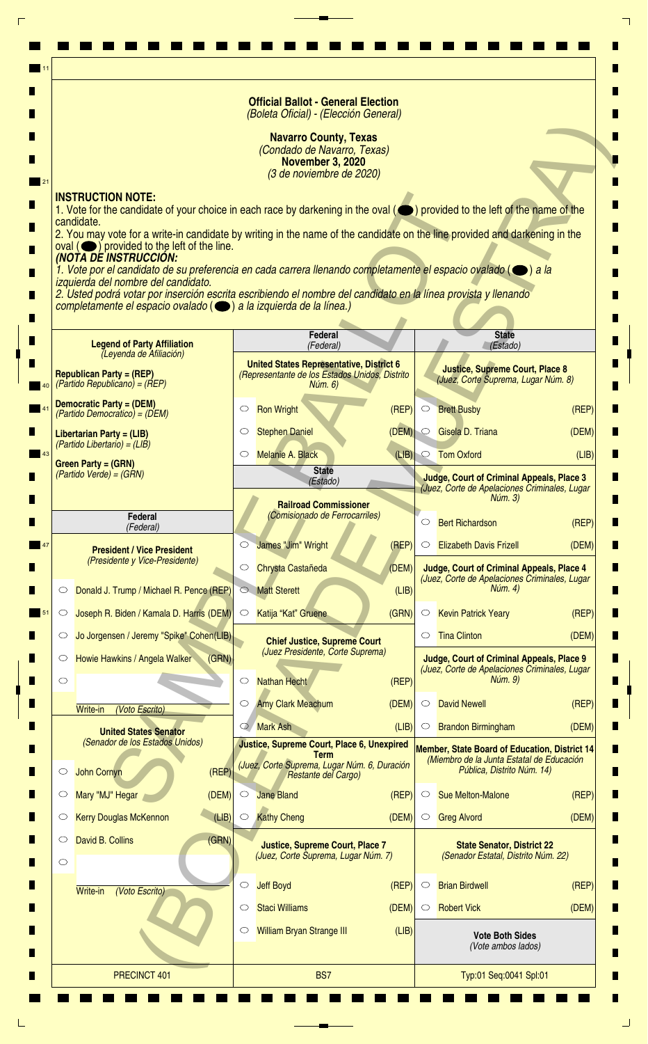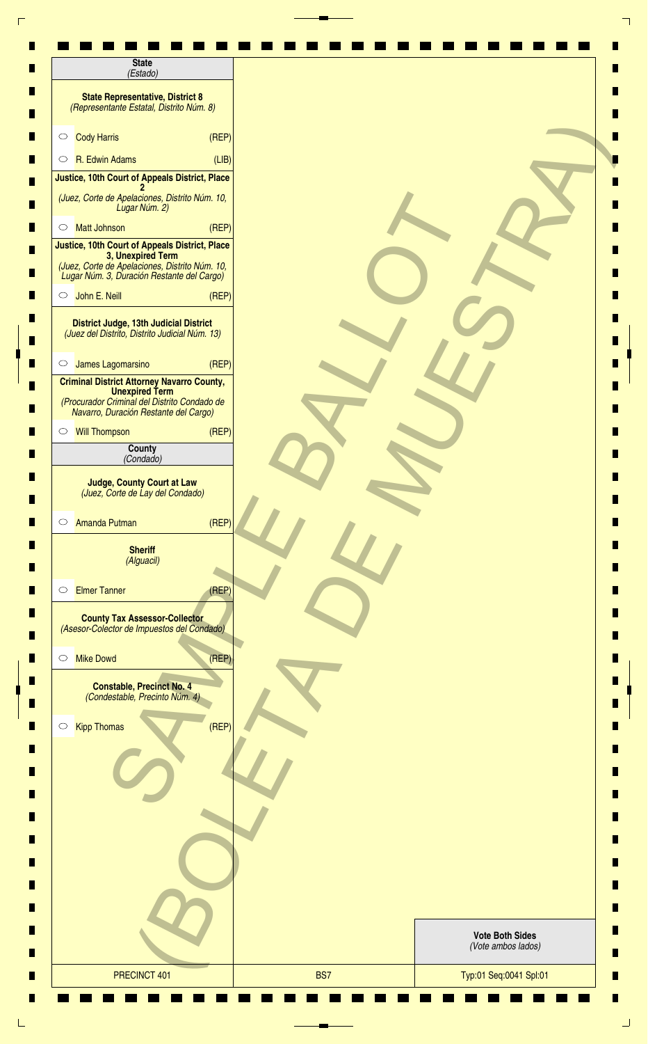| <b>State</b><br>(Estado)                                                                                                                                            |                                              |
|---------------------------------------------------------------------------------------------------------------------------------------------------------------------|----------------------------------------------|
| <b>State Representative, District 8</b><br>(Representante Estatal, Distrito Núm. 8)                                                                                 |                                              |
| <b>Cody Harris</b><br>$\circ$                                                                                                                                       | (REF)                                        |
| R. Edwin Adams<br>$\circ$                                                                                                                                           | (LIB)                                        |
| Justice, 10th Court of Appeals District, Place                                                                                                                      |                                              |
| (Juez, Corte de Apelaciones, Distrito Núm. 10,<br>Lugar Núm. 2)                                                                                                     |                                              |
| <b>Matt Johnson</b><br>$\circ$                                                                                                                                      | (REP)                                        |
| Justice, 10th Court of Appeals District, Place<br>3, Unexpired Term<br>(Juez, Corte de Apelaciones, Distrito Núm. 10,<br>Lugar Núm. 3, Duración Restante del Cargo) |                                              |
| John E. Neill<br>$\circ$                                                                                                                                            | (REF)                                        |
| District Judge, 13th Judicial District<br>(Juez del Distrito, Distrito Judicial Núm. 13)                                                                            |                                              |
| James Lagomarsino<br>$\circ$                                                                                                                                        | (REF)                                        |
| <b>Criminal District Attorney Navarro County,</b><br><b>Unexpired Term</b><br>(Procurador Criminal del Distrito Condado de<br>Navarro, Duración Restante del Cargo) |                                              |
| Will Thompson                                                                                                                                                       | (REP)                                        |
| County<br>(Condado)                                                                                                                                                 |                                              |
| <b>Amanda Putman</b><br>$\circ$<br><b>Sheriff</b><br>(Alguacil)                                                                                                     | (REP)                                        |
| <b>Elmer Tanner</b><br>$\circ$                                                                                                                                      | (REF)                                        |
| <b>County Tax Assessor-Collector</b><br>(Asesor-Colector de Impuestos del Condado)                                                                                  |                                              |
| <b>Mike Dowd</b><br>$\circ$                                                                                                                                         | (REF)                                        |
| <b>Constable, Precinct No. 4</b><br>(Condestable, Precinto Núm. 4)                                                                                                  |                                              |
| <b>Kipp Thomas</b><br>$\circ$                                                                                                                                       | (REF)                                        |
|                                                                                                                                                                     |                                              |
|                                                                                                                                                                     |                                              |
|                                                                                                                                                                     |                                              |
|                                                                                                                                                                     |                                              |
|                                                                                                                                                                     | <b>Vote Both Sides</b><br>(Vote ambos lados) |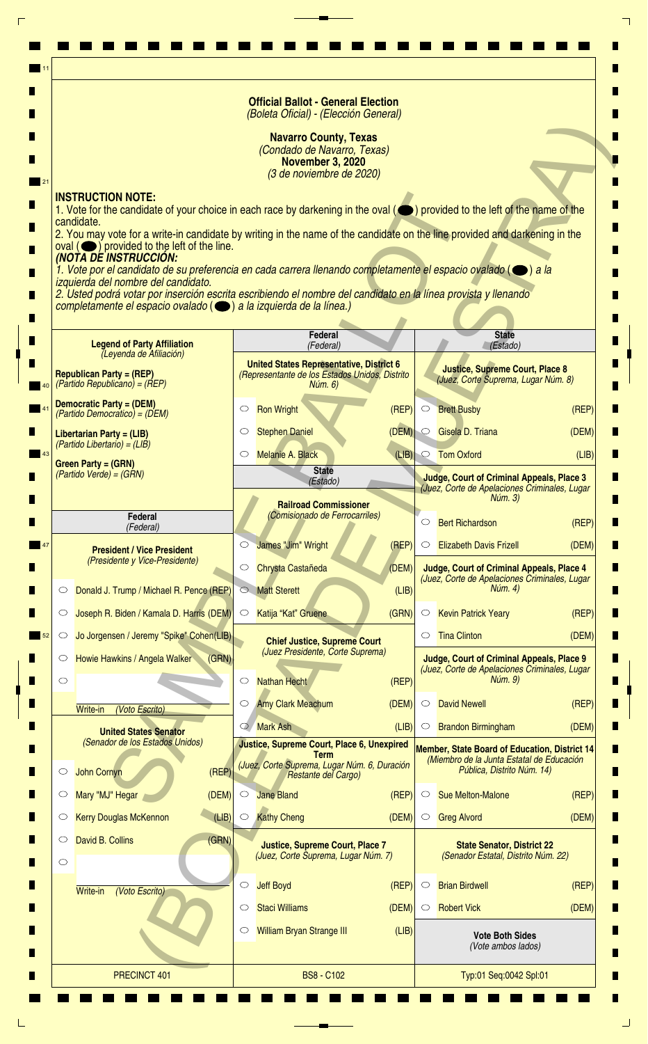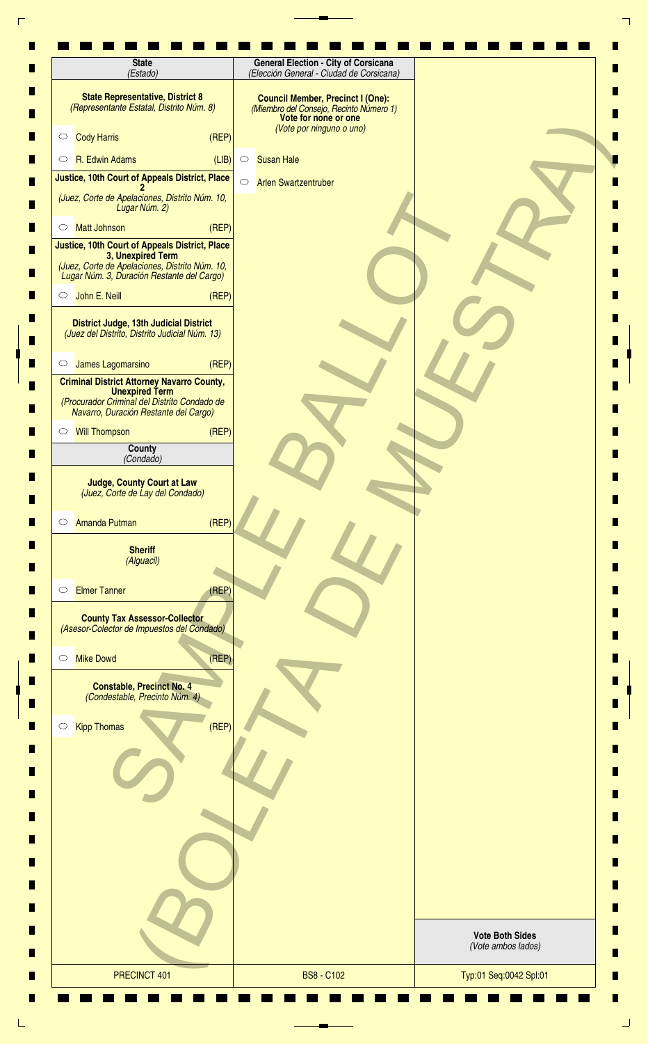| (Estado)                                                                                                                                                            | <b>General Election - City of Corsicana</b><br>(Elección General - Ciudad de Corsicana)                                                 |                                              |
|---------------------------------------------------------------------------------------------------------------------------------------------------------------------|-----------------------------------------------------------------------------------------------------------------------------------------|----------------------------------------------|
| <b>State Representative, District 8</b><br>(Representante Estatal, Distrito Núm. 8)                                                                                 | <b>Council Member, Precinct I (One):</b><br>(Miembro del Consejo, Recinto Número 1)<br>Vote for none or one<br>(Vote por ninguno o uno) |                                              |
| (REF)<br><b>Cody Harris</b><br>$\circ$                                                                                                                              |                                                                                                                                         |                                              |
| R. Edwin Adams<br>(LIB)<br>$\circ$                                                                                                                                  | <b>Susan Hale</b><br>$\circ$                                                                                                            |                                              |
| Justice, 10th Court of Appeals District, Place                                                                                                                      | $\circ$<br><b>Arlen Swartzentruber</b>                                                                                                  |                                              |
| (Juez, Corte de Apelaciones, Distrito Núm. 10,<br>Lugar Núm. 2)                                                                                                     |                                                                                                                                         |                                              |
| (REP)<br><b>Matt Johnson</b><br>$\circ$                                                                                                                             |                                                                                                                                         |                                              |
| Justice, 10th Court of Appeals District, Place<br>3, Unexpired Term<br>(Juez, Corte de Apelaciones, Distrito Núm. 10,<br>Lugar Núm. 3, Duración Restante del Cargo) |                                                                                                                                         |                                              |
| John E. Neill<br>(REF)<br>$\circ$                                                                                                                                   |                                                                                                                                         |                                              |
| District Judge, 13th Judicial District<br>(Juez del Distrito, Distrito Judicial Núm. 13)                                                                            |                                                                                                                                         |                                              |
| James Lagomarsino<br>(REF)<br>$\circ$                                                                                                                               |                                                                                                                                         |                                              |
| <b>Criminal District Attorney Navarro County,</b><br><b>Unexpired Term</b>                                                                                          |                                                                                                                                         |                                              |
| (Procurador Criminal del Distrito Condado de<br>Navarro, Duración Restante del Cargo)                                                                               |                                                                                                                                         |                                              |
| (REP)<br><b>Will Thompson</b><br>$\circ$                                                                                                                            |                                                                                                                                         |                                              |
| County<br>(Condado)                                                                                                                                                 |                                                                                                                                         |                                              |
| <b>Judge, County Court at Law</b><br>(Juez, Corte de Lay del Condado)                                                                                               |                                                                                                                                         |                                              |
| (REF)<br>Amanda Putman<br>$\circ$                                                                                                                                   |                                                                                                                                         |                                              |
| <b>Sheriff</b><br>(Alguacil)                                                                                                                                        |                                                                                                                                         |                                              |
| <b>Elmer Tanner</b><br>(REF)<br>$\circ$                                                                                                                             |                                                                                                                                         |                                              |
| <b>County Tax Assessor-Collector</b><br>(Asesor-Colector de Impuestos del Condado)                                                                                  |                                                                                                                                         |                                              |
| (REF)<br><b>Mike Dowd</b><br>$\circ$                                                                                                                                |                                                                                                                                         |                                              |
| <b>Constable, Precinct No. 4</b><br>(Condestable, Precinto Núm. 4)                                                                                                  |                                                                                                                                         |                                              |
| (REF)<br><b>Kipp Thomas</b><br>$\circ$                                                                                                                              |                                                                                                                                         |                                              |
|                                                                                                                                                                     |                                                                                                                                         |                                              |
|                                                                                                                                                                     |                                                                                                                                         |                                              |
|                                                                                                                                                                     |                                                                                                                                         |                                              |
|                                                                                                                                                                     |                                                                                                                                         |                                              |
|                                                                                                                                                                     |                                                                                                                                         | <b>Vote Both Sides</b><br>(Vote ambos lados) |
| PRECINCT 401                                                                                                                                                        | <b>BS8 - C102</b>                                                                                                                       | Typ:01 Seq:0042 Spl:01                       |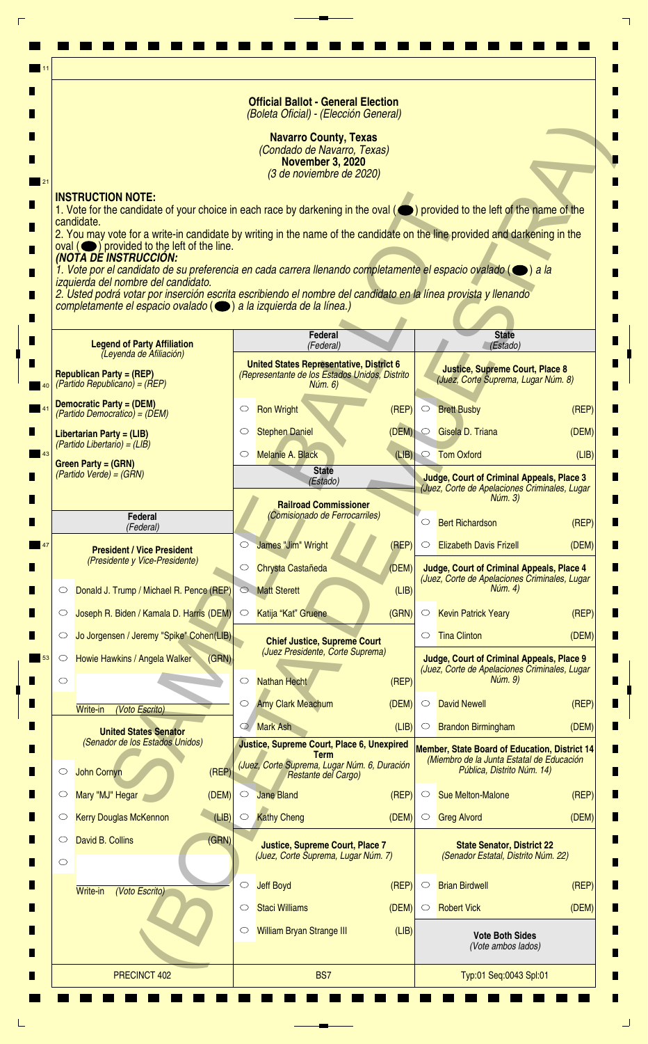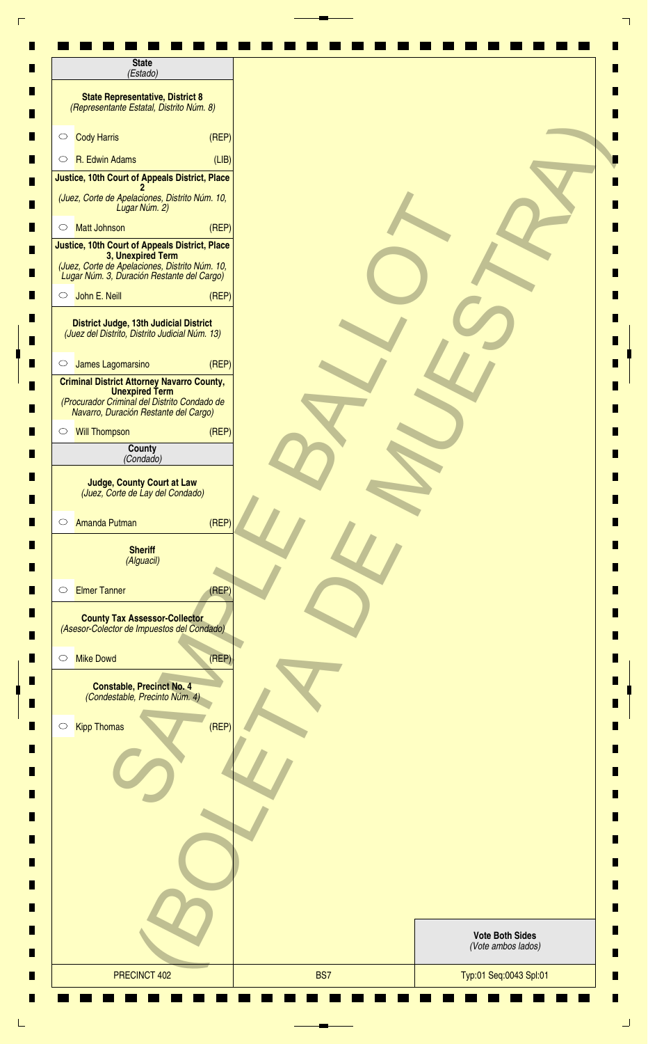| <b>State</b><br>(Estado)                                                                                                                                            |       |                                              |
|---------------------------------------------------------------------------------------------------------------------------------------------------------------------|-------|----------------------------------------------|
| <b>State Representative, District 8</b><br>(Representante Estatal, Distrito Núm. 8)                                                                                 |       |                                              |
| <b>Cody Harris</b><br>$\circ$                                                                                                                                       | (REF) |                                              |
| R. Edwin Adams<br>$\circ$                                                                                                                                           | (LIB) |                                              |
| Justice, 10th Court of Appeals District, Place                                                                                                                      |       |                                              |
| (Juez, Corte de Apelaciones, Distrito Núm. 10,<br>Lugar Núm. 2)                                                                                                     |       |                                              |
| <b>Matt Johnson</b><br>$\circ$                                                                                                                                      | (REP) |                                              |
| Justice, 10th Court of Appeals District, Place<br>3, Unexpired Term<br>(Juez, Corte de Apelaciones, Distrito Núm. 10,<br>Lugar Núm. 3, Duración Restante del Cargo) |       |                                              |
| John E. Neill<br>$\circ$                                                                                                                                            | (REF) |                                              |
| District Judge, 13th Judicial District<br>(Juez del Distrito, Distrito Judicial Núm. 13)                                                                            |       |                                              |
| James Lagomarsino<br>$\circ$                                                                                                                                        | (REF) |                                              |
| <b>Criminal District Attorney Navarro County,</b><br><b>Unexpired Term</b><br>(Procurador Criminal del Distrito Condado de<br>Navarro, Duración Restante del Cargo) |       |                                              |
| Will Thompson                                                                                                                                                       | (REP) |                                              |
| County<br>(Condado)                                                                                                                                                 |       |                                              |
| <b>Amanda Putman</b><br>$\circ$<br><b>Sheriff</b><br>(Alguacil)                                                                                                     | (REP) |                                              |
| <b>Elmer Tanner</b><br>$\circ$                                                                                                                                      | (REF) |                                              |
| <b>County Tax Assessor-Collector</b><br>(Asesor-Colector de Impuestos del Condado)                                                                                  |       |                                              |
| <b>Mike Dowd</b><br>$\circ$                                                                                                                                         | (REF) |                                              |
| <b>Constable, Precinct No. 4</b><br>(Condestable, Precinto Núm. 4)                                                                                                  |       |                                              |
| <b>Kipp Thomas</b><br>$\circ$                                                                                                                                       | (REF) |                                              |
|                                                                                                                                                                     |       |                                              |
|                                                                                                                                                                     |       |                                              |
|                                                                                                                                                                     |       |                                              |
|                                                                                                                                                                     |       |                                              |
|                                                                                                                                                                     |       | <b>Vote Both Sides</b><br>(Vote ambos lados) |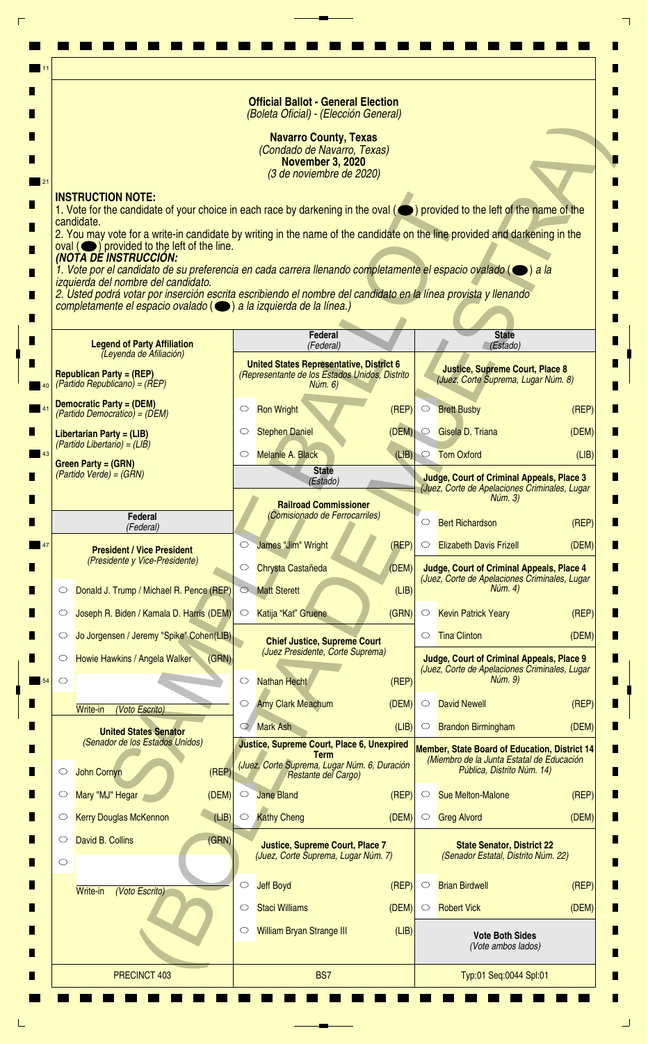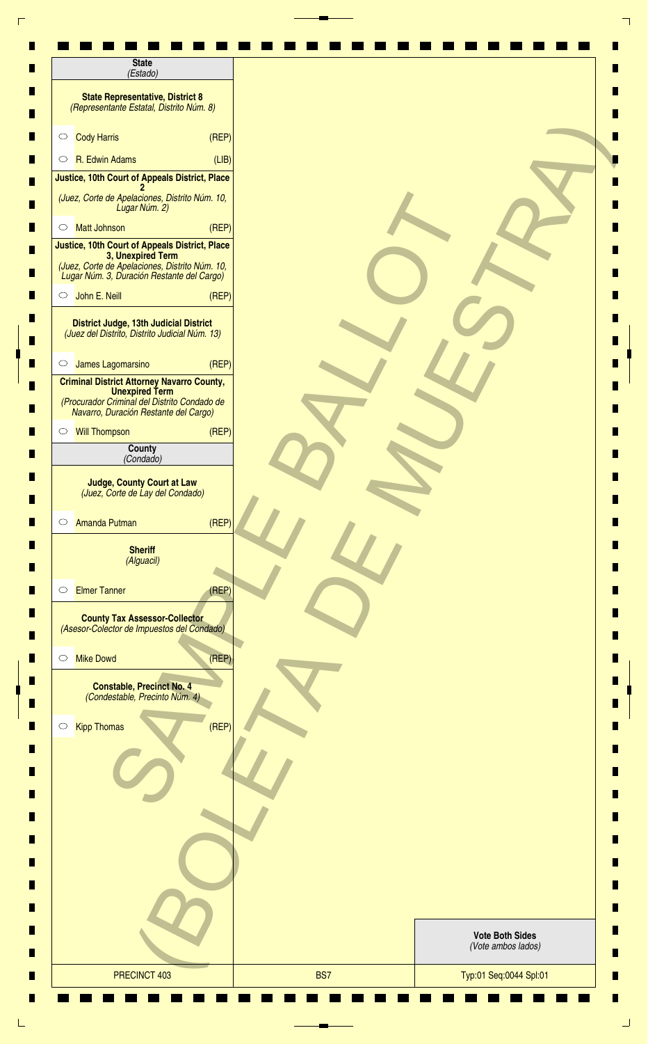| <b>State</b><br>(Estado)                                                                                                                                            |       |                                              |
|---------------------------------------------------------------------------------------------------------------------------------------------------------------------|-------|----------------------------------------------|
| <b>State Representative, District 8</b><br>(Representante Estatal, Distrito Núm. 8)                                                                                 |       |                                              |
| <b>Cody Harris</b><br>$\circ$                                                                                                                                       | (REF) |                                              |
| R. Edwin Adams<br>$\circ$                                                                                                                                           | (LIB) |                                              |
| Justice, 10th Court of Appeals District, Place                                                                                                                      |       |                                              |
| (Juez, Corte de Apelaciones, Distrito Núm. 10,<br>Lugar Núm. 2)                                                                                                     |       |                                              |
| <b>Matt Johnson</b><br>$\circ$                                                                                                                                      | (REP) |                                              |
| Justice, 10th Court of Appeals District, Place<br>3, Unexpired Term<br>(Juez, Corte de Apelaciones, Distrito Núm. 10,<br>Lugar Núm. 3, Duración Restante del Cargo) |       |                                              |
| John E. Neill<br>$\circ$                                                                                                                                            | (REF) |                                              |
| District Judge, 13th Judicial District<br>(Juez del Distrito, Distrito Judicial Núm. 13)                                                                            |       |                                              |
| James Lagomarsino<br>$\circ$                                                                                                                                        | (REF) |                                              |
| <b>Criminal District Attorney Navarro County,</b><br><b>Unexpired Term</b><br>(Procurador Criminal del Distrito Condado de<br>Navarro, Duración Restante del Cargo) |       |                                              |
| ○ Will Thompson                                                                                                                                                     | (REP) |                                              |
| County<br>(Condado)                                                                                                                                                 |       |                                              |
| (Juez, Corte de Lay del Condado)<br><b>Amanda Putman</b><br>$\circ$<br><b>Sheriff</b><br>(Alguacil)                                                                 | (REF) |                                              |
| <b>Elmer Tanner</b><br>$\circ$                                                                                                                                      | (REF) |                                              |
| <b>County Tax Assessor-Collector</b><br>(Asesor-Colector de Impuestos del Condado)                                                                                  |       |                                              |
| <b>Mike Dowd</b><br>$\circ$                                                                                                                                         | (REP) |                                              |
| <b>Constable, Precinct No. 4</b><br>(Condestable, Precinto Núm. 4)                                                                                                  |       |                                              |
| <b>Kipp Thomas</b><br>$\circ$                                                                                                                                       | (REF) |                                              |
|                                                                                                                                                                     |       |                                              |
|                                                                                                                                                                     |       |                                              |
|                                                                                                                                                                     |       |                                              |
|                                                                                                                                                                     |       |                                              |
|                                                                                                                                                                     |       | <b>Vote Both Sides</b><br>(Vote ambos lados) |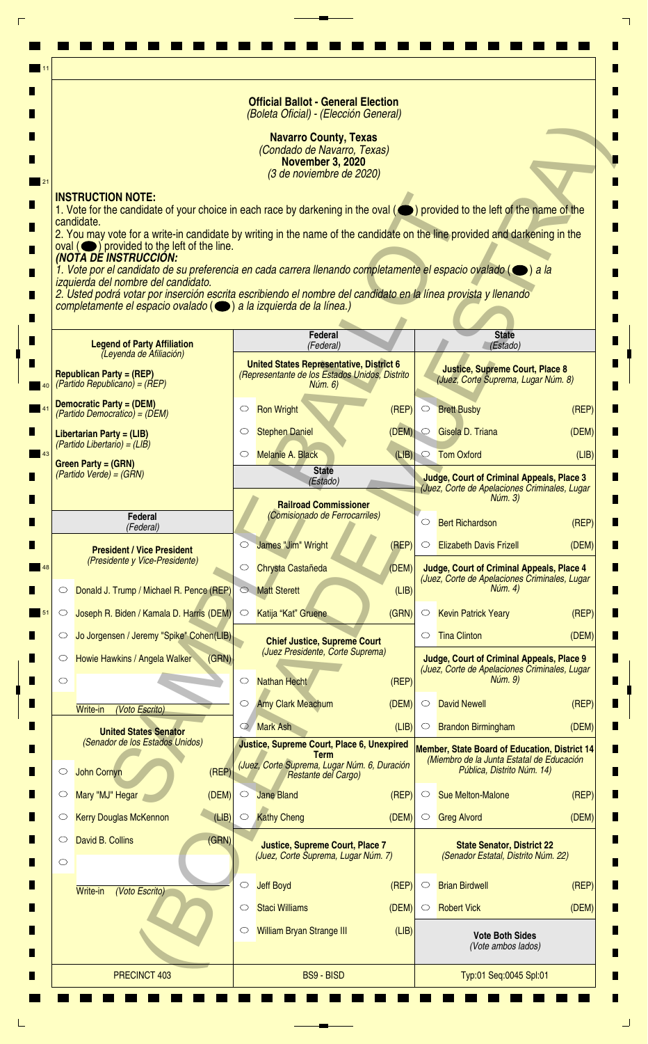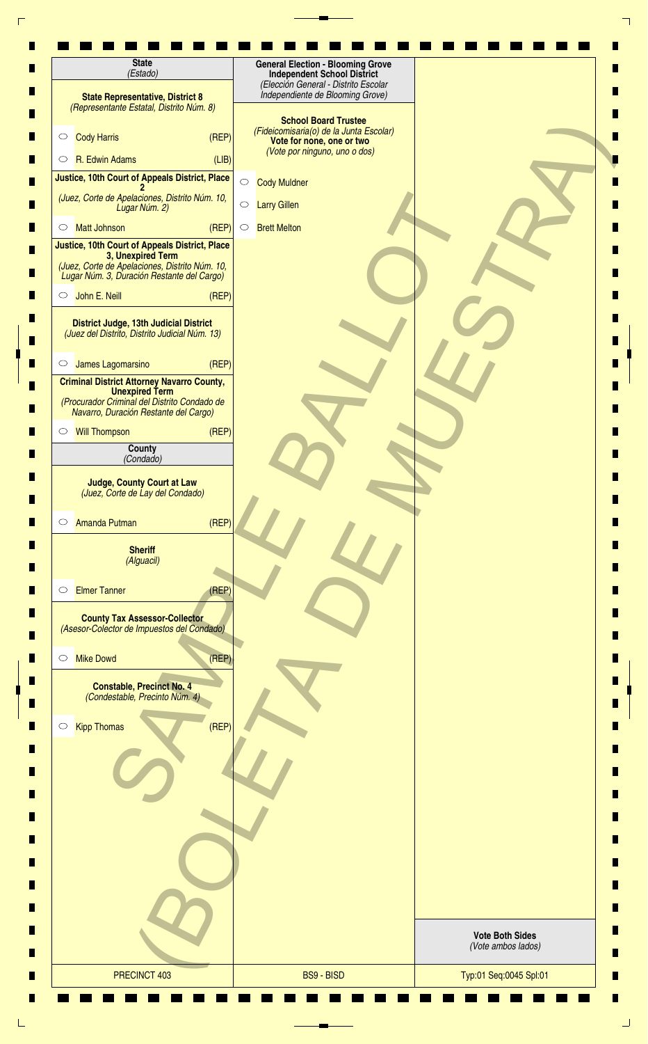| <b>State</b><br>(Estado)                                                                                                                                            | <b>General Election - Blooming Grove</b><br><b>Independent School District</b>                                                       |                                              |
|---------------------------------------------------------------------------------------------------------------------------------------------------------------------|--------------------------------------------------------------------------------------------------------------------------------------|----------------------------------------------|
| <b>State Representative, District 8</b><br>(Representante Estatal, Distrito Núm. 8)                                                                                 | (Elección General - Distrito Escolar<br>Independiente de Blooming Grove)                                                             |                                              |
| <b>Cody Harris</b><br>(REF)<br>$\circ$                                                                                                                              | <b>School Board Trustee</b><br>(Fideicomisaria(o) de la Junta Escolar)<br>Vote for none, one or two<br>(Vote por ninguno, uno o dos) |                                              |
| R. Edwin Adams<br>(LIB)<br>$\circ$                                                                                                                                  |                                                                                                                                      |                                              |
| Justice, 10th Court of Appeals District, Place                                                                                                                      | $\bigcirc$<br><b>Cody Muldner</b>                                                                                                    |                                              |
| (Juez, Corte de Apelaciones, Distrito Núm. 10,<br>Lugar Núm. 2)                                                                                                     | $\bigcirc$<br><b>Larry Gillen</b>                                                                                                    |                                              |
| (REF)<br><b>Matt Johnson</b><br>$\circ$                                                                                                                             | <b>Brett Melton</b><br>$\circ$                                                                                                       |                                              |
| Justice, 10th Court of Appeals District, Place<br>3, Unexpired Term<br>(Juez, Corte de Apelaciones, Distrito Núm. 10,<br>Lugar Núm. 3, Duración Restante del Cargo) |                                                                                                                                      |                                              |
| John E. Neill<br>(REF)<br>$\circ$                                                                                                                                   |                                                                                                                                      |                                              |
| District Judge, 13th Judicial District<br>(Juez del Distrito, Distrito Judicial Núm. 13)                                                                            |                                                                                                                                      |                                              |
| (REF)<br>James Lagomarsino<br>$\circ$                                                                                                                               |                                                                                                                                      |                                              |
| <b>Criminal District Attorney Navarro County,</b><br><b>Unexpired Term</b><br>(Procurador Criminal del Distrito Condado de<br>Navarro, Duración Restante del Cargo) |                                                                                                                                      |                                              |
| <b>Will Thompson</b><br>(REF)<br>$\circ$                                                                                                                            |                                                                                                                                      |                                              |
| County                                                                                                                                                              |                                                                                                                                      |                                              |
| (Condado)                                                                                                                                                           |                                                                                                                                      |                                              |
| <b>Judge, County Court at Law</b><br>(Juez, Corte de Lay del Condado)<br>(REF)<br>Amanda Putman<br>$\circ$                                                          |                                                                                                                                      |                                              |
| <b>Sheriff</b><br>(Alguacil)                                                                                                                                        |                                                                                                                                      |                                              |
| <b>Elmer Tanner</b><br>(REF)<br>$\circlearrowright$                                                                                                                 |                                                                                                                                      |                                              |
| <b>County Tax Assessor-Collector</b><br>(Asesor-Colector de Impuestos del Condado)                                                                                  |                                                                                                                                      |                                              |
| (REF)<br><b>Mike Dowd</b><br>$\circ$                                                                                                                                |                                                                                                                                      |                                              |
| <b>Constable, Precinct No. 4</b><br>(Condestable, Precinto Núm. 4)                                                                                                  |                                                                                                                                      |                                              |
| (REF)<br><b>Kipp Thomas</b><br>$\bigcirc$                                                                                                                           |                                                                                                                                      |                                              |
|                                                                                                                                                                     |                                                                                                                                      |                                              |
|                                                                                                                                                                     |                                                                                                                                      |                                              |
|                                                                                                                                                                     |                                                                                                                                      |                                              |
|                                                                                                                                                                     |                                                                                                                                      | <b>Vote Both Sides</b><br>(Vote ambos lados) |
| PRECINCT 403                                                                                                                                                        | <b>BS9 - BISD</b>                                                                                                                    | Typ:01 Seq:0045 Spl:01                       |
|                                                                                                                                                                     |                                                                                                                                      |                                              |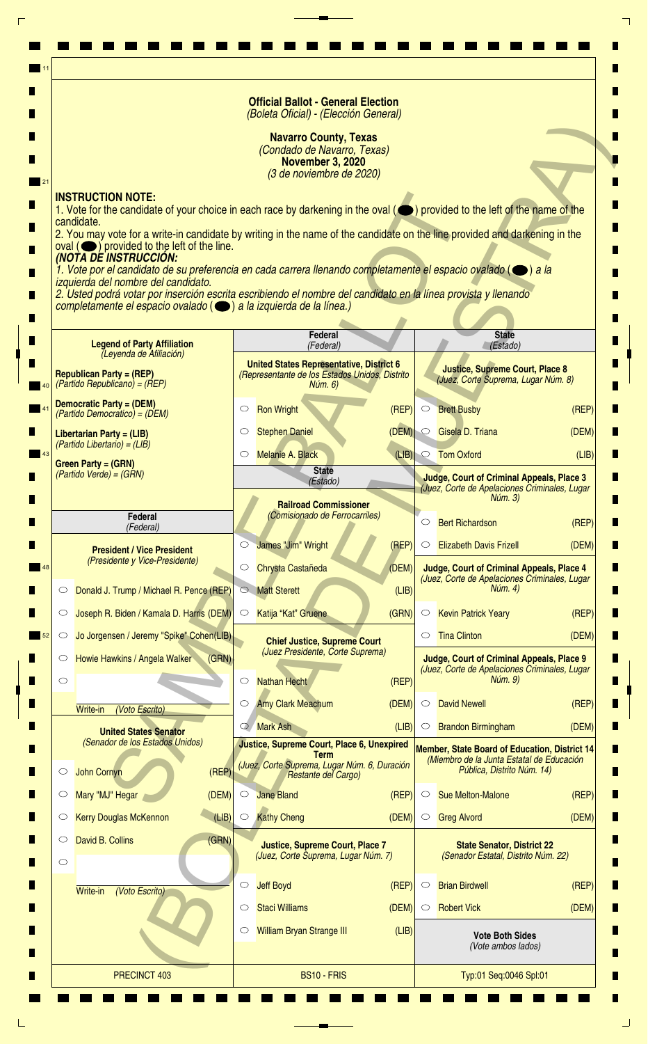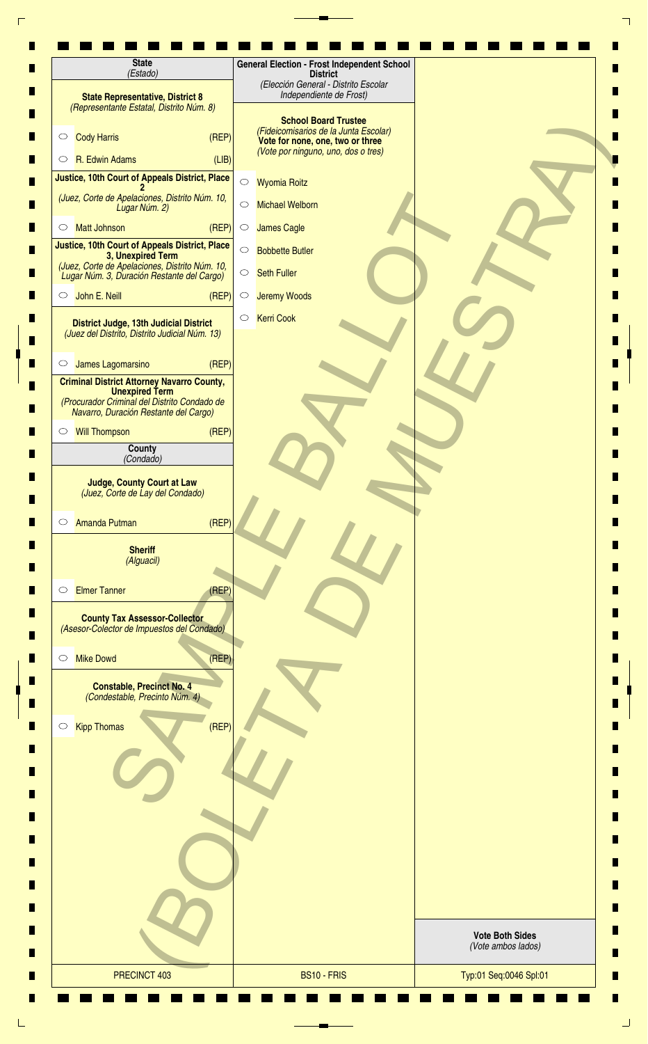| <b>State Representative, District 8</b><br>(Representante Estatal, Distrito Núm. 8)<br><b>Cody Harris</b><br>$\circ$<br>R. Edwin Adams<br>$\circ$<br>Justice, 10th Court of Appeals District, Place<br>(Juez, Corte de Apelaciones, Distrito Núm. 10,<br>Lugar Núm. 2)<br><b>Matt Johnson</b><br>$\circlearrowright$<br>Justice, 10th Court of Appeals District, Place<br>3, Unexpired Term<br>(Juez, Corte de Apelaciones, Distrito Núm. 10,<br>Lugar Núm. 3, Duración Restante del Cargo)<br>John E. Neill<br>$\circ$<br>District Judge, 13th Judicial District<br>(Juez del Distrito, Distrito Judicial Núm. 13)<br>James Lagomarsino<br>$\circ$<br><b>Criminal District Attorney Navarro County,</b><br><b>Unexpired Term</b><br>(Procurador Criminal del Distrito Condado de<br>Navarro, Duración Restante del Cargo)<br><b>Will Thompson</b><br>$\circ$ | (REP)<br>(LIB)<br>(REF)<br>(REF)<br>(REP)<br>(REP) | $\bigcirc$<br><b>Wyomia Roitz</b><br><b>Michael Welborn</b><br>$\circ$<br><b>James Cagle</b><br>$\circ$<br>$\bigcirc$<br><b>Bobbette Butler</b><br><b>Seth Fuller</b><br>$\bigcirc$<br>$\bigcirc$<br><b>Jeremy Woods</b><br><b>Kerri Cook</b><br>$\circlearrowright$ | (Elección General - Distrito Escolar<br>Independiente de Frost)<br><b>School Board Trustee</b><br>(Fideicomisarios de la Junta Escolar)<br>Vote for none, one, two or three<br>(Vote por ninguno, uno, dos o tres) |  |                        |  |
|---------------------------------------------------------------------------------------------------------------------------------------------------------------------------------------------------------------------------------------------------------------------------------------------------------------------------------------------------------------------------------------------------------------------------------------------------------------------------------------------------------------------------------------------------------------------------------------------------------------------------------------------------------------------------------------------------------------------------------------------------------------------------------------------------------------------------------------------------------------|----------------------------------------------------|----------------------------------------------------------------------------------------------------------------------------------------------------------------------------------------------------------------------------------------------------------------------|--------------------------------------------------------------------------------------------------------------------------------------------------------------------------------------------------------------------|--|------------------------|--|
|                                                                                                                                                                                                                                                                                                                                                                                                                                                                                                                                                                                                                                                                                                                                                                                                                                                               |                                                    |                                                                                                                                                                                                                                                                      |                                                                                                                                                                                                                    |  |                        |  |
|                                                                                                                                                                                                                                                                                                                                                                                                                                                                                                                                                                                                                                                                                                                                                                                                                                                               |                                                    |                                                                                                                                                                                                                                                                      |                                                                                                                                                                                                                    |  |                        |  |
|                                                                                                                                                                                                                                                                                                                                                                                                                                                                                                                                                                                                                                                                                                                                                                                                                                                               |                                                    |                                                                                                                                                                                                                                                                      |                                                                                                                                                                                                                    |  |                        |  |
|                                                                                                                                                                                                                                                                                                                                                                                                                                                                                                                                                                                                                                                                                                                                                                                                                                                               |                                                    |                                                                                                                                                                                                                                                                      |                                                                                                                                                                                                                    |  |                        |  |
|                                                                                                                                                                                                                                                                                                                                                                                                                                                                                                                                                                                                                                                                                                                                                                                                                                                               |                                                    |                                                                                                                                                                                                                                                                      |                                                                                                                                                                                                                    |  |                        |  |
|                                                                                                                                                                                                                                                                                                                                                                                                                                                                                                                                                                                                                                                                                                                                                                                                                                                               |                                                    |                                                                                                                                                                                                                                                                      |                                                                                                                                                                                                                    |  |                        |  |
|                                                                                                                                                                                                                                                                                                                                                                                                                                                                                                                                                                                                                                                                                                                                                                                                                                                               |                                                    |                                                                                                                                                                                                                                                                      |                                                                                                                                                                                                                    |  |                        |  |
|                                                                                                                                                                                                                                                                                                                                                                                                                                                                                                                                                                                                                                                                                                                                                                                                                                                               |                                                    |                                                                                                                                                                                                                                                                      |                                                                                                                                                                                                                    |  |                        |  |
|                                                                                                                                                                                                                                                                                                                                                                                                                                                                                                                                                                                                                                                                                                                                                                                                                                                               |                                                    |                                                                                                                                                                                                                                                                      |                                                                                                                                                                                                                    |  |                        |  |
|                                                                                                                                                                                                                                                                                                                                                                                                                                                                                                                                                                                                                                                                                                                                                                                                                                                               |                                                    |                                                                                                                                                                                                                                                                      |                                                                                                                                                                                                                    |  |                        |  |
|                                                                                                                                                                                                                                                                                                                                                                                                                                                                                                                                                                                                                                                                                                                                                                                                                                                               |                                                    |                                                                                                                                                                                                                                                                      |                                                                                                                                                                                                                    |  |                        |  |
|                                                                                                                                                                                                                                                                                                                                                                                                                                                                                                                                                                                                                                                                                                                                                                                                                                                               |                                                    |                                                                                                                                                                                                                                                                      |                                                                                                                                                                                                                    |  |                        |  |
|                                                                                                                                                                                                                                                                                                                                                                                                                                                                                                                                                                                                                                                                                                                                                                                                                                                               |                                                    |                                                                                                                                                                                                                                                                      |                                                                                                                                                                                                                    |  |                        |  |
|                                                                                                                                                                                                                                                                                                                                                                                                                                                                                                                                                                                                                                                                                                                                                                                                                                                               |                                                    |                                                                                                                                                                                                                                                                      |                                                                                                                                                                                                                    |  |                        |  |
| County<br>(Condado)                                                                                                                                                                                                                                                                                                                                                                                                                                                                                                                                                                                                                                                                                                                                                                                                                                           |                                                    |                                                                                                                                                                                                                                                                      |                                                                                                                                                                                                                    |  |                        |  |
| <b>Judge, County Court at Law</b><br>(Juez, Corte de Lay del Condado)                                                                                                                                                                                                                                                                                                                                                                                                                                                                                                                                                                                                                                                                                                                                                                                         |                                                    |                                                                                                                                                                                                                                                                      |                                                                                                                                                                                                                    |  |                        |  |
| Amanda Putman<br>$\circ$<br><b>Sheriff</b>                                                                                                                                                                                                                                                                                                                                                                                                                                                                                                                                                                                                                                                                                                                                                                                                                    | (REF)                                              |                                                                                                                                                                                                                                                                      |                                                                                                                                                                                                                    |  |                        |  |
| (Alguacil)                                                                                                                                                                                                                                                                                                                                                                                                                                                                                                                                                                                                                                                                                                                                                                                                                                                    |                                                    |                                                                                                                                                                                                                                                                      |                                                                                                                                                                                                                    |  |                        |  |
| <b>Elmer Tanner</b><br>$\circlearrowright$                                                                                                                                                                                                                                                                                                                                                                                                                                                                                                                                                                                                                                                                                                                                                                                                                    | (REP)                                              |                                                                                                                                                                                                                                                                      |                                                                                                                                                                                                                    |  |                        |  |
| <b>County Tax Assessor-Collector</b><br>(Asesor-Colector de Impuestos del Condado)                                                                                                                                                                                                                                                                                                                                                                                                                                                                                                                                                                                                                                                                                                                                                                            |                                                    |                                                                                                                                                                                                                                                                      |                                                                                                                                                                                                                    |  |                        |  |
| <b>Mike Dowd</b><br>$\circ$                                                                                                                                                                                                                                                                                                                                                                                                                                                                                                                                                                                                                                                                                                                                                                                                                                   | (REF)                                              |                                                                                                                                                                                                                                                                      |                                                                                                                                                                                                                    |  |                        |  |
| <b>Constable, Precinct No. 4</b><br>(Condestable, Precinto Núm. 4)                                                                                                                                                                                                                                                                                                                                                                                                                                                                                                                                                                                                                                                                                                                                                                                            |                                                    |                                                                                                                                                                                                                                                                      |                                                                                                                                                                                                                    |  |                        |  |
| <b>Kipp Thomas</b><br>$\circ$                                                                                                                                                                                                                                                                                                                                                                                                                                                                                                                                                                                                                                                                                                                                                                                                                                 | (REF)                                              |                                                                                                                                                                                                                                                                      |                                                                                                                                                                                                                    |  |                        |  |
|                                                                                                                                                                                                                                                                                                                                                                                                                                                                                                                                                                                                                                                                                                                                                                                                                                                               |                                                    |                                                                                                                                                                                                                                                                      |                                                                                                                                                                                                                    |  |                        |  |
|                                                                                                                                                                                                                                                                                                                                                                                                                                                                                                                                                                                                                                                                                                                                                                                                                                                               |                                                    |                                                                                                                                                                                                                                                                      |                                                                                                                                                                                                                    |  |                        |  |
|                                                                                                                                                                                                                                                                                                                                                                                                                                                                                                                                                                                                                                                                                                                                                                                                                                                               |                                                    |                                                                                                                                                                                                                                                                      |                                                                                                                                                                                                                    |  |                        |  |
|                                                                                                                                                                                                                                                                                                                                                                                                                                                                                                                                                                                                                                                                                                                                                                                                                                                               |                                                    |                                                                                                                                                                                                                                                                      |                                                                                                                                                                                                                    |  | <b>Vote Both Sides</b> |  |
|                                                                                                                                                                                                                                                                                                                                                                                                                                                                                                                                                                                                                                                                                                                                                                                                                                                               |                                                    |                                                                                                                                                                                                                                                                      |                                                                                                                                                                                                                    |  | (Vote ambos lados)     |  |
| PRECINCT 403                                                                                                                                                                                                                                                                                                                                                                                                                                                                                                                                                                                                                                                                                                                                                                                                                                                  |                                                    |                                                                                                                                                                                                                                                                      | BS10 - FRIS                                                                                                                                                                                                        |  | Typ:01 Seq:0046 Spl:01 |  |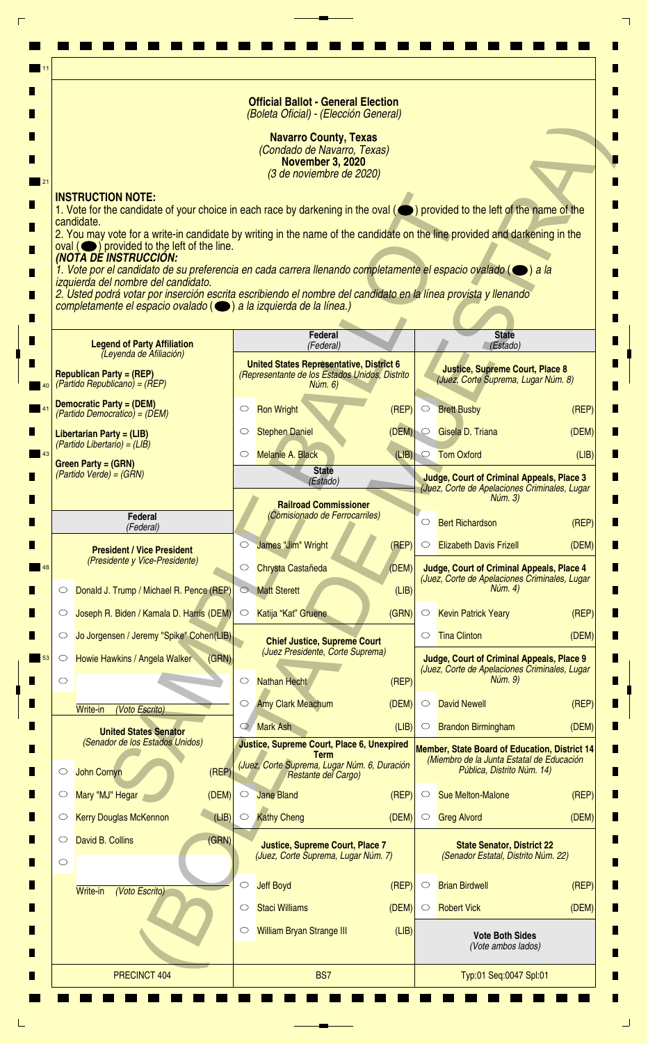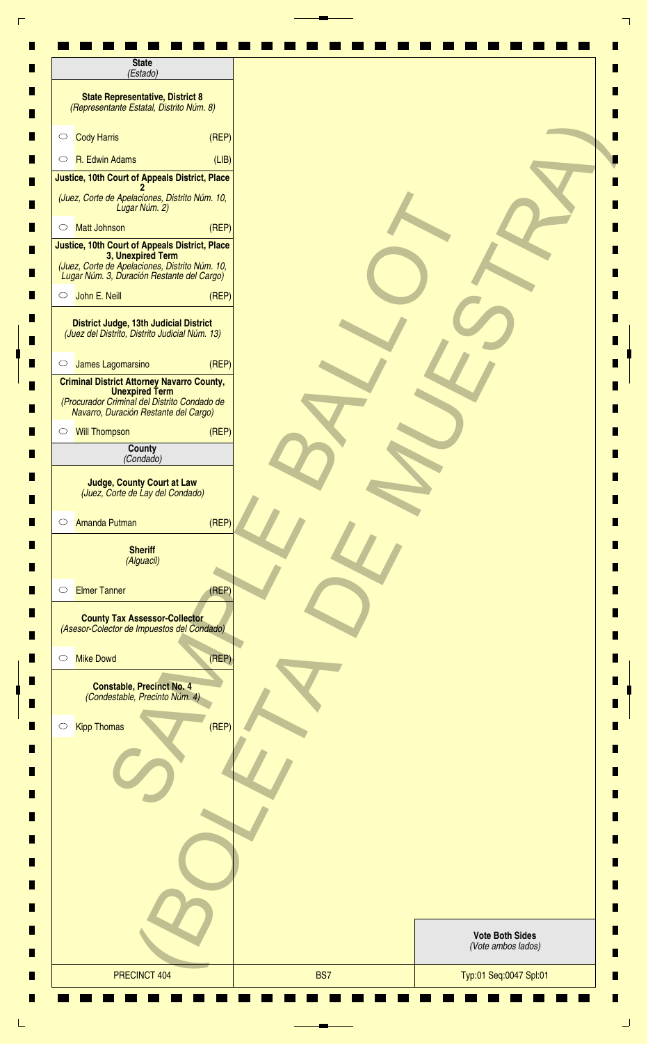| (Estado)                                                                                                                                                            |       |                                              |  |
|---------------------------------------------------------------------------------------------------------------------------------------------------------------------|-------|----------------------------------------------|--|
| <b>State Representative, District 8</b><br>(Representante Estatal, Distrito Núm. 8)                                                                                 |       |                                              |  |
| <b>Cody Harris</b><br>$\circ$                                                                                                                                       | (REF) |                                              |  |
| R. Edwin Adams<br>$\circ$                                                                                                                                           | (LIB) |                                              |  |
| Justice, 10th Court of Appeals District, Place                                                                                                                      |       |                                              |  |
| (Juez, Corte de Apelaciones, Distrito Núm. 10,<br>Lugar Núm. 2)                                                                                                     |       |                                              |  |
| <b>Matt Johnson</b><br>$\circ$                                                                                                                                      | (REP) |                                              |  |
| Justice, 10th Court of Appeals District, Place<br>3, Unexpired Term<br>(Juez, Corte de Apelaciones, Distrito Núm. 10,<br>Lugar Núm. 3, Duración Restante del Cargo) |       |                                              |  |
| John E. Neill<br>$\circ$                                                                                                                                            | (REF) |                                              |  |
| District Judge, 13th Judicial District<br>(Juez del Distrito, Distrito Judicial Núm. 13)                                                                            |       |                                              |  |
| James Lagomarsino<br>$\circ$                                                                                                                                        | (REF) |                                              |  |
| <b>Criminal District Attorney Navarro County,</b><br><b>Unexpired Term</b><br>(Procurador Criminal del Distrito Condado de<br>Navarro, Duración Restante del Cargo) |       |                                              |  |
| Will Thompson                                                                                                                                                       | (REP) |                                              |  |
| County<br>(Condado)                                                                                                                                                 |       |                                              |  |
| <b>Amanda Putman</b><br>$\circ$<br><b>Sheriff</b><br>(Alguacil)                                                                                                     | (REP) |                                              |  |
| <b>Elmer Tanner</b><br>$\circ$                                                                                                                                      | (REF) |                                              |  |
| <b>County Tax Assessor-Collector</b><br>(Asesor-Colector de Impuestos del Condado)                                                                                  |       |                                              |  |
| <b>Mike Dowd</b><br>$\circ$                                                                                                                                         | (REF) |                                              |  |
| <b>Constable, Precinct No. 4</b><br>(Condestable, Precinto Núm. 4)                                                                                                  |       |                                              |  |
|                                                                                                                                                                     | (REF) |                                              |  |
| <b>Kipp Thomas</b>                                                                                                                                                  |       |                                              |  |
| $\circ$                                                                                                                                                             |       |                                              |  |
|                                                                                                                                                                     |       |                                              |  |
|                                                                                                                                                                     |       |                                              |  |
|                                                                                                                                                                     |       | <b>Vote Both Sides</b><br>(Vote ambos lados) |  |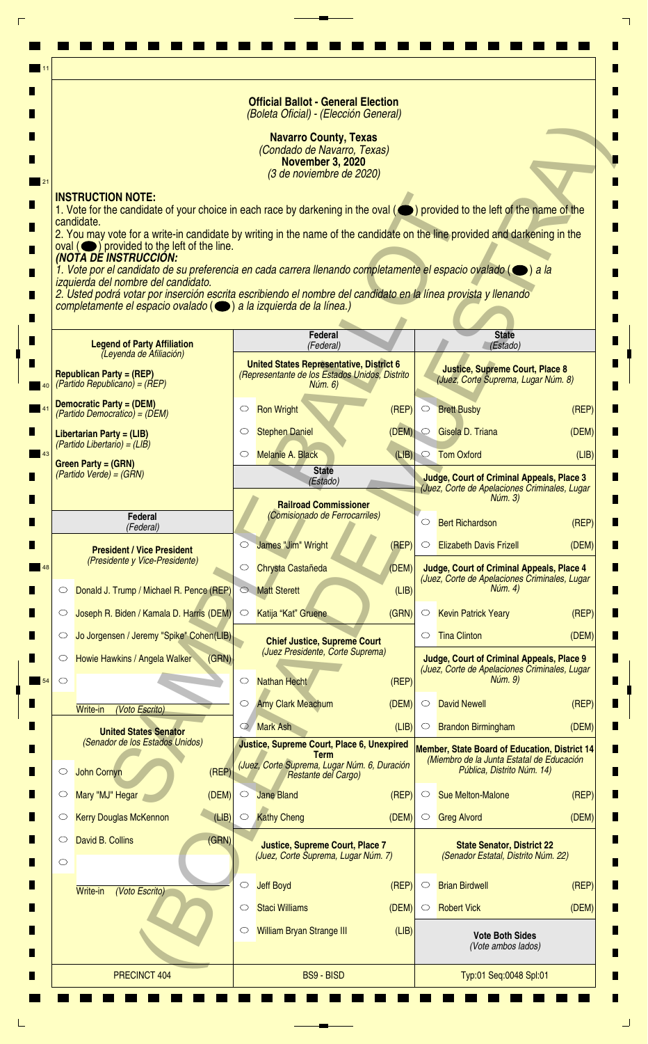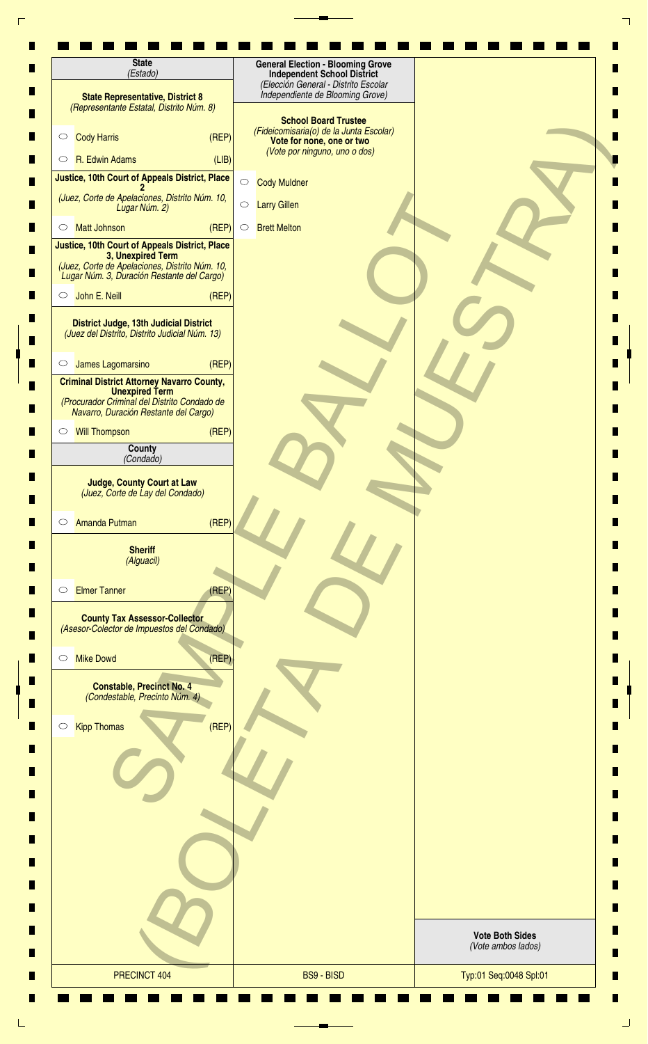| <b>State</b><br>(Estado)                                                                                                                                                             | <b>General Election - Blooming Grove</b><br><b>Independent School District</b>                                                       |                                              |
|--------------------------------------------------------------------------------------------------------------------------------------------------------------------------------------|--------------------------------------------------------------------------------------------------------------------------------------|----------------------------------------------|
| <b>State Representative, District 8</b><br>(Representante Estatal, Distrito Núm. 8)                                                                                                  | (Elección General - Distrito Escolar<br>Independiente de Blooming Grove)                                                             |                                              |
| <b>Cody Harris</b><br>(REF)<br>$\circ$                                                                                                                                               | <b>School Board Trustee</b><br>(Fideicomisaria(o) de la Junta Escolar)<br>Vote for none, one or two<br>(Vote por ninguno, uno o dos) |                                              |
| R. Edwin Adams<br>(LIB)<br>$\circ$                                                                                                                                                   |                                                                                                                                      |                                              |
| Justice, 10th Court of Appeals District, Place                                                                                                                                       | $\bigcirc$<br><b>Cody Muldner</b>                                                                                                    |                                              |
| (Juez, Corte de Apelaciones, Distrito Núm. 10,<br>Lugar Núm. 2)                                                                                                                      | $\bigcirc$<br><b>Larry Gillen</b>                                                                                                    |                                              |
| (REF)<br><b>Matt Johnson</b><br>$\circ$                                                                                                                                              | <b>Brett Melton</b><br>$\circ$                                                                                                       |                                              |
| Justice, 10th Court of Appeals District, Place<br>3, Unexpired Term<br>(Juez, Corte de Apelaciones, Distrito Núm. 10,<br>Lugar Núm. 3, Duración Restante del Cargo)<br>John E. Neill |                                                                                                                                      |                                              |
| (REF)<br>$\circ$                                                                                                                                                                     |                                                                                                                                      |                                              |
| District Judge, 13th Judicial District<br>(Juez del Distrito, Distrito Judicial Núm. 13)                                                                                             |                                                                                                                                      |                                              |
| (REF)<br>James Lagomarsino<br>$\circ$                                                                                                                                                |                                                                                                                                      |                                              |
| <b>Criminal District Attorney Navarro County,</b><br><b>Unexpired Term</b><br>(Procurador Criminal del Distrito Condado de<br>Navarro, Duración Restante del Cargo)                  |                                                                                                                                      |                                              |
| <b>Will Thompson</b><br>(REF)<br>$\circ$                                                                                                                                             |                                                                                                                                      |                                              |
| County                                                                                                                                                                               |                                                                                                                                      |                                              |
| (Condado)                                                                                                                                                                            |                                                                                                                                      |                                              |
| <b>Judge, County Court at Law</b><br>(Juez, Corte de Lay del Condado)<br>(REF)<br>Amanda Putman<br>$\circ$                                                                           |                                                                                                                                      |                                              |
| <b>Sheriff</b><br>(Alguacil)                                                                                                                                                         |                                                                                                                                      |                                              |
| <b>Elmer Tanner</b><br>(REF)<br>$\circlearrowright$                                                                                                                                  |                                                                                                                                      |                                              |
| <b>County Tax Assessor-Collector</b><br>(Asesor-Colector de Impuestos del Condado)                                                                                                   |                                                                                                                                      |                                              |
| (REF)<br><b>Mike Dowd</b><br>$\circ$                                                                                                                                                 |                                                                                                                                      |                                              |
| <b>Constable, Precinct No. 4</b><br>(Condestable, Precinto Núm. 4)                                                                                                                   |                                                                                                                                      |                                              |
| (REF)<br><b>Kipp Thomas</b><br>$\bigcirc$                                                                                                                                            |                                                                                                                                      |                                              |
|                                                                                                                                                                                      |                                                                                                                                      |                                              |
|                                                                                                                                                                                      |                                                                                                                                      |                                              |
|                                                                                                                                                                                      |                                                                                                                                      |                                              |
|                                                                                                                                                                                      |                                                                                                                                      | <b>Vote Both Sides</b><br>(Vote ambos lados) |
| PRECINCT 404                                                                                                                                                                         | <b>BS9 - BISD</b>                                                                                                                    | Typ:01 Seq:0048 Spl:01                       |
|                                                                                                                                                                                      |                                                                                                                                      |                                              |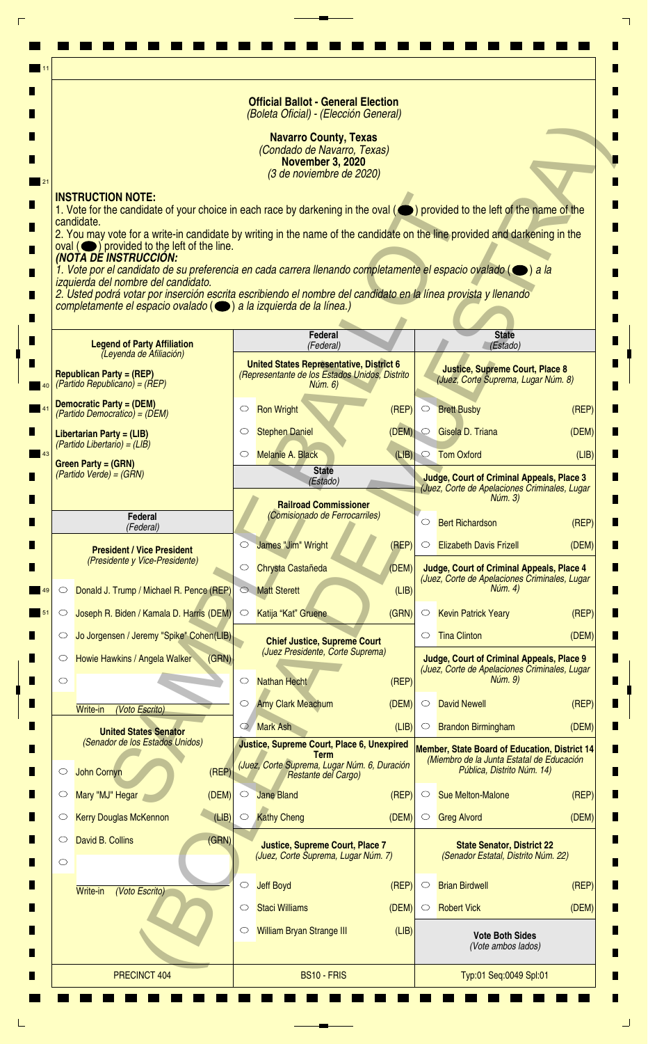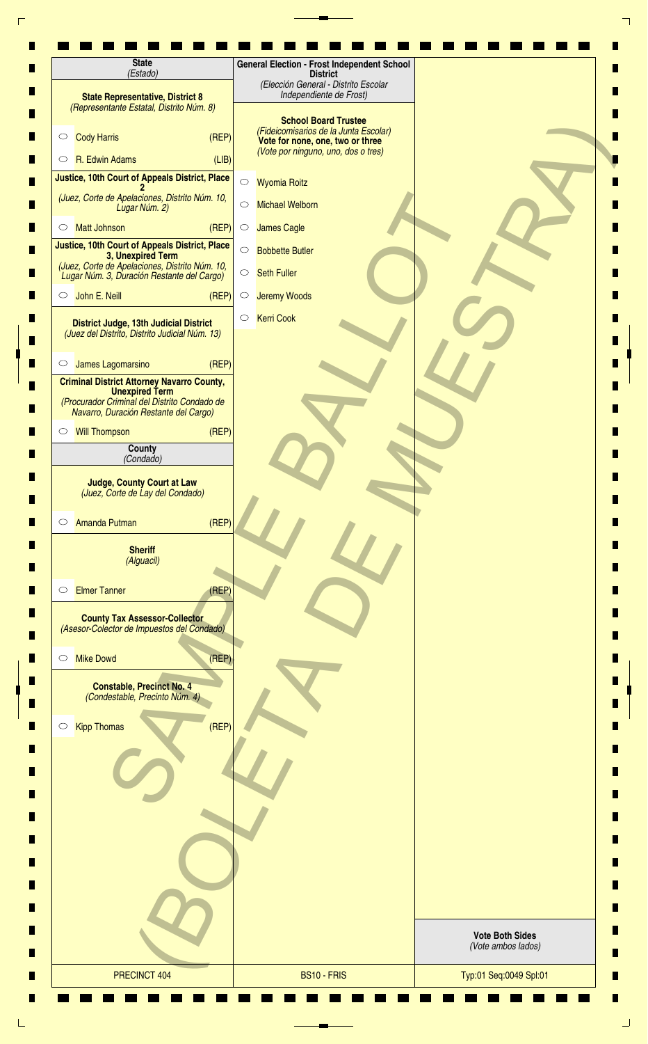| <b>State</b><br>(Estado)                                                                                              | <b>General Election - Frost Independent School</b><br><b>District</b><br>(Elección General - Distrito Escolar |                                              |
|-----------------------------------------------------------------------------------------------------------------------|---------------------------------------------------------------------------------------------------------------|----------------------------------------------|
| <b>State Representative, District 8</b><br>(Representante Estatal, Distrito Núm. 8)                                   | Independiente de Frost)                                                                                       |                                              |
| (REP)<br><b>Cody Harris</b><br>$\circ$                                                                                | <b>School Board Trustee</b><br>(Fideicomisarios de la Junta Escolar)<br>Vote for none, one, two or three      |                                              |
| R. Edwin Adams<br>(LIB)<br>$\circ$                                                                                    | (Vote por ninguno, uno, dos o tres)                                                                           |                                              |
| Justice, 10th Court of Appeals District, Place                                                                        | $\bigcirc$<br><b>Wyomia Roitz</b>                                                                             |                                              |
| (Juez, Corte de Apelaciones, Distrito Núm. 10,<br>Lugar Núm. 2)                                                       | <b>Michael Welborn</b><br>$\circ$                                                                             |                                              |
| (REF)<br><b>Matt Johnson</b><br>$\circlearrowright$                                                                   | <b>James Cagle</b><br>$\circ$                                                                                 |                                              |
| Justice, 10th Court of Appeals District, Place<br>3, Unexpired Term<br>(Juez, Corte de Apelaciones, Distrito Núm. 10, | $\bigcirc$<br><b>Bobbette Butler</b><br><b>Seth Fuller</b><br>$\bigcirc$                                      |                                              |
| Lugar Núm. 3, Duración Restante del Cargo)                                                                            |                                                                                                               |                                              |
| John E. Neill<br>(REF)<br>$\circ$                                                                                     | $\bigcirc$<br><b>Jeremy Woods</b>                                                                             |                                              |
| District Judge, 13th Judicial District<br>(Juez del Distrito, Distrito Judicial Núm. 13)                              | <b>Kerri Cook</b><br>$\circlearrowright$                                                                      |                                              |
| (REP)<br>James Lagomarsino<br>$\circ$                                                                                 |                                                                                                               |                                              |
| <b>Criminal District Attorney Navarro County,</b>                                                                     |                                                                                                               |                                              |
| <b>Unexpired Term</b><br>(Procurador Criminal del Distrito Condado de<br>Navarro, Duración Restante del Cargo)        |                                                                                                               |                                              |
| (REP)<br><b>Will Thompson</b><br>$\circ$                                                                              |                                                                                                               |                                              |
| County<br>(Condado)                                                                                                   |                                                                                                               |                                              |
| <b>Judge, County Court at Law</b><br>(Juez, Corte de Lay del Condado)<br>(REF)<br>Amanda Putman<br>$\circ$            |                                                                                                               |                                              |
| <b>Sheriff</b><br>(Alguacil)                                                                                          |                                                                                                               |                                              |
| <b>Elmer Tanner</b><br>(REP)<br>$\circlearrowright$                                                                   |                                                                                                               |                                              |
| <b>County Tax Assessor-Collector</b><br>(Asesor-Colector de Impuestos del Condado)                                    |                                                                                                               |                                              |
| (REF)<br><b>Mike Dowd</b><br>$\circ$                                                                                  |                                                                                                               |                                              |
| <b>Constable, Precinct No. 4</b><br>(Condestable, Precinto Núm. 4)<br>(REF)<br><b>Kipp Thomas</b><br>$\circ$          |                                                                                                               |                                              |
|                                                                                                                       |                                                                                                               |                                              |
|                                                                                                                       |                                                                                                               |                                              |
|                                                                                                                       |                                                                                                               | <b>Vote Both Sides</b><br>(Vote ambos lados) |
| PRECINCT 404                                                                                                          | BS10 - FRIS                                                                                                   | Typ:01 Seq:0049 Spl:01                       |
|                                                                                                                       |                                                                                                               |                                              |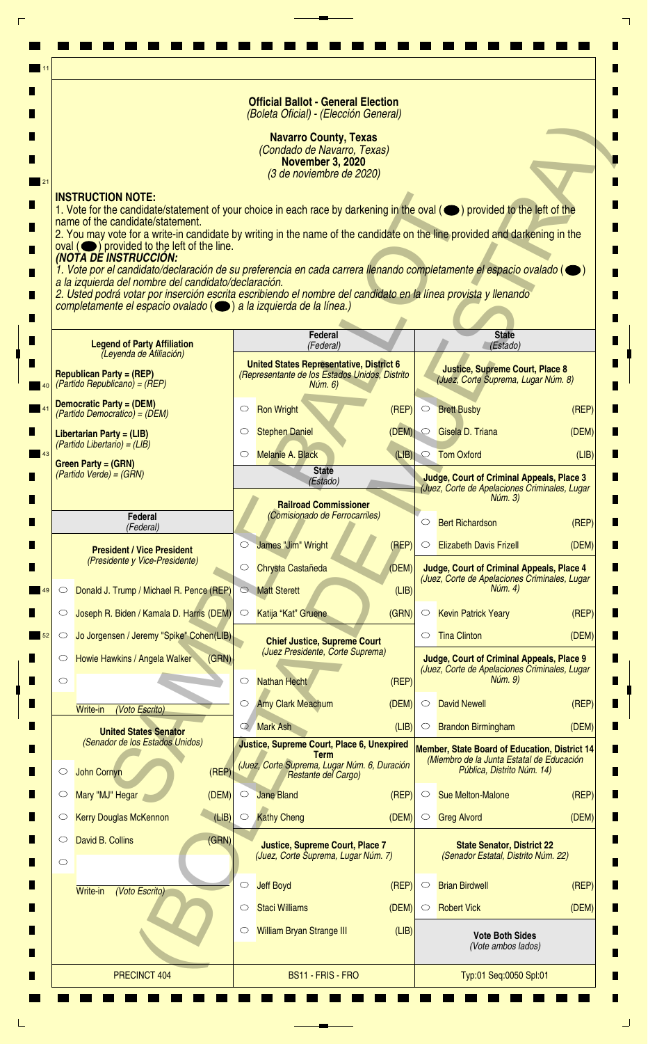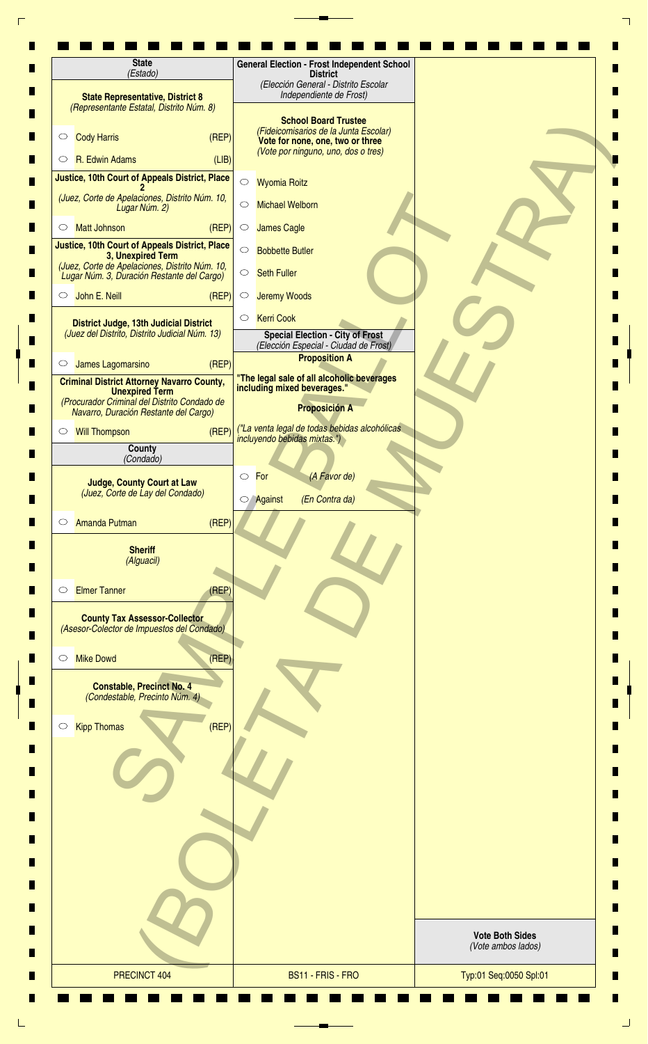| (Estado)                                                                                                                                                            | <b>General Election - Frost Independent School</b><br><b>District</b><br>(Elección General - Distrito Escolar    |                        |
|---------------------------------------------------------------------------------------------------------------------------------------------------------------------|------------------------------------------------------------------------------------------------------------------|------------------------|
| <b>State Representative, District 8</b><br>(Representante Estatal, Distrito Núm. 8)                                                                                 | Independiente de Frost)<br><b>School Board Trustee</b>                                                           |                        |
| (REF)<br><b>Cody Harris</b><br>$\circ$                                                                                                                              | (Fideicomisarios de la Junta Escolar)<br>Vote for none, one, two or three                                        |                        |
| R. Edwin Adams<br>(LIB)<br>$\circ$                                                                                                                                  | (Vote por ninguno, uno, dos o tres)                                                                              |                        |
| Justice, 10th Court of Appeals District, Place                                                                                                                      | $\bigcirc$<br><b>Wyomia Roitz</b>                                                                                |                        |
| (Juez, Corte de Apelaciones, Distrito Núm. 10,<br>Lugar Núm. 2)                                                                                                     | <b>Michael Welborn</b><br>$\circ$                                                                                |                        |
| <b>Matt Johnson</b><br>(REF)<br>O                                                                                                                                   | <b>James Cagle</b><br>$\circ$                                                                                    |                        |
| Justice, 10th Court of Appeals District, Place<br>3, Unexpired Term                                                                                                 | $\circ$<br><b>Bobbette Butler</b>                                                                                |                        |
| (Juez, Corte de Apelaciones, Distrito Núm. 10,<br>Lugar Núm. 3, Duración Restante del Cargo)                                                                        | <b>Seth Fuller</b><br>$\circ$                                                                                    |                        |
| John E. Neill<br>(REF)<br>$\circ$                                                                                                                                   | <b>Jeremy Woods</b><br>$\circ$                                                                                   |                        |
| District Judge, 13th Judicial District<br>(Juez del Distrito, Distrito Judicial Núm. 13)                                                                            | <b>Kerri Cook</b><br>$\circ$<br><b>Special Election - City of Frost</b><br>(Elección Especial - Ciudad de Frost) |                        |
| (REP)<br>James Lagomarsino<br>$\circ$                                                                                                                               | <b>Proposition A</b>                                                                                             |                        |
| <b>Criminal District Attorney Navarro County,</b><br><b>Unexpired Term</b><br>(Procurador Criminal del Distrito Condado de<br>Navarro, Duración Restante del Cargo) | "The legal sale of all alcoholic beverages<br>including mixed beverages."<br><b>Proposición A</b>                |                        |
| (REP)<br><b>Will Thompson</b><br>$\circ$                                                                                                                            | ("La venta legal de todas bebidas alcohólicas                                                                    |                        |
| <b>County</b><br>(Condado)                                                                                                                                          | incluyendo bebidas mixtas.")                                                                                     |                        |
|                                                                                                                                                                     | For<br>(A Favor de)<br>$\circ$                                                                                   |                        |
| <b>Judge, County Court at Law</b><br>(Juez, Corte de Lay del Condado)                                                                                               | (En Contra da)<br><b>Against</b>                                                                                 |                        |
| (REF)<br><b>Amanda Putman</b><br>$\circ$                                                                                                                            |                                                                                                                  |                        |
| <b>Sheriff</b><br>(Alguacil)                                                                                                                                        |                                                                                                                  |                        |
| <b>Elmer Tanner</b><br>(REP)<br>$\circ$                                                                                                                             |                                                                                                                  |                        |
| <b>County Tax Assessor-Collector</b><br>(Asesor-Colector de Impuestos del Condado)                                                                                  |                                                                                                                  |                        |
| <b>Mike Dowd</b><br>(REF)<br>$\circlearrowright$                                                                                                                    |                                                                                                                  |                        |
| <b>Constable, Precinct No. 4</b><br>(Condestable, Precinto Núm. 4)                                                                                                  |                                                                                                                  |                        |
| <b>Kipp Thomas</b><br>(REF)<br>$\circ$                                                                                                                              |                                                                                                                  |                        |
|                                                                                                                                                                     |                                                                                                                  |                        |
|                                                                                                                                                                     |                                                                                                                  |                        |
|                                                                                                                                                                     |                                                                                                                  |                        |
|                                                                                                                                                                     |                                                                                                                  | <b>Vote Both Sides</b> |
|                                                                                                                                                                     |                                                                                                                  | (Vote ambos lados)     |
| PRECINCT 404                                                                                                                                                        | BS11 - FRIS - FRO                                                                                                | Typ:01 Seq:0050 Spl:01 |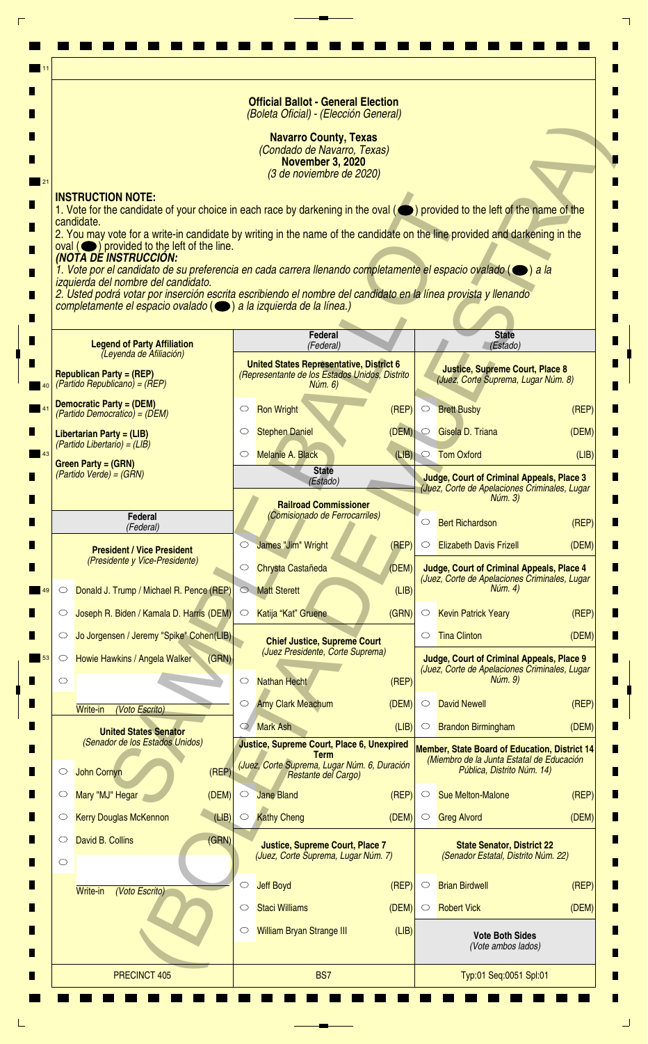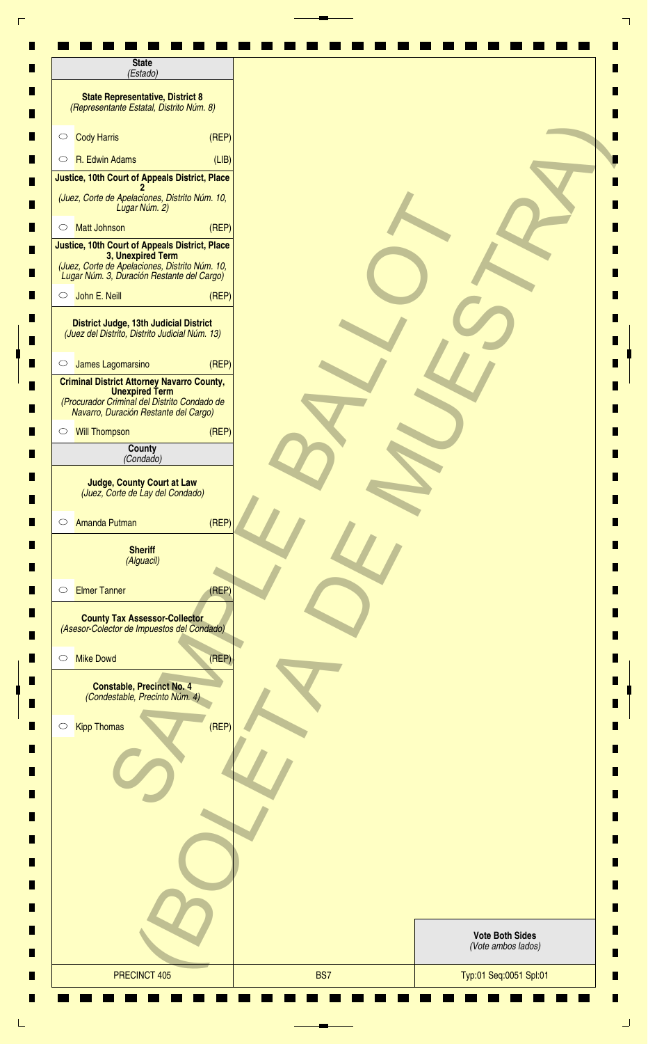| (Estado)                                                                                                                                                            |       |                                              |
|---------------------------------------------------------------------------------------------------------------------------------------------------------------------|-------|----------------------------------------------|
| <b>State Representative, District 8</b><br>(Representante Estatal, Distrito Núm. 8)                                                                                 |       |                                              |
| <b>Cody Harris</b><br>$\circ$                                                                                                                                       | (REF) |                                              |
| R. Edwin Adams<br>$\circ$                                                                                                                                           | (LIB) |                                              |
| Justice, 10th Court of Appeals District, Place                                                                                                                      |       |                                              |
| (Juez, Corte de Apelaciones, Distrito Núm. 10,<br>Lugar Núm. 2)                                                                                                     |       |                                              |
| <b>Matt Johnson</b><br>$\circ$                                                                                                                                      | (REP) |                                              |
| Justice, 10th Court of Appeals District, Place<br>3, Unexpired Term<br>(Juez, Corte de Apelaciones, Distrito Núm. 10,<br>Lugar Núm. 3, Duración Restante del Cargo) |       |                                              |
| John E. Neill<br>$\circ$                                                                                                                                            | (REF) |                                              |
| District Judge, 13th Judicial District<br>(Juez del Distrito, Distrito Judicial Núm. 13)                                                                            |       |                                              |
| James Lagomarsino<br>$\circ$                                                                                                                                        | (REF) |                                              |
| <b>Criminal District Attorney Navarro County,</b><br><b>Unexpired Term</b><br>(Procurador Criminal del Distrito Condado de<br>Navarro, Duración Restante del Cargo) |       |                                              |
| Will Thompson                                                                                                                                                       | (REP) |                                              |
| County<br>(Condado)                                                                                                                                                 |       |                                              |
| <b>Amanda Putman</b><br>$\circ$<br><b>Sheriff</b><br>(Alguacil)                                                                                                     | (REP) |                                              |
| <b>Elmer Tanner</b><br>$\circ$                                                                                                                                      | (REF) |                                              |
| <b>County Tax Assessor-Collector</b><br>(Asesor-Colector de Impuestos del Condado)                                                                                  |       |                                              |
| <b>Mike Dowd</b><br>$\circ$                                                                                                                                         | (REF) |                                              |
| <b>Constable, Precinct No. 4</b>                                                                                                                                    |       |                                              |
| (Condestable, Precinto Núm. 4)                                                                                                                                      |       |                                              |
| <b>Kipp Thomas</b>                                                                                                                                                  | (REF) |                                              |
|                                                                                                                                                                     |       |                                              |
|                                                                                                                                                                     |       |                                              |
| $\circ$                                                                                                                                                             |       |                                              |
|                                                                                                                                                                     |       | <b>Vote Both Sides</b><br>(Vote ambos lados) |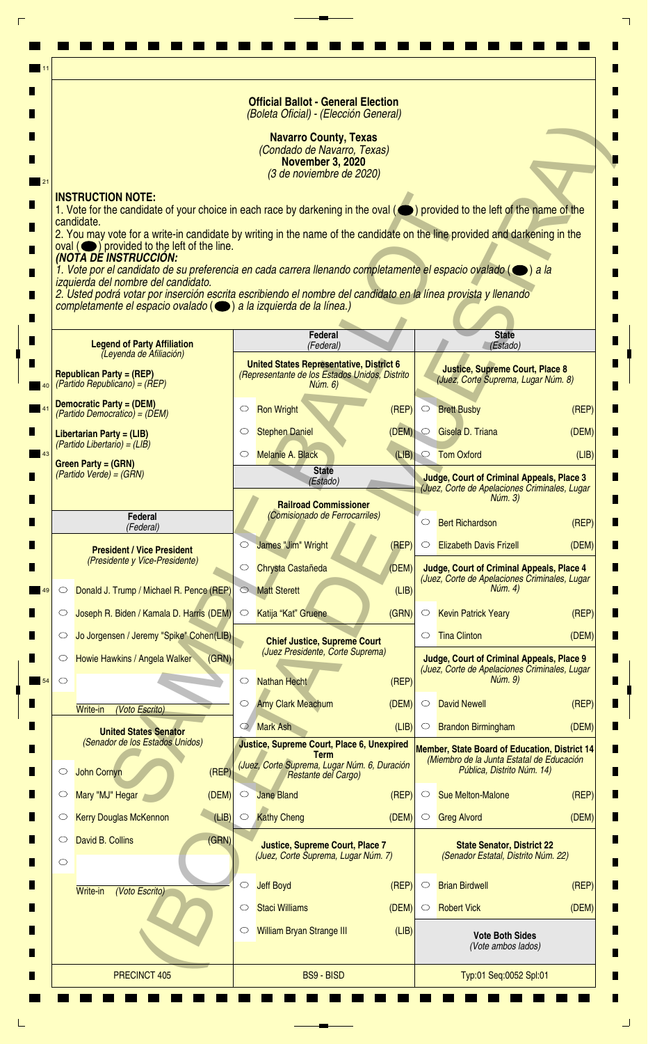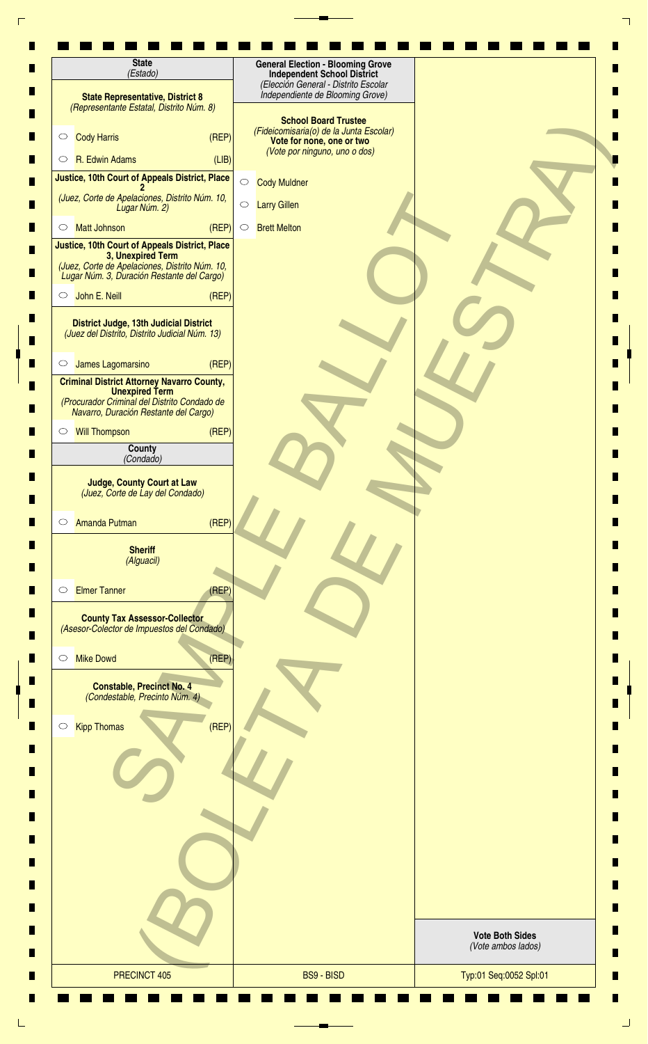| <b>State</b><br>(Estado)                                                                                                                                            | <b>General Election - Blooming Grove</b><br><b>Independent School District</b>                                                       |                                              |
|---------------------------------------------------------------------------------------------------------------------------------------------------------------------|--------------------------------------------------------------------------------------------------------------------------------------|----------------------------------------------|
| <b>State Representative, District 8</b><br>(Representante Estatal, Distrito Núm. 8)                                                                                 | (Elección General - Distrito Escolar<br>Independiente de Blooming Grove)                                                             |                                              |
| (REF)<br><b>Cody Harris</b><br>$\circ$                                                                                                                              | <b>School Board Trustee</b><br>(Fideicomisaria(o) de la Junta Escolar)<br>Vote for none, one or two<br>(Vote por ninguno, uno o dos) |                                              |
| R. Edwin Adams<br>(LIB)<br>$\circ$                                                                                                                                  |                                                                                                                                      |                                              |
| Justice, 10th Court of Appeals District, Place                                                                                                                      | <b>Cody Muldner</b><br>$\bigcirc$                                                                                                    |                                              |
| (Juez, Corte de Apelaciones, Distrito Núm. 10,<br>Lugar Núm. 2)                                                                                                     | $\bigcirc$<br><b>Larry Gillen</b>                                                                                                    |                                              |
| <b>Matt Johnson</b><br>(REP)<br>$\circ$                                                                                                                             | <b>Brett Melton</b><br>$\circ$                                                                                                       |                                              |
| Justice, 10th Court of Appeals District, Place<br>3, Unexpired Term<br>(Juez, Corte de Apelaciones, Distrito Núm. 10,<br>Lugar Núm. 3, Duración Restante del Cargo) |                                                                                                                                      |                                              |
| John E. Neill<br>(REP)<br>$\circ$                                                                                                                                   |                                                                                                                                      |                                              |
| District Judge, 13th Judicial District<br>(Juez del Distrito, Distrito Judicial Núm. 13)                                                                            |                                                                                                                                      |                                              |
| (REF)<br>James Lagomarsino<br>$\circ$                                                                                                                               |                                                                                                                                      |                                              |
| <b>Criminal District Attorney Navarro County,</b><br><b>Unexpired Term</b><br>(Procurador Criminal del Distrito Condado de<br>Navarro, Duración Restante del Cargo) |                                                                                                                                      |                                              |
| (REP)<br><b>Will Thompson</b><br>$\circ$                                                                                                                            |                                                                                                                                      |                                              |
| County<br>(Condado)                                                                                                                                                 |                                                                                                                                      |                                              |
| <b>Judge, County Court at Law</b><br>(Juez, Corte de Lay del Condado)<br>(REP)<br><b>Amanda Putman</b><br>$\circ$                                                   |                                                                                                                                      |                                              |
| <b>Sheriff</b><br>(Alguacil)                                                                                                                                        |                                                                                                                                      |                                              |
| <b>Elmer Tanner</b><br>(REF)<br>$\circlearrowright$                                                                                                                 |                                                                                                                                      |                                              |
| <b>County Tax Assessor-Collector</b><br>(Asesor-Colector de Impuestos del Condado)                                                                                  |                                                                                                                                      |                                              |
| <b>Mike Dowd</b><br>(REF)<br>$\circ$                                                                                                                                |                                                                                                                                      |                                              |
| <b>Constable, Precinct No. 4</b><br>(Condestable, Precinto Núm. 4)                                                                                                  |                                                                                                                                      |                                              |
| (REF)<br><b>Kipp Thomas</b><br>$\bigcirc$                                                                                                                           |                                                                                                                                      |                                              |
|                                                                                                                                                                     |                                                                                                                                      |                                              |
|                                                                                                                                                                     |                                                                                                                                      |                                              |
|                                                                                                                                                                     |                                                                                                                                      |                                              |
|                                                                                                                                                                     |                                                                                                                                      | <b>Vote Both Sides</b><br>(Vote ambos lados) |
| PRECINCT 405                                                                                                                                                        | <b>BS9 - BISD</b>                                                                                                                    | Typ:01 Seq:0052 Spl:01                       |
|                                                                                                                                                                     |                                                                                                                                      |                                              |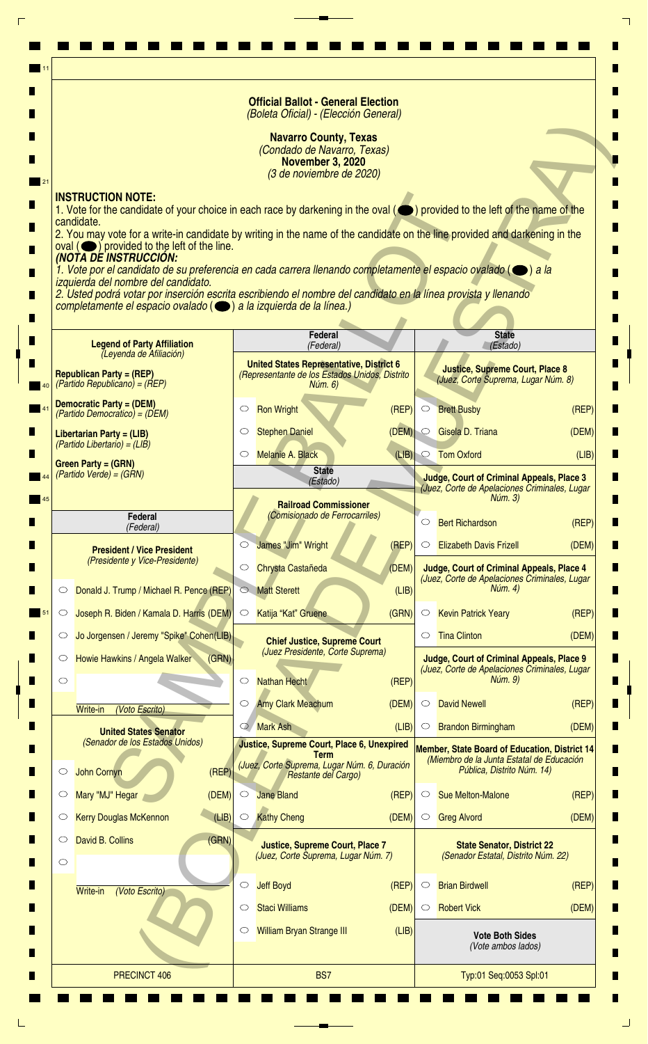